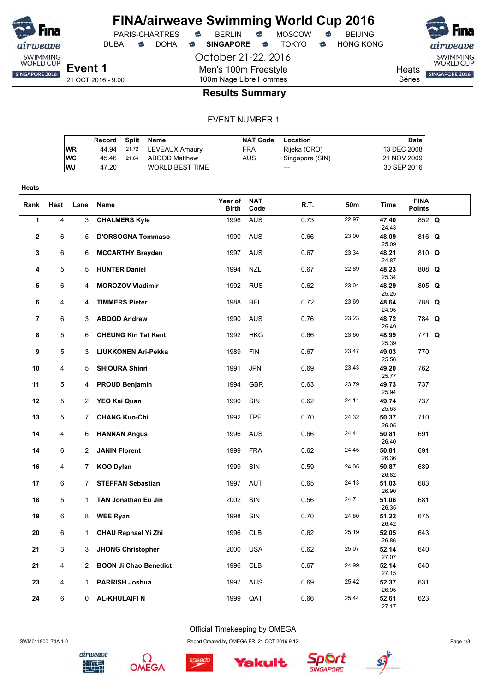

DUBAI **S** DOHA S SINGAPORE S TOKYO S HONG KONG

Men's 100m Freestyle 100m Nage Libre Hommes

October 21-22, 2016

airweave SWIMMING<br>WORLD CUP SINGAPORE 2016

**Heats** Séries

### **Results Summary**

#### EVENT NUMBER 1

|           | Record | Split | Name                   | <b>NAT Code</b> | Location        | Date        |
|-----------|--------|-------|------------------------|-----------------|-----------------|-------------|
| <b>WR</b> | 44.94  |       | 21.72 LEVEAUX Amaury   | <b>FRA</b>      | Rijeka (CRO)    | 13 DEC 2008 |
| <b>WC</b> | 45 46  | 21.64 | ABOOD Matthew          | AUS             | Singapore (SIN) | 21 NOV 2009 |
| <b>WJ</b> | 47.20  |       | <b>WORLD BEST TIME</b> |                 | $---$           | 30 SEP 2016 |
|           |        |       |                        |                 |                 |             |

| <b>Heats</b>   |                     |                  |                                                 |                  |                    |              |                |                         |                              |  |
|----------------|---------------------|------------------|-------------------------------------------------|------------------|--------------------|--------------|----------------|-------------------------|------------------------------|--|
| Rank           | Heat                | Lane             | Name                                            | Year of<br>Birth | <b>NAT</b><br>Code | R.T.         | 50m            | <b>Time</b>             | <b>FINA</b><br><b>Points</b> |  |
| 1              | 4                   | 3                | <b>CHALMERS Kyle</b>                            | 1998             | <b>AUS</b>         | 0.73         | 22.97          | 47.40<br>24.43          | 852 Q                        |  |
| $\mathbf 2$    | 6                   | 5                | <b>D'ORSOGNA Tommaso</b>                        | 1990             | <b>AUS</b>         | 0.66         | 23.00          | 48.09<br>25.09          | 816 Q                        |  |
| 3              | 6                   | 6                | <b>MCCARTHY Brayden</b>                         | 1997             | <b>AUS</b>         | 0.67         | 23.34          | 48.21<br>24.87          | 810 Q                        |  |
| 4              | 5                   | 5                | <b>HUNTER Daniel</b>                            | 1994             | <b>NZL</b>         | 0.67         | 22.89          | 48.23<br>25.34          | 808 Q                        |  |
| 5              | 6                   | 4                | <b>MOROZOV Vladimir</b>                         | 1992             | <b>RUS</b>         | 0.62         | 23.04          | 48.29<br>25.25          | 805 Q                        |  |
| 6              | 4                   | 4                | <b>TIMMERS Pieter</b>                           | 1988             | <b>BEL</b>         | 0.72         | 23.69          | 48.64<br>24.95          | 788 Q                        |  |
| $\overline{7}$ | 6                   | 3                | <b>ABOOD Andrew</b>                             | 1990             | <b>AUS</b>         | 0.76         | 23.23          | 48.72<br>25.49          | 784 Q                        |  |
| 8              | 5                   | 6                | <b>CHEUNG Kin Tat Kent</b>                      | 1992             | <b>HKG</b>         | 0.66         | 23.60          | 48.99<br>25.39          | 771 Q                        |  |
| 9              | 5                   | 3                | <b>LIUKKONEN Ari-Pekka</b>                      | 1989             | <b>FIN</b>         | 0.67         | 23.47          | 49.03<br>25.56          | 770                          |  |
| 10             | 4                   | 5                | <b>SHIOURA Shinri</b>                           | 1991             | <b>JPN</b>         | 0.69         | 23.43          | 49.20<br>25.77          | 762                          |  |
| 11             | 5                   | 4                | <b>PROUD Benjamin</b>                           | 1994             | <b>GBR</b>         | 0.63         | 23.79          | 49.73<br>25.94          | 737                          |  |
| 12             | 5                   | $\overline{2}$   | YEO Kai Quan                                    | 1990             | SIN                | 0.62         | 24.11          | 49.74<br>25.63          | 737                          |  |
| 13             | 5                   | 7                | <b>CHANG Kuo-Chi</b>                            | 1992             | <b>TPE</b>         | 0.70         | 24.32          | 50.37<br>26.05          | 710                          |  |
| 14             | 4                   | 6                | <b>HANNAN Angus</b>                             | 1996             | <b>AUS</b>         | 0.66         | 24.41          | 50.81<br>26.40          | 691                          |  |
| 14             | 6                   | 2                | <b>JANIN Florent</b>                            | 1999             | <b>FRA</b>         | 0.62         | 24.45          | 50.81<br>26.36          | 691                          |  |
| 16             | $\overline{4}$      | $\overline{7}$   | <b>KOO Dylan</b>                                | 1999             | SIN<br><b>AUT</b>  | 0.59         | 24.05<br>24.13 | 50.87<br>26.82          | 689<br>683                   |  |
| 17             | 6<br>$\overline{5}$ | 7                | <b>STEFFAN Sebastian</b>                        | 1997             |                    | 0.65         | 24.71          | 51.03<br>26.90          |                              |  |
| 18<br>19       | 6                   | $\mathbf 1$<br>8 | <b>TAN Jonathan Eu Jin</b>                      | 2002<br>1998     | SIN<br>SIN         | 0.56<br>0.70 | 24.80          | 51.06<br>26.35<br>51.22 | 681<br>675                   |  |
| 20             | 6                   | $\mathbf{1}$     | <b>WEE Ryan</b>                                 | 1996             | <b>CLB</b>         | 0.62         | 25.19          | 26.42<br>52.05          | 643                          |  |
| 21             | 3                   | 3                | CHAU Raphael Yi Zhi<br><b>JHONG Christopher</b> | 2000             | <b>USA</b>         | 0.62         | 25.07          | 26.86<br>52.14          | 640                          |  |
| 21             | 4                   | 2                | <b>BOON Ji Chao Benedict</b>                    | 1996             | <b>CLB</b>         | 0.67         | 24.99          | 27.07<br>52.14          | 640                          |  |
| 23             | 4                   | 1                | <b>PARRISH Joshua</b>                           | 1997             | <b>AUS</b>         | 0.69         | 25.42          | 27.15<br>52.37          | 631                          |  |
| 24             | 6                   | 0                | <b>AL-KHULAIFIN</b>                             | 1999             | QAT                | 0.66         | 25.44          | 26.95<br>52.61          | 623                          |  |
|                |                     |                  |                                                 |                  |                    |              |                | 27.17                   |                              |  |

Official Timekeeping by OMEGA



Ω





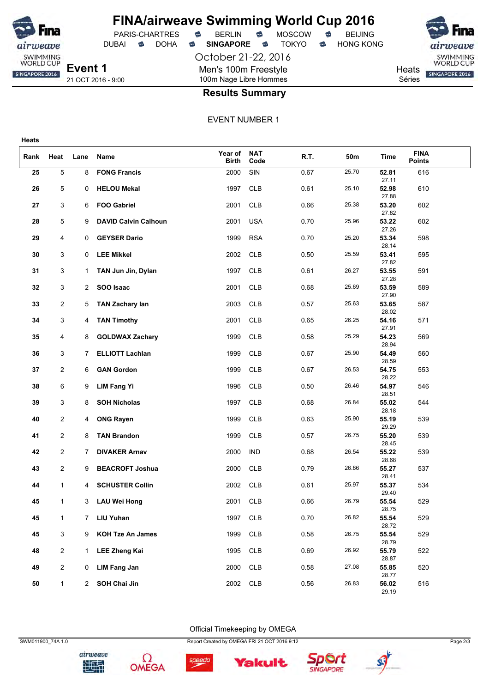

**Heats**

# **FINA/airweave Swimming World Cup 2016**

October 21-22, 2016 Men's 100m Freestyle 100m Nage Libre Hommes

PARIS-CHARTRES **B** BERLIN **B** MOSCOW **B** BEIJING DUBAI **S** DOHA S SINGAPORE S TOKYO S HONG KONG



21 OCT 2016 - 9:00

### **Results Summary**

EVENT NUMBER 1

| Rank | Heat           | Lane         | Name                        | Year of<br><b>Birth</b> | <b>NAT</b><br>Code | R.T. | 50m   | Time                    | <b>FINA</b><br><b>Points</b> |  |
|------|----------------|--------------|-----------------------------|-------------------------|--------------------|------|-------|-------------------------|------------------------------|--|
| 25   | 5              | 8            | <b>FONG Francis</b>         | 2000                    | SIN                | 0.67 | 25.70 | 52.81<br>27.11          | 616                          |  |
| 26   | 5              | 0            | <b>HELOU Mekal</b>          | 1997                    | <b>CLB</b>         | 0.61 | 25.10 | 52.98<br>27.88          | 610                          |  |
| 27   | 3              | 6            | <b>FOO Gabriel</b>          | 2001                    | <b>CLB</b>         | 0.66 | 25.38 | 53.20<br>27.82          | 602                          |  |
| 28   | 5              | 9            | <b>DAVID Calvin Calhoun</b> | 2001                    | <b>USA</b>         | 0.70 | 25.96 | 53.22<br>27.26          | 602                          |  |
| 29   | 4              | 0            | <b>GEYSER Dario</b>         | 1999                    | <b>RSA</b>         | 0.70 | 25.20 | 53.34<br>28.14          | 598                          |  |
| 30   | 3              | 0            | <b>LEE Mikkel</b>           | 2002                    | <b>CLB</b>         | 0.50 | 25.59 | 53.41<br>27.82          | 595                          |  |
| 31   | 3              | 1            | TAN Jun Jin, Dylan          | 1997                    | <b>CLB</b>         | 0.61 | 26.27 | 53.55<br>27.28          | 591                          |  |
| 32   | 3              | $\mathbf{2}$ | SOO Isaac                   | 2001                    | <b>CLB</b>         | 0.68 | 25.69 | 53.59                   | 589                          |  |
| 33   | $\overline{2}$ | 5            | <b>TAN Zachary lan</b>      | 2003                    | <b>CLB</b>         | 0.57 | 25.63 | 27.90<br>53.65<br>28.02 | 587                          |  |
| 34   | 3              | 4            | <b>TAN Timothy</b>          | 2001                    | <b>CLB</b>         | 0.65 | 26.25 | 54.16                   | 571                          |  |
| 35   | 4              | 8            | <b>GOLDWAX Zachary</b>      | 1999                    | <b>CLB</b>         | 0.58 | 25.29 | 27.91<br>54.23          | 569                          |  |
| 36   | 3              | 7            | <b>ELLIOTT Lachlan</b>      | 1999                    | <b>CLB</b>         | 0.67 | 25.90 | 28.94<br>54.49          | 560                          |  |
| 37   | 2              | 6            | <b>GAN Gordon</b>           | 1999                    | <b>CLB</b>         | 0.67 | 26.53 | 28.59<br>54.75          | 553                          |  |
| 38   | 6              | 9            | <b>LIM Fang Yi</b>          | 1996                    | <b>CLB</b>         | 0.50 | 26.46 | 28.22<br>54.97          | 546                          |  |
| 39   | 3              | 8            | <b>SOH Nicholas</b>         | 1997                    | <b>CLB</b>         | 0.68 | 26.84 | 28.51<br>55.02          | 544                          |  |
| 40   | 2              | 4            | <b>ONG Rayen</b>            | 1999                    | <b>CLB</b>         | 0.63 | 25.90 | 28.18<br>55.19          | 539                          |  |
| 41   | $\overline{c}$ | 8            | <b>TAN Brandon</b>          | 1999                    | <b>CLB</b>         | 0.57 | 26.75 | 29.29<br>55.20          | 539                          |  |
| 42   | $\overline{2}$ | 7            | <b>DIVAKER Arnav</b>        | 2000                    | <b>IND</b>         | 0.68 | 26.54 | 28.45<br>55.22          | 539                          |  |
| 43   | 2              | 9            | <b>BEACROFT Joshua</b>      | 2000                    | <b>CLB</b>         | 0.79 | 26.86 | 28.68<br>55.27          | 537                          |  |
| 44   | $\mathbf{1}$   | 4            | <b>SCHUSTER Collin</b>      | 2002                    | <b>CLB</b>         | 0.61 | 25.97 | 28.41<br>55.37          | 534                          |  |
| 45   | 1              | 3            | <b>LAU Wei Hong</b>         | 2001                    | <b>CLB</b>         | 0.66 | 26.79 | 29.40<br>55.54<br>28.75 | 529                          |  |
| 45   | 1              |              | LIU Yuhan                   | 1997                    | CLB                | 0.70 | 26.82 | 55.54                   | 529                          |  |
| 45   | 3              | 9            | <b>KOH Tze An James</b>     | 1999                    | CLB                | 0.58 | 26.75 | 28.72<br>55.54          | 529                          |  |
| 48   | $\overline{2}$ | $\mathbf{1}$ | <b>LEE Zheng Kai</b>        | 1995                    | CLB                | 0.69 | 26.92 | 28.79<br>55.79          | 522                          |  |
| 49   | $\overline{c}$ | 0            | <b>LIM Fang Jan</b>         | 2000                    | CLB                | 0.58 | 27.08 | 28.87<br>55.85          | 520                          |  |
| 50   | $\mathbf{1}$   | 2            | SOH Chai Jin                | 2002                    | CLB                | 0.56 | 26.83 | 28.77<br>56.02          | 516                          |  |
|      |                |              |                             |                         |                    |      |       | 29.19                   |                              |  |

Official Timekeeping by OMEGA



airweave

地型







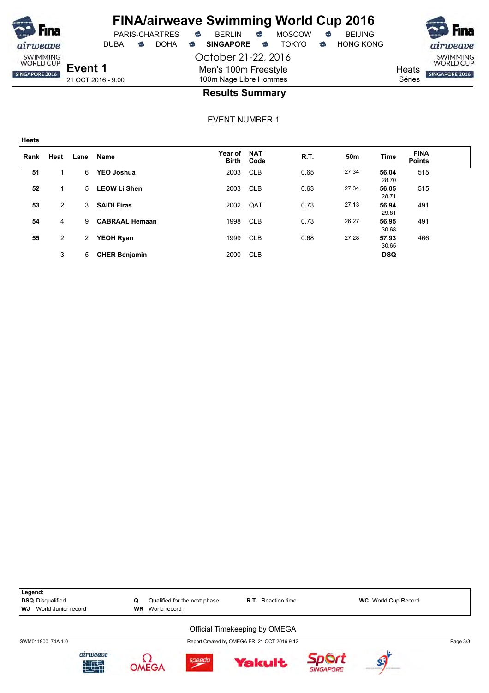

October 21-22, 2016 Men's 100m Freestyle 100m Nage Libre Hommes



**Heats** Séries

SWIMMING<br>WORLD CUP SINGAPORE 2016

21 OCT 2016 - 9:00

**Heats**

### **Results Summary**

EVENT NUMBER 1

| Rank | Heat | Lane        | Name                  | <b>Year of</b><br><b>Birth</b> | <b>NAT</b><br>Code | R.T. | 50m   | Time           | <b>FINA</b><br><b>Points</b> |  |
|------|------|-------------|-----------------------|--------------------------------|--------------------|------|-------|----------------|------------------------------|--|
| 51   |      | 6           | YEO Joshua            | 2003                           | <b>CLB</b>         | 0.65 | 27.34 | 56.04<br>28.70 | 515                          |  |
| 52   |      | 5           | <b>LEOW Li Shen</b>   | 2003                           | <b>CLB</b>         | 0.63 | 27.34 | 56.05<br>28.71 | 515                          |  |
| 53   | 2    | 3           | <b>SAIDI Firas</b>    | 2002                           | QAT                | 0.73 | 27.13 | 56.94<br>29.81 | 491                          |  |
| 54   | 4    | 9           | <b>CABRAAL Hemaan</b> | 1998                           | <b>CLB</b>         | 0.73 | 26.27 | 56.95<br>30.68 | 491                          |  |
| 55   | 2    | 2           | <b>YEOH Ryan</b>      | 1999                           | <b>CLB</b>         | 0.68 | 27.28 | 57.93<br>30.65 | 466                          |  |
|      | 3    | $5^{\circ}$ | <b>CHER Benjamin</b>  | 2000                           | <b>CLB</b>         |      |       | <b>DSQ</b>     |                              |  |

**Legend: DSQ** Disqualified **C** Qualified for the next phase **R.T.** Reaction time **WC** World Cup Record **WI** World Cup Record **WJ** World Junior record Official Timekeeping by OMEGA SWM011900\_74A 1.0 Page 3/3 airweave Ω Sport speedo **Yakult** 中理 **OMEGA SINGAPORE**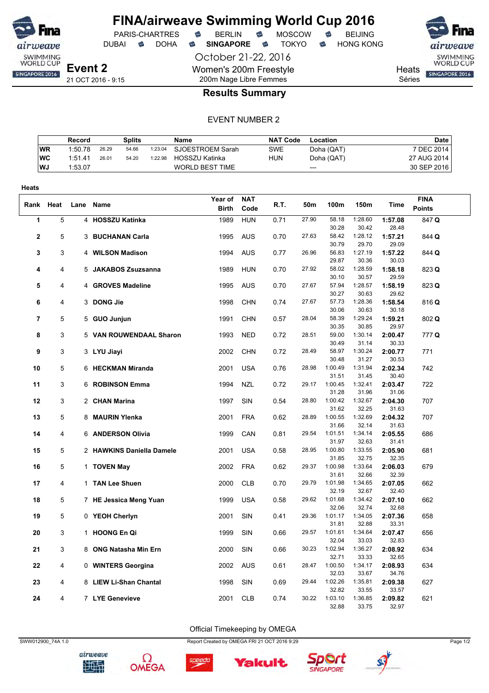

DUBAI **S** DOHA S SINGAPORE S TOKYO S HONG KONG

PARIS-CHARTRES **B** BERLIN **B** MOSCOW **B** BEIJING

October 21-22, 2016 Women's 200m Freestyle 200m Nage Libre Femmes





21 OCT 2016 - 9:15

### **Results Summary**

#### EVENT NUMBER 2

|           | Record  |       | Splits |         | Name                   | <b>NAT Code</b> | Location   | Date        |
|-----------|---------|-------|--------|---------|------------------------|-----------------|------------|-------------|
| <b>WR</b> | 1:50.78 | 26.29 | 54.66  | 1:23.04 | SJOESTROEM Sarah       | <b>SWE</b>      | Doha (QAT) | 7 DEC 2014  |
| WC        | 1:51.41 | 26.01 | 54.20  | 1:22.98 | HOSSZU Katinka         | <b>HUN</b>      | Doha (QAT) | 27 AUG 2014 |
| WJ        | 1:53.07 |       |        |         | <b>WORLD BEST TIME</b> |                 | $---$      | 30 SEP 2016 |

| Heats        |                |                           |              |            |      |       |                  |                  |                  |               |
|--------------|----------------|---------------------------|--------------|------------|------|-------|------------------|------------------|------------------|---------------|
|              |                |                           | Year of      | <b>NAT</b> |      |       |                  |                  |                  | <b>FINA</b>   |
|              | Rank Heat      | Lane Name                 | <b>Birth</b> | Code       | R.T. | 50m   | 100m             | 150m             | <b>Time</b>      | <b>Points</b> |
| $\mathbf{1}$ | 5              | 4 HOSSZU Katinka          | 1989         | <b>HUN</b> | 0.71 | 27.90 | 58.18            | 1:28.60          | 1:57.08          | 847 Q         |
|              |                |                           |              |            |      |       | 30.28            | 30.42            | 28.48            |               |
| $\mathbf{2}$ | 5              | 3 BUCHANAN Carla          | 1995         | <b>AUS</b> | 0.70 | 27.63 | 58.42            | 1:28.12          | 1:57.21          | 844 Q         |
|              |                |                           |              |            |      |       | 30.79            | 29.70            | 29.09            |               |
| 3            | 3              | 4 WILSON Madison          | 1994         | <b>AUS</b> | 0.77 | 26.96 | 56.83<br>29.87   | 1:27.19<br>30.36 | 1:57.22<br>30.03 | 844 Q         |
| 4            | 4              | 5 JAKABOS Zsuzsanna       | 1989         | <b>HUN</b> | 0.70 | 27.92 | 58.02            | 1:28.59          | 1:58.18          | 823 Q         |
|              |                |                           |              |            |      |       | 30.10            | 30.57            | 29.59            |               |
| 5            | 4              | 4 GROVES Madeline         | 1995         | <b>AUS</b> | 0.70 | 27.67 | 57.94            | 1:28.57          | 1:58.19          | 823 Q         |
|              |                |                           |              |            |      |       | 30.27            | 30.63            | 29.62            |               |
| 6            | $\overline{4}$ | 3 DONG Jie                | 1998         | <b>CHN</b> | 0.74 | 27.67 | 57.73            | 1:28.36          | 1:58.54          | 816 Q         |
|              |                |                           |              |            |      |       | 30.06            | 30.63            | 30.18            |               |
| 7            | 5              | 5 GUO Junjun              | 1991         | <b>CHN</b> | 0.57 | 28.04 | 58.39            | 1:29.24          | 1:59.21          | 802 Q         |
|              |                |                           |              |            |      |       | 30.35            | 30.85            | 29.97            |               |
| 8            | 3              | 5 VAN ROUWENDAAL Sharon   | 1993         | <b>NED</b> | 0.72 | 28.51 | 59.00            | 1:30.14          | 2:00.47          | 777 Q         |
|              |                |                           |              |            |      |       | 30.49            | 31.14<br>1:30.24 | 30.33            |               |
| 9            | 3              | 3 LYU Jiayi               | 2002         | <b>CHN</b> | 0.72 | 28.49 | 58.97<br>30.48   | 31.27            | 2:00.77<br>30.53 | 771           |
| 10           | 5              | 6 HECKMAN Miranda         | 2001         | <b>USA</b> | 0.76 | 28.98 | 1:00.49          | 1:31.94          | 2:02.34          | 742           |
|              |                |                           |              |            |      |       | 31.51            | 31.45            | 30.40            |               |
| 11           | 3              | 6 ROBINSON Emma           | 1994         | <b>NZL</b> | 0.72 | 29.17 | 1:00.45          | 1:32.41          | 2:03.47          | 722           |
|              |                |                           |              |            |      |       | 31.28            | 31.96            | 31.06            |               |
| 12           | 3              | 2 CHAN Marina             | 1997         | SIN        | 0.54 | 28.80 | 1:00.42          | 1:32.67          | 2:04.30          | 707           |
|              |                |                           |              |            |      |       | 31.62            | 32.25            | 31.63            |               |
| 13           | 5              | 8 MAURIN Ylenka           | 2001         | <b>FRA</b> | 0.62 | 28.89 | 1:00.55          | 1:32.69          | 2:04.32          | 707           |
|              |                |                           |              |            |      |       | 31.66            | 32.14            | 31.63            |               |
| 14           | 4              | 6 ANDERSON Olivia         | 1999         | CAN        | 0.81 | 29.54 | 1:01.51          | 1:34.14          | 2:05.55          | 686           |
| 15           | 5              | 2 HAWKINS Daniella Damele | 2001         | <b>USA</b> | 0.58 | 28.95 | 31.97<br>1:00.80 | 32.63<br>1:33.55 | 31.41<br>2:05.90 | 681           |
|              |                |                           |              |            |      |       | 31.85            | 32.75            | 32.35            |               |
| 16           | 5              | 1 TOVEN May               | 2002         | <b>FRA</b> | 0.62 | 29.37 | 1:00.98          | 1:33.64          | 2:06.03          | 679           |
|              |                |                           |              |            |      |       | 31.61            | 32.66            | 32.39            |               |
| 17           | 4              | 1 TAN Lee Shuen           | 2000         | <b>CLB</b> | 0.70 | 29.79 | 1:01.98          | 1:34.65          | 2:07.05          | 662           |
|              |                |                           |              |            |      |       | 32.19            | 32.67            | 32.40            |               |
| 18           | 5              | 7 HE Jessica Meng Yuan    | 1999         | <b>USA</b> | 0.58 | 29.62 | 1:01.68          | 1:34.42          | 2:07.10          | 662           |
|              |                |                           |              |            |      |       | 32.06            | 32.74            | 32.68            |               |
| 19           | 5              | 0 YEOH Cherlyn            | 2001         | SIN        | 0.41 | 29.36 | 1:01.17          | 1:34.05          | 2:07.36          | 658           |
|              |                |                           |              |            |      | 29.57 | 31.81<br>1:01.61 | 32.88            | 33.31            |               |
| 20           | 3              | 1 HOONG En Qi             | 1999         | SIN        | 0.66 |       | 32.04            | 1:34.64<br>33.03 | 2:07.47<br>32.83 | 656           |
| 21           | 3              | 8 ONG Natasha Min Ern     | 2000         | SIN        | 0.66 | 30.23 | 1:02.94          | 1:36.27          | 2:08.92          | 634           |
|              |                |                           |              |            |      |       | 32.71            | 33.33            | 32.65            |               |
| 22           | 4              | 0 WINTERS Georgina        | 2002         | <b>AUS</b> | 0.61 | 28.47 | 1:00.50          | 1:34.17          | 2:08.93          | 634           |
|              |                |                           |              |            |      |       | 32.03            | 33.67            | 34.76            |               |
| 23           | 4              | 8 LIEW Li-Shan Chantal    | 1998         | SIN        | 0.69 | 29.44 | 1:02.26          | 1:35.81          | 2:09.38          | 627           |
|              |                |                           |              |            |      |       | 32.82            | 33.55            | 33.57            |               |
| 24           | 4              | 7 LYE Genevieve           | 2001         | <b>CLB</b> | 0.74 | 30.22 | 1:03.10          | 1:36.85          | 2:09.82          | 621           |
|              |                |                           |              |            |      |       | 32.88            | 33.75            | 32.97            |               |

Official Timekeeping by OMEGA



airweave 地理









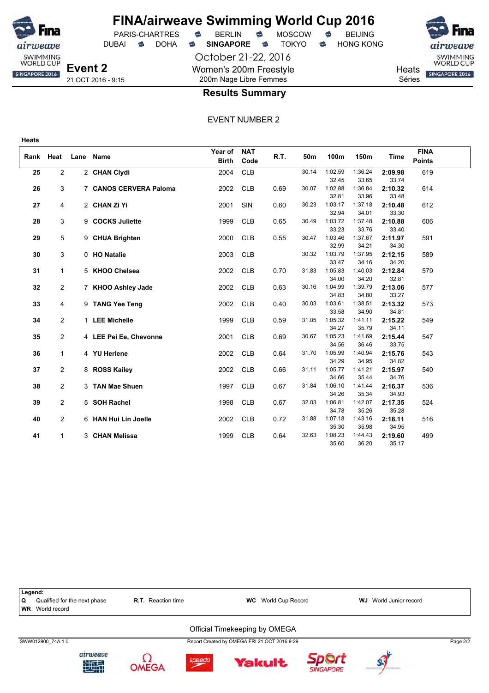

**Heats**

# **FINA/airweave Swimming World Cup 2016**

DUBAI **S** DOHA S SINGAPORE S TOKYO S HONG KONG

PARIS-CHARTRES **B** BERLIN **B** MOSCOW **B** BEIJING

October 21-22, 2016 Women's 200m Freestyle 200m Nage Libre Femmes



**Heats** SINGAPORE 2016

Séries

### **Results Summary**

|    | Rank Heat               | Lane | <b>Name</b>            | Year of<br><b>Birth</b> | <b>NAT</b><br>Code | R.T. | 50m   | 100m             | 150m             | Time             | <b>FINA</b><br><b>Points</b> |  |
|----|-------------------------|------|------------------------|-------------------------|--------------------|------|-------|------------------|------------------|------------------|------------------------------|--|
| 25 | $\overline{2}$          |      | 2 CHAN Clydi           | 2004                    | CLB                |      | 30.14 | 1:02.59          | 1:36.24          | 2:09.98          | 619                          |  |
|    |                         |      |                        |                         |                    |      |       | 32.45            | 33.65            | 33.74            |                              |  |
| 26 | 3                       |      | 7 CANOS CERVERA Paloma | 2002                    | <b>CLB</b>         | 0.69 | 30.07 | 1:02.88          | 1:36.84          | 2:10.32          | 614                          |  |
|    |                         |      |                        |                         |                    |      |       | 32.81            | 33.96            | 33.48            |                              |  |
| 27 | 4                       |      | 2 CHAN Zi Yi           | 2001                    | SIN                | 0.60 | 30.23 | 1:03.17          | 1:37.18          | 2:10.48          | 612                          |  |
|    |                         |      |                        |                         |                    |      |       | 32.94            | 34.01            | 33.30            |                              |  |
| 28 | 3                       |      | 9 COCKS Juliette       | 1999                    | <b>CLB</b>         | 0.65 | 30.49 | 1:03.72          | 1:37.48          | 2:10.88          | 606                          |  |
|    |                         |      |                        |                         |                    |      |       | 33.23            | 33.76            | 33.40            |                              |  |
| 29 | 5                       |      | 9 CHUA Brighten        | 2000                    | <b>CLB</b>         | 0.55 | 30.47 | 1:03.46          | 1:37.67          | 2:11.97          | 591                          |  |
|    |                         |      |                        |                         |                    |      |       | 32.99            | 34.21            | 34.30            |                              |  |
| 30 | 3                       |      | 0 HO Natalie           | 2003                    | <b>CLB</b>         |      | 30.32 | 1:03.79          | 1:37.95          | 2:12.15          | 589                          |  |
|    |                         |      |                        |                         |                    |      |       | 33.47            | 34.16            | 34.20            |                              |  |
| 31 | $\mathbf{1}$            |      | 5 KHOO Chelsea         | 2002                    | <b>CLB</b>         | 0.70 | 31.83 | 1:05.83<br>34.00 | 1:40.03<br>34.20 | 2:12.84<br>32.81 | 579                          |  |
| 32 | $\overline{2}$          |      | 7 KHOO Ashley Jade     | 2002                    | <b>CLB</b>         | 0.63 | 30.16 | 1:04.99          | 1:39.79          | 2:13.06          | 577                          |  |
|    |                         |      |                        |                         |                    |      |       | 34.83            | 34.80            | 33.27            |                              |  |
| 33 | 4                       |      | 9 TANG Yee Teng        | 2002                    | <b>CLB</b>         | 0.40 | 30.03 | 1:03.61          | 1:38.51          | 2:13.32          | 573                          |  |
|    |                         |      |                        |                         |                    |      |       | 33.58            | 34.90            | 34.81            |                              |  |
| 34 | $\overline{2}$          |      | 1 LEE Michelle         | 1999                    | <b>CLB</b>         | 0.59 | 31.05 | 1:05.32          | 1:41.11          | 2:15.22          | 549                          |  |
|    |                         |      |                        |                         |                    |      |       | 34.27            | 35.79            | 34.11            |                              |  |
| 35 | $\overline{2}$          |      | 4 LEE Pei Ee, Chevonne | 2001                    | <b>CLB</b>         | 0.69 | 30.67 | 1:05.23          | 1:41.69          | 2:15.44          | 547                          |  |
|    |                         |      |                        |                         |                    |      |       | 34.56            | 36.46            | 33.75            |                              |  |
| 36 | $\mathbf{1}$            |      | 4 YU Herlene           | 2002                    | CLB                | 0.64 | 31.70 | 1:05.99          | 1:40.94          | 2:15.76          | 543                          |  |
|    |                         |      |                        |                         |                    |      |       | 34.29            | 34.95            | 34.82            |                              |  |
| 37 | $\overline{\mathbf{c}}$ |      | 8 ROSS Kailey          | 2002                    | <b>CLB</b>         | 0.66 | 31.11 | 1:05.77          | 1:41.21          | 2:15.97          | 540                          |  |
|    |                         |      |                        |                         |                    |      |       | 34.66            | 35.44            | 34.76            |                              |  |
| 38 | $\overline{2}$          |      | 3 TAN Mae Shuen        | 1997                    | <b>CLB</b>         | 0.67 | 31.84 | 1:06.10          | 1:41.44          | 2:16.37          | 536                          |  |
|    |                         |      |                        |                         |                    |      |       | 34.26            | 35.34            | 34.93            |                              |  |
| 39 | $\overline{2}$          |      | 5 SOH Rachel           | 1998                    | <b>CLB</b>         | 0.67 | 32.03 | 1:06.81          | 1:42.07          | 2:17.35          | 524                          |  |
|    |                         |      |                        |                         |                    |      |       | 34.78            | 35.26            | 35.28            |                              |  |
| 40 | $\overline{2}$          |      | 6 HAN Hui Lin Joelle   | 2002                    | <b>CLB</b>         | 0.72 | 31.88 | 1:07.18<br>35.30 | 1:43.16<br>35.98 | 2:18.11<br>34.95 | 516                          |  |
| 41 | $\mathbf{1}$            |      | 3 CHAN Melissa         | 1999                    | <b>CLB</b>         | 0.64 | 32.63 | 1:08.23          | 1:44.43          | 2:19.60          | 499                          |  |
|    |                         |      |                        |                         |                    |      |       | 35.60            | 36.20            | 35.17            |                              |  |

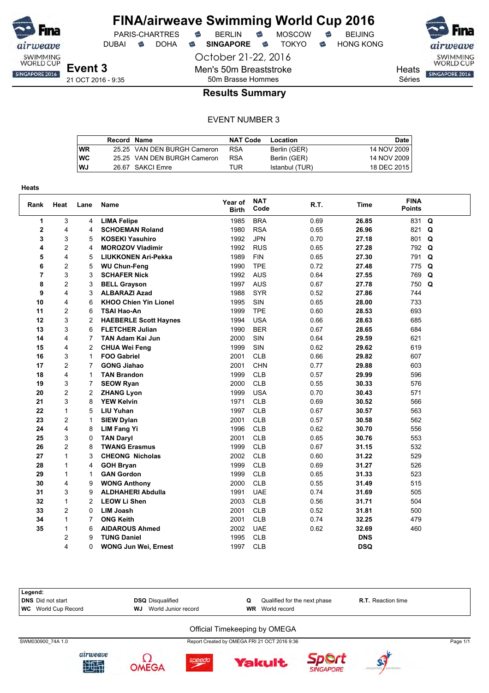

DUBAI **S** DOHA S SINGAPORE S TOKYO S HONG KONG

October 21-22, 2016

Men's 50m Breaststroke

PARIS-CHARTRES **B** BERLIN **B** MOSCOW **B** BEIJING

SWIMMING<br>WORLD CUP

**Heats** SINGAPORE 2016

Séries

### 50m Brasse Hommes **Results Summary**

#### EVENT NUMBER 3

|    | Record Name |                             | <b>NAT Code</b> | Location       | Date I      |
|----|-------------|-----------------------------|-----------------|----------------|-------------|
| WR |             | 25.25 VAN DEN BURGH Cameron | <b>RSA</b>      | Berlin (GER)   | 14 NOV 2009 |
| WC |             | 25.25 VAN DEN BURGH Cameron | <b>RSA</b>      | Berlin (GER)   | 14 NOV 2009 |
| WJ |             | 26.67 SAKCI Emre            | TUR             | Istanbul (TUR) | 18 DEC 2015 |

| <b>Heats</b>   |                |                |                              |                         |                    |      |             |                              |          |
|----------------|----------------|----------------|------------------------------|-------------------------|--------------------|------|-------------|------------------------------|----------|
| Rank           | Heat           | Lane           | Name                         | Year of<br><b>Birth</b> | <b>NAT</b><br>Code | R.T. | <b>Time</b> | <b>FINA</b><br><b>Points</b> |          |
| $\mathbf{1}$   | 3              | 4              | <b>LIMA Felipe</b>           | 1985                    | <b>BRA</b>         | 0.69 | 26.85       | 831                          | Q        |
| $\mathbf{2}$   | 4              | 4              | <b>SCHOEMAN Roland</b>       | 1980                    | <b>RSA</b>         | 0.65 | 26.96       | 821                          | Q        |
| 3              | 3              | 5              | <b>KOSEKI Yasuhiro</b>       | 1992                    | <b>JPN</b>         | 0.70 | 27.18       | 801                          | Q        |
| 4              | $\overline{c}$ | 4              | <b>MOROZOV Vladimir</b>      | 1992                    | <b>RUS</b>         | 0.65 | 27.28       | 792                          | Q        |
| 5              | 4              | 5              | <b>LIUKKONEN Ari-Pekka</b>   | 1989                    | <b>FIN</b>         | 0.65 | 27.30       | 791                          | Q        |
| 6              | 2              | 5              | <b>WU Chun-Feng</b>          | 1990                    | <b>TPE</b>         | 0.72 | 27.48       | 775                          | Q        |
| $\overline{7}$ | 3              | 3              | <b>SCHAFER Nick</b>          | 1992                    | <b>AUS</b>         | 0.64 | 27.55       | 769                          | Q        |
| 8              | $\overline{c}$ | 3              | <b>BELL Grayson</b>          | 1997                    | <b>AUS</b>         | 0.67 | 27.78       | 750                          | $\Omega$ |
| 9              | 4              | 3              | <b>ALBARAZI Azad</b>         | 1988                    | <b>SYR</b>         | 0.52 | 27.86       | 744                          |          |
| 10             | 4              | 6              | <b>KHOO Chien Yin Lionel</b> | 1995                    | SIN                | 0.65 | 28.00       | 733                          |          |
| 11             | $\overline{c}$ | 6              | <b>TSAI Hao-An</b>           | 1999                    | <b>TPE</b>         | 0.60 | 28.53       | 693                          |          |
| 12             | 3              | $\overline{c}$ | <b>HAEBERLE Scott Haynes</b> | 1994                    | <b>USA</b>         | 0.66 | 28.63       | 685                          |          |
| 13             | 3              | 6              | <b>FLETCHER Julian</b>       | 1990                    | <b>BER</b>         | 0.67 | 28.65       | 684                          |          |
| 14             | 4              | 7              | <b>TAN Adam Kai Jun</b>      | 2000                    | SIN                | 0.64 | 29.59       | 621                          |          |
| 15             | 4              | 2              | <b>CHUA Wei Feng</b>         | 1999                    | SIN                | 0.62 | 29.62       | 619                          |          |
| 16             | 3              | 1              | <b>FOO Gabriel</b>           | 2001                    | <b>CLB</b>         | 0.66 | 29.82       | 607                          |          |
| 17             | $\overline{c}$ | 7              | <b>GONG Jiahao</b>           | 2001                    | <b>CHN</b>         | 0.77 | 29.88       | 603                          |          |
| 18             | 4              | 1              | <b>TAN Brandon</b>           | 1999                    | <b>CLB</b>         | 0.57 | 29.99       | 596                          |          |
| 19             | 3              | 7              | <b>SEOW Ryan</b>             | 2000                    | <b>CLB</b>         | 0.55 | 30.33       | 576                          |          |
| 20             | $\overline{c}$ | $\overline{c}$ | <b>ZHANG Lyon</b>            | 1999                    | <b>USA</b>         | 0.70 | 30.43       | 571                          |          |
| 21             | 3              | 8              | <b>YEW Kelvin</b>            | 1971                    | <b>CLB</b>         | 0.69 | 30.52       | 566                          |          |
| 22             | $\mathbf{1}$   | 5              | <b>LIU Yuhan</b>             | 1997                    | <b>CLB</b>         | 0.67 | 30.57       | 563                          |          |
| 23             | $\overline{c}$ | 1              | <b>SIEW Dylan</b>            | 2001                    | <b>CLB</b>         | 0.57 | 30.58       | 562                          |          |
| 24             | 4              | 8              | <b>LIM Fang Yi</b>           | 1996                    | <b>CLB</b>         | 0.62 | 30.70       | 556                          |          |
| 25             | 3              | 0              | <b>TAN Daryl</b>             | 2001                    | <b>CLB</b>         | 0.65 | 30.76       | 553                          |          |
| 26             | $\overline{c}$ | 8              | <b>TWANG Erasmus</b>         | 1999                    | <b>CLB</b>         | 0.67 | 31.15       | 532                          |          |
| 27             | $\mathbf{1}$   | 3              | <b>CHEONG Nicholas</b>       | 2002                    | <b>CLB</b>         | 0.60 | 31.22       | 529                          |          |
| 28             | $\mathbf{1}$   | 4              | <b>GOH Bryan</b>             | 1999                    | <b>CLB</b>         | 0.69 | 31.27       | 526                          |          |
| 29             | $\mathbf{1}$   | 1              | <b>GAN Gordon</b>            | 1999                    | <b>CLB</b>         | 0.65 | 31.33       | 523                          |          |
| 30             | 4              | 9              | <b>WONG Anthony</b>          | 2000                    | <b>CLB</b>         | 0.55 | 31.49       | 515                          |          |
| 31             | 3              | 9              | <b>ALDHAHERI Abdulla</b>     | 1991                    | <b>UAE</b>         | 0.74 | 31.69       | 505                          |          |
| 32             | $\mathbf{1}$   | $\overline{c}$ | <b>LEOW Li Shen</b>          | 2003                    | <b>CLB</b>         | 0.56 | 31.71       | 504                          |          |
| 33             | $\overline{c}$ | 0              | <b>LIM Joash</b>             | 2001                    | <b>CLB</b>         | 0.52 | 31.81       | 500                          |          |
| 34             | 1              | $\overline{7}$ | <b>ONG Keith</b>             | 2001                    | <b>CLB</b>         | 0.74 | 32.25       | 479                          |          |
| 35             | $\mathbf{1}$   | 6              | <b>AIDAROUS Ahmed</b>        | 2002                    | <b>UAE</b>         | 0.62 | 32.69       | 460                          |          |
|                | 2              | 9              | <b>TUNG Daniel</b>           | 1995                    | <b>CLB</b>         |      | <b>DNS</b>  |                              |          |
|                | 4              | 0              | <b>WONG Jun Wei, Ernest</b>  | 1997                    | <b>CLB</b>         |      | <b>DSQ</b>  |                              |          |

**Legend: DRS** Did not start **DSQ** Disqualified **Q** Qualified for the next phase **R.T.** Reaction time<br> **WG** World Cup Record **WJ** World Junior record **WR** World record **WC** World Cup Record Official Timekeeping by OMEGA SWM030900\_74A 1.0 Report Created by OMEGA FRI 21 OCT 2016 9:36 Page 1/1









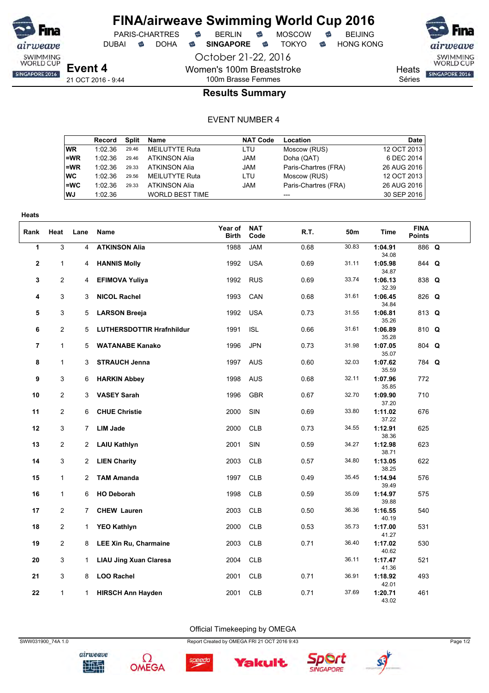

October 21-22, 2016

Women's 100m Breaststroke

PARIS-CHARTRES **B** BERLIN **B** MOSCOW **B** BEIJING

DUBAI **S** DOHA S SINGAPORE S TOKYO S HONG KONG

SWIMMING<br>WORLD CUP SINGAPORE 2016

**Heats** 

Séries

### 100m Brasse Femmes **Results Summary**

#### EVENT NUMBER 4

|      | Record  | Split | Name                   | <b>NAT Code</b> | Location             | Date        |
|------|---------|-------|------------------------|-----------------|----------------------|-------------|
| WR.  | 1:02.36 | 29.46 | <b>MEILUTYTE Ruta</b>  | LTU             | Moscow (RUS)         | 12 OCT 2013 |
| l=WR | 1:02.36 | 29.46 | <b>ATKINSON Alia</b>   | <b>JAM</b>      | Doha (QAT)           | 6 DEC 2014  |
| l=WR | 1:02.36 | 29.33 | <b>ATKINSON Alia</b>   | JAM             | Paris-Chartres (FRA) | 26 AUG 2016 |
| ∣wc  | 1:02.36 | 29.56 | MEILUTYTE Ruta         | LTU             | Moscow (RUS)         | 12 OCT 2013 |
| l=WC | 1:02.36 | 29.33 | <b>ATKINSON Alia</b>   | JAM             | Paris-Chartres (FRA) | 26 AUG 2016 |
| WJ   | 1:02.36 |       | <b>WORLD BEST TIME</b> |                 | $---$                | 30 SEP 2016 |

| <b>Heats</b>   |                |                |                                  |                         |                    |      |       |                  |                              |  |
|----------------|----------------|----------------|----------------------------------|-------------------------|--------------------|------|-------|------------------|------------------------------|--|
| Rank           | Heat           | Lane           | Name                             | Year of<br><b>Birth</b> | <b>NAT</b><br>Code | R.T. | 50m   | Time             | <b>FINA</b><br><b>Points</b> |  |
| 1              | 3              | 4              | <b>ATKINSON Alia</b>             | 1988                    | <b>JAM</b>         | 0.68 | 30.83 | 1:04.91<br>34.08 | 886 Q                        |  |
| $\mathbf{2}$   | 1              | 4              | <b>HANNIS Molly</b>              | 1992                    | <b>USA</b>         | 0.69 | 31.11 | 1:05.98<br>34.87 | 844 Q                        |  |
| 3              | 2              | 4              | <b>EFIMOVA Yuliya</b>            | 1992                    | <b>RUS</b>         | 0.69 | 33.74 | 1:06.13<br>32.39 | 838 Q                        |  |
| 4              | 3              | 3              | <b>NICOL Rachel</b>              | 1993                    | CAN                | 0.68 | 31.61 | 1:06.45<br>34.84 | 826 Q                        |  |
| 5              | 3              | 5              | <b>LARSON Breeja</b>             | 1992                    | <b>USA</b>         | 0.73 | 31.55 | 1:06.81<br>35.26 | 813 Q                        |  |
| 6              | $\overline{2}$ | 5              | <b>LUTHERSDOTTIR Hrafnhildur</b> | 1991                    | <b>ISL</b>         | 0.66 | 31.61 | 1:06.89<br>35.28 | 810 Q                        |  |
| $\overline{7}$ | $\mathbf{1}$   | 5              | <b>WATANABE Kanako</b>           | 1996                    | <b>JPN</b>         | 0.73 | 31.98 | 1:07.05<br>35.07 | 804 Q                        |  |
| 8              | 1              | 3              | <b>STRAUCH Jenna</b>             | 1997                    | <b>AUS</b>         | 0.60 | 32.03 | 1:07.62<br>35.59 | 784 Q                        |  |
| 9              | 3              | 6              | <b>HARKIN Abbey</b>              | 1998                    | <b>AUS</b>         | 0.68 | 32.11 | 1:07.96<br>35.85 | 772                          |  |
| 10             | 2              | 3              | <b>VASEY Sarah</b>               | 1996                    | <b>GBR</b>         | 0.67 | 32.70 | 1:09.90<br>37.20 | 710                          |  |
| 11             | $\overline{2}$ | 6              | <b>CHUE Christie</b>             | 2000                    | SIN                | 0.69 | 33.80 | 1:11.02<br>37.22 | 676                          |  |
| 12             | 3              | $\overline{7}$ | <b>LIM Jade</b>                  | 2000                    | <b>CLB</b>         | 0.73 | 34.55 | 1:12.91<br>38.36 | 625                          |  |
| 13             | $\mathbf{2}$   | $\overline{2}$ | <b>LAIU Kathlyn</b>              | 2001                    | SIN                | 0.59 | 34.27 | 1:12.98<br>38.71 | 623                          |  |
| 14             | 3              | 2              | <b>LIEN Charity</b>              | 2003                    | <b>CLB</b>         | 0.57 | 34.80 | 1:13.05<br>38.25 | 622                          |  |
| 15             | 1              | $\overline{2}$ | <b>TAM Amanda</b>                | 1997                    | <b>CLB</b>         | 0.49 | 35.45 | 1:14.94<br>39.49 | 576                          |  |
| 16             | 1              | 6              | <b>HO Deborah</b>                | 1998                    | <b>CLB</b>         | 0.59 | 35.09 | 1:14.97<br>39.88 | 575                          |  |
| 17             | 2              | $\overline{7}$ | <b>CHEW Lauren</b>               | 2003                    | <b>CLB</b>         | 0.50 | 36.36 | 1:16.55<br>40.19 | 540                          |  |
| 18             | $\overline{2}$ | $\mathbf{1}$   | <b>YEO Kathlyn</b>               | 2000                    | <b>CLB</b>         | 0.53 | 35.73 | 1:17.00<br>41.27 | 531                          |  |
| 19             | $\overline{2}$ | 8              | <b>LEE Xin Ru, Charmaine</b>     | 2003                    | <b>CLB</b>         | 0.71 | 36.40 | 1:17.02<br>40.62 | 530                          |  |
| 20             | 3              | $\mathbf{1}$   | <b>LIAU Jing Xuan Claresa</b>    | 2004                    | <b>CLB</b>         |      | 36.11 | 1:17.47<br>41.36 | 521                          |  |
| 21             | 3              | 8              | <b>LOO Rachel</b>                | 2001                    | <b>CLB</b>         | 0.71 | 36.91 | 1:18.92<br>42.01 | 493                          |  |
| 22             | $\mathbf{1}$   | $\mathbf 1$    | <b>HIRSCH Ann Hayden</b>         | 2001                    | <b>CLB</b>         | 0.71 | 37.69 | 1:20.71<br>43.02 | 461                          |  |

Official Timekeeping by OMEGA







**Yakult** 

speedo



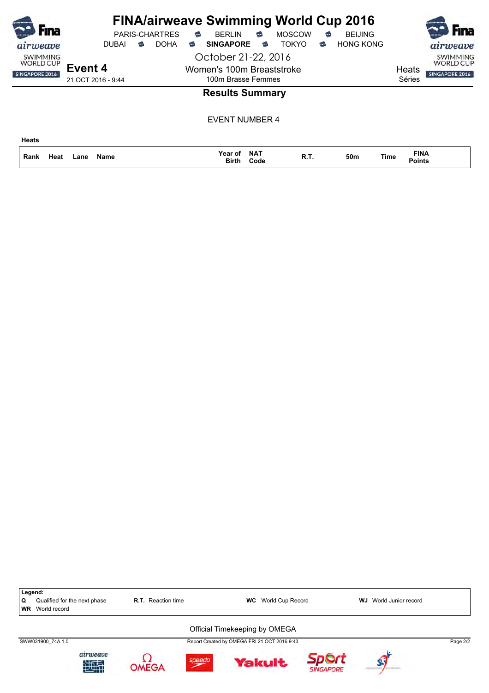| Fına                                                  |                    |   | <b>PARIS-CHARTRES</b> | ⇔ | <b>FINA/airweave Swimming World Cup 2016</b><br><b>BFRI IN</b> | €                  | <b>MOSCOW</b> | € | <b>BEIJING</b>   |             |                              | <b>Fina</b>                                           |
|-------------------------------------------------------|--------------------|---|-----------------------|---|----------------------------------------------------------------|--------------------|---------------|---|------------------|-------------|------------------------------|-------------------------------------------------------|
| airweave                                              | <b>DUBAI</b>       | ಹ | <b>DOHA</b>           | € | <b>SINGAPORE</b>                                               | €                  | <b>TOKYO</b>  | € | <b>HONG KONG</b> |             |                              | airweave                                              |
| <b>SWIMMING</b><br><b>WORLD CUP</b><br>SINGAPORE 2016 | Event 4            |   |                       |   | October 21-22, 2016<br>Women's 100m Breaststroke               |                    |               |   |                  |             | Heats                        | <b>SWIMMING</b><br><b>WORLD CUP</b><br>SINGAPORE 2016 |
|                                                       | 21 OCT 2016 - 9:44 |   |                       |   | 100m Brasse Femmes                                             |                    |               |   |                  |             | Séries                       |                                                       |
|                                                       |                    |   |                       |   | <b>Results Summary</b>                                         |                    |               |   |                  |             |                              |                                                       |
|                                                       |                    |   |                       |   | <b>EVENT NUMBER 4</b>                                          |                    |               |   |                  |             |                              |                                                       |
| <b>Heats</b>                                          |                    |   |                       |   |                                                                |                    |               |   |                  |             |                              |                                                       |
| Rank<br>Heat                                          | Name<br>Lane       |   |                       |   | Year of<br>Birth                                               | <b>NAT</b><br>Code | R.T.          |   | 50m              | <b>Time</b> | <b>FINA</b><br><b>Points</b> |                                                       |

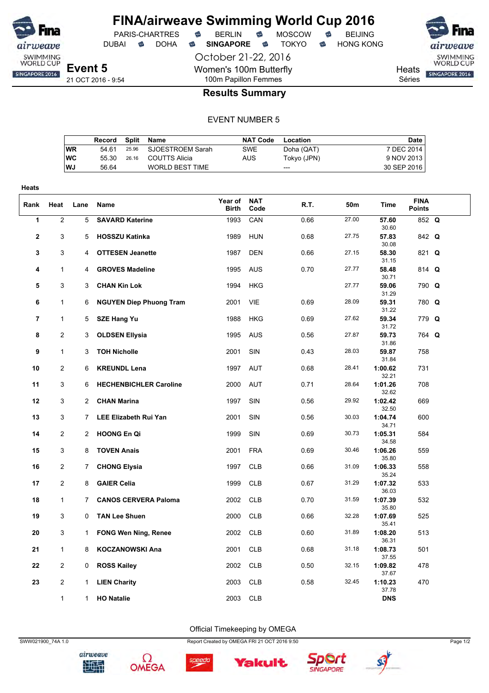

DUBAI **S** DOHA S SINGAPORE S TOKYO S HONG KONG

October 21-22, 2016

Women's 100m Butterfly

**Heats** Séries

SWIMMING<br>WORLD CUP SINGAPORE 2016

**Event 5** 21 OCT 2016 - 9:54

### 100m Papillon Femmes **Results Summary**

#### EVENT NUMBER 5

|    | Record | Split Name             | <b>NAT Code</b> | Location    | Date        |
|----|--------|------------------------|-----------------|-------------|-------------|
| WR | 54 61  | 25.96 SJOESTROEM Sarah | <b>SWE</b>      | Doha (QAT)  | 7 DEC 2014  |
| WC | 55.30  | 26.16 COUTTS Alicia    | AUS             | Tokyo (JPN) | 9 NOV 2013  |
| WJ | 56.64  | <b>WORLD BEST TIME</b> |                 | ---         | 30 SEP 2016 |
|    |        |                        |                 |             |             |

| Heats |                  |                |                                |                         |                    |      |                 |                  |                              |  |
|-------|------------------|----------------|--------------------------------|-------------------------|--------------------|------|-----------------|------------------|------------------------------|--|
| Rank  | Heat             | Lane           | Name                           | Year of<br><b>Birth</b> | <b>NAT</b><br>Code | R.T. | 50 <sub>m</sub> | Time             | <b>FINA</b><br><b>Points</b> |  |
| 1     | $\boldsymbol{2}$ | 5              | <b>SAVARD Katerine</b>         | 1993                    | CAN                | 0.66 | 27.00           | 57.60<br>30.60   | 852 Q                        |  |
| 2     | 3                | 5              | <b>HOSSZU Katinka</b>          | 1989                    | <b>HUN</b>         | 0.68 | 27.75           | 57.83<br>30.08   | 842 Q                        |  |
| 3     | 3                | 4              | <b>OTTESEN Jeanette</b>        | 1987                    | <b>DEN</b>         | 0.66 | 27.15           | 58.30<br>31.15   | 821 Q                        |  |
| 4     | $\mathbf{1}$     | 4              | <b>GROVES Madeline</b>         | 1995                    | <b>AUS</b>         | 0.70 | 27.77           | 58.48<br>30.71   | 814 Q                        |  |
| 5     | 3                | 3              | <b>CHAN Kin Lok</b>            | 1994                    | <b>HKG</b>         |      | 27.77           | 59.06<br>31.29   | 790 Q                        |  |
| 6     | $\mathbf 1$      | 6              | <b>NGUYEN Diep Phuong Tram</b> | 2001                    | VIE                | 0.69 | 28.09           | 59.31<br>31.22   | 780 Q                        |  |
| 7     | $\mathbf{1}$     | 5              | <b>SZE Hang Yu</b>             | 1988                    | <b>HKG</b>         | 0.69 | 27.62           | 59.34<br>31.72   | 779 Q                        |  |
| 8     | $\overline{c}$   | 3              | <b>OLDSEN Ellysia</b>          | 1995                    | <b>AUS</b>         | 0.56 | 27.87           | 59.73<br>31.86   | 764 Q                        |  |
| 9     | $\mathbf{1}$     | 3              | <b>TOH Nicholle</b>            | 2001                    | SIN                | 0.43 | 28.03           | 59.87<br>31.84   | 758                          |  |
| 10    | $\overline{2}$   | 6              | <b>KREUNDL Lena</b>            | 1997                    | AUT                | 0.68 | 28.41           | 1:00.62<br>32.21 | 731                          |  |
| 11    | 3                | 6              | <b>HECHENBICHLER Caroline</b>  | 2000                    | <b>AUT</b>         | 0.71 | 28.64           | 1:01.26<br>32.62 | 708                          |  |
| 12    | 3                | $\mathbf{2}$   | <b>CHAN Marina</b>             | 1997                    | SIN                | 0.56 | 29.92           | 1:02.42<br>32.50 | 669                          |  |
| 13    | 3                | 7.             | <b>LEE Elizabeth Rui Yan</b>   | 2001                    | SIN                | 0.56 | 30.03           | 1:04.74<br>34.71 | 600                          |  |
| 14    | $\overline{2}$   | $\overline{2}$ | <b>HOONG En Qi</b>             | 1999                    | SIN                | 0.69 | 30.73           | 1:05.31<br>34.58 | 584                          |  |
| 15    | 3                | 8              | <b>TOVEN Anais</b>             | 2001                    | <b>FRA</b>         | 0.69 | 30.46           | 1:06.26<br>35.80 | 559                          |  |
| 16    | $\overline{2}$   | 7              | <b>CHONG Elysia</b>            | 1997                    | <b>CLB</b>         | 0.66 | 31.09           | 1:06.33<br>35.24 | 558                          |  |
| 17    | $\overline{2}$   | 8              | <b>GAIER Celia</b>             | 1999                    | <b>CLB</b>         | 0.67 | 31.29           | 1:07.32<br>36.03 | 533                          |  |
| 18    | $\mathbf{1}$     | 7              | <b>CANOS CERVERA Paloma</b>    | 2002                    | <b>CLB</b>         | 0.70 | 31.59           | 1:07.39<br>35.80 | 532                          |  |
| 19    | 3                | 0              | <b>TAN Lee Shuen</b>           | 2000                    | <b>CLB</b>         | 0.66 | 32.28           | 1:07.69<br>35.41 | 525                          |  |
| 20    | 3                | 1              | <b>FONG Wen Ning, Renee</b>    | 2002                    | <b>CLB</b>         | 0.60 | 31.89           | 1:08.20<br>36.31 | 513                          |  |
| 21    | $\mathbf{1}$     | 8              | <b>KOCZANOWSKI Ana</b>         | 2001                    | <b>CLB</b>         | 0.68 | 31.18           | 1:08.73<br>37.55 | 501                          |  |
| 22    | $\overline{c}$   | 0              | <b>ROSS Kailey</b>             | 2002                    | <b>CLB</b>         | 0.50 | 32.15           | 1:09.82<br>37.67 | 478                          |  |
| 23    | $\overline{c}$   | 1              | <b>LIEN Charity</b>            | 2003                    | <b>CLB</b>         | 0.58 | 32.45           | 1:10.23<br>37.78 | 470                          |  |
|       | $\mathbf 1$      | $\mathbf{1}$   | <b>HO Natalie</b>              | 2003                    | <b>CLB</b>         |      |                 | <b>DNS</b>       |                              |  |

Official Timekeeping by OMEGA





Ω

SWW021900\_74A 1.0 Report Created by OMEGA FRI 21 OCT 2016 9:50 Page 1/2



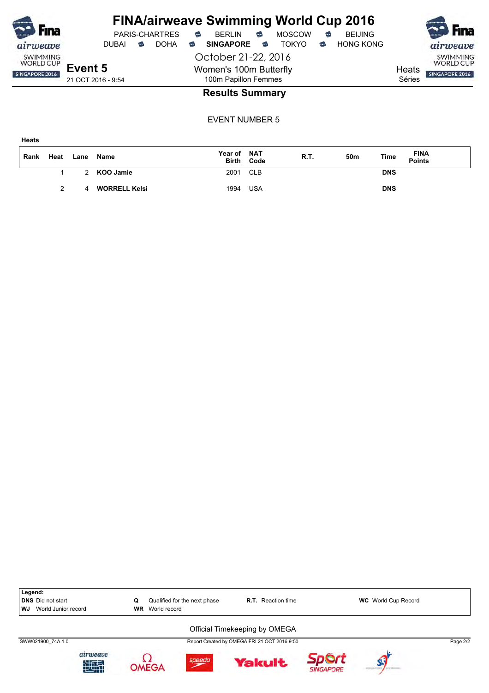| <b>SD</b> Fina                      |                    |              |   |                       |   | <b>FINA/airweave Swimming World Cup 2016</b> |   |               |   |                  |        |                                     |
|-------------------------------------|--------------------|--------------|---|-----------------------|---|----------------------------------------------|---|---------------|---|------------------|--------|-------------------------------------|
|                                     |                    |              |   | <b>PARIS-CHARTRES</b> | ⇔ | <b>BFRI IN</b>                               | € | <b>MOSCOW</b> | ⇔ | <b>BEIJING</b>   |        | <b>SO</b> Fina                      |
| airweave                            |                    | <b>DUBAI</b> | ⊕ | <b>DOHA</b>           | € | <b>SINGAPORE</b>                             | ⇔ | <b>TOKYO</b>  | € | <b>HONG KONG</b> |        | airweave                            |
| <b>SWIMMING</b><br><b>WORLD CUP</b> |                    |              |   |                       |   | October 21-22, 2016                          |   |               |   |                  |        | <b>SWIMMING</b><br><b>WORLD CUP</b> |
| SINGAPORE 2016                      | Event 5            |              |   |                       |   | Women's 100m Butterfly                       |   |               |   |                  | Heats  | SINGAPORE 2016                      |
|                                     | 21 OCT 2016 - 9:54 |              |   |                       |   | 100m Papillon Femmes                         |   |               |   |                  | Séries |                                     |
|                                     |                    |              |   |                       |   | Dooulto Cummoni                              |   |               |   |                  |        |                                     |

### **Results Summary**

| Rank | Heat          | Lane | Name                 | Year of NAT | <b>Birth Code</b> | R.T. | 50m | Time       | FINA<br>Points |
|------|---------------|------|----------------------|-------------|-------------------|------|-----|------------|----------------|
|      |               |      | 2 KOO Jamie          | 2001        | CLB               |      |     | <b>DNS</b> |                |
|      | $\mathcal{P}$ | 4    | <b>WORRELL Kelsi</b> | 1994        | USA               |      |     | <b>DNS</b> |                |

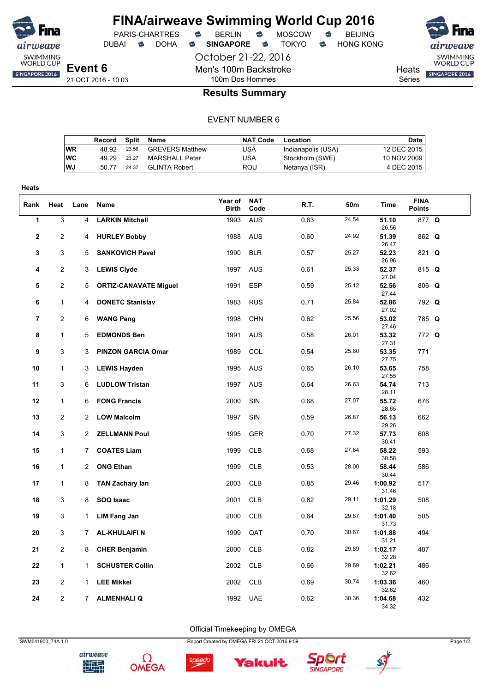

October 21-22, 2016 Men's 100m Backstroke 100m Dos Hommes





**Heats** Séries

### **Results Summary**

#### EVENT NUMBER 6

|           | Record |       | Split Name             | <b>NAT Code</b> | Location           | Date        |
|-----------|--------|-------|------------------------|-----------------|--------------------|-------------|
| WR        | 48.92  | 23.56 | <b>GREVERS Matthew</b> | USA             | Indianapolis (USA) | 12 DEC 2015 |
| <b>WC</b> | 49.29  | 23.27 | MARSHALL Peter         | USA             | Stockholm (SWE)    | 10 NOV 2009 |
| WJ        | 50.77  | 24.37 | GLINTA Robert          | ROU             | Netanya (ISR)      | 4 DEC 2015  |

| <b>Heats</b>   |                |                |                              |                         |                    |      |       |                  |                              |  |
|----------------|----------------|----------------|------------------------------|-------------------------|--------------------|------|-------|------------------|------------------------------|--|
| Rank           | Heat           | Lane           | Name                         | Year of<br><b>Birth</b> | <b>NAT</b><br>Code | R.T. | 50m   | <b>Time</b>      | <b>FINA</b><br><b>Points</b> |  |
| 1              | $\overline{3}$ | 4              | <b>LARKIN Mitchell</b>       | 1993                    | <b>AUS</b>         | 0.63 | 24.54 | 51.10<br>26.56   | 877 Q                        |  |
| $\mathbf 2$    | $\overline{2}$ | 4              | <b>HURLEY Bobby</b>          | 1988                    | <b>AUS</b>         | 0.60 | 24.92 | 51.39<br>26.47   | 862 Q                        |  |
| 3              | 3              | 5              | <b>SANKOVICH Pavel</b>       | 1990                    | <b>BLR</b>         | 0.57 | 25.27 | 52.23<br>26.96   | 821 Q                        |  |
| 4              | $\overline{2}$ | 3              | <b>LEWIS Clyde</b>           | 1997                    | <b>AUS</b>         | 0.61 | 25.33 | 52.37<br>27.04   | 815 Q                        |  |
| 5              | $\overline{2}$ | 5              | <b>ORTIZ-CANAVATE Miguel</b> | 1991                    | <b>ESP</b>         | 0.59 | 25.12 | 52.56<br>27.44   | $806$ Q                      |  |
| 6              | $\mathbf{1}$   | 4              | <b>DONETC Stanislav</b>      | 1983                    | <b>RUS</b>         | 0.71 | 25.84 | 52.86<br>27.02   | 792 Q                        |  |
| $\overline{7}$ | $\overline{2}$ | 6              | <b>WANG Peng</b>             | 1998                    | <b>CHN</b>         | 0.62 | 25.56 | 53.02<br>27.46   | 785 Q                        |  |
| 8              | $\mathbf{1}$   | 5              | <b>EDMONDS Ben</b>           | 1991                    | <b>AUS</b>         | 0.58 | 26.01 | 53.32<br>27.31   | 772 Q                        |  |
| 9              | 3              | 3              | <b>PINZON GARCIA Omar</b>    | 1989                    | COL                | 0.54 | 25.60 | 53.35<br>27.75   | 771                          |  |
| 10             | $\mathbf{1}$   | 3              | <b>LEWIS Hayden</b>          | 1995                    | <b>AUS</b>         | 0.65 | 26.10 | 53.65<br>27.55   | 758                          |  |
| 11             | 3              | 6              | <b>LUDLOW Tristan</b>        | 1997                    | <b>AUS</b>         | 0.64 | 26.63 | 54.74<br>28.11   | 713                          |  |
| 12             | $\mathbf{1}$   | 6              | <b>FONG Francis</b>          | 2000                    | SIN                | 0.68 | 27.07 | 55.72<br>28.65   | 676                          |  |
| 13             | $\overline{2}$ | 2              | <b>LOW Malcolm</b>           | 1997                    | SIN                | 0.59 | 26.87 | 56.13<br>29.26   | 662                          |  |
| 14             | 3              | 2              | <b>ZELLMANN Poul</b>         | 1995                    | <b>GER</b>         | 0.70 | 27.32 | 57.73<br>30.41   | 608                          |  |
| 15             | $\mathbf{1}$   | $\overline{7}$ | <b>COATES Liam</b>           | 1999                    | <b>CLB</b>         | 0.68 | 27.64 | 58.22<br>30.58   | 593                          |  |
| 16             | $\mathbf{1}$   | $\overline{2}$ | <b>ONG Ethan</b>             | 1999                    | <b>CLB</b>         | 0.53 | 28.00 | 58.44<br>30.44   | 586                          |  |
| 17             | $\mathbf{1}$   | 8              | <b>TAN Zachary lan</b>       | 2003                    | <b>CLB</b>         | 0.85 | 29.46 | 1:00.92<br>31.46 | 517                          |  |
| 18             | 3              | 8              | SOO Isaac                    | 2001                    | <b>CLB</b>         | 0.82 | 29.11 | 1:01.29<br>32.18 | 508                          |  |
| 19             | 3              | $\mathbf{1}$   | <b>LIM Fang Jan</b>          | 2000                    | <b>CLB</b>         | 0.64 | 29.67 | 1:01.40<br>31.73 | 505                          |  |
| 20             | 3              | $\overline{7}$ | <b>AL-KHULAIFIN</b>          | 1999                    | QAT                | 0.70 | 30.67 | 1:01.88<br>31.21 | 494                          |  |
| 21             | $\overline{c}$ | 8              | <b>CHER Benjamin</b>         | 2000                    | <b>CLB</b>         | 0.82 | 29.89 | 1:02.17<br>32.28 | 487                          |  |
| 22             | $\mathbf{1}$   | 1              | <b>SCHUSTER Collin</b>       | 2002                    | <b>CLB</b>         | 0.66 | 29.59 | 1:02.21<br>32.62 | 486                          |  |
| 23             | $\overline{2}$ | 1              | <b>LEE Mikkel</b>            | 2002                    | <b>CLB</b>         | 0.69 | 30.74 | 1:03.36<br>32.62 | 460                          |  |
| 24             | $\overline{2}$ | $\overline{7}$ | <b>ALMENHALIQ</b>            | 1992                    | <b>UAE</b>         | 0.62 | 30.36 | 1:04.68<br>34.32 | 432                          |  |

Official Timekeeping by OMEGA



airweave 地型









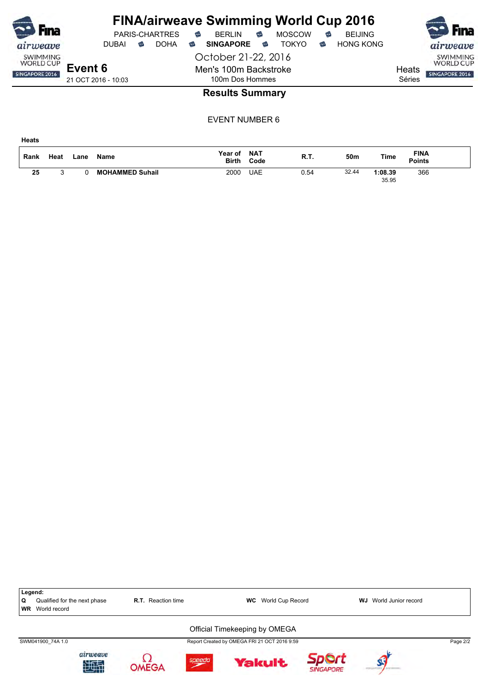| <b>Fina</b>                                                  |                                |       |   | <b>PARIS-CHARTRES</b> | € | <b>FINA/airweave Swimming World Cup 2016</b><br><b>BERLIN</b>   | € | <b>MOSCOW</b> | € | <b>BEIJING</b>   |                 | Fına                                           |
|--------------------------------------------------------------|--------------------------------|-------|---|-----------------------|---|-----------------------------------------------------------------|---|---------------|---|------------------|-----------------|------------------------------------------------|
| airweave                                                     |                                | DUBAI | ☜ | <b>DOHA</b>           | € | <b>SINGAPORE</b>                                                | ಹ | TOKYO.        | ಹ | <b>HONG KONG</b> |                 | airweave                                       |
| <b>SWIMMING</b><br><b>WORLD CUP</b><br><b>SINGAPORE 2016</b> | Event 6<br>21 OCT 2016 - 10:03 |       |   |                       |   | October 21-22, 2016<br>Men's 100m Backstroke<br>100m Dos Hommes |   |               |   |                  | Heats<br>Séries | SWIMMING<br><b>WORLD CUP</b><br>SINGAPORE 2016 |
|                                                              |                                |       |   |                       |   | <b>Results Summary</b>                                          |   |               |   |                  |                 |                                                |

EVENT NUMBER 6

f

B

| Rank | Heat   | Lane | <b>Name</b>            | Year of<br><b>Birth</b> | <b>NAT</b><br>Code | R.T. | 50m   | Time             | <b>FINA</b><br><b>Points</b> |  |
|------|--------|------|------------------------|-------------------------|--------------------|------|-------|------------------|------------------------------|--|
| 25   | ∽<br>u |      | <b>MOHAMMED Suhail</b> | 2000                    | <b>UAE</b>         | 0.54 | 32.44 | 1:08.39<br>35.95 | 366                          |  |

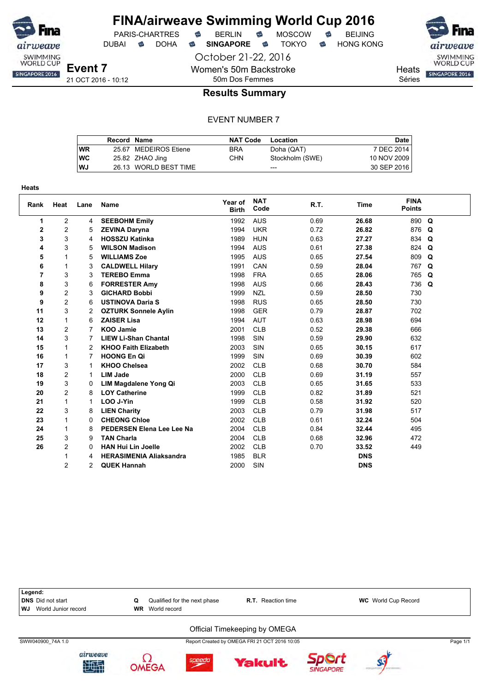

**Heats**

# **FINA/airweave Swimming World Cup 2016**

DUBAI **S** DOHA S SINGAPORE S TOKYO S HONG KONG

October 21-22, 2016 Women's 50m Backstroke 50m Dos Femmes



SWIMMING<br>WORLD CUP **Heats** SINGAPORE 2016 Séries

21 OCT 2016 - 10:12

### **Results Summary**

#### EVENT NUMBER 7

|    | Record Name |                       | <b>NAT Code</b> | Location        | <b>Date</b> |
|----|-------------|-----------------------|-----------------|-----------------|-------------|
| WR |             | 25.67 MEDEIROS Etiene | <b>BRA</b>      | Doha (QAT)      | 7 DEC 2014  |
| WC |             | 25.82 ZHAO Jing       | <b>CHN</b>      | Stockholm (SWE) | 10 NOV 2009 |
| WJ |             | 26.13 WORLD BEST TIME |                 | $- - -$         | 30 SEP 2016 |

| Rank           | Heat           | Lane | <b>Name</b>                      | Year of<br><b>Birth</b> | <b>NAT</b><br>Code | R.T. | <b>Time</b> | <b>FINA</b><br><b>Points</b> |             |
|----------------|----------------|------|----------------------------------|-------------------------|--------------------|------|-------------|------------------------------|-------------|
| 1              | $\overline{2}$ | 4    | <b>SEEBOHM Emily</b>             | 1992                    | <b>AUS</b>         | 0.69 | 26.68       | 890                          | $\mathbf Q$ |
| $\mathbf{2}$   | 2              | 5    | <b>ZEVINA Daryna</b>             | 1994                    | <b>UKR</b>         | 0.72 | 26.82       | 876                          | Q           |
| 3              | 3              | 4    | <b>HOSSZU Katinka</b>            | 1989                    | <b>HUN</b>         | 0.63 | 27.27       | 834                          | Q           |
| 4              | 3              | 5    | <b>WILSON Madison</b>            | 1994                    | <b>AUS</b>         | 0.61 | 27.38       | 824                          | Q           |
| 5              |                | 5    | <b>WILLIAMS Zoe</b>              | 1995                    | <b>AUS</b>         | 0.65 | 27.54       | 809                          | Q           |
| 6              |                | 3    | <b>CALDWELL Hilary</b>           | 1991                    | CAN                | 0.59 | 28.04       | 767                          | Q           |
| $\overline{7}$ | 3              | 3    | <b>TEREBO Emma</b>               | 1998                    | <b>FRA</b>         | 0.65 | 28.06       | 765                          | Q           |
| 8              | 3              | 6    | <b>FORRESTER Amy</b>             | 1998                    | <b>AUS</b>         | 0.66 | 28.43       | 736                          | Q           |
| 9              | $\overline{c}$ | 3    | <b>GICHARD Bobbi</b>             | 1999                    | <b>NZL</b>         | 0.59 | 28.50       | 730                          |             |
| 9              | $\overline{c}$ | 6    | <b>USTINOVA Daria S</b>          | 1998                    | <b>RUS</b>         | 0.65 | 28.50       | 730                          |             |
| 11             | 3              | 2    | <b>OZTURK Sonnele Aylin</b>      | 1998                    | <b>GER</b>         | 0.79 | 28.87       | 702                          |             |
| 12             | 1              | 6    | <b>ZAISER Lisa</b>               | 1994                    | <b>AUT</b>         | 0.63 | 28.98       | 694                          |             |
| 13             | $\overline{2}$ |      | <b>KOO Jamie</b>                 | 2001                    | <b>CLB</b>         | 0.52 | 29.38       | 666                          |             |
| 14             | 3              |      | <b>LIEW Li-Shan Chantal</b>      | 1998                    | SIN                | 0.59 | 29.90       | 632                          |             |
| 15             | 1              | 2    | <b>KHOO Faith Elizabeth</b>      | 2003                    | SIN                | 0.65 | 30.15       | 617                          |             |
| 16             |                |      | <b>HOONG En Qi</b>               | 1999                    | SIN                | 0.69 | 30.39       | 602                          |             |
| 17             | 3              |      | <b>KHOO Chelsea</b>              | 2002                    | <b>CLB</b>         | 0.68 | 30.70       | 584                          |             |
| 18             | $\overline{2}$ |      | <b>LIM Jade</b>                  | 2000                    | <b>CLB</b>         | 0.69 | 31.19       | 557                          |             |
| 19             | 3              | 0    | LIM Magdalene Yong Qi            | 2003                    | <b>CLB</b>         | 0.65 | 31.65       | 533                          |             |
| 20             | $\overline{c}$ | 8    | <b>LOY Catherine</b>             | 1999                    | <b>CLB</b>         | 0.82 | 31.89       | 521                          |             |
| 21             |                | 1    | LOO J-Yin                        | 1999                    | <b>CLB</b>         | 0.58 | 31.92       | 520                          |             |
| 22             | 3              | 8    | <b>LIEN Charity</b>              | 2003                    | <b>CLB</b>         | 0.79 | 31.98       | 517                          |             |
| 23             |                | 0    | <b>CHEONG Chloe</b>              | 2002                    | <b>CLB</b>         | 0.61 | 32.24       | 504                          |             |
| 24             | 1              | 8    | <b>PEDERSEN Elena Lee Lee Na</b> | 2004                    | <b>CLB</b>         | 0.84 | 32.44       | 495                          |             |
| 25             | 3              | 9    | <b>TAN Charla</b>                | 2004                    | <b>CLB</b>         | 0.68 | 32.96       | 472                          |             |
| 26             | $\overline{c}$ | 0    | <b>HAN Hui Lin Joelle</b>        | 2002                    | <b>CLB</b>         | 0.70 | 33.52       | 449                          |             |
|                |                | 4    | <b>HERASIMENIA Aliaksandra</b>   | 1985                    | <b>BLR</b>         |      | <b>DNS</b>  |                              |             |
|                | 2              | 2    | <b>QUEK Hannah</b>               | 2000                    | SIN                |      | <b>DNS</b>  |                              |             |



**SINGAPORE**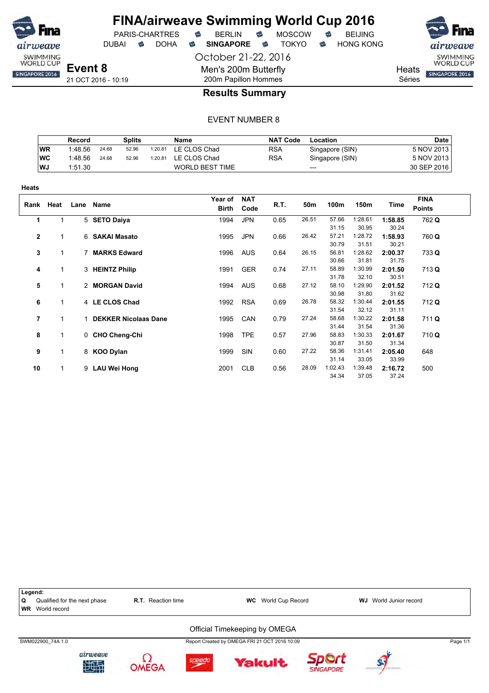

**Heats**

### **FINA/airweave Swimming World Cup 2016** PARIS-CHARTRES **B** BERLIN **B** MOSCOW **B** BEIJING

October 21-22, 2016 DUBAI **S** DOHA S SINGAPORE S TOKYO S HONG KONG

SWIMMING<br>WORLD CUP

**Heats** SINGAPORE 2016

Séries

21 OCT 2016 - 10:19

### 200m Papillon Hommes **Results Summary**

Men's 200m Butterfly

|            | Record  |       | <b>Splits</b> |         | Name                   | <b>NAT Code</b> | Location        | <b>Date</b> |
|------------|---------|-------|---------------|---------|------------------------|-----------------|-----------------|-------------|
| <b>WR</b>  | 1:48.56 | 24.68 | 52.96         | 1:20.81 | LE CLOS Chad           | <b>RSA</b>      | Singapore (SIN) | 5 NOV 2013  |
| <b>IWC</b> | 1:48.56 | 24.68 | 52.96         | 1:20.81 | LE CLOS Chad           | <b>RSA</b>      | Singapore (SIN) | 5 NOV 2013  |
| WJ         | 1:51.30 |       |               |         | <b>WORLD BEST TIME</b> |                 | $---$           | 30 SEP 2016 |

| .           |              |   |                             |                  |                    |      |       |         |         |         |                              |
|-------------|--------------|---|-----------------------------|------------------|--------------------|------|-------|---------|---------|---------|------------------------------|
|             | Rank Heat    |   | Lane Name                   | Year of<br>Birth | <b>NAT</b><br>Code | R.T. | 50m   | 100m    | 150m    | Time    | <b>FINA</b><br><b>Points</b> |
| 1           | 1            |   | 5 SETO Daiya                | 1994             | <b>JPN</b>         | 0.65 | 26.51 | 57.66   | 1:28.61 | 1:58.85 | 762 Q                        |
|             |              |   |                             |                  |                    |      |       | 31.15   | 30.95   | 30.24   |                              |
| $\mathbf 2$ | 1            |   | 6 SAKAI Masato              | 1995             | <b>JPN</b>         | 0.66 | 26.42 | 57.21   | 1:28.72 | 1:58.93 | 760 Q                        |
|             |              |   |                             |                  |                    |      |       | 30.79   | 31.51   | 30.21   |                              |
| 3           | 1            |   | 7 MARKS Edward              | 1996             | <b>AUS</b>         | 0.64 | 26.15 | 56.81   | 1:28.62 | 2:00.37 | 733 Q                        |
|             |              |   |                             |                  |                    |      |       | 30.66   | 31.81   | 31.75   |                              |
| 4           | 1            |   | 3 HEINTZ Philip             | 1991             | <b>GER</b>         | 0.74 | 27.11 | 58.89   | 1:30.99 | 2:01.50 | 713 Q                        |
|             |              |   |                             |                  |                    |      |       | 31.78   | 32.10   | 30.51   |                              |
| 5           | $\mathbf{1}$ |   | 2 MORGAN David              | 1994             | <b>AUS</b>         | 0.68 | 27.12 | 58.10   | 1:29.90 | 2:01.52 | 712 Q                        |
|             |              |   |                             |                  |                    |      |       | 30.98   | 31.80   | 31.62   |                              |
| 6           | 1            |   | 4 LE CLOS Chad              | 1992             | <b>RSA</b>         | 0.69 | 26.78 | 58.32   | 1:30.44 | 2:01.55 | 712 Q                        |
|             |              |   |                             |                  |                    |      |       | 31.54   | 32.12   | 31.11   |                              |
| 7           |              |   | <b>DEKKER Nicolaas Dane</b> | 1995             | CAN                | 0.79 | 27.24 | 58.68   | 1:30.22 | 2:01.58 | 711 Q                        |
|             |              |   |                             |                  |                    |      |       | 31.44   | 31.54   | 31.36   |                              |
| 8           | 1            |   | 0 CHO Cheng-Chi             | 1998             | <b>TPE</b>         | 0.57 | 27.96 | 58.83   | 1:30.33 | 2:01.67 | 710 Q                        |
|             |              |   |                             |                  |                    |      |       | 30.87   | 31.50   | 31.34   |                              |
| 9           | 1            |   | 8 KOO Dylan                 | 1999             | SIN                | 0.60 | 27.22 | 58.36   | 1:31.41 | 2:05.40 | 648                          |
|             |              |   |                             |                  |                    |      |       | 31.14   | 33.05   | 33.99   |                              |
| 10          | $\mathbf{1}$ | 9 | <b>LAU Wei Hong</b>         | 2001             | <b>CLB</b>         | 0.56 | 28.09 | 1:02.43 | 1:39.48 | 2:16.72 | 500                          |
|             |              |   |                             |                  |                    |      |       | 34.34   | 37.05   | 37.24   |                              |

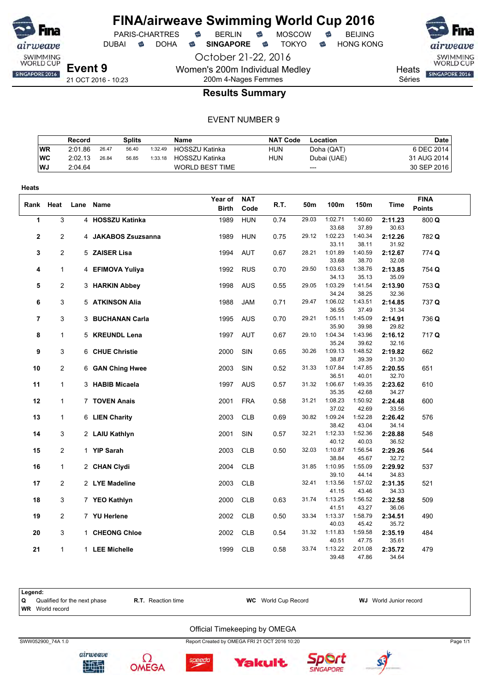

PARIS-CHARTRES **S** BERLIN S MOSCOW S

DUBAI **S** DOHA S SINGAPORE S TOKYO S HONG KONG

October 21-22, 2016

SWIMMING<br>WORLD CUP

Heats **SINGAPORE 2016** 

Séries

21 OCT 2016 - 10:23

### 200m 4-Nages Femmes **Results Summary**

Women's 200m Individual Medley

#### EVENT NUMBER 9

|           | Record  |       | Splits |         | <b>Name</b>            | <b>NAT Code</b> | Location    | <b>Date</b> |
|-----------|---------|-------|--------|---------|------------------------|-----------------|-------------|-------------|
| <b>WR</b> | 2:01.86 | 26.47 | 56.40  | 1:32.49 | <b>HOSSZU Katinka</b>  | <b>HUN</b>      | Doha (QAT)  | 6 DEC 2014  |
| WC        | 2:02.13 | 26.84 | 56.85  | 1:33.18 | HOSSZU Katinka         | <b>HUN</b>      | Dubai (UAE) | 31 AUG 2014 |
| WJ.       | 2:04.64 |       |        |         | <b>WORLD BEST TIME</b> |                 | ---         | 30 SEP 2016 |

| Heats |                |      |                     |                         |                    |      |       |                  |                  |                  |                              |
|-------|----------------|------|---------------------|-------------------------|--------------------|------|-------|------------------|------------------|------------------|------------------------------|
| Rank  | Heat           | Lane | Name                | Year of<br><b>Birth</b> | <b>NAT</b><br>Code | R.T. | 50m   | 100m             | 150m             | Time             | <b>FINA</b><br><b>Points</b> |
| 1     | 3              |      | 4 HOSSZU Katinka    | 1989                    | <b>HUN</b>         | 0.74 | 29.03 | 1:02.71<br>33.68 | 1:40.60<br>37.89 | 2:11.23<br>30.63 | 800 Q                        |
| 2     | 2              |      | 4 JAKABOS Zsuzsanna | 1989                    | <b>HUN</b>         | 0.75 | 29.12 | 1:02.23<br>33.11 | 1:40.34<br>38.11 | 2:12.26<br>31.92 | 782 Q                        |
| 3     | 2              |      | 5 ZAISER Lisa       | 1994                    | <b>AUT</b>         | 0.67 | 28.21 | 1:01.89<br>33.68 | 1:40.59<br>38.70 | 2:12.67<br>32.08 | 774 Q                        |
| 4     | 1              |      | 4 EFIMOVA Yuliya    | 1992                    | <b>RUS</b>         | 0.70 | 29.50 | 1:03.63<br>34.13 | 1:38.76<br>35.13 | 2:13.85<br>35.09 | 754 Q                        |
| 5     | 2              |      | 3 HARKIN Abbey      | 1998                    | <b>AUS</b>         | 0.55 | 29.05 | 1:03.29<br>34.24 | 1:41.54<br>38.25 | 2:13.90<br>32.36 | 753 Q                        |
| 6     | 3              |      | 5 ATKINSON Alia     | 1988                    | <b>JAM</b>         | 0.71 | 29.47 | 1:06.02<br>36.55 | 1:43.51<br>37.49 | 2:14.85<br>31.34 | 737 Q                        |
| 7     | 3              |      | 3 BUCHANAN Carla    | 1995                    | <b>AUS</b>         | 0.70 | 29.21 | 1:05.11<br>35.90 | 1:45.09<br>39.98 | 2:14.91<br>29.82 | 736 Q                        |
| 8     | 1              |      | 5 KREUNDL Lena      | 1997                    | AUT                | 0.67 | 29.10 | 1:04.34<br>35.24 | 1:43.96<br>39.62 | 2:16.12<br>32.16 | 717 Q                        |
| 9     | 3              |      | 6 CHUE Christie     | 2000                    | SIN                | 0.65 | 30.26 | 1:09.13<br>38.87 | 1:48.52<br>39.39 | 2:19.82<br>31.30 | 662                          |
| 10    | 2              |      | 6 GAN Ching Hwee    | 2003                    | SIN                | 0.52 | 31.33 | 1:07.84<br>36.51 | 1:47.85<br>40.01 | 2:20.55<br>32.70 | 651                          |
| 11    | $\mathbf{1}$   |      | 3 HABIB Micaela     | 1997                    | <b>AUS</b>         | 0.57 | 31.32 | 1:06.67<br>35.35 | 1:49.35<br>42.68 | 2:23.62<br>34.27 | 610                          |
| 12    | 1              |      | 7 TOVEN Anais       | 2001                    | <b>FRA</b>         | 0.58 | 31.21 | 1:08.23<br>37.02 | 1:50.92<br>42.69 | 2:24.48<br>33.56 | 600                          |
| 13    | 1              |      | 6 LIEN Charity      | 2003                    | <b>CLB</b>         | 0.69 | 30.82 | 1:09.24<br>38.42 | 1:52.28<br>43.04 | 2:26.42<br>34.14 | 576                          |
| 14    | 3              |      | 2 LAIU Kathlyn      | 2001                    | SIN                | 0.57 | 32.21 | 1:12.33<br>40.12 | 1:52.36<br>40.03 | 2:28.88<br>36.52 | 548                          |
| 15    | 2              |      | 1 YIP Sarah         | 2003                    | <b>CLB</b>         | 0.50 | 32.03 | 1:10.87<br>38.84 | 1:56.54<br>45.67 | 2:29.26<br>32.72 | 544                          |
| 16    | 1              |      | 2 CHAN Clydi        | 2004                    | <b>CLB</b>         |      | 31.85 | 1:10.95<br>39.10 | 1:55.09<br>44.14 | 2:29.92<br>34.83 | 537                          |
| 17    | 2              |      | 2 LYE Madeline      | 2003                    | <b>CLB</b>         |      | 32.41 | 1:13.56<br>41.15 | 1:57.02<br>43.46 | 2:31.35<br>34.33 | 521                          |
| 18    | 3              |      | 7 YEO Kathlyn       | 2000                    | <b>CLB</b>         | 0.63 | 31.74 | 1:13.25<br>41.51 | 1:56.52<br>43.27 | 2:32.58<br>36.06 | 509                          |
| 19    | $\overline{2}$ |      | 7 YU Herlene        | 2002                    | <b>CLB</b>         | 0.50 | 33.34 | 1:13.37<br>40.03 | 1:58.79<br>45.42 | 2:34.51<br>35.72 | 490                          |
| 20    | 3              |      | 1 CHEONG Chloe      | 2002                    | <b>CLB</b>         | 0.54 | 31.32 | 1:11.83<br>40.51 | 1:59.58<br>47.75 | 2:35.19<br>35.61 | 484                          |
| 21    | 1              |      | 1 LEE Michelle      | 1999                    | <b>CLB</b>         | 0.58 | 33.74 | 1:13.22<br>39 48 | 2:01.08<br>4786  | 2:35.72<br>34 64 | 479                          |

| Legend:<br>O | Qualified for the next phase<br><b>WR</b> World record | <b>R.T.</b> Reaction time | <b>WC</b> World Cup Record                    | <b>WJ</b> World Junior record |          |  |  |  |  |  |  |
|--------------|--------------------------------------------------------|---------------------------|-----------------------------------------------|-------------------------------|----------|--|--|--|--|--|--|
|              | Official Timekeeping by OMEGA                          |                           |                                               |                               |          |  |  |  |  |  |  |
|              | SWW052900 74A 1.0                                      |                           | Report Created by OMEGA FRI 21 OCT 2016 10:20 |                               | Page 1/1 |  |  |  |  |  |  |







akult



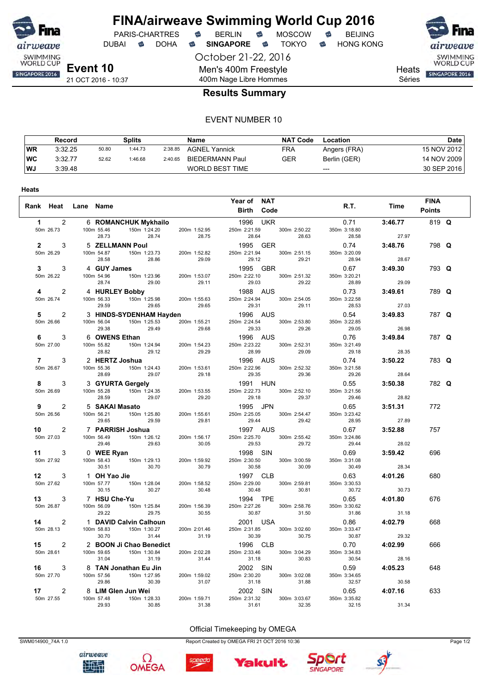

**Heats**

# **FINA/airweave Swimming World Cup 2016**

DUBAI **S** DOHA S SINGAPORE S TOKYO S HONG KONG

October 21-22, 2016 Men's 400m Freestyle 400m Nage Libre Hommes

PARIS-CHARTRES **B** BERLIN **B** MOSCOW **B** BEIJING



**Heats** 

Séries

### **Results Summary**

#### EVENT NUMBER 10

|    | Record  |       | Splits  |         | <b>Name</b>          | <b>NAT Code</b> | Location     | Date        |
|----|---------|-------|---------|---------|----------------------|-----------------|--------------|-------------|
| WR | 3:32.25 | 50.80 | 1:44.73 | 2:38.85 | <b>AGNEL Yannick</b> | <b>FRA</b>      | Angers (FRA) | 15 NOV 2012 |
| WC | 3:32.77 | 52.62 | 1:46.68 | 2:40.65 | BIEDERMANN Paul      | GER             | Berlin (GER) | 14 NOV 2009 |
| WJ | 3:39.48 |       |         |         | WORLD BEST TIME      |                 | $---$        | 30 SEP 2016 |

|                |                     |                     |                                                                                                                                                                                                                                |                       | Year of NAT           |                                                   |                       |         | <b>FINA</b>   |  |
|----------------|---------------------|---------------------|--------------------------------------------------------------------------------------------------------------------------------------------------------------------------------------------------------------------------------|-----------------------|-----------------------|---------------------------------------------------|-----------------------|---------|---------------|--|
|                | Rank Heat Lane Name |                     |                                                                                                                                                                                                                                |                       | <b>Birth Code</b>     |                                                   | R.T.                  | Time    | <b>Points</b> |  |
| $\mathbf{1}$   | $\overline{2}$      |                     |                                                                                                                                                                                                                                |                       |                       | 1996 UKR                                          | 0.71                  | 3:46.77 | 819 Q         |  |
|                | 50m 26.73           |                     | 6 <b>ROMANCHUR mynomics</b><br>100m 55.46 150m 1:24.20 200m 1:<br>28.74 28.74                                                                                                                                                  | 200m 1:52.95<br>28.75 | 28.64                 | 250m 2:21.59 300m 2:50.22<br>28.64 28.63<br>28.63 | 350m 3:18.80<br>28.58 | 27.97   |               |  |
|                | $2^{\circ}$<br>3    |                     | 5 <b>ZELLMANN Poul</b><br>00m 54.87 150m 1:23.73                                                                                                                                                                               |                       | 1995 GER              |                                                   | 0.74                  | 3:48.76 | 798 Q         |  |
|                | 50m 26.29           | 100m 54.87<br>28.58 | 28.86                                                                                                                                                                                                                          | 200m 1:52.82<br>29.09 | 250m 2:21.94<br>29.12 | 300m 2:51.15<br>29.21                             | 350m 3:20.09<br>28.94 | 28.67   |               |  |
| 3              | 3                   | 4 GUY James         |                                                                                                                                                                                                                                |                       | 1995 GBR              |                                                   | 0.67                  | 3:49.30 | 793 Q         |  |
|                | 50m 26.22           | 100m 54.96<br>28.74 | $150m$ 1:23.96 $200m$ 1:53.07<br>29.00 $29.00$                                                                                                                                                                                 |                       | 29.03                 | 250m 2:22.10 300m 2:51.32<br>29.22                | 350m 3:20.21<br>28.89 | 29.09   |               |  |
| 4              | $\overline{2}$      |                     | 4 HURLEY Bobby<br><b>EY Bobby</b><br>150m_1:25.98                                                                                                                                                                              |                       | 1988 AUS              |                                                   | 0.73                  | 3:49.61 | 789 Q         |  |
|                | 50m 26.74           | 100m 56.33          |                                                                                                                                                                                                                                | 200m 1:55.63<br>29.65 |                       | 250m 2:24.94 300m 2:54.05<br>29.11                | 350m 3:22.58<br>28.53 | 27.03   |               |  |
| 5              | 2                   |                     | 29.59 29.65 29.65 29.31<br>3 <b>HINDS-SYDENHAM Hayden</b> 1996 AUS                                                                                                                                                             |                       |                       |                                                   | 0.54                  | 3:49.83 | 787 Q         |  |
|                | 50m 26.66           | 100m 56.04          | 150m 1:25.53                                                                                                                                                                                                                   | 200m 1:55.21          | 250m 2:24.54<br>29.33 | 300m 2:53.80<br>29.26                             | 350m 3:22.85<br>29.05 | 26.98   |               |  |
| 6              | 3                   |                     |                                                                                                                                                                                                                                |                       | 1996 AUS              |                                                   | 0.76                  | 3:49.84 | 787 Q         |  |
|                | 50m 27.00           | 100m 55.82          | 00m 56.04<br>29.38 29.49<br>6 <b>OWENS Ethan</b><br>1.0mm 55.82 150m 1:24.94 200m 1:54.23<br>29.12 29.29                                                                                                                       |                       | 250m 2:23.22<br>28.99 | 300m 2:52.31<br>29.09                             | 350m 3:21.49<br>29.18 | 28.35   |               |  |
| $\overline{7}$ | 3                   |                     |                                                                                                                                                                                                                                |                       | 1996 AUS              |                                                   | 0.74                  | 3:50.22 | 783 Q         |  |
|                | 50m 26.67           |                     | $100m 55.36$ $100m 55.36$ $28.69$ $29.07$ $3 72$ $342$ $352$ $369$ $372$ $372$ $382$ $392$ $392$ $302$ $302$ $302$ $302$ $302$ $302$ $302$ $302$ $302$ $302$ $302$ $302$ $302$ $302$ $302$ $302$ $302$ $302$ $302$ $302$ $302$ | 200m 1:53.61<br>29.18 | 250m 2:22.96<br>29.35 | 300m 2:52.32<br>29.36                             | 350m 3:21.58<br>29.26 | 28.64   |               |  |
| 8              | 3                   |                     | 3 GYURTA Gergely<br>00m 55.28 150m 1:24.35                                                                                                                                                                                     |                       | 1991 HUN              |                                                   | 0.55                  | 3:50.38 | 782 Q         |  |
|                | 50m 26.69           | 100m 55.28<br>28.59 | 29.07                                                                                                                                                                                                                          | 200m 1:53.55<br>29.20 | 250m 2:22.73<br>29.18 | 300m 2:52.10<br>29.37                             | 350m 3:21.56<br>29.46 | 28.82   |               |  |
| 9              | $\overline{2}$      |                     | 5 SAKAI Masato                                                                                                                                                                                                                 |                       | 1995 JPN              |                                                   | 0.65                  | 3:51.31 | 772           |  |
|                | 50m 26.56           | 29.65               | 100m 56.21 150m 1:25.80<br>29.59                                                                                                                                                                                               | 200m 1:55.61<br>29.81 | 250m 2:25.05<br>29.44 | 300m 2:54.47<br>29.42                             | 350m 3:23.42<br>28.95 | 27.89   |               |  |
| 10             | $\overline{2}$      |                     | 7 PARRISH Joshua                                                                                                                                                                                                               |                       | 1997 AUS              |                                                   | 0.67                  | 3:52.88 | 757           |  |
|                | 50m 27.03           | 29.46               | 100m 56.49 150m 1:26.12<br>29.63                                                                                                                                                                                               | 200m 1:56.17<br>30.05 | 250m 2:25.70<br>29.53 | 300m 2:55.42<br>29.72                             | 350m 3:24.86<br>29.44 | 28.02   |               |  |
|                | 3<br>11             | 0 WEE Ryan          |                                                                                                                                                                                                                                |                       | 1998 SIN              |                                                   | 0.69                  | 3:59.42 | 696           |  |
|                | 50m 27.92           | 30.51               | 100m 58.43 150m 1:29.13<br>30.70                                                                                                                                                                                               | 200m 1:59.92<br>30.79 | 250m 2:30.50<br>30.58 | 300m 3:00.59<br>30.09                             | 350m 3:31.08<br>30.49 | 28.34   |               |  |
|                | 12<br>3             | 1 OH Yao Jie        |                                                                                                                                                                                                                                |                       | 1997 CLB              |                                                   | 0.63                  | 4:01.26 | 680           |  |
|                | 50m 27.62           | 100m 57.77<br>30.15 | 150m 1:28.04<br>30.27                                                                                                                                                                                                          | 200m 1:58.52<br>30.48 | 250m 2:29.00<br>30.48 | 300m 2:59.81<br>30.81                             | 350m 3:30.53<br>30.72 | 30.73   |               |  |
|                | 13<br>3             | 7 HSU Che-Yu        | $100m$ 56.09 $150m$ 1:25.84                                                                                                                                                                                                    |                       | 1994 TPE              |                                                   | 0.65                  | 4:01.80 | 676           |  |
|                | 50m 26.87           | 29.22               | 29.75                                                                                                                                                                                                                          | 200m 1:56.39<br>30.55 | 250m 2:27.26<br>30.87 | 300m 2:58.76<br>31.50                             | 350m 3:30.62<br>31.86 | 31.18   |               |  |
| 14             | $\overline{2}$      |                     | 1 DAVID Calvin Calhoun                                                                                                                                                                                                         |                       | 2001 USA              |                                                   | 0.86                  | 4:02.79 | 668           |  |
|                | 50m 28.13           | 100m 58.83<br>30.70 | 150m 1:30.27<br>31.44                                                                                                                                                                                                          | 200m 2:01.46<br>31.19 | 250m 2:31.85<br>30.39 | 300m 3:02.60<br>30.75                             | 350m 3:33.47<br>30.87 | 29.32   |               |  |
| 15             | 2                   |                     | 2 BOON Ji Chao Benedict                                                                                                                                                                                                        |                       | 1996 CLB              |                                                   | 0.70                  | 4:02.99 | 666           |  |
|                | 50m 28.61           | 100m 59.65<br>31.04 | 150m 1:30.84<br>31.19                                                                                                                                                                                                          | 200m 2:02.28<br>31.44 | 250m 2:33.46<br>31.18 | 300m 3:04.29<br>30.83                             | 350m 3:34.83<br>30.54 | 28.16   |               |  |
| 16             | 3                   |                     | 8 TAN Jonathan Eu Jin                                                                                                                                                                                                          |                       | 2002 SIN              |                                                   | 0.59                  | 4:05.23 | 648           |  |
|                | 50m 27.70           | 29.86               | 100m 57.56 150m 1:27.95<br>30.39                                                                                                                                                                                               | 200m 1:59.02<br>31.07 | 250m 2:30.20<br>31.18 | 300m 3:02.08<br>31.88                             | 350m 3:34.65<br>32.57 | 30.58   |               |  |
| 17             | 2                   |                     | 8 LIM Glen Jun Wei                                                                                                                                                                                                             |                       | 2002 SIN              |                                                   | 0.65                  | 4:07.16 | 633           |  |
|                | 50m 27.55           | 29.93               | 100m 57.48 150m 1:28.33<br>30.85                                                                                                                                                                                               | 200m 1:59.71<br>31.38 | 250m 2:31.32<br>31.61 | 300m 3:03.67<br>32.35                             | 350m 3:35.82<br>32.15 | 31.34   |               |  |

SWM014900\_74A 1.0 Report Created by OMEGA FRI 21 OCT 2016 10:36 Page 1/2



Ω





Official Timekeeping by OMEGA



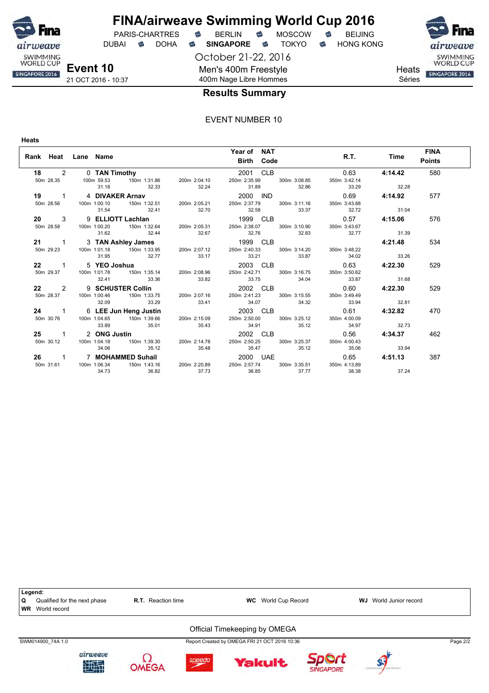

DUBAI **S** DOHA S SINGAPORE S TOKYO S HONG KONG

October 21-22, 2016 Men's 400m Freestyle

SWIMMING<br>WORLD CUP

**Heats** Séries

SINGAPORE 2016

21 OCT 2016 - 10:37

### 400m Nage Libre Hommes **Results Summary**

#### EVENT NUMBER 10

**Heats**

| Rank Heat Lane Name |       | Year of NAT<br><b>Birth Code</b>                                                                                                                                                               |                             | R.T. Time      | <b>FINA</b><br><b>Points</b> |
|---------------------|-------|------------------------------------------------------------------------------------------------------------------------------------------------------------------------------------------------|-----------------------------|----------------|------------------------------|
|                     |       | 18 2 0 TAN Timothy 2001 CLB<br>50m 28.35 100m 59.53 150m 1:31.86 200m 2:04.10 250m 2:35.99 300m 3:08.85                                                                                        | 0.63                        | 4:14.42        | 580                          |
|                     |       | 31.18 32.33 32.24 31.89 32.86                                                                                                                                                                  | 350m 3:42.14<br>33.29 32.28 |                |                              |
|                     |       | 19 1 4 DIVAKER Arnav 2000 IND 0.69<br>50m 28.56 100m 1:00.10 150m 1:32.51 200m 2:05.21 250m 2:37.79 300m 3:11.16 350m 3:43.88                                                                  |                             | 0.69 4:14.92   | 577                          |
|                     |       | 31.54 32.41 32.70 32.58 33.37 32.72 31.04                                                                                                                                                      |                             |                |                              |
|                     |       | 20 3 9 ELLIOTT Lachlan 1999 CLB 0.57 4:15.06<br>50m 28.58 100m 1:00.20 150m 1:32.64 200m 2:05.31 250m 2:38.07 300m 3:10.90 350m 3:43.67                                                        |                             |                | 576                          |
|                     |       | 31.62 32.44 32.67 32.76 32.83 32.77 31.39                                                                                                                                                      |                             |                |                              |
|                     |       |                                                                                                                                                                                                |                             |                | 534                          |
|                     |       | 21 1 3 TAN Ashley James 1999 CLB 4:21.48<br>50m 29.23 100m 1:01.18 150m 1:33.95 200m 2:07.12 250m 2:40.33 300m 3:14.20 350m 3:48.22<br>31.95 32.77 33.17 33.21 33.87 34.02 33.26               |                             |                |                              |
|                     |       | 20 1 5 YEO Joshua 2003 CLB 0.63 4:22.30<br>50m 29.37 100m 1:01.78 150m 1:35.14 200m 2:08.96 250m 2:42.71 300m 3:16.75 350m 3:50.62                                                             |                             |                | 529                          |
|                     |       | 32.41 33.36 33.82 33.75 34.04 33.87 31.68                                                                                                                                                      |                             |                |                              |
|                     |       |                                                                                                                                                                                                |                             | $0.60$ 4:22.30 | 529                          |
| 32.09 33.29         |       | 22 2 9 SCHUSTER Collin 2002 CLB 0.60<br>50m 28.37 100m 1:00.46 150m 1:33.75 200m 2:07.16 250m 2:41.23 300m 3:15.55 350m 3:49.49<br>33.41 34.07 34.32 33.94 32.81                               |                             |                |                              |
|                     |       | 24 1 6 LEE Jun Heng Justin 2003 CLB 0.61 4:32.82<br>50m 30.76 100m 1:04.65 150m 1:39.66 200m 2:15.09 250m 2:50.00 300m 3:25.12 350m 4:00.09                                                    |                             |                | 470                          |
| 33.89 35.01 35.43   |       | 34.91 35.12 34.97 32.73                                                                                                                                                                        |                             |                |                              |
|                     |       | 25 1 2 ONG Justin 2002 CLB 0.56<br>50m 30.12 100m 1:04.18 150m 1:39.30 200m 2:14.78 250m 2:50.25 300m 3:25.37 350m 4:00.43                                                                     |                             | 0.56 4:34.37   | 462                          |
| 34.06               |       | 35.12 35.48 35.47 35.12 35.06 33.94                                                                                                                                                            |                             |                |                              |
|                     |       | 26 1 7 MOHAMMED Suhail 2000 UAE 0.65 4:51.13                                                                                                                                                   |                             |                | 387                          |
| 36.82<br>34.73      | 37.73 | --<br>50m 31.61                  100m 1:06.34             150m 1:43.16             200m 2:20.89             250m 2:57.74             300m 3:35.51               350m 4:13.89<br>36.85<br>37.77 | 38.38                       | 37.24          |                              |

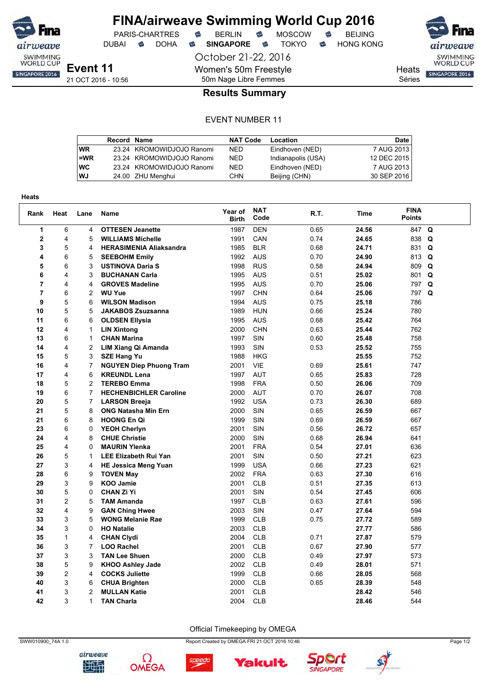

DUBAI **S** DOHA S SINGAPORE S TOKYO S HONG KONG

October 21-22, 2016

Women's 50m Freestyle 50m Nage Libre Femmes



**Heats** Séries

SWIMMING<br>WORLD CUP SINGAPORE 2016

### **Results Summary**

#### EVENT NUMBER 11

|           | <b>Record Name</b> |                           | <b>NAT Code</b> | Location           | <b>Date</b> |
|-----------|--------------------|---------------------------|-----------------|--------------------|-------------|
| <b>WR</b> |                    | 23.24 KROMOWIDJOJO Ranomi | NED.            | Eindhoven (NED)    | 7 AUG 2013  |
| $=$ WR    |                    | 23.24 KROMOWIDJOJO Ranomi | <b>NED</b>      | Indianapolis (USA) | 12 DEC 2015 |
| <b>WC</b> |                    | 23.24 KROMOWIDJOJO Ranomi | <b>NED</b>      | Eindhoven (NED)    | 7 AUG 2013  |
| WJ        |                    | 24.00 ZHU Menghui         | <b>CHN</b>      | Beijing (CHN)      | 30 SEP 2016 |

| <b>Heats</b> |                         |                |                                |                         |                    |      |             |                              |             |
|--------------|-------------------------|----------------|--------------------------------|-------------------------|--------------------|------|-------------|------------------------------|-------------|
| Rank         | Heat                    | Lane           | <b>Name</b>                    | Year of<br><b>Birth</b> | <b>NAT</b><br>Code | R.T. | <b>Time</b> | <b>FINA</b><br><b>Points</b> |             |
| $\mathbf{1}$ | 6                       | 4              | <b>OTTESEN Jeanette</b>        | 1987                    | <b>DEN</b>         | 0.65 | 24.56       | 847 Q                        |             |
| $\mathbf 2$  | 4                       | 5              | <b>WILLIAMS Michelle</b>       | 1991                    | CAN                | 0.74 | 24.65       | 838 Q                        |             |
| 3            | 5                       | 4              | <b>HERASIMENIA Aliaksandra</b> | 1985                    | <b>BLR</b>         | 0.68 | 24.71       | 831                          | $\mathbf Q$ |
| 4            | 6                       | 5              | <b>SEEBOHM Emily</b>           | 1992                    | <b>AUS</b>         | 0.70 | 24.90       | 813                          | Q           |
| 5            | 6                       | 3              | <b>USTINOVA Daria S</b>        | 1998                    | <b>RUS</b>         | 0.58 | 24.94       | 809 Q                        |             |
| 6            | 4                       | 3              | <b>BUCHANAN Carla</b>          | 1995                    | <b>AUS</b>         | 0.51 | 25.02       | 801 Q                        |             |
| 7            | 4                       | 4              | <b>GROVES Madeline</b>         | 1995                    | <b>AUS</b>         | 0.70 | 25.06       | 797                          | Q           |
| 7            | 6                       | 2              | <b>WU Yue</b>                  | 1997                    | <b>CHN</b>         | 0.64 | 25.06       | 797 Q                        |             |
| 9            | 5                       | 6              | <b>WILSON Madison</b>          | 1994                    | <b>AUS</b>         | 0.75 | 25.18       | 786                          |             |
| 10           | 5                       | 5              | <b>JAKABOS Zsuzsanna</b>       | 1989                    | <b>HUN</b>         | 0.66 | 25.24       | 780                          |             |
| 11           | 6                       | 6              | <b>OLDSEN Ellysia</b>          | 1995                    | <b>AUS</b>         | 0.68 | 25.42       | 764                          |             |
| 12           | 4                       | 1              | <b>LIN Xintong</b>             | 2000                    | <b>CHN</b>         | 0.63 | 25.44       | 762                          |             |
| 13           | 6                       | 1              | <b>CHAN Marina</b>             | 1997                    | <b>SIN</b>         | 0.60 | 25.48       | 758                          |             |
| 14           | 4                       | 2              | LIM Xiang Qi Amanda            | 1993                    | <b>SIN</b>         | 0.53 | 25.52       | 755                          |             |
| 15           | 5                       | 3              | <b>SZE Hang Yu</b>             | 1988                    | <b>HKG</b>         |      | 25.55       | 752                          |             |
| 16           | 4                       | $\overline{7}$ | <b>NGUYEN Diep Phuong Tram</b> | 2001                    | <b>VIE</b>         | 0.69 | 25.61       | 747                          |             |
| 17           | 4                       | 6              | <b>KREUNDL Lena</b>            | 1997                    | <b>AUT</b>         | 0.65 | 25.83       | 728                          |             |
| 18           | 5                       | $\overline{c}$ | <b>TEREBO Emma</b>             | 1998                    | <b>FRA</b>         | 0.50 | 26.06       | 709                          |             |
| 19           | 6                       | $\overline{7}$ | <b>HECHENBICHLER Caroline</b>  | 2000                    | <b>AUT</b>         | 0.70 | 26.07       | 708                          |             |
| 20           | 5                       | $\overline{7}$ | <b>LARSON Breeja</b>           | 1992                    | <b>USA</b>         | 0.73 | 26.30       | 689                          |             |
| 21           | 5                       | 8              | <b>ONG Natasha Min Ern</b>     | 2000                    | SIN                | 0.65 | 26.59       | 667                          |             |
| 21           | 6                       | 8              | <b>HOONG En Qi</b>             | 1999                    | SIN                | 0.69 | 26.59       | 667                          |             |
| 23           | 6                       | $\Omega$       | <b>YEOH Cherlyn</b>            | 2001                    | SIN                | 0.56 | 26.72       | 657                          |             |
| 24           | 4                       | 8              | <b>CHUE Christie</b>           | 2000                    | SIN                | 0.68 | 26.94       | 641                          |             |
| 25           | 4                       | $\Omega$       | <b>MAURIN Ylenka</b>           | 2001                    | <b>FRA</b>         | 0.54 | 27.01       | 636                          |             |
| 26           | 5                       | 1              | <b>LEE Elizabeth Rui Yan</b>   | 2001                    | <b>SIN</b>         | 0.50 | 27.21       | 623                          |             |
| 27           | 3                       | $\overline{4}$ | <b>HE Jessica Meng Yuan</b>    | 1999                    | <b>USA</b>         | 0.66 | 27.23       | 621                          |             |
| 28           | 6                       | 9              | <b>TOVEN May</b>               | 2002                    | <b>FRA</b>         | 0.63 | 27.30       | 616                          |             |
| 29           | 3                       | 9              | <b>KOO Jamie</b>               | 2001                    | <b>CLB</b>         | 0.51 | 27.35       | 613                          |             |
| 30           | 5                       | $\Omega$       | <b>CHAN Zi Yi</b>              | 2001                    | SIN                | 0.54 | 27.45       | 606                          |             |
| 31           | $\overline{c}$          | 5              | <b>TAM Amanda</b>              | 1997                    | <b>CLB</b>         | 0.63 | 27.61       | 596                          |             |
| 32           | 4                       | 9              | <b>GAN Ching Hwee</b>          | 2003                    | <b>SIN</b>         | 0.47 | 27.64       | 594                          |             |
| 33           | 3                       | 5              | <b>WONG Melanie Rae</b>        | 1999                    | <b>CLB</b>         | 0.75 | 27.72       | 589                          |             |
| 34           | 3                       | $\Omega$       | <b>HO Natalie</b>              | 2003                    | <b>CLB</b>         |      | 27.77       | 586                          |             |
| 35           | $\mathbf{1}$            | 4              | <b>CHAN Clydi</b>              | 2004                    | <b>CLB</b>         | 0.71 | 27.87       | 579                          |             |
| 36           | 3                       | $\overline{7}$ | <b>LOO Rachel</b>              | 2001                    | <b>CLB</b>         | 0.67 | 27.90       | 577                          |             |
| 37           | 3                       | 3              | <b>TAN Lee Shuen</b>           | 2000                    | <b>CLB</b>         | 0.49 | 27.97       | 573                          |             |
| 38           | 5                       | 9              | <b>KHOO Ashley Jade</b>        | 2002                    | <b>CLB</b>         | 0.49 | 28.01       | 571                          |             |
| 39           | $\overline{\mathbf{c}}$ | 4              | <b>COCKS Juliette</b>          | 1999                    | <b>CLB</b>         | 0.66 | 28.05       | 568                          |             |
| 40           | 3                       | 6              | <b>CHUA Brighten</b>           | 2000                    | <b>CLB</b>         | 0.65 | 28.39       | 548                          |             |
| 41           | 3                       | $\overline{2}$ | <b>MULLAN Katie</b>            | 2001                    | <b>CLB</b>         |      | 28.42       | 546                          |             |
| 42           | 3                       | 1              | <b>TAN Charla</b>              | 2004                    | <b>CLB</b>         |      | 28.46       | 544                          |             |

airweave

地型

Ω

**OMEGA** 







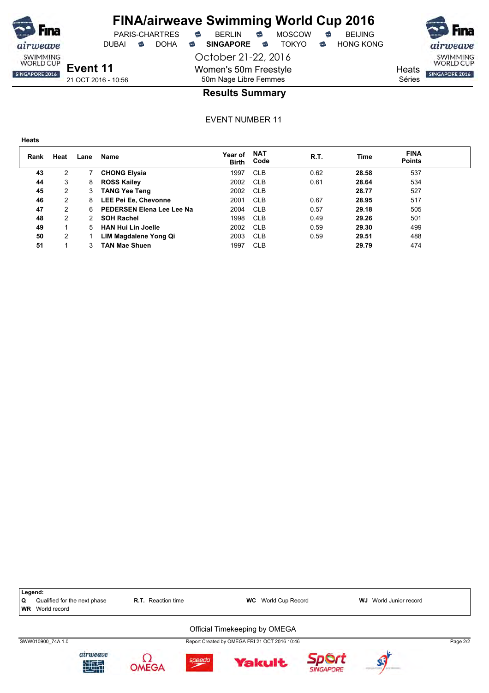

DUBAI **S** DOHA S SINGAPORE S TOKYO S HONG KONG

October 21-22, 2016 Women's 50m Freestyle 50m Nage Libre Femmes

PARIS-CHARTRES **B** BERLIN **B** MOSCOW **B** BEIJING

SWIMMING<br>WORLD CUP SINGAPORE 2016

**Heats** Séries

**Event 11** 21 OCT 2016 - 10:56

### **Results Summary**

EVENT NUMBER 11

weave SWIMMING<br>WORLD CUP

SINGAPORE 2016

| Rank | Heat | Lane  | Name                      | Year of<br><b>Birth</b> | <b>NAT</b><br>Code | R.T. | Time  | <b>FINA</b><br><b>Points</b> |  |
|------|------|-------|---------------------------|-------------------------|--------------------|------|-------|------------------------------|--|
| 43   | 2    |       | <b>CHONG Elysia</b>       | 1997                    | <b>CLB</b>         | 0.62 | 28.58 | 537                          |  |
| 44   | 3    | 8     | <b>ROSS Kailey</b>        | 2002                    | <b>CLB</b>         | 0.61 | 28.64 | 534                          |  |
| 45   | 2    | 3     | <b>TANG Yee Teng</b>      | 2002                    | <b>CLB</b>         |      | 28.77 | 527                          |  |
| 46   | 2    | 8     | LEE Pei Ee, Chevonne      | 2001                    | <b>CLB</b>         | 0.67 | 28.95 | 517                          |  |
| 47   | 2    | 6     | PEDERSEN Elena Lee Lee Na | 2004                    | <b>CLB</b>         | 0.57 | 29.18 | 505                          |  |
| 48   | 2    | 2     | <b>SOH Rachel</b>         | 1998                    | <b>CLB</b>         | 0.49 | 29.26 | 501                          |  |
| 49   |      | $5 -$ | <b>HAN Hui Lin Joelle</b> | 2002                    | <b>CLB</b>         | 0.59 | 29.30 | 499                          |  |
| 50   | 2    |       | LIM Magdalene Yong Qi     | 2003                    | <b>CLB</b>         | 0.59 | 29.51 | 488                          |  |
| 51   |      |       | <b>TAN Mae Shuen</b>      | 1997                    | <b>CLB</b>         |      | 29.79 | 474                          |  |

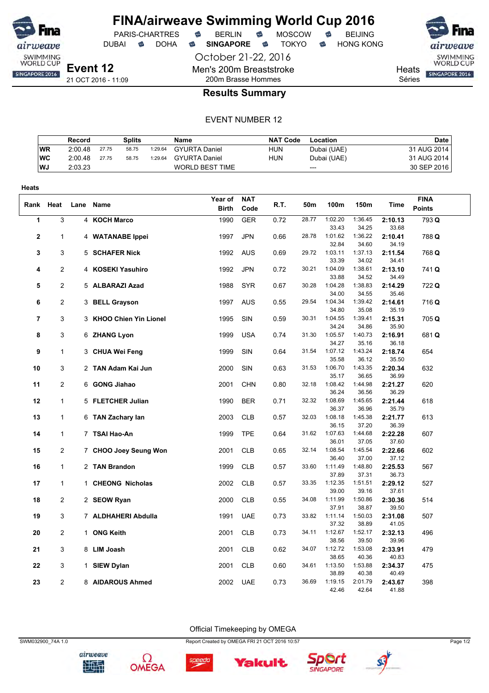

DUBAI **S** DOHA S SINGAPORE S TOKYO S HONG KONG

October 21-22, 2016 Men's 200m Breaststroke 200m Brasse Hommes



**Heats** SINGAPORE 2016

Séries

### **Results Summary**

#### EVENT NUMBER 12

|           | Record  |       | Splits |         | Name                   | <b>NAT Code</b> | Location    | <b>Date</b> |
|-----------|---------|-------|--------|---------|------------------------|-----------------|-------------|-------------|
| <b>WR</b> | 2:00.48 | 27.75 | 58.75  | 1:29.64 | <b>GYURTA Daniel</b>   | HUN             | Dubai (UAE) | 31 AUG 2014 |
| WC        | 2:00.48 | 27.75 | 58.75  | 1:29.64 | <b>GYURTA Daniel</b>   | HUN             | Dubai (UAE) | 31 AUG 2014 |
| WJ.       | 2:03.23 |       |        |         | <b>WORLD BEST TIME</b> |                 | $---$       | 30 SEP 2016 |

| <b>Heats</b>   |                |                         |              |            |      |       |                  |                  |                  |               |  |
|----------------|----------------|-------------------------|--------------|------------|------|-------|------------------|------------------|------------------|---------------|--|
|                |                |                         | Year of      | <b>NAT</b> |      |       |                  |                  |                  | <b>FINA</b>   |  |
| Rank           | Heat           | Lane Name               | <b>Birth</b> | Code       | R.T. | 50m   | 100m             | 150m             | Time             | <b>Points</b> |  |
| $\mathbf{1}$   | 3              | 4 KOCH Marco            | 1990         | <b>GER</b> | 0.72 | 28.77 | 1:02.20          | 1:36.45          | 2:10.13          | 793 Q         |  |
|                |                |                         |              |            |      |       | 33.43            | 34.25            | 33.68            |               |  |
| 2              | 1              | 4 WATANABE Ippei        | 1997         | <b>JPN</b> | 0.66 | 28.78 | 1:01.62          | 1:36.22          | 2:10.41          | 788 Q         |  |
|                |                |                         |              |            |      |       | 32.84            | 34.60            | 34.19            |               |  |
| 3              | 3              | 5 SCHAFER Nick          | 1992         | <b>AUS</b> | 0.69 | 29.72 | 1:03.11<br>33.39 | 1:37.13<br>34.02 | 2:11.54<br>34.41 | 768 Q         |  |
| 4              | 2              | 4 KOSEKI Yasuhiro       | 1992         | <b>JPN</b> | 0.72 | 30.21 | 1:04.09          | 1:38.61          | 2:13.10          | 741 Q         |  |
|                |                |                         |              |            |      |       | 33.88            | 34.52            | 34.49            |               |  |
| 5              | 2              | 5 ALBARAZI Azad         | 1988         | <b>SYR</b> | 0.67 | 30.28 | 1:04.28          | 1:38.83          | 2:14.29          | 722 Q         |  |
|                |                |                         |              |            |      |       | 34.00            | 34.55            | 35.46            |               |  |
| 6              | 2              | 3 BELL Grayson          | 1997         | <b>AUS</b> | 0.55 | 29.54 | 1:04.34          | 1:39.42          | 2:14.61          | 716 Q         |  |
|                |                |                         |              |            |      |       | 34.80            | 35.08            | 35.19            |               |  |
| $\overline{7}$ | 3              | 3 KHOO Chien Yin Lionel | 1995         | SIN        | 0.59 | 30.31 | 1:04.55          | 1:39.41          | 2:15.31          | 705 Q         |  |
|                |                |                         |              |            |      |       | 34.24            | 34.86            | 35.90            |               |  |
| 8              | 3              | 6 ZHANG Lyon            | 1999         | <b>USA</b> | 0.74 | 31.30 | 1:05.57<br>34.27 | 1:40.73<br>35.16 | 2:16.91<br>36.18 | 681Q          |  |
| 9              | $\mathbf{1}$   | 3 CHUA Wei Feng         | 1999         | SIN        | 0.64 | 31.54 | 1:07.12          | 1:43.24          | 2:18.74          | 654           |  |
|                |                |                         |              |            |      |       | 35.58            | 36.12            | 35.50            |               |  |
| 10             | 3              | 2 TAN Adam Kai Jun      | 2000         | SIN        | 0.63 | 31.53 | 1:06.70          | 1:43.35          | 2:20.34          | 632           |  |
|                |                |                         |              |            |      |       | 35.17            | 36.65            | 36.99            |               |  |
| 11             | 2              | 6 GONG Jiahao           | 2001         | <b>CHN</b> | 0.80 | 32.18 | 1:08.42          | 1:44.98          | 2:21.27          | 620           |  |
|                |                |                         |              |            |      |       | 36.24            | 36.56            | 36.29            |               |  |
| 12             | $\mathbf{1}$   | 5 FLETCHER Julian       | 1990         | <b>BER</b> | 0.71 | 32.32 | 1:08.69          | 1:45.65          | 2:21.44          | 618           |  |
|                |                |                         |              |            |      |       | 36.37            | 36.96            | 35.79            |               |  |
| 13             | $\mathbf{1}$   | 6 TAN Zachary lan       | 2003         | <b>CLB</b> | 0.57 | 32.03 | 1:08.18<br>36.15 | 1:45.38<br>37.20 | 2:21.77<br>36.39 | 613           |  |
| 14             | 1              | 7 TSAI Hao-An           | 1999         | <b>TPE</b> | 0.64 | 31.62 | 1:07.63          | 1:44.68          | 2:22.28          | 607           |  |
|                |                |                         |              |            |      |       | 36.01            | 37.05            | 37.60            |               |  |
| 15             | 2              | 7 CHOO Joey Seung Won   | 2001         | <b>CLB</b> | 0.65 | 32.14 | 1:08.54          | 1:45.54          | 2:22.66          | 602           |  |
|                |                |                         |              |            |      |       | 36.40            | 37.00            | 37.12            |               |  |
| 16             | $\mathbf{1}$   | 2 TAN Brandon           | 1999         | <b>CLB</b> | 0.57 | 33.60 | 1:11.49          | 1:48.80          | 2:25.53          | 567           |  |
|                |                |                         |              |            |      |       | 37.89            | 37.31            | 36.73            |               |  |
| 17             | $\mathbf{1}$   | 1 CHEONG Nicholas       | 2002         | <b>CLB</b> | 0.57 | 33.35 | 1:12.35          | 1:51.51          | 2:29.12          | 527           |  |
| 18             | 2              | 2 SEOW Ryan             | 2000         | <b>CLB</b> | 0.55 | 34.08 | 39.00<br>1:11.99 | 39.16<br>1:50.86 | 37.61<br>2:30.36 | 514           |  |
|                |                |                         |              |            |      |       | 37.91            | 38.87            | 39.50            |               |  |
| 19             | 3              | 7 ALDHAHERI Abdulla     | 1991         | <b>UAE</b> | 0.73 | 33.82 | 1:11.14          | 1:50.03          | 2:31.08          | 507           |  |
|                |                |                         |              |            |      |       | 37.32            | 38.89            | 41.05            |               |  |
| 20             | 2              | 1 ONG Keith             | 2001         | <b>CLB</b> | 0.73 | 34.11 | 1:12.67          | 1:52.17          | 2:32.13          | 496           |  |
|                |                |                         |              |            |      |       | 38.56            | 39.50            | 39.96            |               |  |
| 21             | 3              | 8 LIM Joash             | 2001         | <b>CLB</b> | 0.62 | 34.07 | 1:12.72          | 1:53.08          | 2:33.91          | 479           |  |
|                |                |                         |              |            |      |       | 38.65            | 40.36            | 40.83            |               |  |
| 22             | 3              | 1 SIEW Dylan            | 2001         | <b>CLB</b> | 0.60 | 34.61 | 1:13.50<br>38.89 | 1:53.88<br>40.38 | 2:34.37<br>40.49 | 475           |  |
| 23             | $\overline{c}$ | 8 AIDAROUS Ahmed        | 2002         | <b>UAE</b> | 0.73 | 36.69 | 1:19.15          | 2:01.79          | 2:43.67          | 398           |  |
|                |                |                         |              |            |      |       | 42.46            | 42.64            | 41.88            |               |  |

SWM032900\_74A 1.0 Report Created by OMEGA FRI 21 OCT 2016 10:57 Page 1/2

Official Timekeeping by OMEGA









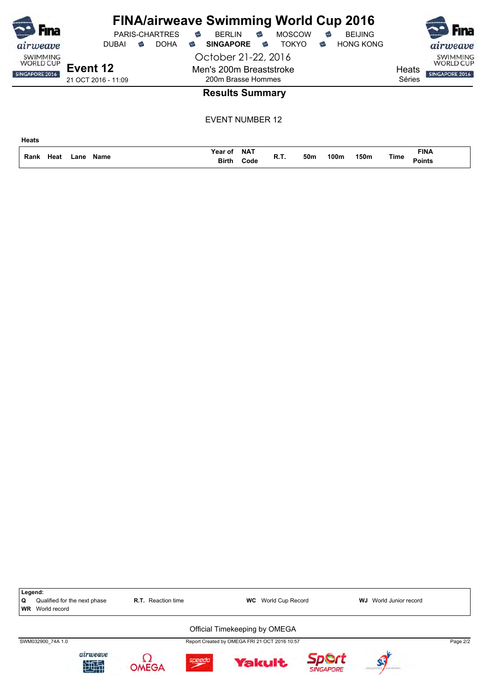| Fına                                                              |                                                 |                        | <b>PARIS-CHARTRES</b> | € | <b>BERLIN</b>                                                                            | €                  |   | <b>FINA/airweave Swimming World Cup 2016</b><br><b>MOSCOW</b> | € |      | <b>BEIJING</b>   |                 |                              | <b>Fina</b>                                                       |
|-------------------------------------------------------------------|-------------------------------------------------|------------------------|-----------------------|---|------------------------------------------------------------------------------------------|--------------------|---|---------------------------------------------------------------|---|------|------------------|-----------------|------------------------------|-------------------------------------------------------------------|
| airweave<br><b>SWIMMING</b><br><b>WORLD CUP</b><br>SINGAPORE 2016 | <b>DUBAI</b><br>Event 12<br>21 OCT 2016 - 11:09 | $\widehat{\mathbb{C}}$ | <b>DOHA</b>           | ಹ | <b>SINGAPORE</b><br>October 21-22, 2016<br>Men's 200m Breaststroke<br>200m Brasse Hommes |                    | € | <b>TOKYO</b>                                                  | € |      | <b>HONG KONG</b> | Heats<br>Séries |                              | airweave<br><b>SWIMMING</b><br><b>WORLD CUP</b><br>SINGAPORE 2016 |
|                                                                   |                                                 |                        |                       |   | <b>Results Summary</b>                                                                   |                    |   |                                                               |   |      |                  |                 |                              |                                                                   |
|                                                                   |                                                 |                        |                       |   | <b>EVENT NUMBER 12</b>                                                                   |                    |   |                                                               |   |      |                  |                 |                              |                                                                   |
| <b>Heats</b>                                                      |                                                 |                        |                       |   |                                                                                          |                    |   |                                                               |   |      |                  |                 |                              |                                                                   |
| Rank<br>Heat                                                      | <b>Name</b><br>Lane                             |                        |                       |   | Year of<br><b>Birth</b>                                                                  | <b>NAT</b><br>Code |   | R.T.<br>50 <sub>m</sub>                                       |   | 100m | 150m             | Time            | <b>FINA</b><br><b>Points</b> |                                                                   |

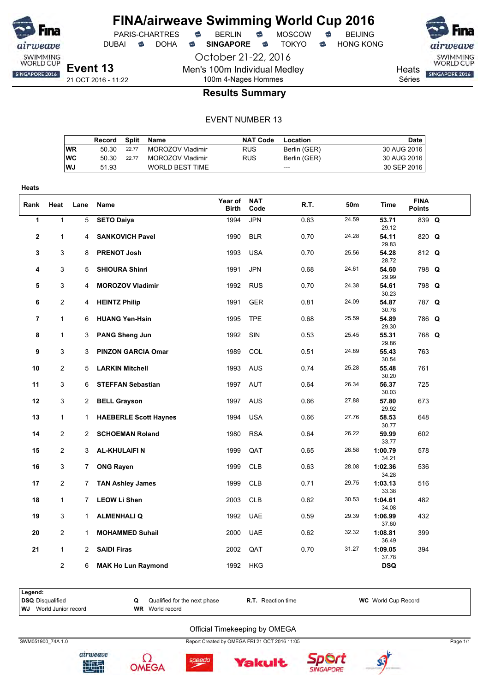

**Heats**

### **FINA/airweave Swimming World Cup 2016** PARIS-CHARTRES **B** BERLIN **B** MOSCOW **B** BEIJING

DUBAI **S** DOHA S SINGAPORE S TOKYO S HONG KONG

**Event 13** 21 OCT 2016 - 11:22

October 21-22, 2016 Men's 100m Individual Medley

100m 4-Nages Hommes



**Results Summary**

#### EVENT NUMBER 13

|           | Record |       | Split Name       | <b>NAT Code</b> | Location     | Date        |
|-----------|--------|-------|------------------|-----------------|--------------|-------------|
| WR        | 50.30  | 22.77 | MOROZOV Vladimir | <b>RUS</b>      | Berlin (GER) | 30 AUG 2016 |
| <b>WC</b> | 50.30  | 22.77 | MOROZOV Vladimir | <b>RUS</b>      | Berlin (GER) | 30 AUG 2016 |
| <b>WJ</b> | 51.93  |       | WORLD BEST TIME  |                 | $---$        | 30 SEP 2016 |

| Rank           | Heat           | Lane                  | Name                         | Year of<br>Birth | <b>NAT</b><br>Code | R.T. | 50m   | Time             | <b>FINA</b><br><b>Points</b> |  |
|----------------|----------------|-----------------------|------------------------------|------------------|--------------------|------|-------|------------------|------------------------------|--|
| 1              | $\mathbf{1}$   | 5                     | <b>SETO Daiya</b>            | 1994             | <b>JPN</b>         | 0.63 | 24.59 | 53.71<br>29.12   | 839 Q                        |  |
| $\mathbf{2}$   | $\mathbf{1}$   | 4                     | <b>SANKOVICH Pavel</b>       | 1990             | <b>BLR</b>         | 0.70 | 24.28 | 54.11<br>29.83   | 820 Q                        |  |
| 3              | 3              | 8                     | <b>PRENOT Josh</b>           | 1993             | <b>USA</b>         | 0.70 | 25.56 | 54.28<br>28.72   | 812 Q                        |  |
| 4              | 3              | 5                     | <b>SHIOURA Shinri</b>        | 1991             | <b>JPN</b>         | 0.68 | 24.61 | 54.60<br>29.99   | 798 Q                        |  |
| 5              | 3              | 4                     | <b>MOROZOV Vladimir</b>      | 1992             | <b>RUS</b>         | 0.70 | 24.38 | 54.61<br>30.23   | 798 Q                        |  |
| 6              | $\overline{2}$ | 4                     | <b>HEINTZ Philip</b>         | 1991             | <b>GER</b>         | 0.81 | 24.09 | 54.87<br>30.78   | 787 Q                        |  |
| $\overline{7}$ | $\mathbf{1}$   | 6                     | <b>HUANG Yen-Hsin</b>        | 1995             | <b>TPE</b>         | 0.68 | 25.59 | 54.89<br>29.30   | 786 Q                        |  |
| 8              | $\mathbf{1}$   | 3                     | <b>PANG Sheng Jun</b>        | 1992             | SIN                | 0.53 | 25.45 | 55.31<br>29.86   | 768 Q                        |  |
| 9              | 3              | 3                     | <b>PINZON GARCIA Omar</b>    | 1989             | <b>COL</b>         | 0.51 | 24.89 | 55.43<br>30.54   | 763                          |  |
| 10             | $\mathbf{2}$   | 5                     | <b>LARKIN Mitchell</b>       | 1993             | <b>AUS</b>         | 0.74 | 25.28 | 55.48<br>30.20   | 761                          |  |
| 11             | 3              | 6                     | <b>STEFFAN Sebastian</b>     | 1997             | <b>AUT</b>         | 0.64 | 26.34 | 56.37<br>30.03   | 725                          |  |
| 12             | 3              | 2                     | <b>BELL Grayson</b>          | 1997             | <b>AUS</b>         | 0.66 | 27.88 | 57.80<br>29.92   | 673                          |  |
| 13             | $\mathbf{1}$   | $1 \quad$             | <b>HAEBERLE Scott Haynes</b> | 1994             | <b>USA</b>         | 0.66 | 27.76 | 58.53<br>30.77   | 648                          |  |
| 14             | $\overline{2}$ | 2                     | <b>SCHOEMAN Roland</b>       | 1980             | <b>RSA</b>         | 0.64 | 26.22 | 59.99<br>33.77   | 602                          |  |
| 15             | $\overline{2}$ | 3                     | <b>AL-KHULAIFIN</b>          | 1999             | QAT                | 0.65 | 26.58 | 1:00.79<br>34.21 | 578                          |  |
| 16             | 3              | $7^{\circ}$           | <b>ONG Rayen</b>             | 1999             | <b>CLB</b>         | 0.63 | 28.08 | 1:02.36<br>34.28 | 536                          |  |
| 17             | $\overline{2}$ | 7                     | <b>TAN Ashley James</b>      | 1999             | CLB                | 0.71 | 29.75 | 1:03.13<br>33.38 | 516                          |  |
| 18             | $\mathbf{1}$   | 7                     | <b>LEOW Li Shen</b>          | 2003             | CLB                | 0.62 | 30.53 | 1:04.61<br>34.08 | 482                          |  |
| 19             | 3              | $\mathbf{1}$          | <b>ALMENHALIQ</b>            | 1992             | <b>UAE</b>         | 0.59 | 29.39 | 1:06.99<br>37.60 | 432                          |  |
| 20             | $\overline{2}$ | $\mathbf 1$           | <b>MOHAMMED Suhail</b>       | 2000             | <b>UAE</b>         | 0.62 | 32.32 | 1:08.81<br>36.49 | 399                          |  |
| 21             | $\mathbf{1}$   | $\mathbf{2}^{\prime}$ | <b>SAIDI Firas</b>           | 2002             | QAT                | 0.70 | 31.27 | 1:09.05<br>37.78 | 394                          |  |
|                | $\overline{c}$ | 6                     | <b>MAK Ho Lun Raymond</b>    |                  | 1992 HKG           |      |       | <b>DSQ</b>       |                              |  |



Official Timekeeping by OMEGA

SWM051900\_74A 1.0 Report Created by OMEGA FRI 21 OCT 2016 11:05 Page 1/1









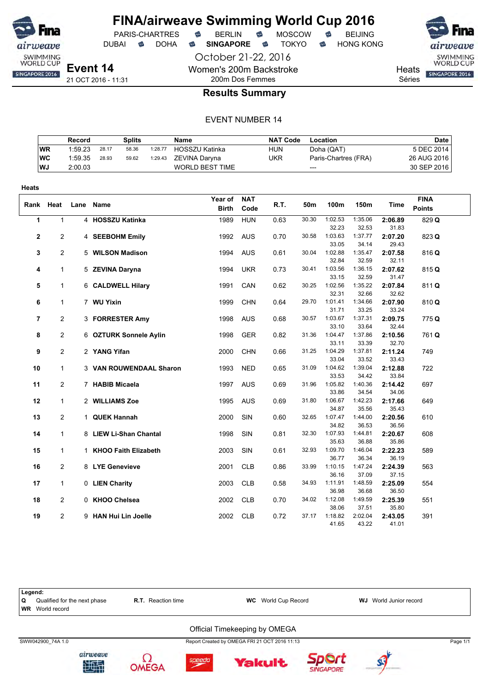

PARIS-CHARTRES **B** BERLIN **B** MOSCOW **B** BEIJING

DUBAI **S** DOHA S SINGAPORE S TOKYO S HONG KONG

October 21-22, 2016 Women's 200m Backstroke 200m Dos Femmes



**Heats** SINGAPORE 2016

Séries

### **Results Summary**

#### EVENT NUMBER 14

|           | Record  |       | Splits |         | Name                   | <b>NAT Code</b> | Location             | Date l      |
|-----------|---------|-------|--------|---------|------------------------|-----------------|----------------------|-------------|
| <b>WR</b> | 1:59.23 | 28.17 | 58.36  | 1:28.77 | <b>HOSSZU Katinka</b>  | <b>HUN</b>      | Doha (QAT)           | 5 DEC 2014  |
| WC        | 1:59.35 | 28.93 | 59.62  | 1:29.43 | ZEVINA Darvna          | UKR             | Paris-Chartres (FRA) | 26 AUG 2016 |
| <b>WJ</b> | 2:00.03 |       |        |         | <b>WORLD BEST TIME</b> |                 | $---$                | 30 SEP 2016 |

| <b>FINA</b><br>Year of<br><b>NAT</b><br>R.T.<br>Heat<br>50m<br>100m<br>150m<br><b>Time</b><br>Rank<br>Lane<br>Name<br><b>Points</b><br><b>Birth</b><br>Code<br>1<br>$\mathbf{1}$<br>30.30<br>1:02.53<br>1:35.06<br>4 HOSSZU Katinka<br><b>HUN</b><br>1989<br>0.63<br>2:06.89<br>829 Q<br>32.23<br>32.53<br>31.83<br><b>AUS</b><br>1:03.63<br>2<br>$\overline{c}$<br>4 SEEBOHM Emily<br>1992<br>0.70<br>30.58<br>1:37.77<br>2:07.20<br>823 Q<br>33.05<br>29.43<br>34.14<br>1:02.88<br>$\overline{c}$<br><b>AUS</b><br>30.04<br>1:35.47<br>2:07.58<br>3<br>5 WILSON Madison<br>1994<br>0.61<br>816Q<br>32.84<br>32.59<br>32.11<br>1:03.56<br>1:36.15<br><b>UKR</b><br>30.41<br>2:07.62<br>$\mathbf{1}$<br>5 ZEVINA Daryna<br>1994<br>0.73<br>815 Q<br>4<br>33.15<br>31.47<br>32.59<br>1:02.56<br>1:35.22<br>811 Q<br>$\mathbf{1}$<br>6 CALDWELL Hilary<br>1991<br>CAN<br>0.62<br>30.25<br>2:07.84<br>5<br>32.31<br>32.66<br>32.62<br>1:34.66<br>1999<br><b>CHN</b><br>29.70<br>1:01.41<br>2:07.90<br>810Q<br>6<br>$\mathbf{1}$<br>7 WU Yixin<br>0.64<br>31.71<br>33.25<br>33.24<br>1:03.67<br>$\overline{2}$<br><b>AUS</b><br>1:37.31<br>2:09.75<br>7<br>3 FORRESTER Amy<br>1998<br>0.68<br>30.57<br>775 Q<br>33.10<br>33.64<br>32.44<br>$\overline{2}$<br><b>GER</b><br>1:04.47<br>1:37.86<br>8<br>6 OZTURK Sonnele Aylin<br>1998<br>0.82<br>31.36<br>2:10.56<br>761Q<br>33.11<br>33.39<br>32.70<br>31.25<br>1:04.29<br>1:37.81<br>2:11.24<br>9<br>2<br>2 YANG Yifan<br>2000<br><b>CHN</b><br>0.66<br>749<br>33.04<br>33.52<br>33.43<br>$\mathbf{1}$<br>3 VAN ROUWENDAAL Sharon<br>1993<br><b>NED</b><br>0.65<br>31.09<br>1:04.62<br>1:39.04<br>2:12.88<br>722<br>10<br>33.53<br>33.84<br>34.42<br>11<br>$\overline{2}$<br>1997<br><b>AUS</b><br>0.69<br>1:05.82<br>1:40.36<br>2:14.42<br>697<br>7 HABIB Micaela<br>31.96<br>33.86<br>34.06<br>34.54<br>1:06.67<br>1:42.23<br>12<br>$\mathbf{1}$<br>2 WILLIAMS Zoe<br>1995<br><b>AUS</b><br>0.69<br>31.80<br>2:17.66<br>649<br>34.87<br>35.56<br>35.43<br>$\overline{2}$<br>SIN<br>13<br>1 QUEK Hannah<br>2000<br>0.60<br>32.65<br>1:07.47<br>1:44.00<br>2:20.56<br>610<br>34.82<br>36.56<br>36.53 |
|---------------------------------------------------------------------------------------------------------------------------------------------------------------------------------------------------------------------------------------------------------------------------------------------------------------------------------------------------------------------------------------------------------------------------------------------------------------------------------------------------------------------------------------------------------------------------------------------------------------------------------------------------------------------------------------------------------------------------------------------------------------------------------------------------------------------------------------------------------------------------------------------------------------------------------------------------------------------------------------------------------------------------------------------------------------------------------------------------------------------------------------------------------------------------------------------------------------------------------------------------------------------------------------------------------------------------------------------------------------------------------------------------------------------------------------------------------------------------------------------------------------------------------------------------------------------------------------------------------------------------------------------------------------------------------------------------------------------------------------------------------------------------------------------------------------------------------------------------------------------------------------------------------------------------------------------------------------------------------------------------------------------------------------------------------------------------------------------------------------------------------------------------|
|                                                                                                                                                                                                                                                                                                                                                                                                                                                                                                                                                                                                                                                                                                                                                                                                                                                                                                                                                                                                                                                                                                                                                                                                                                                                                                                                                                                                                                                                                                                                                                                                                                                                                                                                                                                                                                                                                                                                                                                                                                                                                                                                                   |
|                                                                                                                                                                                                                                                                                                                                                                                                                                                                                                                                                                                                                                                                                                                                                                                                                                                                                                                                                                                                                                                                                                                                                                                                                                                                                                                                                                                                                                                                                                                                                                                                                                                                                                                                                                                                                                                                                                                                                                                                                                                                                                                                                   |
|                                                                                                                                                                                                                                                                                                                                                                                                                                                                                                                                                                                                                                                                                                                                                                                                                                                                                                                                                                                                                                                                                                                                                                                                                                                                                                                                                                                                                                                                                                                                                                                                                                                                                                                                                                                                                                                                                                                                                                                                                                                                                                                                                   |
|                                                                                                                                                                                                                                                                                                                                                                                                                                                                                                                                                                                                                                                                                                                                                                                                                                                                                                                                                                                                                                                                                                                                                                                                                                                                                                                                                                                                                                                                                                                                                                                                                                                                                                                                                                                                                                                                                                                                                                                                                                                                                                                                                   |
|                                                                                                                                                                                                                                                                                                                                                                                                                                                                                                                                                                                                                                                                                                                                                                                                                                                                                                                                                                                                                                                                                                                                                                                                                                                                                                                                                                                                                                                                                                                                                                                                                                                                                                                                                                                                                                                                                                                                                                                                                                                                                                                                                   |
|                                                                                                                                                                                                                                                                                                                                                                                                                                                                                                                                                                                                                                                                                                                                                                                                                                                                                                                                                                                                                                                                                                                                                                                                                                                                                                                                                                                                                                                                                                                                                                                                                                                                                                                                                                                                                                                                                                                                                                                                                                                                                                                                                   |
|                                                                                                                                                                                                                                                                                                                                                                                                                                                                                                                                                                                                                                                                                                                                                                                                                                                                                                                                                                                                                                                                                                                                                                                                                                                                                                                                                                                                                                                                                                                                                                                                                                                                                                                                                                                                                                                                                                                                                                                                                                                                                                                                                   |
|                                                                                                                                                                                                                                                                                                                                                                                                                                                                                                                                                                                                                                                                                                                                                                                                                                                                                                                                                                                                                                                                                                                                                                                                                                                                                                                                                                                                                                                                                                                                                                                                                                                                                                                                                                                                                                                                                                                                                                                                                                                                                                                                                   |
|                                                                                                                                                                                                                                                                                                                                                                                                                                                                                                                                                                                                                                                                                                                                                                                                                                                                                                                                                                                                                                                                                                                                                                                                                                                                                                                                                                                                                                                                                                                                                                                                                                                                                                                                                                                                                                                                                                                                                                                                                                                                                                                                                   |
|                                                                                                                                                                                                                                                                                                                                                                                                                                                                                                                                                                                                                                                                                                                                                                                                                                                                                                                                                                                                                                                                                                                                                                                                                                                                                                                                                                                                                                                                                                                                                                                                                                                                                                                                                                                                                                                                                                                                                                                                                                                                                                                                                   |
|                                                                                                                                                                                                                                                                                                                                                                                                                                                                                                                                                                                                                                                                                                                                                                                                                                                                                                                                                                                                                                                                                                                                                                                                                                                                                                                                                                                                                                                                                                                                                                                                                                                                                                                                                                                                                                                                                                                                                                                                                                                                                                                                                   |
|                                                                                                                                                                                                                                                                                                                                                                                                                                                                                                                                                                                                                                                                                                                                                                                                                                                                                                                                                                                                                                                                                                                                                                                                                                                                                                                                                                                                                                                                                                                                                                                                                                                                                                                                                                                                                                                                                                                                                                                                                                                                                                                                                   |
|                                                                                                                                                                                                                                                                                                                                                                                                                                                                                                                                                                                                                                                                                                                                                                                                                                                                                                                                                                                                                                                                                                                                                                                                                                                                                                                                                                                                                                                                                                                                                                                                                                                                                                                                                                                                                                                                                                                                                                                                                                                                                                                                                   |
|                                                                                                                                                                                                                                                                                                                                                                                                                                                                                                                                                                                                                                                                                                                                                                                                                                                                                                                                                                                                                                                                                                                                                                                                                                                                                                                                                                                                                                                                                                                                                                                                                                                                                                                                                                                                                                                                                                                                                                                                                                                                                                                                                   |
|                                                                                                                                                                                                                                                                                                                                                                                                                                                                                                                                                                                                                                                                                                                                                                                                                                                                                                                                                                                                                                                                                                                                                                                                                                                                                                                                                                                                                                                                                                                                                                                                                                                                                                                                                                                                                                                                                                                                                                                                                                                                                                                                                   |
|                                                                                                                                                                                                                                                                                                                                                                                                                                                                                                                                                                                                                                                                                                                                                                                                                                                                                                                                                                                                                                                                                                                                                                                                                                                                                                                                                                                                                                                                                                                                                                                                                                                                                                                                                                                                                                                                                                                                                                                                                                                                                                                                                   |
|                                                                                                                                                                                                                                                                                                                                                                                                                                                                                                                                                                                                                                                                                                                                                                                                                                                                                                                                                                                                                                                                                                                                                                                                                                                                                                                                                                                                                                                                                                                                                                                                                                                                                                                                                                                                                                                                                                                                                                                                                                                                                                                                                   |
|                                                                                                                                                                                                                                                                                                                                                                                                                                                                                                                                                                                                                                                                                                                                                                                                                                                                                                                                                                                                                                                                                                                                                                                                                                                                                                                                                                                                                                                                                                                                                                                                                                                                                                                                                                                                                                                                                                                                                                                                                                                                                                                                                   |
|                                                                                                                                                                                                                                                                                                                                                                                                                                                                                                                                                                                                                                                                                                                                                                                                                                                                                                                                                                                                                                                                                                                                                                                                                                                                                                                                                                                                                                                                                                                                                                                                                                                                                                                                                                                                                                                                                                                                                                                                                                                                                                                                                   |
|                                                                                                                                                                                                                                                                                                                                                                                                                                                                                                                                                                                                                                                                                                                                                                                                                                                                                                                                                                                                                                                                                                                                                                                                                                                                                                                                                                                                                                                                                                                                                                                                                                                                                                                                                                                                                                                                                                                                                                                                                                                                                                                                                   |
|                                                                                                                                                                                                                                                                                                                                                                                                                                                                                                                                                                                                                                                                                                                                                                                                                                                                                                                                                                                                                                                                                                                                                                                                                                                                                                                                                                                                                                                                                                                                                                                                                                                                                                                                                                                                                                                                                                                                                                                                                                                                                                                                                   |
|                                                                                                                                                                                                                                                                                                                                                                                                                                                                                                                                                                                                                                                                                                                                                                                                                                                                                                                                                                                                                                                                                                                                                                                                                                                                                                                                                                                                                                                                                                                                                                                                                                                                                                                                                                                                                                                                                                                                                                                                                                                                                                                                                   |
|                                                                                                                                                                                                                                                                                                                                                                                                                                                                                                                                                                                                                                                                                                                                                                                                                                                                                                                                                                                                                                                                                                                                                                                                                                                                                                                                                                                                                                                                                                                                                                                                                                                                                                                                                                                                                                                                                                                                                                                                                                                                                                                                                   |
|                                                                                                                                                                                                                                                                                                                                                                                                                                                                                                                                                                                                                                                                                                                                                                                                                                                                                                                                                                                                                                                                                                                                                                                                                                                                                                                                                                                                                                                                                                                                                                                                                                                                                                                                                                                                                                                                                                                                                                                                                                                                                                                                                   |
|                                                                                                                                                                                                                                                                                                                                                                                                                                                                                                                                                                                                                                                                                                                                                                                                                                                                                                                                                                                                                                                                                                                                                                                                                                                                                                                                                                                                                                                                                                                                                                                                                                                                                                                                                                                                                                                                                                                                                                                                                                                                                                                                                   |
|                                                                                                                                                                                                                                                                                                                                                                                                                                                                                                                                                                                                                                                                                                                                                                                                                                                                                                                                                                                                                                                                                                                                                                                                                                                                                                                                                                                                                                                                                                                                                                                                                                                                                                                                                                                                                                                                                                                                                                                                                                                                                                                                                   |
|                                                                                                                                                                                                                                                                                                                                                                                                                                                                                                                                                                                                                                                                                                                                                                                                                                                                                                                                                                                                                                                                                                                                                                                                                                                                                                                                                                                                                                                                                                                                                                                                                                                                                                                                                                                                                                                                                                                                                                                                                                                                                                                                                   |
| SIN<br>1:07.93<br>14<br>$\mathbf{1}$<br>8 LIEW Li-Shan Chantal<br>1998<br>0.81<br>32.30<br>2:20.67<br>608<br>1:44.81<br>35.63                                                                                                                                                                                                                                                                                                                                                                                                                                                                                                                                                                                                                                                                                                                                                                                                                                                                                                                                                                                                                                                                                                                                                                                                                                                                                                                                                                                                                                                                                                                                                                                                                                                                                                                                                                                                                                                                                                                                                                                                                     |
| 36.88<br>35.86<br>32.93<br>1:09.70<br>1:46.04                                                                                                                                                                                                                                                                                                                                                                                                                                                                                                                                                                                                                                                                                                                                                                                                                                                                                                                                                                                                                                                                                                                                                                                                                                                                                                                                                                                                                                                                                                                                                                                                                                                                                                                                                                                                                                                                                                                                                                                                                                                                                                     |
| SIN<br>15<br>$\mathbf{1}$<br>1 KHOO Faith Elizabeth<br>2003<br>0.61<br>2:22.23<br>589<br>36.19<br>36.77<br>36.34                                                                                                                                                                                                                                                                                                                                                                                                                                                                                                                                                                                                                                                                                                                                                                                                                                                                                                                                                                                                                                                                                                                                                                                                                                                                                                                                                                                                                                                                                                                                                                                                                                                                                                                                                                                                                                                                                                                                                                                                                                  |
| $\overline{2}$<br>8 LYE Genevieve<br>2001<br><b>CLB</b><br>1:10.15<br>16<br>0.86<br>33.99<br>1:47.24<br>2:24.39<br>563                                                                                                                                                                                                                                                                                                                                                                                                                                                                                                                                                                                                                                                                                                                                                                                                                                                                                                                                                                                                                                                                                                                                                                                                                                                                                                                                                                                                                                                                                                                                                                                                                                                                                                                                                                                                                                                                                                                                                                                                                            |
| 36.16<br>37.15<br>37.09                                                                                                                                                                                                                                                                                                                                                                                                                                                                                                                                                                                                                                                                                                                                                                                                                                                                                                                                                                                                                                                                                                                                                                                                                                                                                                                                                                                                                                                                                                                                                                                                                                                                                                                                                                                                                                                                                                                                                                                                                                                                                                                           |
| <b>CLB</b><br>17<br>$\mathbf{1}$<br>0 LIEN Charity<br>2003<br>0.58<br>34.93<br>1:11.91<br>1:48.59<br>2:25.09<br>554                                                                                                                                                                                                                                                                                                                                                                                                                                                                                                                                                                                                                                                                                                                                                                                                                                                                                                                                                                                                                                                                                                                                                                                                                                                                                                                                                                                                                                                                                                                                                                                                                                                                                                                                                                                                                                                                                                                                                                                                                               |
| 36.98<br>36.50<br>36.68                                                                                                                                                                                                                                                                                                                                                                                                                                                                                                                                                                                                                                                                                                                                                                                                                                                                                                                                                                                                                                                                                                                                                                                                                                                                                                                                                                                                                                                                                                                                                                                                                                                                                                                                                                                                                                                                                                                                                                                                                                                                                                                           |
| $\overline{2}$<br>2002<br><b>CLB</b><br>34.02<br>1:12.08<br>1:49.59<br>2:25.39<br>18<br>0 KHOO Chelsea<br>0.70<br>551                                                                                                                                                                                                                                                                                                                                                                                                                                                                                                                                                                                                                                                                                                                                                                                                                                                                                                                                                                                                                                                                                                                                                                                                                                                                                                                                                                                                                                                                                                                                                                                                                                                                                                                                                                                                                                                                                                                                                                                                                             |
| 38.06<br>37.51<br>35.80                                                                                                                                                                                                                                                                                                                                                                                                                                                                                                                                                                                                                                                                                                                                                                                                                                                                                                                                                                                                                                                                                                                                                                                                                                                                                                                                                                                                                                                                                                                                                                                                                                                                                                                                                                                                                                                                                                                                                                                                                                                                                                                           |
| $\overline{c}$<br>9 HAN Hui Lin Joelle<br><b>CLB</b><br>1:18.82<br>2:02.04<br>19<br>2002<br>0.72<br>37.17<br>2:43.05<br>391                                                                                                                                                                                                                                                                                                                                                                                                                                                                                                                                                                                                                                                                                                                                                                                                                                                                                                                                                                                                                                                                                                                                                                                                                                                                                                                                                                                                                                                                                                                                                                                                                                                                                                                                                                                                                                                                                                                                                                                                                       |
| 41.65<br>43.22<br>41.01                                                                                                                                                                                                                                                                                                                                                                                                                                                                                                                                                                                                                                                                                                                                                                                                                                                                                                                                                                                                                                                                                                                                                                                                                                                                                                                                                                                                                                                                                                                                                                                                                                                                                                                                                                                                                                                                                                                                                                                                                                                                                                                           |



**Yakult** 

Sport

**SINGAPORE** 

Ω

**OMEGA** 

兕低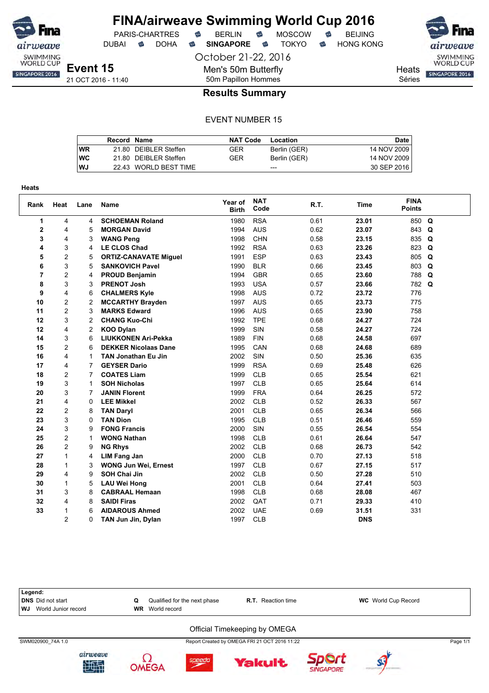

DUBAI **S** DOHA S SINGAPORE S TOKYO S HONG KONG

October 21-22, 2016

Men's 50m Butterfly

SWIMMING<br>WORLD CUP **Heats** SINGAPORE 2016

Séries

50m Papillon Hommes **Results Summary**

|           | Record Name |                       | <b>NAT Code</b> | Location     | Date        |
|-----------|-------------|-----------------------|-----------------|--------------|-------------|
| <b>WR</b> |             | 21.80 DEIBLER Steffen | GER             | Berlin (GER) | 14 NOV 2009 |
| <b>WC</b> |             | 21.80 DEIBLER Steffen | GER             | Berlin (GER) | 14 NOV 2009 |
| WJ        |             | 22.43 WORLD BEST TIME |                 | $---$        | 30 SEP 2016 |

| <b>Heats</b>            |                |                |                              |                         |                    |      |             |                              |          |
|-------------------------|----------------|----------------|------------------------------|-------------------------|--------------------|------|-------------|------------------------------|----------|
| Rank                    | Heat           | Lane           | <b>Name</b>                  | Year of<br><b>Birth</b> | <b>NAT</b><br>Code | R.T. | <b>Time</b> | <b>FINA</b><br><b>Points</b> |          |
| 1                       | 4              | 4              | <b>SCHOEMAN Roland</b>       | 1980                    | <b>RSA</b>         | 0.61 | 23.01       | 850                          | Q        |
| $\overline{\mathbf{2}}$ | 4              | 5              | <b>MORGAN David</b>          | 1994                    | <b>AUS</b>         | 0.62 | 23.07       | 843                          | Q        |
| 3                       | 4              | 3              | <b>WANG Peng</b>             | 1998                    | CHN                | 0.58 | 23.15       | 835                          | Q        |
| 4                       | 3              | 4              | <b>LE CLOS Chad</b>          | 1992                    | <b>RSA</b>         | 0.63 | 23.26       | 823                          | Q        |
| 5                       | $\overline{c}$ | 5              | <b>ORTIZ-CANAVATE Miguel</b> | 1991                    | <b>ESP</b>         | 0.63 | 23.43       | 805                          | Q        |
| 6                       | 3              | 5              | <b>SANKOVICH Pavel</b>       | 1990                    | <b>BLR</b>         | 0.66 | 23.45       | 803                          | Q        |
| $\overline{7}$          | 2              | 4              | <b>PROUD Benjamin</b>        | 1994                    | <b>GBR</b>         | 0.65 | 23.60       | 788                          | Q        |
| 8                       | 3              | 3              | <b>PRENOT Josh</b>           | 1993                    | <b>USA</b>         | 0.57 | 23.66       | 782                          | $\Omega$ |
| 9                       | 4              | 6              | <b>CHALMERS Kyle</b>         | 1998                    | <b>AUS</b>         | 0.72 | 23.72       | 776                          |          |
| 10                      | $\overline{c}$ | $\overline{c}$ | <b>MCCARTHY Brayden</b>      | 1997                    | <b>AUS</b>         | 0.65 | 23.73       | 775                          |          |
| 11                      | 2              | 3              | <b>MARKS Edward</b>          | 1996                    | <b>AUS</b>         | 0.65 | 23.90       | 758                          |          |
| 12                      | 3              | $\overline{2}$ | <b>CHANG Kuo-Chi</b>         | 1992                    | <b>TPE</b>         | 0.68 | 24.27       | 724                          |          |
| 12                      | 4              | $\overline{c}$ | <b>KOO Dylan</b>             | 1999                    | SIN                | 0.58 | 24.27       | 724                          |          |
| 14                      | 3              | 6              | <b>LIUKKONEN Ari-Pekka</b>   | 1989                    | <b>FIN</b>         | 0.68 | 24.58       | 697                          |          |
| 15                      | $\overline{c}$ | 6              | <b>DEKKER Nicolaas Dane</b>  | 1995                    | CAN                | 0.68 | 24.68       | 689                          |          |
| 16                      | 4              | 1              | <b>TAN Jonathan Eu Jin</b>   | 2002                    | SIN                | 0.50 | 25.36       | 635                          |          |
| 17                      | 4              | $\overline{7}$ | <b>GEYSER Dario</b>          | 1999                    | <b>RSA</b>         | 0.69 | 25.48       | 626                          |          |
| 18                      | $\overline{c}$ | $\overline{7}$ | <b>COATES Liam</b>           | 1999                    | <b>CLB</b>         | 0.65 | 25.54       | 621                          |          |
| 19                      | 3              | 1              | <b>SOH Nicholas</b>          | 1997                    | <b>CLB</b>         | 0.65 | 25.64       | 614                          |          |
| 20                      | 3              | 7              | <b>JANIN Florent</b>         | 1999                    | <b>FRA</b>         | 0.64 | 26.25       | 572                          |          |
| 21                      | 4              | 0              | <b>LEE Mikkel</b>            | 2002                    | <b>CLB</b>         | 0.52 | 26.33       | 567                          |          |
| 22                      | 2              | 8              | <b>TAN Daryl</b>             | 2001                    | <b>CLB</b>         | 0.65 | 26.34       | 566                          |          |
| 23                      | 3              | 0              | <b>TAN Dion</b>              | 1995                    | <b>CLB</b>         | 0.51 | 26.46       | 559                          |          |
| 24                      | 3              | 9              | <b>FONG Francis</b>          | 2000                    | SIN                | 0.55 | 26.54       | 554                          |          |
| 25                      | 2              | 1              | <b>WONG Nathan</b>           | 1998                    | <b>CLB</b>         | 0.61 | 26.64       | 547                          |          |
| 26                      | $\overline{c}$ | 9              | <b>NG Rhys</b>               | 2002                    | <b>CLB</b>         | 0.68 | 26.73       | 542                          |          |
| 27                      | $\mathbf{1}$   | 4              | <b>LIM Fang Jan</b>          | 2000                    | <b>CLB</b>         | 0.70 | 27.13       | 518                          |          |
| 28                      | $\mathbf{1}$   | 3              | <b>WONG Jun Wei, Ernest</b>  | 1997                    | <b>CLB</b>         | 0.67 | 27.15       | 517                          |          |
| 29                      | 4              | 9              | <b>SOH Chai Jin</b>          | 2002                    | <b>CLB</b>         | 0.50 | 27.28       | 510                          |          |
| 30                      | $\mathbf{1}$   | 5              | <b>LAU Wei Hong</b>          | 2001                    | <b>CLB</b>         | 0.64 | 27.41       | 503                          |          |
| 31                      | 3              | 8              | <b>CABRAAL Hemaan</b>        | 1998                    | <b>CLB</b>         | 0.68 | 28.08       | 467                          |          |
| 32                      | 4              | 8              | <b>SAIDI Firas</b>           | 2002                    | QAT                | 0.71 | 29.33       | 410                          |          |
| 33                      | 1              | 6              | <b>AIDAROUS Ahmed</b>        | 2002                    | <b>UAE</b>         | 0.69 | 31.51       | 331                          |          |
|                         | $\overline{2}$ | 0              | TAN Jun Jin, Dylan           | 1997                    | CLB                |      | <b>DNS</b>  |                              |          |











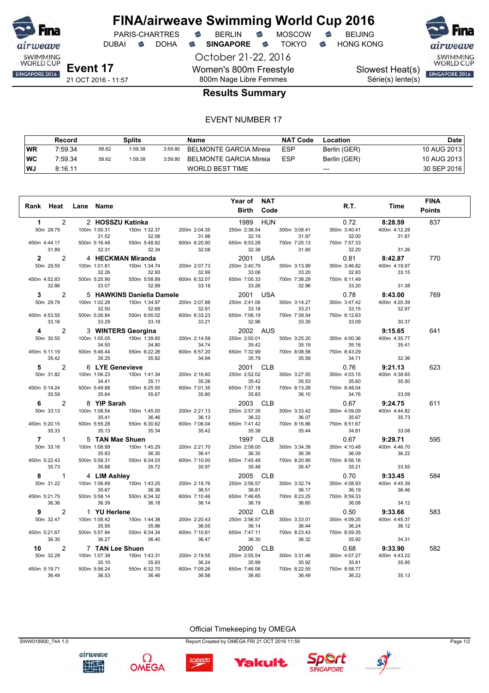

DUBAI **S** DOHA S SINGAPORE S TOKYO S HONG KONG

October 21-22, 2016 Women's 800m Freestyle 800m Nage Libre Femmes

PARIS-CHARTRES **B** BERLIN **B** MOSCOW **B** BEIJING

Série(s) lente(s)

SWIMMING<br>WORLD CUP Slowest Heat(s) SINGAPORE 2016

### **Results Summary**

#### EVENT NUMBER 17

|           | Record  |       | Splits  |         | Name                   | <b>NAT Code</b> | Location     | <b>Date</b> |
|-----------|---------|-------|---------|---------|------------------------|-----------------|--------------|-------------|
| WR        | 7:59.34 | 58.62 | 1:59.38 | 3:59.80 | BELMONTE GARCIA Mireia | <b>ESP</b>      | Berlin (GER) | 10 AUG 2013 |
| <b>WC</b> | 7:59.34 | 58.62 | 1:59.38 | 3:59.80 | BELMONTE GARCIA Mireia | <b>ESP</b>      | Berlin (GER) | 10 AUG 2013 |
| WJ        | 8:16.11 |       |         |         | WORLD BEST TIME        |                 | $---$        | 30 SEP 2016 |

|              |                |           |                       |                           |                       | Year of NAT           |                       |                       |                       | <b>FINA</b>   |
|--------------|----------------|-----------|-----------------------|---------------------------|-----------------------|-----------------------|-----------------------|-----------------------|-----------------------|---------------|
|              | Rank Heat      | Lane Name |                       |                           |                       | <b>Birth</b>          | Code                  | R.T.                  | Time                  | <b>Points</b> |
|              |                |           |                       |                           |                       |                       |                       |                       |                       |               |
| $\mathbf 1$  | 2              |           |                       | 2 HOSSZU Katinka          |                       | 1989                  | <b>HUN</b>            | 0.72                  | 8:28.59               | 837           |
|              | 50m 28.79      |           | 100m 1:00.31          | 150m 1:32.37              | 200m 2:04.35          | 250m 2:36.54          | 300m 3:08.41          | 350m 3:40.41          | 400m 4:12.28          |               |
|              |                |           | 31.52                 | 32.06                     | 31.98                 | 32.19                 | 31.87                 | 32.00                 | 31.87                 |               |
| 450m 4:44.17 |                |           | 500m 5:16.48          | 550m 5:48.82              | 600m 6:20.90          | 650m 6:53.28          | 700m 7:25.13          | 750m 7:57.33          |                       |               |
|              | 31.89          |           | 32.31                 | 32.34                     | 32.08                 | 32.38                 | 31.85                 | 32.20                 | 31.26                 |               |
| $\mathbf{2}$ | 2              |           |                       | 4 HECKMAN Miranda         |                       | 2001 USA              |                       | 0.81                  | 8:42.87               | 770           |
|              | 50m 29.55      |           | 100m 1:01.81          | 150m 1:34.74              | 200m 2:07.73          | 250m 2:40.79          | 300m 3:13.99          | 350m 3:46.82          | 400m 4:19.97          |               |
|              |                |           | 32.26                 | 32.93                     | 32.99                 | 33.06                 | 33.20                 | 32.83                 | 33.15                 |               |
| 450m 4:52.83 |                |           | 500m 5:25.90          | 550m 5:58.89              | 600m 6:32.07          | 650m 7:05.33          | 700m 7:38.29          | 750m 8:11.49          |                       |               |
|              | 32.86          |           | 33.07                 | 32.99                     | 33.18                 | 33.26                 | 32.96                 | 33.20                 | 31.38                 |               |
| 3            | 2              |           |                       | 5 HAWKINS Daniella Damele |                       | 2001 USA              |                       | 0.78                  | 8:43.00               | 769           |
|              | 50m 29.78      |           | 100m 1:02.28          | 150m 1:34.97              | 200m 2:07.88          | 250m 2:41.06          | 300m 3:14.27          | 350m 3:47.42          | 400m 4:20.39          |               |
|              |                |           | 32.50                 | 32.69                     | 32.91                 | 33.18                 | 33.21                 | 33.15                 | 32.97                 |               |
| 450m 4:53.55 |                |           | 500m 5:26.84          | 550m 6:00.02              | 600m 6:33.23          | 650m 7:06.19          | 700m 7:39.54          | 750m 8:12.63          |                       |               |
|              | 33.16          |           | 33.29                 | 33.18                     | 33.21                 | 32.96                 | 33.35                 | 33.09                 | 30.37                 |               |
| 4            | 2              |           |                       | 3 WINTERS Georgina        |                       | 2002 AUS              |                       |                       | 9:15.65               | 641           |
|              | 50m 30.55      |           | 100m 1:05.05          | 150m 1:39.85              | 200m 2:14.59          | 250m 2:50.01          | 300m 3:25.20          | 350m 4:00.36          | 400m 4:35.77          |               |
|              |                |           | 34.50                 | 34.80                     | 34.74                 | 35.42                 | 35.19                 | 35.16                 | 35.41                 |               |
| 450m 5:11.19 |                |           | 500m 5:46.44          | 550m 6:22.26              | 600m 6:57.20          | 650m 7:32.99          | 700m 8:08.58          | 750m 8:43.29          |                       |               |
|              | 35.42          |           | 35.25                 | 35.82                     | 34.94                 | 35.79                 | 35.59                 | 34.71                 | 32.36                 |               |
| 5            | 2              |           |                       | 6 LYE Genevieve           |                       | 2001 CLB              |                       | 0.76                  | 9:21.13               | 623           |
|              | 50m 31.82      |           | 100m 1:06.23          | 150m 1:41.34              | 200m 2:16.60          | 250m 2:52.02          | 300m 3:27.55          | 350m 4:03.15          | 400m 4:38.65          |               |
|              |                |           | 34.41                 | 35.11                     | 35.26                 | 35.42                 | 35.53                 | 35.60                 | 35.50                 |               |
| 450m 5:14.24 | 35.59          |           | 500m 5:49.88<br>35.64 | 550m 6:25.55<br>35.67     | 600m 7:01.35<br>35.80 | 650m 7:37.18<br>35.83 | 700m 8:13.28<br>36.10 | 750m 8:48.04<br>34.76 | 33.09                 |               |
|              |                |           |                       |                           |                       |                       |                       |                       |                       |               |
| 6.           | 2              |           | 8 YIP Sarah           |                           |                       | 2003 CLB              |                       | 0.67                  | 9:24.75               | 611           |
|              | 50m 33.13      |           | 100m 1:08.54          | 150m 1:45.00              | 200m 2:21.13          | 250m 2:57.35          | 300m 3:33.42          | 350m 4:09.09          | 400m 4:44.82          |               |
| 450m 5:20.15 |                |           | 35.41<br>500m 5:55.28 | 36.46<br>550m 6:30.62     | 36.13<br>600m 7:06.04 | 36.22<br>650m 7:41.42 | 36.07<br>700m 8:16.86 | 35.67<br>750m 8:51.67 | 35.73                 |               |
|              | 35.33          |           | 35.13                 | 35.34                     | 35.42                 | 35.38                 | 35.44                 | 34.81                 | 33.08                 |               |
|              | $7 \quad \Box$ |           |                       |                           |                       |                       |                       |                       |                       |               |
|              | $\mathbf{1}$   |           |                       | 5 TAN Mae Shuen           |                       | 1997 CLB              |                       | 0.67                  | 9:29.71               | 595           |
|              | 50m 33.16      |           | 100m 1:08.99<br>35.83 | 150m 1:45.29<br>36.30     | 200m 2:21.70<br>36.41 | 250m 2:58.00<br>36.30 | 300m 3:34.39<br>36.39 | 350m 4:10.48<br>36.09 | 400m 4:46.70<br>36.22 |               |
| 450m 5:22.43 |                |           | 500m 5:58.31          | 550m 6:34.03              | 600m 7:10.00          | 650m 7:45.48          | 700m 8:20.95          | 750m 8:56.16          |                       |               |
|              | 35.73          |           | 35.88                 | 35.72                     | 35.97                 | 35.48                 | 35.47                 | 35.21                 | 33.55                 |               |
| 8            | $\mathbf{1}$   |           | 4 LIM Ashley          |                           |                       | 2005 CLB              |                       | 0.70                  | 9:33.45               | 584           |
|              | 50m 31.22      |           | 100m 1:06.89          | 150m 1:43.25              | 200m 2:19.76          | 250m 2:56.57          | 300m 3:32.74          | 350m 4:08.93          | 400m 4:45.39          |               |
|              |                |           | 35.67                 | 36.36                     | 36.51                 | 36.81                 | 36.17                 | 36.19                 | 36.46                 |               |
| 450m 5:21.75 |                |           | 500m 5:58.14          | 550m 6:34.32              | 600m 7:10.46          | 650m 7:46.65          | 700m 8:23.25          | 750m 8:59.33          |                       |               |
|              | 36.36          |           | 36.39                 | 36.18                     | 36.14                 | 36.19                 | 36.60                 | 36.08                 | 34.12                 |               |
| 9            | $\overline{2}$ |           | 1 YU Herlene          |                           |                       | 2002 CLB              |                       | 0.50                  | 9:33.66               | 583           |
|              | 50m 32.47      |           | 100m 1:08.42          | 150m 1:44.38              | 200m 2:20.43          | 250m 2:56.57          | 300m 3:33.01          | 350m 4:09.25          | 400m 4:45.37          |               |
|              |                |           | 35.95                 | 35.96                     | 36.05                 | 36.14                 | 36.44                 | 36.24                 | 36.12                 |               |
| 450m 5:21.67 |                |           | 500m 5:57.94          | 550m 6:34.34              | 600m 7:10.81          | 650m 7:47.11          | 700m 8:23.43          | 750m 8:59.35          |                       |               |
|              | 36.30          |           | 36.27                 | 36.40                     | 36.47                 | 36.30                 | 36.32                 | 35.92                 | 34.31                 |               |
|              | 2<br>10 —      |           |                       | 7 TAN Lee Shuen           |                       | 2000 CLB              |                       | 0.68                  | 9:33.90               | 582           |
|              | 50m 32.28      |           | 100m 1:07.38          | 150m 1:43.31              | 200m 2:19.55          | 250m 2:55.54          | 300m 3:31.46          | 350m 4:07.27          | 400m 4:43.22          |               |
|              |                |           | 35.10                 | 35.93                     | 36.24                 | 35.99                 | 35.92                 | 35.81                 | 35.95                 |               |
| 450m 5:19.71 |                |           | 500m 5:56.24          | 550m 6:32.70              | 600m 7:09.26          | 650m 7:46.06          | 700m 8:22.55          | 750m 8:58.77          |                       |               |
|              | 36.49          |           | 36.53                 | 36.46                     | 36.56                 | 36.80                 | 36.49                 | 36.22                 | 35.13                 |               |

SWW018900\_74A 1.0 Report Created by OMEGA FRI 21 OCT 2016 11:59 Page 1/2

Official Timekeeping by OMEGA

Ω **OMEGA** 

airweave

地型



**Yakult.** 

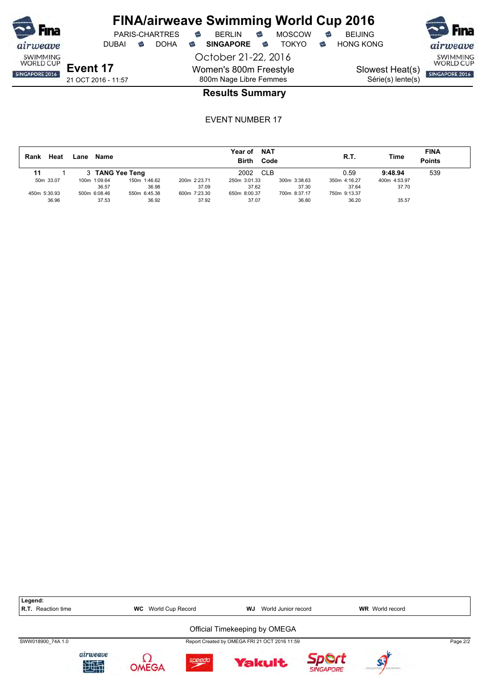



Slowest Heat(s) Série(s) lente(s)

### **Results Summary**

| Heat<br>Rank | Name<br>Lane    |              |              | <b>NAT</b><br>Year of<br><b>Birth</b><br>Code |              | R.T.         | Time         | <b>FINA</b><br>Points |
|--------------|-----------------|--------------|--------------|-----------------------------------------------|--------------|--------------|--------------|-----------------------|
| 11           | 3 TANG Yee Teng |              |              | 2002<br><b>CLB</b>                            |              | 0.59         | 9:48.94      | 539                   |
| 50m 33.07    | 100m 1:09.64    | 150m 1:46.62 | 200m 2:23.71 | 250m 3:01.33                                  | 300m 3:38.63 | 350m 4:16.27 | 400m 4:53.97 |                       |
|              | 36.57           | 36.98        | 37.09        | 37.62                                         | 37.30        | 37.64        | 37.70        |                       |
| 450m 5:30.93 | 500m 6:08.46    | 550m 6:45.38 | 600m 7:23.30 | 650m 8:00.37                                  | 700m 8:37.17 | 750m 9:13.37 |              |                       |
| 36.96        | 37.53           | 36.92        | 37.92        | 37.07                                         | 36.80        | 36.20        | 35.57        |                       |

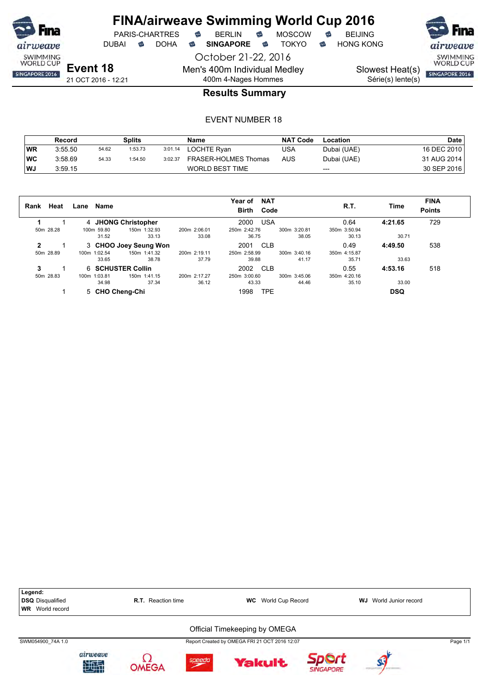

October 21-22, 2016 Men's 400m Individual Medley 400m 4-Nages Hommes



SWIMMING<br>WORLD CUP Slowest Heat(s)

Série(s) lente(s)

SINGAPORE 2016

21 OCT 2016 - 12:21

### **Results Summary**

|           | Record  |       | Splits  |         | Name                 | <b>NAT Code</b> | Location    | Date        |
|-----------|---------|-------|---------|---------|----------------------|-----------------|-------------|-------------|
| WR        | 3:55.50 | 54.62 | 1:53.73 | 3:01.14 | LOCHTE Ryan          | USA             | Dubai (UAE) | 16 DEC 2010 |
| <b>WC</b> | 3:58.69 | 54.33 | 1:54.50 | 3:02.37 | FRASER-HOLMES Thomas | <b>AUS</b>      | Dubai (UAE) | 31 AUG 2014 |
| WJ        | 3:59.15 |       |         |         | WORLD BEST TIME      |                 | $---$       | 30 SEP 2016 |

| Rank | Heat      | Name<br>Lane |                       |              | <b>NAT</b><br>Year of<br><b>Birth</b><br>Code |              | R.T.         | Time       | <b>FINA</b><br><b>Points</b> |
|------|-----------|--------------|-----------------------|--------------|-----------------------------------------------|--------------|--------------|------------|------------------------------|
|      |           |              | 4 JHONG Christopher   |              | <b>USA</b><br>2000                            |              | 0.64         | 4:21.65    | 729                          |
|      | 50m 28.28 | 100m 59.80   | 150m 1:32.93          | 200m 2:06.01 | 250m 2:42.76                                  | 300m 3:20.81 | 350m 3:50.94 |            |                              |
|      |           | 31.52        | 33.13                 | 33.08        | 36.75                                         | 38.05        | 30.13        | 30.71      |                              |
| 2    |           |              | 3 CHOO Joey Seung Won |              | CLB<br>2001                                   |              | 0.49         | 4:49.50    | 538                          |
|      | 50m 28.89 | 100m 1:02.54 | 150m 1:41.32          | 200m 2:19.11 | 250m 2:58.99                                  | 300m 3:40.16 | 350m 4:15.87 |            |                              |
|      |           | 33.65        | 38.78                 | 37.79        | 39.88                                         | 41.17        | 35.71        | 33.63      |                              |
| 3    |           |              | 6 SCHUSTER Collin     |              | 2002<br><b>CLB</b>                            |              | 0.55         | 4:53.16    | 518                          |
|      | 50m 28.83 | 100m 1:03.81 | 150m 1:41.15          | 200m 2:17.27 | 250m 3:00.60                                  | 300m 3:45.06 | 350m 4:20.16 |            |                              |
|      |           | 34.98        | 37.34                 | 36.12        | 43.33                                         | 44.46        | 35.10        | 33.00      |                              |
|      |           |              | 5 CHO Cheng-Chi       |              | TPE<br>1998                                   |              |              | <b>DSQ</b> |                              |

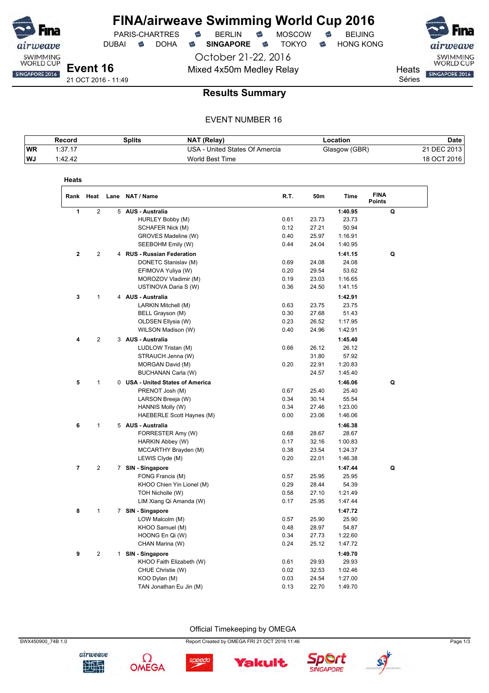

DUBAI **S** DOHA S SINGAPORE S TOKYO S HONG KONG

PARIS-CHARTRES **B** BERLIN **B** MOSCOW **B** BEIJING

October 21-22, 2016 Mixed 4x50m Medley Relay Mixed 4x50m Medley Relay

Séries

SWIMMING<br>WORLD CUP SINGAPORE 2016

21 OCT 2016 - 11:49

### **Results Summary**

### EVENT NUMBER 16

|           | Record  | Splits | NAT (Relay)                    | Location      | Date        |
|-----------|---------|--------|--------------------------------|---------------|-------------|
| <b>WR</b> | 1:37.17 |        | USA - United States Of Amercia | Glasgow (GBR) | 21 DEC 2013 |
| <b>WJ</b> | 1:42.42 |        | World Best Time                |               | 18 OCT 2016 |

| Heats          |                |   |                                  |      |       |         |                              |
|----------------|----------------|---|----------------------------------|------|-------|---------|------------------------------|
| Rank           | Heat           |   | Lane NAT / Name                  | R.T. | 50m   | Time    | <b>FINA</b><br><b>Points</b> |
| 1              | $\overline{2}$ | 5 | <b>AUS - Australia</b>           |      |       | 1:40.95 | Q                            |
|                |                |   | HURLEY Bobby (M)                 | 0.61 | 23.73 | 23.73   |                              |
|                |                |   | SCHAFER Nick (M)                 | 0.12 | 27.21 | 50.94   |                              |
|                |                |   | GROVES Madeline (W)              | 0.40 | 25.97 | 1:16.91 |                              |
|                |                |   | SEEBOHM Emily (W)                | 0.44 | 24.04 | 1:40.95 |                              |
| $\mathbf{2}$   | $\overline{2}$ |   | 4 RUS - Russian Federation       |      |       | 1:41.15 | Q                            |
|                |                |   | DONETC Stanislav (M)             | 0.69 | 24.08 | 24.08   |                              |
|                |                |   | EFIMOVA Yuliya (W)               | 0.20 | 29.54 | 53.62   |                              |
|                |                |   | MOROZOV Vladimir (M)             | 0.19 | 23.03 | 1:16.65 |                              |
|                |                |   | USTINOVA Daria S (W)             | 0.36 | 24.50 | 1:41.15 |                              |
| $\mathbf 3$    | 1              |   | 4 AUS - Australia                |      |       | 1:42.91 |                              |
|                |                |   | LARKIN Mitchell (M)              | 0.63 | 23.75 | 23.75   |                              |
|                |                |   | BELL Grayson (M)                 | 0.30 | 27.68 | 51.43   |                              |
|                |                |   | OLDSEN Ellysia (W)               | 0.23 | 26.52 | 1:17.95 |                              |
|                |                |   | WILSON Madison (W)               | 0.40 | 24.96 | 1:42.91 |                              |
| 4              | $\overline{2}$ |   | 3 AUS - Australia                |      |       | 1:45.40 |                              |
|                |                |   | LUDLOW Tristan (M)               | 0.66 | 26.12 | 26.12   |                              |
|                |                |   | STRAUCH Jenna (W)                |      | 31.80 | 57.92   |                              |
|                |                |   | MORGAN David (M)                 | 0.20 | 22.91 | 1:20.83 |                              |
|                |                |   | BUCHANAN Carla (W)               |      | 24.57 | 1:45.40 |                              |
| 5              | 1              |   | 0 USA - United States of America |      |       | 1:46.06 | Q                            |
|                |                |   | PRENOT Josh (M)                  | 0.67 | 25.40 | 25.40   |                              |
|                |                |   | LARSON Breeja (W)                | 0.34 | 30.14 | 55.54   |                              |
|                |                |   | HANNIS Molly (W)                 | 0.34 | 27.46 | 1:23.00 |                              |
|                |                |   | HAEBERLE Scott Haynes (M)        | 0.00 | 23.06 | 1:46.06 |                              |
| 6              | 1              |   | 5 AUS - Australia                |      |       | 1:46.38 |                              |
|                |                |   | FORRESTER Amy (W)                | 0.68 | 28.67 | 28.67   |                              |
|                |                |   | HARKIN Abbey (W)                 | 0.17 | 32.16 | 1:00.83 |                              |
|                |                |   | MCCARTHY Brayden (M)             | 0.38 | 23.54 | 1:24.37 |                              |
|                |                |   | LEWIS Clyde (M)                  | 0.20 | 22.01 | 1:46.38 |                              |
| $\overline{7}$ | $\overline{c}$ |   | 7 SIN - Singapore                |      |       | 1:47.44 | Q                            |
|                |                |   | FONG Francis (M)                 | 0.57 | 25.95 | 25.95   |                              |
|                |                |   | KHOO Chien Yin Lionel (M)        | 0.29 | 28.44 | 54.39   |                              |
|                |                |   | TOH Nicholle (W)                 | 0.58 | 27.10 | 1:21.49 |                              |
|                |                |   | LIM Xiang Qi Amanda (W)          | 0.17 | 25.95 | 1:47.44 |                              |
| 8              | 1              |   | 7 SIN - Singapore                |      |       | 1:47.72 |                              |
|                |                |   | LOW Malcolm (M)                  | 0.57 | 25.90 | 25.90   |                              |
|                |                |   | KHOO Samuel (M)                  | 0.48 | 28.97 | 54.87   |                              |
|                |                |   | HOONG En Qi (W)                  | 0.34 | 27.73 | 1:22.60 |                              |
|                |                |   | CHAN Marina (W)                  | 0.24 | 25.12 | 1:47.72 |                              |
| 9              | 2              |   | 1 SIN - Singapore                |      |       | 1:49.70 |                              |
|                |                |   | KHOO Faith Elizabeth (W)         | 0.61 | 29.93 | 29.93   |                              |
|                |                |   | CHUE Christie (W)                | 0.02 | 32.53 | 1:02.46 |                              |
|                |                |   | KOO Dylan (M)                    | 0.03 | 24.54 | 1:27.00 |                              |
|                |                |   | TAN Jonathan Eu Jin (M)          | 0.13 | 22.70 | 1:49.70 |                              |

Official Timekeeping by OMEGA







SWX450900\_74B 1.0 Page 1/3

**Yakult** 





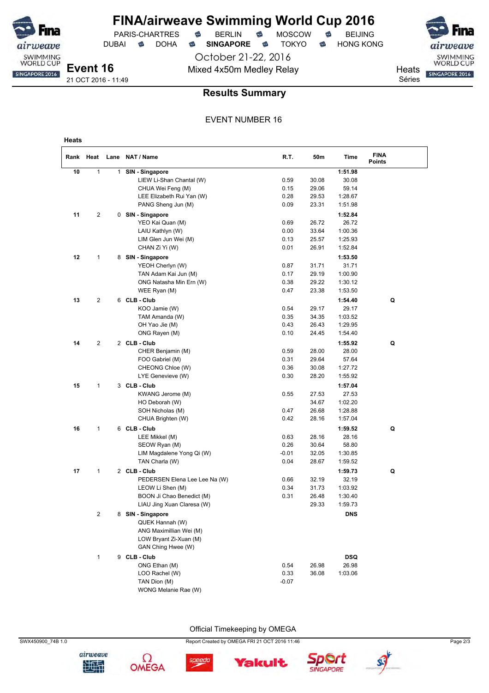> October 21-22, 2016 Mixed 4x50m Medley Relay Mixed 4x50m Medley Relay

DUBAI **S** DOHA S SINGAPORE S TOKYO S HONG KONG



**Event 16** 21 OCT 2016 - 11:49

weave SWIMMING<br>WORLD CUP

SINGAPORE 2016

### **Results Summary**

#### EVENT NUMBER 16

| Heats |                |              |                                             |                 |                |                    |                              |
|-------|----------------|--------------|---------------------------------------------|-----------------|----------------|--------------------|------------------------------|
|       | Rank Heat      |              | Lane NAT / Name                             | R.T.            | 50m            | Time               | <b>FINA</b><br><b>Points</b> |
| 10    | 1              | $\mathbf{1}$ | SIN - Singapore                             |                 |                | 1:51.98            |                              |
|       |                |              | LIEW Li-Shan Chantal (W)                    | 0.59            | 30.08          | 30.08              |                              |
|       |                |              | CHUA Wei Feng (M)                           | 0.15            | 29.06          | 59.14              |                              |
|       |                |              | LEE Elizabeth Rui Yan (W)                   | 0.28            | 29.53          | 1:28.67            |                              |
|       |                |              | PANG Sheng Jun (M)                          | 0.09            | 23.31          | 1:51.98            |                              |
| 11    | 2              |              | 0 SIN - Singapore                           |                 |                | 1:52.84            |                              |
|       |                |              | YEO Kai Quan (M)                            | 0.69            | 26.72          | 26.72              |                              |
|       |                |              | LAIU Kathlyn (W)                            | 0.00            | 33.64          | 1:00.36            |                              |
|       |                |              | LIM Glen Jun Wei (M)                        | 0.13            | 25.57          | 1:25.93            |                              |
|       |                |              | CHAN Zi Yi (W)                              | 0.01            | 26.91          | 1:52.84            |                              |
| 12    | $\mathbf{1}$   | 8            | SIN - Singapore                             |                 |                | 1:53.50            |                              |
|       |                |              | YEOH Cherlyn (W)                            | 0.87            | 31.71          | 31.71              |                              |
|       |                |              | TAN Adam Kai Jun (M)                        | 0.17            | 29.19          | 1:00.90            |                              |
|       |                |              | ONG Natasha Min Ern (W)                     | 0.38            | 29.22          | 1:30.12            |                              |
|       |                |              | WEE Ryan (M)                                | 0.47            | 23.38          | 1:53.50            |                              |
| 13    | 2              |              | 6 CLB - Club                                |                 |                | 1:54.40            | Q                            |
|       |                |              | KOO Jamie (W)                               | 0.54            | 29.17          | 29.17              |                              |
|       |                |              | TAM Amanda (W)                              | 0.35            | 34.35          | 1:03.52            |                              |
|       |                |              | OH Yao Jie (M)                              | 0.43            | 26.43          | 1:29.95            |                              |
|       |                |              | ONG Rayen (M)                               | 0.10            | 24.45          | 1:54.40            |                              |
| 14    | 2              |              | 2 CLB - Club                                |                 |                | 1:55.92            | Q                            |
|       |                |              | CHER Benjamin (M)                           | 0.59            | 28.00          | 28.00              |                              |
|       |                |              | FOO Gabriel (M)                             | 0.31            | 29.64          | 57.64              |                              |
|       |                |              | CHEONG Chloe (W)                            | 0.36            | 30.08          | 1:27.72            |                              |
|       |                |              | LYE Genevieve (W)                           | 0.30            | 28.20          | 1:55.92            |                              |
| 15    | $\mathbf{1}$   |              | 3 CLB-Club                                  |                 |                | 1:57.04            |                              |
|       |                |              | KWANG Jerome (M)                            | 0.55            | 27.53          | 27.53              |                              |
|       |                |              | HO Deborah (W)                              |                 | 34.67          | 1:02.20            |                              |
|       |                |              | SOH Nicholas (M)                            | 0.47            | 26.68          | 1:28.88            |                              |
|       |                |              | CHUA Brighten (W)                           | 0.42            | 28.16          | 1:57.04            |                              |
| 16    | 1              |              | 6 CLB - Club                                |                 |                | 1:59.52            | Q                            |
|       |                |              | LEE Mikkel (M)                              | 0.63            | 28.16          | 28.16              |                              |
|       |                |              | SEOW Ryan (M)                               | 0.26<br>$-0.01$ | 30.64          | 58.80              |                              |
|       |                |              | LIM Magdalene Yong Qi (W)<br>TAN Charla (W) | 0.04            | 32.05<br>28.67 | 1:30.85<br>1:59.52 |                              |
|       |                |              | 2 CLB-Club                                  |                 |                |                    |                              |
| 17    | 1              |              | PEDERSEN Elena Lee Lee Na (W)               | 0.66            | 32.19          | 1:59.73<br>32.19   | Q                            |
|       |                |              | LEOW Li Shen (M)                            | 0.34            | 31.73          | 1:03.92            |                              |
|       |                |              | BOON Ji Chao Benedict (M)                   | 0.31            | 26.48          | 1:30.40            |                              |
|       |                |              | LIAU Jing Xuan Claresa (W)                  |                 | 29.33          | 1:59.73            |                              |
|       | $\overline{c}$ |              | 8 SIN - Singapore                           |                 |                | <b>DNS</b>         |                              |
|       |                |              | QUEK Hannah (W)                             |                 |                |                    |                              |
|       |                |              | ANG Maximillian Wei (M)                     |                 |                |                    |                              |
|       |                |              | LOW Bryant Zi-Xuan (M)                      |                 |                |                    |                              |
|       |                |              | GAN Ching Hwee (W)                          |                 |                |                    |                              |
|       | $\mathbf{1}$   |              | 9 CLB - Club                                |                 |                | DSQ                |                              |
|       |                |              | ONG Ethan (M)                               | 0.54            | 26.98          | 26.98              |                              |
|       |                |              | LOO Rachel (W)                              | 0.33            | 36.08          | 1:03.06            |                              |
|       |                |              | TAN Dion (M)                                | $-0.07$         |                |                    |                              |
|       |                |              | WONG Melanie Rae (W)                        |                 |                |                    |                              |

Official Timekeeping by OMEGA





SWX450900\_74B 1.0 Page 2/3

**Yakult** 



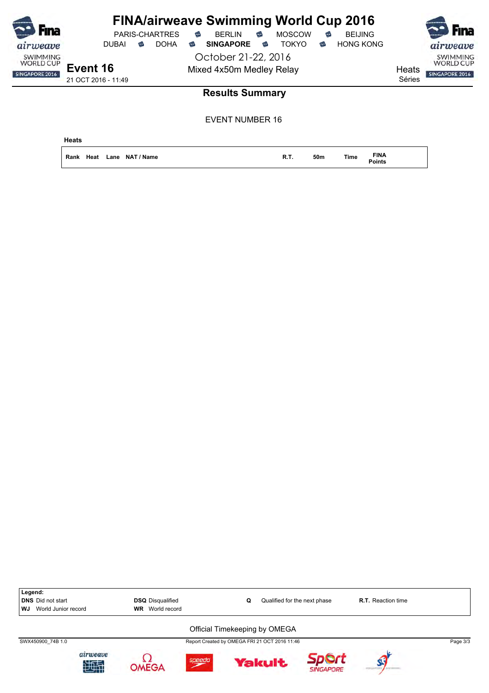| <b>Fina</b>                         |                     |       |   | PARIS-CHARTRES | € | <b>FINA/airweave Swimming World Cup 2016</b><br><b>BERLIN</b> | €          | <b>MOSCOW</b> | $\widehat{\mathbb{C}}$ | <b>BEIJING</b>   |        | <b>Fina</b>                         |
|-------------------------------------|---------------------|-------|---|----------------|---|---------------------------------------------------------------|------------|---------------|------------------------|------------------|--------|-------------------------------------|
| airweave                            |                     | DUBAI | ☜ | <b>DOHA</b>    | ⇔ | <b>SINGAPORE</b>                                              | $\epsilon$ | TOKYO.        | €                      | <b>HONG KONG</b> |        | airweave                            |
| <b>SWIMMING</b><br><b>WORLD CUP</b> |                     |       |   |                |   | October 21-22, 2016                                           |            |               |                        |                  |        | <b>SWIMMING</b><br><b>WORLD CUP</b> |
| SINGAPORE 2016                      | Event 16            |       |   |                |   | Mixed 4x50m Medley Relay                                      |            |               |                        |                  | Heats  | SINGAPORE 2016                      |
|                                     | 21 OCT 2016 - 11:49 |       |   |                |   |                                                               |            |               |                        |                  | Séries |                                     |
|                                     |                     |       |   |                |   | <b>Results Summary</b>                                        |            |               |                        |                  |        |                                     |

| <b>Heats</b>              |             |     |             |                              |
|---------------------------|-------------|-----|-------------|------------------------------|
| Rank Heat Lane NAT / Name | <b>R.T.</b> | 50m | <b>Time</b> | <b>FINA</b><br><b>Points</b> |

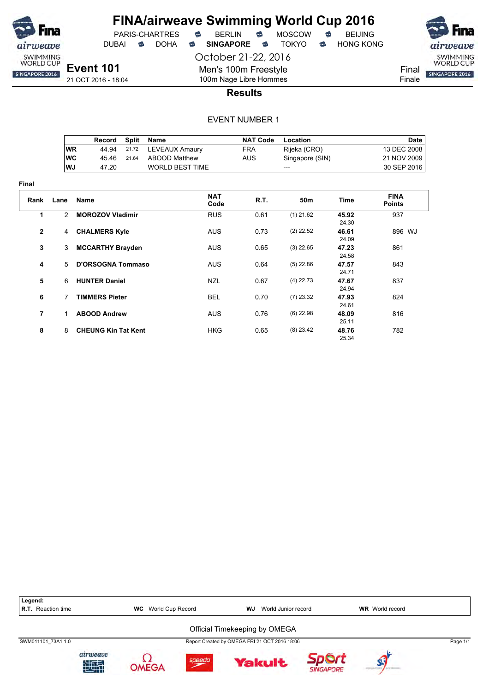

**Final**

# **FINA/airweave Swimming World Cup 2016**

DUBAI **S** DOHA S SINGAPORE S TOKYO S HONG KONG

PARIS-CHARTRES **B** BERLIN **B** MOSCOW **B** BEIJING

October 21-22, 2016

SWIMMING<br>WORLD CUP Final SINGAPORE 2016 Finale

21 OCT 2016 - 18:04

### 100m Nage Libre Hommes **Results**

Men's 100m Freestyle

|                |               | Record                     | <b>Split</b> | Name                  | <b>NAT Code</b> | Location        |                | <b>Date</b>                  |
|----------------|---------------|----------------------------|--------------|-----------------------|-----------------|-----------------|----------------|------------------------------|
|                | <b>WR</b>     | 44.94                      | 21.72        | <b>LEVEAUX Amaury</b> | <b>FRA</b>      | Rijeka (CRO)    |                | 13 DEC 2008                  |
|                | <b>WC</b>     | 45.46                      | 21.64        | <b>ABOOD Matthew</b>  | <b>AUS</b>      | Singapore (SIN) |                | 21 NOV 2009                  |
|                | WJ            | 47.20                      |              | WORLD BEST TIME       |                 | ---             |                | 30 SEP 2016                  |
| ıal            |               |                            |              |                       |                 |                 |                |                              |
| Rank           | Lane          | Name                       |              | <b>NAT</b><br>Code    | R.T.            | 50m             | Time           | <b>FINA</b><br><b>Points</b> |
| 1              | $\mathcal{P}$ | <b>MOROZOV Vladimir</b>    |              | <b>RUS</b>            | 0.61            | $(1)$ 21.62     | 45.92<br>24.30 | 937                          |
| $\overline{2}$ | 4             | <b>CHALMERS Kyle</b>       |              | <b>AUS</b>            | 0.73            | $(2)$ 22.52     | 46.61<br>24.09 | 896 WJ                       |
| 3              | 3             | <b>MCCARTHY Brayden</b>    |              | <b>AUS</b>            | 0.65            | $(3)$ 22.65     | 47.23<br>24.58 | 861                          |
| 4              | 5             | <b>D'ORSOGNA Tommaso</b>   |              | <b>AUS</b>            | 0.64            | $(5)$ 22.86     | 47.57<br>24.71 | 843                          |
| 5              | 6             | <b>HUNTER Daniel</b>       |              | <b>NZL</b>            | 0.67            | $(4)$ 22.73     | 47.67<br>24.94 | 837                          |
| 6              | 7             | <b>TIMMERS Pieter</b>      |              | <b>BEL</b>            | 0.70            | $(7)$ 23.32     | 47.93<br>24.61 | 824                          |
| $\overline{7}$ | 1             | <b>ABOOD Andrew</b>        |              | <b>AUS</b>            | 0.76            | $(6)$ 22.98     | 48.09<br>25.11 | 816                          |
| 8              | 8             | <b>CHEUNG Kin Tat Kent</b> |              | HKG                   | 0.65            | $(8)$ 23.42     | 48.76<br>25.34 | 782                          |

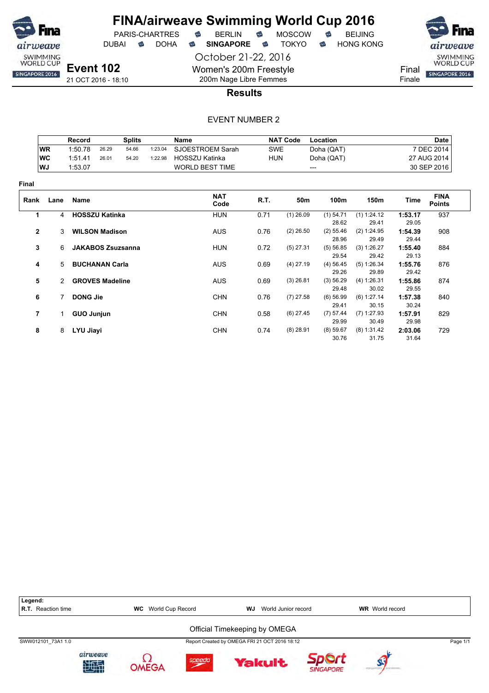

PARIS-CHARTRES **B** BERLIN **B** MOSCOW **B** BEIJING

DUBAI **S** DOHA S SINGAPORE S TOKYO S HONG KONG

October 21-22, 2016 Women's 200m Freestyle

200m Nage Libre Femmes



**Results**

|                |               | Record                 |                          | <b>Splits</b> |         | <b>Name</b>            |            | <b>NAT Code</b> | Location             |                        |                  | <b>Date</b>                  |
|----------------|---------------|------------------------|--------------------------|---------------|---------|------------------------|------------|-----------------|----------------------|------------------------|------------------|------------------------------|
|                | <b>WR</b>     | 1:50.78                | 26.29                    | 54.66         | 1:23.04 | SJOESTROEM Sarah       | <b>SWE</b> |                 | Doha (QAT)           |                        |                  | 7 DEC 2014                   |
|                | <b>WC</b>     | 1:51.41                | 26.01                    | 54.20         | 1:22.98 | <b>HOSSZU Katinka</b>  | <b>HUN</b> |                 | Doha (QAT)           |                        |                  | 27 AUG 2014                  |
|                | WJ            | 1:53.07                |                          |               |         | <b>WORLD BEST TIME</b> |            |                 | ---                  |                        |                  | 30 SEP 2016                  |
| Final          |               |                        |                          |               |         |                        |            |                 |                      |                        |                  |                              |
| Rank           | Lane          | Name                   |                          |               |         | <b>NAT</b><br>Code     | R.T.       | 50m             | 100m                 | 150m                   | Time             | <b>FINA</b><br><b>Points</b> |
| 1              | 4             | <b>HOSSZU Katinka</b>  |                          |               |         | <b>HUN</b>             | 0.71       | $(1)$ 26.09     | $(1)$ 54.71          | (1) 1:24.12            | 1:53.17          | 937                          |
|                |               |                        |                          |               |         |                        |            |                 | 28.62                | 29.41                  | 29.05            |                              |
| $\mathbf{2}$   | 3             | <b>WILSON Madison</b>  |                          |               |         | <b>AUS</b>             | 0.76       | $(2)$ 26.50     | $(2)$ 55.46<br>28.96 | (2) 1:24.95<br>29.49   | 1:54.39<br>29.44 | 908                          |
| 3              | 6             |                        | <b>JAKABOS Zsuzsanna</b> |               |         | <b>HUN</b>             | 0.72       | $(5)$ 27.31     | (5) 56.85<br>29.54   | (3) 1:26.27<br>29.42   | 1:55.40<br>29.13 | 884                          |
| 4              | $5^{\circ}$   | <b>BUCHANAN Carla</b>  |                          |               |         | <b>AUS</b>             | 0.69       | $(4)$ 27.19     | $(4)$ 56.45<br>29.26 | (5) 1:26.34<br>29.89   | 1:55.76<br>29.42 | 876                          |
| 5              | $\mathcal{P}$ | <b>GROVES Madeline</b> |                          |               |         | <b>AUS</b>             | 0.69       | $(3)$ 26.81     | (3) 56.29<br>29.48   | (4) 1:26.31<br>30.02   | 1:55.86<br>29.55 | 874                          |
| 6              |               | <b>DONG Jie</b>        |                          |               |         | <b>CHN</b>             | 0.76       | $(7)$ 27.58     | $(6)$ 56.99<br>29.41 | (6) 1:27.14<br>30.15   | 1:57.38<br>30.24 | 840                          |
| $\overline{7}$ | 1             | <b>GUO Junjun</b>      |                          |               |         | <b>CHN</b>             | 0.58       | $(6)$ 27.45     | $(7)$ 57.44<br>29.99 | $(7)$ 1:27.93<br>30.49 | 1:57.91<br>29.98 | 829                          |
| 8              | 8             | LYU Jiayi              |                          |               |         | <b>CHN</b>             | 0.74       | $(8)$ 28.91     | $(8)$ 59.67<br>30.76 | (8) 1:31.42<br>31.75   | 2:03.06<br>31.64 | 729                          |

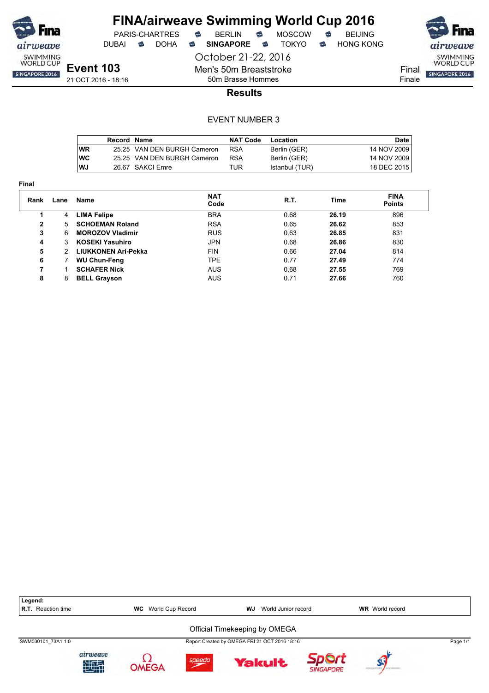

**Final**

# **FINA/airweave Swimming World Cup 2016**

DUBAI **S** DOHA S SINGAPORE S TOKYO S HONG KONG

PARIS-CHARTRES **B** BERLIN **B** MOSCOW **B** BEIJING

October 21-22, 2016

SWIMMING<br>WORLD CUP Final SINGAPORE 2016 Finale

**Event 103** 21 OCT 2016 - 18:16

50m Brasse Hommes **Results**

Men's 50m Breaststroke

|           | Record Name |                             | <b>NAT Code</b> | Location       | Date          |
|-----------|-------------|-----------------------------|-----------------|----------------|---------------|
| <b>WR</b> |             | 25.25 VAN DEN BURGH Cameron | <b>RSA</b>      | Berlin (GER)   | 14 NOV 2009   |
| <b>WC</b> |             | 25.25 VAN DEN BURGH Cameron | <b>RSA</b>      | Berlin (GER)   | 14 NOV 2009 I |
| WJ        |             | 26.67 SAKCI Emre            | TUR             | Istanbul (TUR) | 18 DEC 2015   |

| Rank | Lane | Name                       | <b>NAT</b><br>Code | R.T. | Time  | <b>FINA</b><br><b>Points</b> |
|------|------|----------------------------|--------------------|------|-------|------------------------------|
|      | 4    | <b>LIMA Felipe</b>         | <b>BRA</b>         | 0.68 | 26.19 | 896                          |
| 2    | 5    | <b>SCHOEMAN Roland</b>     | <b>RSA</b>         | 0.65 | 26.62 | 853                          |
| 3    | 6    | <b>MOROZOV Vladimir</b>    | <b>RUS</b>         | 0.63 | 26.85 | 831                          |
| 4    | 3    | <b>KOSEKI Yasuhiro</b>     | <b>JPN</b>         | 0.68 | 26.86 | 830                          |
| 5    |      | <b>LIUKKONEN Ari-Pekka</b> | <b>FIN</b>         | 0.66 | 27.04 | 814                          |
| 6    |      | <b>WU Chun-Feng</b>        | <b>TPE</b>         | 0.77 | 27.49 | 774                          |
| 7    |      | <b>SCHAFER Nick</b>        | <b>AUS</b>         | 0.68 | 27.55 | 769                          |
| 8    | 8    | <b>BELL Grayson</b>        | <b>AUS</b>         | 0.71 | 27.66 | 760                          |

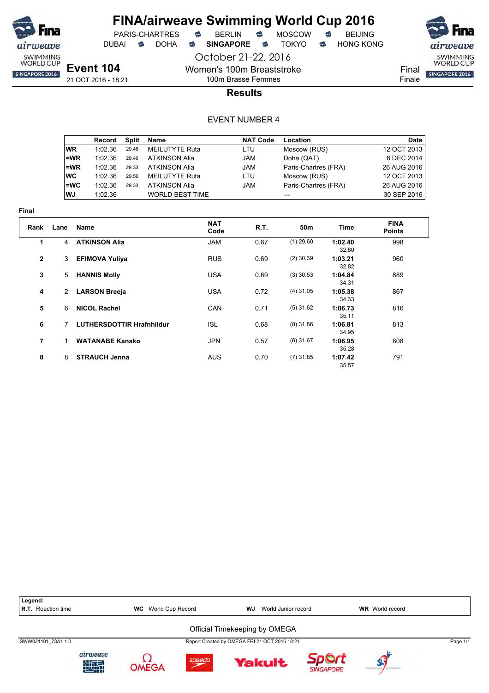

DUBAI **S** DOHA S SINGAPORE S TOKYO S HONG KONG

October 21-22, 2016

SWIMMING<br>WORLD CUP Final SINGAPORE 2016

Finale

21 OCT 2016 - 18:21

### 100m Brasse Femmes **Results**

Women's 100m Breaststroke

|           | Record  | Split | Name                   | <b>NAT Code</b> | Location             | Date        |
|-----------|---------|-------|------------------------|-----------------|----------------------|-------------|
| <b>WR</b> | 1:02.36 | 29.46 | <b>MEILUTYTE Ruta</b>  | LTU             | Moscow (RUS)         | 12 OCT 2013 |
| l=WR      | 1:02.36 | 29.46 | <b>ATKINSON Alia</b>   | <b>JAM</b>      | Doha (QAT)           | 6 DEC 2014  |
| ∣=WR      | 1:02.36 | 29.33 | <b>ATKINSON Alia</b>   | <b>JAM</b>      | Paris-Chartres (FRA) | 26 AUG 2016 |
| ∣wc       | 1:02.36 | 29.56 | <b>MEILUTYTE Ruta</b>  | LTU             | Moscow (RUS)         | 12 OCT 2013 |
| l=WC      | 1:02.36 | 29.33 | <b>ATKINSON Alia</b>   | <b>JAM</b>      | Paris-Chartres (FRA) | 26 AUG 2016 |
| l WJ      | 1:02.36 |       | <b>WORLD BEST TIME</b> |                 |                      | 30 SEP 2016 |

| тнаг         |                |                                  |                    |      |                 |                  |                              |  |
|--------------|----------------|----------------------------------|--------------------|------|-----------------|------------------|------------------------------|--|
| Rank         | Lane           | Name                             | <b>NAT</b><br>Code | R.T. | 50 <sub>m</sub> | Time             | <b>FINA</b><br><b>Points</b> |  |
| 1            | 4              | <b>ATKINSON Alia</b>             | <b>JAM</b>         | 0.67 | $(1)$ 29.60     | 1:02.40<br>32.80 | 998                          |  |
| $\mathbf{2}$ | 3              | <b>EFIMOVA Yuliya</b>            | <b>RUS</b>         | 0.69 | $(2)$ 30.39     | 1:03.21<br>32.82 | 960                          |  |
| 3            | 5              | <b>HANNIS Molly</b>              | <b>USA</b>         | 0.69 | $(3)$ 30.53     | 1:04.84<br>34.31 | 889                          |  |
| 4            | $\overline{2}$ | <b>LARSON Breeja</b>             | <b>USA</b>         | 0.72 | $(4)$ 31.05     | 1:05.38<br>34.33 | 867                          |  |
| 5            | 6              | <b>NICOL Rachel</b>              | <b>CAN</b>         | 0.71 | $(5)$ 31.62     | 1:06.73<br>35.11 | 816                          |  |
| 6            | 7              | <b>LUTHERSDOTTIR Hrafnhildur</b> | <b>ISL</b>         | 0.68 | $(8)$ 31.86     | 1:06.81<br>34.95 | 813                          |  |
| 7            |                | <b>WATANABE Kanako</b>           | <b>JPN</b>         | 0.57 | $(6)$ 31.67     | 1:06.95<br>35.28 | 808                          |  |
| 8            | 8              | <b>STRAUCH Jenna</b>             | <b>AUS</b>         | 0.70 | $(7)$ 31.85     | 1:07.42<br>35.57 | 791                          |  |

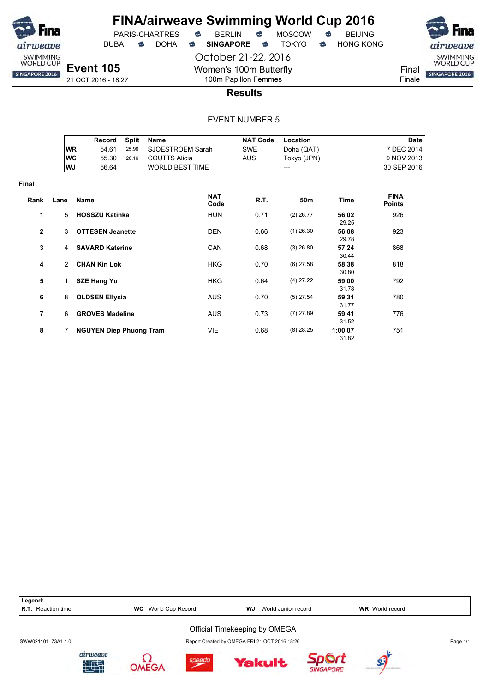

**Final**

### **FINA/airweave Swimming World Cup 2016** PARIS-CHARTRES **B** BERLIN **B** MOSCOW **B** BEIJING

DUBAI **S** DOHA S SINGAPORE S TOKYO S HONG KONG

October 21-22, 2016

Women's 100m Butterfly 100m Papillon Femmes



**Results**

|                |           | Record                         | <b>Split</b> | Name                   |                    | <b>NAT Code</b> | <b>Location</b> |                 | Date                         |
|----------------|-----------|--------------------------------|--------------|------------------------|--------------------|-----------------|-----------------|-----------------|------------------------------|
|                | <b>WR</b> | 54.61                          | 25.96        | SJOESTROEM Sarah       |                    | <b>SWE</b>      | Doha (QAT)      |                 | 7 DEC 2014                   |
|                | <b>WC</b> | 55.30                          | 26.16        | <b>COUTTS Alicia</b>   |                    | <b>AUS</b>      | Tokyo (JPN)     |                 | 9 NOV 2013                   |
|                | WJ        | 56.64                          |              | <b>WORLD BEST TIME</b> |                    |                 | ---             |                 | 30 SEP 2016                  |
| ıal            |           |                                |              |                        |                    |                 |                 |                 |                              |
| Rank           | Lane      | Name                           |              |                        | <b>NAT</b><br>Code | R.T.            | 50m             | Time            | <b>FINA</b><br><b>Points</b> |
| 1              | 5         | <b>HOSSZU Katinka</b>          |              |                        | <b>HUN</b>         | 0.71            | $(2)$ 26.77     | 56.02<br>29.25  | 926                          |
| $\overline{2}$ | 3         | <b>OTTESEN Jeanette</b>        |              |                        | <b>DEN</b>         | 0.66            | $(1)$ 26.30     | 56.08<br>29.78  | 923                          |
| 3              | 4         | <b>SAVARD Katerine</b>         |              |                        | CAN                | 0.68            | $(3)$ 26.80     | 57.24<br>30.44  | 868                          |
| 4              | 2         | <b>CHAN Kin Lok</b>            |              |                        | <b>HKG</b>         | 0.70            | $(6)$ 27.58     | 58.38<br>30.80  | 818                          |
| 5              | 1         | <b>SZE Hang Yu</b>             |              |                        | <b>HKG</b>         | 0.64            | $(4)$ 27.22     | 59.00<br>31.78  | 792                          |
| 6              | 8         | <b>OLDSEN Ellysia</b>          |              |                        | <b>AUS</b>         | 0.70            | $(5)$ 27.54     | 59.31<br>31.77  | 780                          |
| 7              | 6         | <b>GROVES Madeline</b>         |              |                        | <b>AUS</b>         | 0.73            | $(7)$ 27.89     | 59.41<br>31.52  | 776                          |
| 8              | 7         | <b>NGUYEN Diep Phuong Tram</b> |              |                        | VIE                | 0.68            | $(8)$ 28.25     | 1:00.07<br>3182 | 751                          |

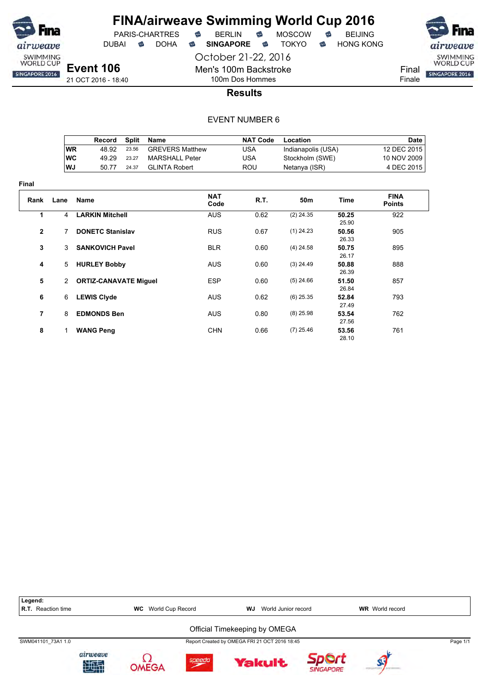

DUBAI **S** DOHA S SINGAPORE S TOKYO S HONG KONG

SWIMMING<br>WORLD CUP Final SINGAPORE 2016 Finale

**Event 106** 21 OCT 2016 - 18:40

Men's 100m Backstroke 100m Dos Hommes

October 21-22, 2016

### **Results**

|     | Record | Split | Name                   | <b>NAT Code</b> | Location           | Date        |
|-----|--------|-------|------------------------|-----------------|--------------------|-------------|
| ∣WR | 48.92  | 23.56 | <b>GREVERS Matthew</b> | USA             | Indianapolis (USA) | 12 DEC 2015 |
| ∣WC | 49.29  | 23.27 | MARSHALL Peter         | USA             | Stockholm (SWE)    | 10 NOV 2009 |
| WJ  | 50 77  | 24.37 | GLINTA Robert          | ROU             | Netanya (ISR)      | 4 DEC 2015  |

| Final          |              |                              |                    |      |                 |                |                              |
|----------------|--------------|------------------------------|--------------------|------|-----------------|----------------|------------------------------|
| Rank           | Lane         | <b>Name</b>                  | <b>NAT</b><br>Code | R.T. | 50 <sub>m</sub> | Time           | <b>FINA</b><br><b>Points</b> |
| 1              | 4            | <b>LARKIN Mitchell</b>       | <b>AUS</b>         | 0.62 | $(2)$ 24.35     | 50.25<br>25.90 | 922                          |
| $\overline{2}$ | 7            | <b>DONETC Stanislav</b>      | <b>RUS</b>         | 0.67 | $(1)$ 24.23     | 50.56<br>26.33 | 905                          |
| 3              | 3            | <b>SANKOVICH Pavel</b>       | <b>BLR</b>         | 0.60 | $(4)$ 24.58     | 50.75<br>26.17 | 895                          |
| 4              | 5            | <b>HURLEY Bobby</b>          | <b>AUS</b>         | 0.60 | $(3)$ 24.49     | 50.88<br>26.39 | 888                          |
| 5              | $\mathbf{2}$ | <b>ORTIZ-CANAVATE Miguel</b> | <b>ESP</b>         | 0.60 | $(5)$ 24.66     | 51.50<br>26.84 | 857                          |
| 6              | 6            | <b>LEWIS Clyde</b>           | <b>AUS</b>         | 0.62 | $(6)$ 25.35     | 52.84<br>27.49 | 793                          |
| 7              | 8            | <b>EDMONDS Ben</b>           | <b>AUS</b>         | 0.80 | $(8)$ 25.98     | 53.54<br>27.56 | 762                          |
| 8              | 1.           | <b>WANG Peng</b>             | <b>CHN</b>         | 0.66 | $(7)$ 25.46     | 53.56<br>28 10 | 761                          |

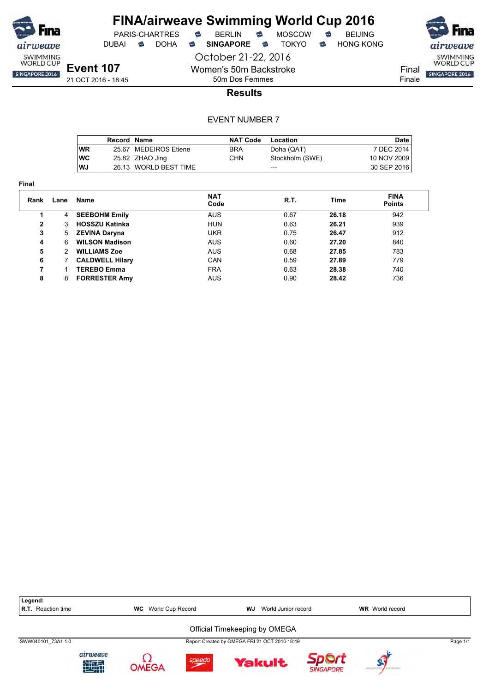

October 21-22, 2016 Women's 50m Backstroke



SWIMMING<br>WORLD CUP Final SINGAPORE 2016 Finale

**Event 107** 21 OCT 2016 - 18:45

50m Dos Femmes **Results**

|            | Record Name |                       | <b>NAT Code</b> | Location        | <b>Date</b> |
|------------|-------------|-----------------------|-----------------|-----------------|-------------|
| <b>WR</b>  |             | 25.67 MEDEIROS Etiene | <b>BRA</b>      | Doha (QAT)      | 7 DEC 2014  |
| <b>IWC</b> |             | 25.82 ZHAO Jing       | CHN             | Stockholm (SWE) | 10 NOV 2009 |
| l WJ       |             | 26.13 WORLD BEST TIME |                 | ---             | 30 SEP 2016 |

| w<br>. . |  |
|----------|--|
|----------|--|

| Rank | Lane | Name                   | <b>NAT</b><br>Code | R.T. | Time  | <b>FINA</b><br><b>Points</b> |
|------|------|------------------------|--------------------|------|-------|------------------------------|
|      | 4    | <b>SEEBOHM Emily</b>   | <b>AUS</b>         | 0.67 | 26.18 | 942                          |
| 2    | 3    | <b>HOSSZU Katinka</b>  | <b>HUN</b>         | 0.63 | 26.21 | 939                          |
| 3    | 5    | <b>ZEVINA Daryna</b>   | UKR                | 0.75 | 26.47 | 912                          |
| 4    | 6    | <b>WILSON Madison</b>  | <b>AUS</b>         | 0.60 | 27.20 | 840                          |
| 5    | 2    | <b>WILLIAMS Zoe</b>    | <b>AUS</b>         | 0.68 | 27.85 | 783                          |
| 6    |      | <b>CALDWELL Hilary</b> | <b>CAN</b>         | 0.59 | 27.89 | 779                          |
| 7    |      | <b>TEREBO Emma</b>     | <b>FRA</b>         | 0.63 | 28.38 | 740                          |
| 8    | 8    | <b>FORRESTER Amy</b>   | AUS                | 0.90 | 28.42 | 736                          |

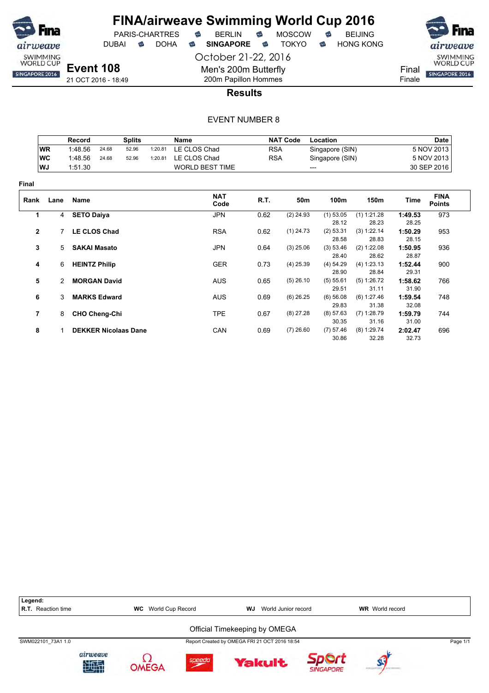

DUBAI **S** DOHA S SINGAPORE S TOKYO S HONG KONG



Final Finale

21 OCT 2016 - 18:49

#### 200m Papillon Hommes **Results**

October 21-22, 2016

Men's 200m Butterfly

|              |               | <b>Record</b>        |                      | <b>Splits</b>               |         | <b>Name</b>            |            | <b>NAT Code</b> | Location             |                        |                  | <b>Date</b>                  |
|--------------|---------------|----------------------|----------------------|-----------------------------|---------|------------------------|------------|-----------------|----------------------|------------------------|------------------|------------------------------|
|              | <b>WR</b>     | 1:48.56              | 24.68                | 52.96                       | 1:20.81 | LE CLOS Chad           | <b>RSA</b> |                 | Singapore (SIN)      |                        |                  | 5 NOV 2013                   |
|              | WC            | 1:48.56              | 24.68                | 52.96                       | 1:20.81 | LE CLOS Chad           | <b>RSA</b> |                 | Singapore (SIN)      |                        |                  | 5 NOV 2013                   |
|              | WJ            | 1:51.30              |                      |                             |         | <b>WORLD BEST TIME</b> |            | $---$           |                      |                        |                  | 30 SEP 2016                  |
| Final        |               |                      |                      |                             |         |                        |            |                 |                      |                        |                  |                              |
| Rank         | Lane          | <b>Name</b>          |                      |                             |         | <b>NAT</b><br>Code     | R.T.       | 50 <sub>m</sub> | 100m                 | 150m                   | Time             | <b>FINA</b><br><b>Points</b> |
| 1            |               | 4 SETO Daiya         |                      |                             |         | <b>JPN</b>             | 0.62       | $(2)$ 24.93     | $(1)$ 53.05          | (1) 1:21.28            | 1:49.53          | 973                          |
|              |               |                      |                      |                             |         |                        |            |                 | 28.12                | 28.23                  | 28.25            |                              |
| $\mathbf{2}$ | 7             |                      | <b>LE CLOS Chad</b>  |                             |         | <b>RSA</b>             | 0.62       | $(1)$ 24.73     | (2) 53.31<br>28.58   | (3) 1:22.14<br>28.83   | 1:50.29<br>28.15 | 953                          |
| 3            | 5             | <b>SAKAI Masato</b>  |                      |                             |         | <b>JPN</b>             | 0.64       | $(3)$ 25.06     | (3) 53.46<br>28.40   | (2) 1:22.08<br>28.62   | 1:50.95<br>28.87 | 936                          |
| 4            | 6             | <b>HEINTZ Philip</b> |                      |                             |         | <b>GER</b>             | 0.73       | $(4)$ 25.39     | $(4)$ 54.29<br>28.90 | (4) 1:23.13<br>28.84   | 1:52.44<br>29.31 | 900                          |
| 5            | $\mathcal{P}$ |                      | <b>MORGAN David</b>  |                             |         | <b>AUS</b>             | 0.65       | $(5)$ 26.10     | (5) 55.61<br>29.51   | (5) 1:26.72<br>31.11   | 1:58.62<br>31.90 | 766                          |
| 6            | 3             |                      | <b>MARKS Edward</b>  |                             |         | <b>AUS</b>             | 0.69       | $(6)$ 26.25     | $(6)$ 56.08<br>29.83 | (6) 1:27.46<br>31.38   | 1:59.54<br>32.08 | 748                          |
| 7            | 8             |                      | <b>CHO Cheng-Chi</b> |                             |         | <b>TPE</b>             | 0.67       | $(8)$ 27.28     | (8) 57.63<br>30.35   | $(7)$ 1:28.79<br>31.16 | 1:59.79<br>31.00 | 744                          |
| 8            |               |                      |                      | <b>DEKKER Nicolaas Dane</b> |         | CAN                    | 0.69       | $(7)$ 26.60     | $(7)$ 57.46<br>30.86 | $(8)$ 1:29.74<br>32.28 | 2:02.47<br>32.73 | 696                          |

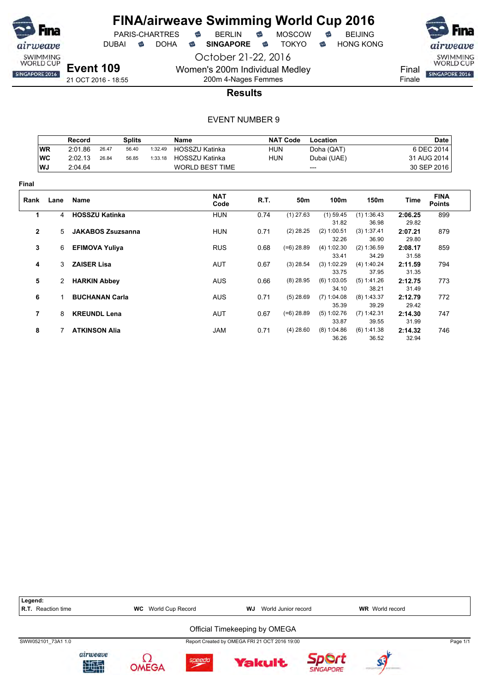

PARIS-CHARTRES **S** BERLIN S MOSCOW S<br>IBAI S DOHA S S**INGAPORE** S TOKYO S

DUBAI **S** DOHA S SINGAPORE S TOKYO S HONG KONG

October 21-22, 2016 Women's 200m Individual Medley 200m 4-Nages Femmes

21 OCT 2016 - 18:55

**Event 109**



airweave

SWIMMING<br>WORLD CUP

Finale

**Results**

|              |                | Record             |                          | <b>Splits</b> |         | Name                   |            | <b>NAT Code</b> | Location             |                      |                  | <b>Date</b>                  |
|--------------|----------------|--------------------|--------------------------|---------------|---------|------------------------|------------|-----------------|----------------------|----------------------|------------------|------------------------------|
|              | <b>WR</b>      | 2:01.86            | 26.47                    | 56.40         | 1:32.49 | <b>HOSSZU Katinka</b>  | <b>HUN</b> |                 | Doha (QAT)           |                      |                  | 6 DEC 2014                   |
|              | <b>WC</b>      | 2:02.13            | 26.84                    | 56.85         | 1:33.18 | <b>HOSSZU Katinka</b>  | <b>HUN</b> |                 | Dubai (UAE)          |                      |                  | 31 AUG 2014                  |
|              | WJ             | 2:04.64            |                          |               |         | <b>WORLD BEST TIME</b> |            |                 | ---                  |                      |                  | 30 SEP 2016                  |
| <b>Final</b> |                |                    |                          |               |         |                        |            |                 |                      |                      |                  |                              |
| Rank         | Lane           | Name               |                          |               |         | <b>NAT</b><br>Code     | R.T.       | 50m             | 100m                 | 150m                 | Time             | <b>FINA</b><br><b>Points</b> |
| 1            | 4              |                    | <b>HOSSZU Katinka</b>    |               |         | <b>HUN</b>             | 0.74       | $(1)$ 27.63     | $(1)$ 59.45          | (1) 1:36.43          | 2:06.25          | 899                          |
|              |                |                    |                          |               |         |                        |            |                 | 31.82                | 36.98                | 29.82            |                              |
| $\mathbf{2}$ | 5              |                    | <b>JAKABOS Zsuzsanna</b> |               |         | <b>HUN</b>             | 0.71       | $(2)$ 28.25     | (2) 1:00.51<br>32.26 | (3) 1:37.41<br>36.90 | 2:07.21<br>29.80 | 879                          |
| 3            | 6              |                    | <b>EFIMOVA Yuliya</b>    |               |         | <b>RUS</b>             | 0.68       | $(=6)$ 28.89    | (4) 1:02.30          | (2) 1:36.59          | 2:08.17          | 859                          |
|              |                |                    |                          |               |         |                        |            |                 | 33.41                | 34.29                | 31.58            |                              |
| 4            | 3              | <b>ZAISER Lisa</b> |                          |               |         | <b>AUT</b>             | 0.67       | $(3)$ 28.54     | (3) 1:02.29          | (4) 1:40.24          | 2:11.59          | 794                          |
|              |                |                    |                          |               |         |                        |            |                 | 33.75                | 37.95                | 31.35            |                              |
| 5            | $\overline{2}$ |                    | <b>HARKIN Abbey</b>      |               |         | <b>AUS</b>             | 0.66       | $(8)$ 28.95     | $(6)$ 1:03.05        | (5) 1:41.26          | 2:12.75          | 773                          |
|              |                |                    |                          |               |         |                        |            |                 | 34.10                | 38.21                | 31.49            |                              |
| 6            |                |                    | <b>BUCHANAN Carla</b>    |               |         | <b>AUS</b>             | 0.71       | $(5)$ 28.69     | $(7)$ 1:04.08        | $(8)$ 1:43.37        | 2:12.79          | 772                          |
|              |                |                    |                          |               |         |                        |            |                 | 35.39                | 39.29                | 29.42            |                              |
| 7            | 8              |                    | <b>KREUNDL Lena</b>      |               |         | <b>AUT</b>             | 0.67       | $(=6)$ 28.89    | (5) 1:02.76          | $(7)$ 1:42.31        | 2:14.30          | 747                          |
|              |                |                    |                          |               |         |                        |            |                 | 33.87                | 39.55                | 31.99            |                              |
| 8            |                |                    | <b>ATKINSON Alia</b>     |               |         | <b>JAM</b>             | 0.71       | $(4)$ 28.60     | (8) 1:04.86          | (6) 1:41.38          | 2:14.32          | 746                          |
|              |                |                    |                          |               |         |                        |            |                 | 36.26                | 36.52                | 32.94            |                              |

| Legend:<br><b>R.T.</b> Reaction time |               | <b>WC</b> World Cup Record |        | WJ                            | World Junior record                           |                  | <b>WR</b> World record |          |
|--------------------------------------|---------------|----------------------------|--------|-------------------------------|-----------------------------------------------|------------------|------------------------|----------|
|                                      |               |                            |        | Official Timekeeping by OMEGA |                                               |                  |                        |          |
| SWW052101 73A1 1.0                   |               |                            |        |                               | Report Created by OMEGA FRI 21 OCT 2016 19:00 |                  |                        | Page 1/1 |
|                                      | airweave<br>理 | <b>OMEGA</b>               | speedo |                               | <b>Yakult</b>                                 | <b>SINGAPORE</b> |                        |          |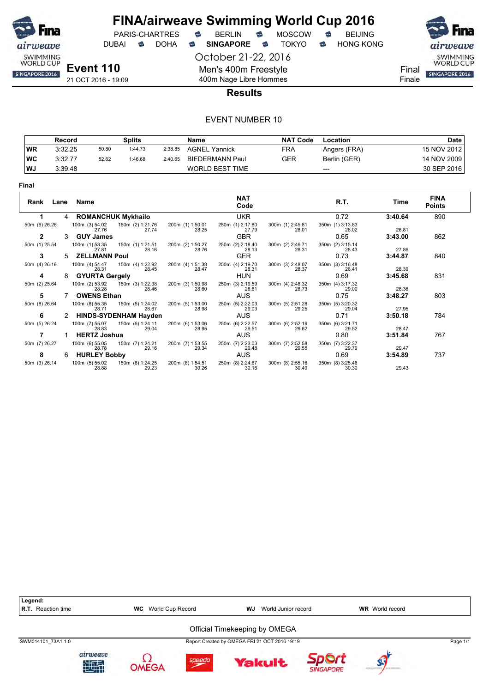

October 21-22, 2016 DUBAI **S** DOHA S SINGAPORE S TOKYO S HONG KONG

SWIMMING<br>WORLD CUP Final SINGAPORE 2016 Finale

21 OCT 2016 - 19:09

#### 400m Nage Libre Hommes **Results**

Men's 400m Freestyle

|           | Record  |       | Splits  |         | Name                   | <b>NAT Code</b> | Location     | <b>Date</b> |
|-----------|---------|-------|---------|---------|------------------------|-----------------|--------------|-------------|
| WR        | 3:32.25 | 50.80 | 1:44.73 | 2:38.85 | <b>AGNEL Yannick</b>   | <b>FRA</b>      | Angers (FRA) | 15 NOV 2012 |
| <b>WC</b> | 3:32.77 | 52.62 | 1:46.68 | 2:40.65 | BIEDERMANN Paul        | GER             | Berlin (GER) | 14 NOV 2009 |
| WJ        | 3:39.48 |       |         |         | <b>WORLD BEST TIME</b> |                 | $---$        | 30 SEP 2016 |

| Final         |      |                         |                              |                           |                           |                           |                           |         |                              |
|---------------|------|-------------------------|------------------------------|---------------------------|---------------------------|---------------------------|---------------------------|---------|------------------------------|
| Rank          | Lane | Name                    |                              |                           | <b>NAT</b><br>Code        |                           | R.T.                      | Time    | <b>FINA</b><br><b>Points</b> |
|               | 4    |                         | <b>ROMANCHUK Mykhailo</b>    |                           | <b>UKR</b>                |                           | 0.72                      | 3:40.64 | 890                          |
| 50m (6) 26.26 |      | 100m (3) 54.02<br>27.76 | 150m (2) 1:21.76<br>27.74    | 200m (1) 1:50.01<br>28.25 | 250m (1) 2:17.80<br>27.79 | 300m (1) 2:45.81<br>28.01 | 350m (1) 3:13.83<br>28.02 | 26.81   |                              |
| $\mathbf{2}$  | 3    | <b>GUY James</b>        |                              |                           | <b>GBR</b>                |                           | 0.65                      | 3:43.00 | 862                          |
| 50m (1) 25.54 |      | 100m (1) 53.35<br>27.81 | 150m (1) 1:21.51<br>28.16    | 200m (2) 1:50.27<br>28.76 | 250m (2) 2:18.40<br>28.13 | 300m (2) 2:46.71<br>28.31 | 350m (2) 3:15.14<br>28.43 | 27.86   |                              |
| 3             | 5.   | <b>ZELLMANN Poul</b>    |                              |                           | <b>GER</b>                |                           | 0.73                      | 3:44.87 | 840                          |
| 50m (4) 26.16 |      | 100m (4) 54.47<br>28.31 | 150m (4) 1:22.92<br>28.45    | 200m (4) 1:51.39<br>28.47 | 250m (4) 2:19.70<br>28.31 | 300m (3) 2:48.07<br>28.37 | 350m (3) 3:16.48<br>28.41 | 28.39   |                              |
| 4             | 8    | <b>GYURTA Gergely</b>   |                              |                           | <b>HUN</b>                |                           | 0.69                      | 3:45.68 | 831                          |
| 50m (2) 25.64 |      | 100m (2) 53.92<br>28.28 | 150m (3) 1:22.38<br>28.46    | 200m (3) 1:50.98<br>28.60 | 250m (3) 2:19.59<br>28.61 | 300m (4) 2:48.32<br>28.73 | 350m (4) 3:17.32<br>29.00 | 28.36   |                              |
| 5             |      | <b>OWENS Ethan</b>      |                              |                           | AUS                       |                           | 0.75                      | 3:48.27 | 803                          |
| 50m (8) 26.64 |      | 100m (8) 55.35<br>28.71 | 150m (5) 1:24.02<br>28.67    | 200m (5) 1:53.00<br>28.98 | 250m (5) 2:22.03<br>29.03 | 300m (5) 2:51.28<br>29.25 | 350m (5) 3:20.32<br>29.04 | 27.95   |                              |
| 6             |      |                         | <b>HINDS-SYDENHAM Hayden</b> |                           | AUS                       |                           | 0.71                      | 3:50.18 | 784                          |
| 50m (5) 26.24 |      | 100m (7) 55.07<br>28.83 | 150m (6) 1:24.11<br>29.04    | 200m (6) 1:53.06<br>28.95 | 250m (6) 2:22.57<br>29.51 | 300m (6) 2:52.19<br>29.62 | 350m (6) 3:21.71<br>29.52 | 28.47   |                              |
|               |      | <b>HERTZ Joshua</b>     |                              |                           | <b>AUS</b>                |                           | 0.80                      | 3:51.84 | 767                          |
| 50m (7) 26.27 |      | 100m (6) 55.05<br>28.78 | 150m (7) 1:24.21<br>29.16    | 200m (7) 1:53.55<br>29.34 | 250m (7) 2:23.03<br>29.48 | 300m (7) 2:52.58<br>29.55 | 350m (7) 3:22.37<br>29.79 | 29.47   |                              |
| 8             | 6    | <b>HURLEY Bobby</b>     |                              |                           | AUS                       |                           | 0.69                      | 3:54.89 | 737                          |
| 50m (3) 26.14 |      | 100m (5) 55.02<br>28.88 | 150m (8) 1:24.25<br>29.23    | 200m (8) 1:54.51<br>30.26 | 250m (8) 2:24.67<br>30.16 | 300m (8) 2:55.16<br>30.49 | 350m (8) 3:25.46<br>30.30 | 29.43   |                              |

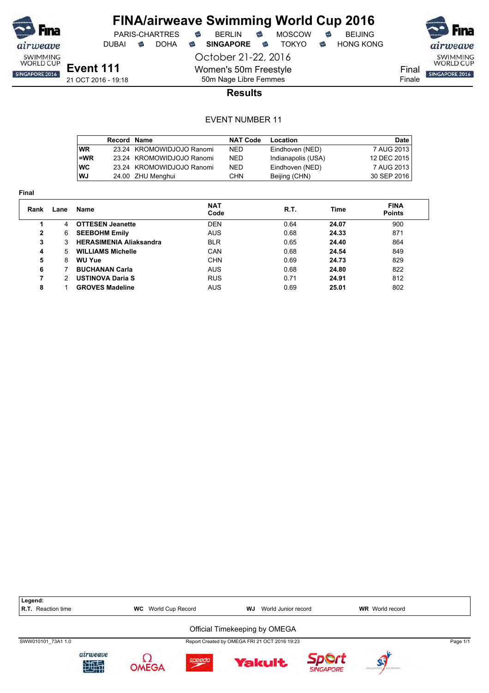

DUBAI **S** DOHA S SINGAPORE S TOKYO S HONG KONG

PARIS-CHARTRES **B** BERLIN **B** MOSCOW **B** BEIJING

October 21-22, 2016

SWIMMING<br>WORLD CUP Final SINGAPORE 2016

Finale

50m Nage Libre Femmes **Results**

Women's 50m Freestyle

|           | Record Name |                           | <b>NAT Code</b> | Location           | <b>Date</b> |
|-----------|-------------|---------------------------|-----------------|--------------------|-------------|
| <b>WR</b> |             | 23.24 KROMOWIDJOJO Ranomi | NED.            | Eindhoven (NED)    | 7 AUG 2013  |
| =WR       |             | 23.24 KROMOWIDJOJO Ranomi | <b>NED</b>      | Indianapolis (USA) | 12 DEC 2015 |
| <b>WC</b> |             | 23.24 KROMOWIDJOJO Ranomi | <b>NED</b>      | Eindhoven (NED)    | 7 AUG 2013  |
| WJ        |             | 24.00 ZHU Menghui         | CHN             | Beijing (CHN)      | 30 SEP 2016 |

| Rank | Lane | Name                           | <b>NAT</b><br>Code | R.T. | Time  | <b>FINA</b><br><b>Points</b> |
|------|------|--------------------------------|--------------------|------|-------|------------------------------|
|      | 4    | <b>OTTESEN Jeanette</b>        | DEN                | 0.64 | 24.07 | 900                          |
| 2    | 6    | <b>SEEBOHM Emily</b>           | <b>AUS</b>         | 0.68 | 24.33 | 871                          |
| 3    | 3.   | <b>HERASIMENIA Aliaksandra</b> | <b>BLR</b>         | 0.65 | 24.40 | 864                          |
| 4    | 5.   | <b>WILLIAMS Michelle</b>       | CAN                | 0.68 | 24.54 | 849                          |
| 5    | 8    | <b>WU Yue</b>                  | <b>CHN</b>         | 0.69 | 24.73 | 829                          |
| 6    |      | <b>BUCHANAN Carla</b>          | <b>AUS</b>         | 0.68 | 24.80 | 822                          |
| 7    | 2    | <b>USTINOVA Daria S</b>        | <b>RUS</b>         | 0.71 | 24.91 | 812                          |
| 8    |      | <b>GROVES Madeline</b>         | AUS                | 0.69 | 25.01 | 802                          |

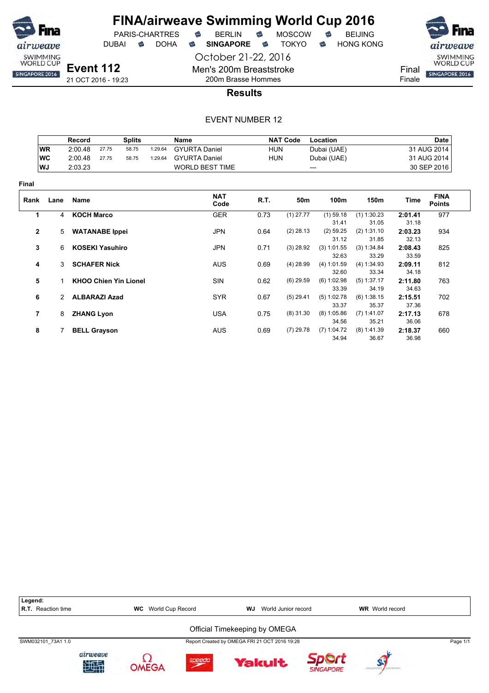

PARIS-CHARTRES **&** BERLIN<br>JBAI & DOHA & SINGAPORE

DUBAI **S** DOHA S SINGAPORE S TOKYO S HONG KONG

21 OCT 2016 - 19:23

October 21-22, 2016 Men's 200m Breaststroke 200m Brasse Hommes



**Results**

|                |               | Record            |                        | <b>Splits</b>                |         | Name                   |            | <b>NAT Code</b> | Location               |                        |                  | <b>Date</b>                  |
|----------------|---------------|-------------------|------------------------|------------------------------|---------|------------------------|------------|-----------------|------------------------|------------------------|------------------|------------------------------|
|                | <b>WR</b>     | 2:00.48           | 27.75                  | 58.75                        | 1:29.64 | <b>GYURTA Daniel</b>   | <b>HUN</b> |                 | Dubai (UAE)            |                        |                  | 31 AUG 2014                  |
|                | <b>WC</b>     | 2:00.48           | 27.75                  | 58.75                        | 1:29.64 | <b>GYURTA Daniel</b>   | <b>HUN</b> |                 | Dubai (UAE)            |                        |                  | 31 AUG 2014                  |
|                | WJ            | 2:03.23           |                        |                              |         | <b>WORLD BEST TIME</b> |            |                 | ---                    |                        |                  | 30 SEP 2016                  |
| <b>Final</b>   |               |                   |                        |                              |         |                        |            |                 |                        |                        |                  |                              |
| Rank           | Lane          | <b>Name</b>       |                        |                              |         | <b>NAT</b><br>Code     | R.T.       | 50m             | 100m                   | 150m                   | Time             | <b>FINA</b><br><b>Points</b> |
| 1              | 4             | <b>KOCH Marco</b> |                        |                              |         | <b>GER</b>             | 0.73       | $(1)$ 27.77     | $(1)$ 59.18            | $(1)$ 1:30.23          | 2:01.41          | 977                          |
|                |               |                   |                        |                              |         |                        |            |                 | 31.41                  | 31.05                  | 31.18            |                              |
| $\mathbf{2}$   | $5^{\circ}$   |                   | <b>WATANABE</b> Ippei  |                              |         | JPN                    | 0.64       | $(2)$ 28.13     | $(2)$ 59.25<br>31.12   | (2) 1:31.10<br>31.85   | 2:03.23<br>32.13 | 934                          |
| 3              | 6             |                   | <b>KOSEKI Yasuhiro</b> |                              |         | <b>JPN</b>             | 0.71       | $(3)$ 28.92     | $(3)$ 1:01.55<br>32.63 | (3) 1:34.84<br>33.29   | 2:08.43<br>33.59 | 825                          |
| 4              | 3             |                   | <b>SCHAFER Nick</b>    |                              |         | <b>AUS</b>             | 0.69       | $(4)$ 28.99     | $(4)$ 1:01.59<br>32.60 | (4) 1:34.93<br>33.34   | 2:09.11<br>34.18 | 812                          |
| 5              |               |                   |                        | <b>KHOO Chien Yin Lionel</b> |         | <b>SIN</b>             | 0.62       | $(6)$ 29.59     | (6) 1:02.98<br>33.39   | $(5)$ 1:37.17<br>34.19 | 2:11.80<br>34.63 | 763                          |
| 6              | $\mathcal{P}$ |                   | <b>ALBARAZI Azad</b>   |                              |         | <b>SYR</b>             | 0.67       | $(5)$ 29.41     | (5) 1:02.78<br>33.37   | (6) 1:38.15<br>35.37   | 2:15.51<br>37.36 | 702                          |
| $\overline{7}$ | 8             | <b>ZHANG Lyon</b> |                        |                              |         | <b>USA</b>             | 0.75       | $(8)$ 31.30     | (8) 1:05.86<br>34.56   | $(7)$ 1:41.07<br>35.21 | 2:17.13<br>36.06 | 678                          |
| 8              |               |                   | <b>BELL Grayson</b>    |                              |         | <b>AUS</b>             | 0.69       | $(7)$ 29.78     | $(7)$ 1:04.72<br>34.94 | $(8)$ 1:41.39<br>36.67 | 2:18.37<br>36.98 | 660                          |

| Legend:<br><b>R.T.</b> Reaction time |                | <b>WC</b> World Cup Record |        | WJ                                            | World Junior record |                  | <b>WR</b> World record |          |
|--------------------------------------|----------------|----------------------------|--------|-----------------------------------------------|---------------------|------------------|------------------------|----------|
|                                      |                |                            |        | Official Timekeeping by OMEGA                 |                     |                  |                        |          |
| SWM032101 73A1 1.0                   |                |                            |        | Report Created by OMEGA FRI 21 OCT 2016 19:28 |                     |                  |                        | Page 1/1 |
|                                      | airweave<br>地型 | OMEGA                      | speedo |                                               | <b>Yakult</b>       | <b>SINGAPORE</b> |                        |          |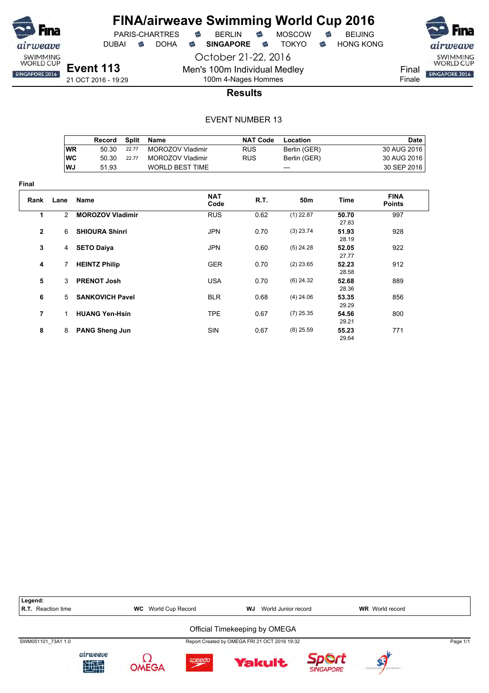

**Final**

### **FINA/airweave Swimming World Cup 2016**

PARIS-CHARTRES **B** BERLIN **B** MOSCOW **B** BEIJING

DUBAI **S** DOHA S SINGAPORE S TOKYO S HONG KONG

October 21-22, 2016 Men's 100m Individual Medley

100m 4-Nages Hommes

SWIMMING<br>WORLD CUP Final SINGAPORE 2016 Finale

**Results**

|           | Record | Split | Name                   | <b>NAT Code</b> | Location     | Date          |
|-----------|--------|-------|------------------------|-----------------|--------------|---------------|
| WR        | 50.30  | 22.77 | MOROZOV Vladimir       | <b>RUS</b>      | Berlin (GER) | 30 AUG 2016 i |
| <b>WC</b> | 50.30  | 22.77 | MOROZOV Vladimir       | <b>RUS</b>      | Berlin (GER) | 30 AUG 2016   |
| <b>WJ</b> | 51.93  |       | <b>WORLD BEST TIME</b> |                 | $---$        | 30 SEP 2016   |

| Rank         | Lane           | Name                    | <b>NAT</b><br>Code | <b>R.T.</b> | 50 <sub>m</sub> | <b>Time</b>    | <b>FINA</b><br><b>Points</b> |
|--------------|----------------|-------------------------|--------------------|-------------|-----------------|----------------|------------------------------|
| 1            | $\overline{2}$ | <b>MOROZOV Vladimir</b> | <b>RUS</b>         | 0.62        | $(1)$ 22.87     | 50.70<br>27.83 | 997                          |
| $\mathbf{2}$ | 6              | <b>SHIOURA Shinri</b>   | <b>JPN</b>         | 0.70        | $(3)$ 23.74     | 51.93<br>28.19 | 928                          |
| 3            | 4              | <b>SETO Daiya</b>       | <b>JPN</b>         | 0.60        | $(5)$ 24.28     | 52.05<br>27.77 | 922                          |
| 4            | 7              | <b>HEINTZ Philip</b>    | <b>GER</b>         | 0.70        | $(2)$ 23.65     | 52.23<br>28.58 | 912                          |
| 5            | 3              | <b>PRENOT Josh</b>      | <b>USA</b>         | 0.70        | $(6)$ 24.32     | 52.68<br>28.36 | 889                          |
| 6            | 5              | <b>SANKOVICH Pavel</b>  | <b>BLR</b>         | 0.68        | $(4)$ 24.06     | 53.35<br>29.29 | 856                          |
| 7            | 1              | <b>HUANG Yen-Hsin</b>   | <b>TPE</b>         | 0.67        | $(7)$ 25.35     | 54.56<br>29.21 | 800                          |
| 8            | 8              | <b>PANG Sheng Jun</b>   | <b>SIN</b>         | 0.67        | $(8)$ 25.59     | 55.23<br>29.64 | 771                          |

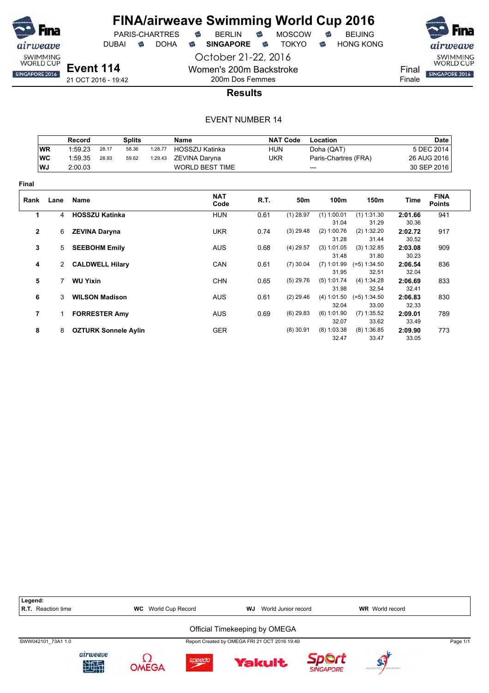

### **FINA/airweave Swimming World Cup 2016**<br>PARIS-CHARTRES **& BERLIN & MOSCOW & BEIJING**  $PARIS-CHARTRES$  **BERLIN B** MOSCOW **B**

DUBAI **S** DOHA S SINGAPORE S TOKYO S HONG KONG

October 21-22, 2016 Women's 200m Backstroke

200m Dos Femmes



**Results**

|              |           | Record          |                        | <b>Splits</b>               |         | Name                   |            | <b>NAT Code</b> | Location             |                      |                  | <b>Date</b>                  |
|--------------|-----------|-----------------|------------------------|-----------------------------|---------|------------------------|------------|-----------------|----------------------|----------------------|------------------|------------------------------|
|              | <b>WR</b> | 1:59.23         | 28.17                  | 58.36                       | 1:28.77 | HOSSZU Katinka         | <b>HUN</b> |                 | Doha (QAT)           |                      |                  | 5 DEC 2014                   |
|              | <b>WC</b> | 1:59.35         | 28.93                  | 59.62                       | 1:29.43 | ZEVINA Daryna          | <b>UKR</b> |                 | Paris-Chartres (FRA) |                      |                  | 26 AUG 2016                  |
|              | WJ        | 2:00.03         |                        |                             |         | <b>WORLD BEST TIME</b> |            | ---             |                      |                      | 30 SEP 2016      |                              |
| <b>Final</b> |           |                 |                        |                             |         |                        |            |                 |                      |                      |                  |                              |
| Rank         | Lane      | Name            |                        |                             |         | <b>NAT</b><br>Code     | R.T.       | 50m             | 100m                 | 150m                 | Time             | <b>FINA</b><br><b>Points</b> |
| 1            | 4         |                 | <b>HOSSZU Katinka</b>  |                             |         | <b>HUN</b>             | 0.61       | $(1)$ 28.97     | $(1)$ 1:00.01        | $(1)$ 1:31.30        | 2:01.66          | 941                          |
|              |           |                 |                        |                             |         |                        |            |                 | 31.04                | 31.29                | 30.36            |                              |
| $\mathbf{2}$ | 6         |                 | <b>ZEVINA Daryna</b>   |                             |         | <b>UKR</b>             | 0.74       | $(3)$ 29.48     | (2) 1:00.76<br>31.28 | (2) 1:32.20<br>31.44 | 2:02.72<br>30.52 | 917                          |
| 3            | 5         |                 | <b>SEEBOHM Emily</b>   |                             |         | <b>AUS</b>             | 0.68       | $(4)$ 29.57     | (3) 1:01.05          | (3) 1:32.85          | 2:03.08          | 909                          |
|              |           |                 |                        |                             |         |                        |            |                 | 31.48                | 31.80                | 30.23            |                              |
| 4            | 2         |                 | <b>CALDWELL Hilary</b> |                             |         | CAN                    | 0.61       | $(7)$ 30.04     | $(7)$ 1:01.99        | $(=5)$ 1:34.50       | 2:06.54          | 836                          |
|              |           |                 |                        |                             |         |                        |            |                 | 31.95                | 32.51                | 32.04            |                              |
| 5            | 7         | <b>WU Yixin</b> |                        |                             |         | <b>CHN</b>             | 0.65       | $(5)$ 29.76     | (5) 1:01.74          | (4) 1:34.28          | 2:06.69          | 833                          |
|              |           |                 |                        |                             |         |                        |            |                 | 31.98                | 32.54                | 32.41            |                              |
| 6            | 3         |                 | <b>WILSON Madison</b>  |                             |         | <b>AUS</b>             | 0.61       | $(2)$ 29.46     | (4) 1:01.50          | $(=5)$ 1:34.50       | 2:06.83          | 830                          |
|              |           |                 |                        |                             |         |                        |            |                 | 32.04                | 33.00                | 32.33            |                              |
| 7            |           |                 | <b>FORRESTER Amy</b>   |                             |         | <b>AUS</b>             | 0.69       | $(6)$ 29.83     | (6) 1:01.90          | $(7)$ 1:35.52        | 2:09.01          | 789                          |
|              |           |                 |                        |                             |         |                        |            |                 | 32.07                | 33.62                | 33.49            |                              |
| 8            | 8         |                 |                        | <b>OZTURK Sonnele Aylin</b> |         | <b>GER</b>             |            | $(8)$ 30.91     | $(8)$ 1:03.38        | (8) 1:36.85          | 2:09.90          | 773                          |
|              |           |                 |                        |                             |         |                        |            |                 | 32.47                | 33.47                | 33.05            |                              |

| Legend:<br><b>R.T.</b> Reaction time |                | World Cup Record<br><b>WC</b> |        | WJ | World Junior record                           |                  | <b>WR</b> World record |          |
|--------------------------------------|----------------|-------------------------------|--------|----|-----------------------------------------------|------------------|------------------------|----------|
|                                      |                |                               |        |    | Official Timekeeping by OMEGA                 |                  |                        |          |
| SWW042101 73A1 1.0                   |                |                               |        |    | Report Created by OMEGA FRI 21 OCT 2016 19:49 |                  |                        | Page 1/1 |
|                                      | airweave<br>知望 | OMFGA                         | speedo |    | <b>Yakult</b>                                 | <b>SINGAPORE</b> |                        |          |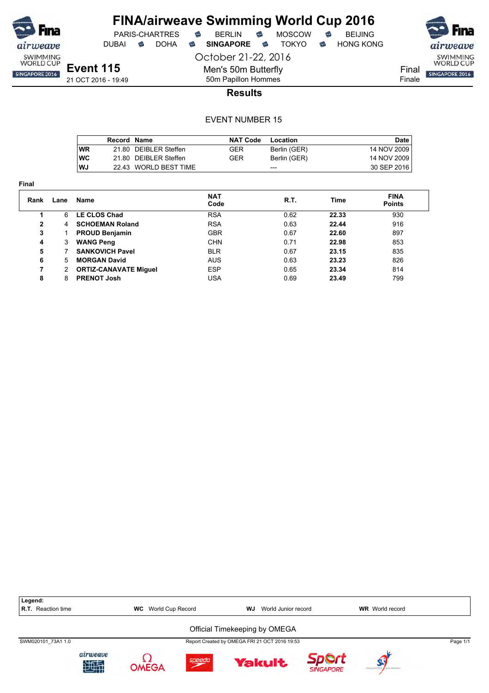

**Final**

#### **FINA/airweave Swimming World Cup 2016** PARIS-CHARTRES **B** BERLIN **B** MOSCOW **B** BEIJING

DUBAI **S** DOHA S SINGAPORE S TOKYO S HONG KONG

October 21-22, 2016 Men's 50m Butterfly

SWIMMING<br>WORLD CUP SINGAPORE 2016

Final Finale

**Event 115** 21 OCT 2016 - 19:49

50m Papillon Hommes **Results**

|            | Record Name |                       | <b>NAT Code</b> | Location     | <b>Date</b>   |
|------------|-------------|-----------------------|-----------------|--------------|---------------|
| <b>WR</b>  |             | 21.80 DEIBLER Steffen | GER             | Berlin (GER) | 14 NOV 2009   |
| <b>IWC</b> |             | 21.80 DEIBLER Steffen | GER             | Berlin (GER) | 14 NOV 2009   |
| l WJ       |             | 22.43 WORLD BEST TIME |                 | ---          | 30 SEP 2016 I |

| Rank         | Lane | Name                         | <b>NAT</b><br>Code | R.T. | Time  | <b>FINA</b><br><b>Points</b> |
|--------------|------|------------------------------|--------------------|------|-------|------------------------------|
|              | 6    | <b>LE CLOS Chad</b>          | <b>RSA</b>         | 0.62 | 22.33 | 930                          |
| $\mathbf{2}$ | 4    | <b>SCHOEMAN Roland</b>       | <b>RSA</b>         | 0.63 | 22.44 | 916                          |
| 3            |      | <b>PROUD Benjamin</b>        | <b>GBR</b>         | 0.67 | 22.60 | 897                          |
| 4            | 3    | <b>WANG Peng</b>             | <b>CHN</b>         | 0.71 | 22.98 | 853                          |
| 5            |      | <b>SANKOVICH Pavel</b>       | <b>BLR</b>         | 0.67 | 23.15 | 835                          |
| 6            | 5    | <b>MORGAN David</b>          | <b>AUS</b>         | 0.63 | 23.23 | 826                          |
| 7            | 2    | <b>ORTIZ-CANAVATE Miguel</b> | <b>ESP</b>         | 0.65 | 23.34 | 814                          |
| 8            | 8    | <b>PRENOT Josh</b>           | USA                | 0.69 | 23.49 | 799                          |
|              |      |                              |                    |      |       |                              |

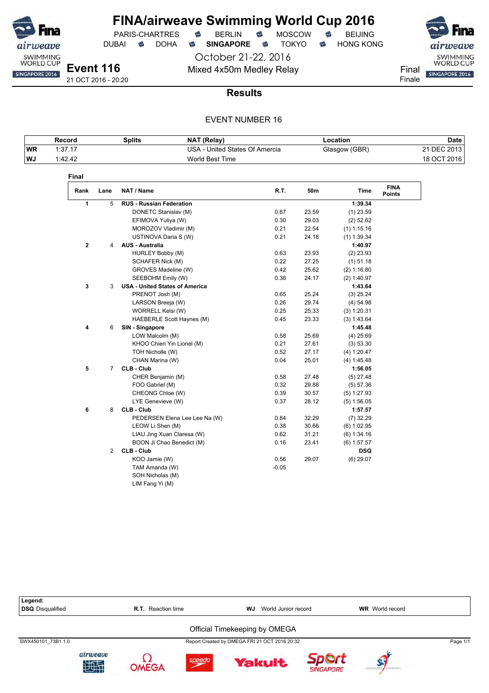

October 21-22, 2016 Mixed 4x50m Medley Relay Final

PARIS-CHARTRES **B** BERLIN **B** MOSCOW **B** BEIJING

DUBAI **S** DOHA S SINGAPORE S TOKYO S HONG KONG

SWIMMING<br>WORLD CUP SINGAPORE 2016 Finale

21 OCT 2016 - 20:20

#### **Results**

|           | Record  | <b>Splits</b> | <b>NAT (Relay)</b>             | Location      | Date        |
|-----------|---------|---------------|--------------------------------|---------------|-------------|
| <b>WR</b> | 1:37.17 |               | USA - United States Of Amercia | Glasgow (GBR) | 21 DEC 2013 |
| WJ        | 1:42.42 |               | World Best Time                |               | 18 OCT 2016 |

| Rank         | Lane           | NAT / Name                            | R.T.    | 50m   | <b>Time</b>   | <b>FINA</b><br><b>Points</b> |
|--------------|----------------|---------------------------------------|---------|-------|---------------|------------------------------|
| 1            | 5              | <b>RUS - Russian Federation</b>       |         |       | 1:39.34       |                              |
|              |                | DONETC Stanislav (M)                  | 0.67    | 23.59 | $(1)$ 23.59   |                              |
|              |                | EFIMOVA Yuliya (W)                    | 0.30    | 29.03 | $(2)$ 52.62   |                              |
|              |                | MOROZOV Vladimir (M)                  | 0.21    | 22.54 | $(1)$ 1:15.16 |                              |
|              |                | USTINOVA Daria S (W)                  | 0.21    | 24.18 | $(1)$ 1:39.34 |                              |
| $\mathbf{2}$ | 4              | <b>AUS - Australia</b>                |         |       | 1:40.97       |                              |
|              |                | HURLEY Bobby (M)                      | 0.63    | 23.93 | $(2)$ 23.93   |                              |
|              |                | SCHAFER Nick (M)                      | 0.22    | 27.25 | $(1)$ 51.18   |                              |
|              |                | GROVES Madeline (W)                   | 0.42    | 25.62 | (2) 1:16.80   |                              |
|              |                | SEEBOHM Emily (W)                     | 0.36    | 24.17 | (2) 1:40.97   |                              |
| 3            | 3              | <b>USA - United States of America</b> |         |       | 1:43.64       |                              |
|              |                | PRENOT Josh (M)                       | 0.65    | 25.24 | $(3)$ 25.24   |                              |
|              |                | LARSON Breeja (W)                     | 0.26    | 29.74 | (4) 54.98     |                              |
|              |                | WORRELL Kelsi (W)                     | 0.25    | 25.33 | (3) 1:20.31   |                              |
|              |                | HAEBERLE Scott Haynes (M)             | 0.45    | 23.33 | (3) 1:43.64   |                              |
| 4            | 6              | SIN - Singapore                       |         |       | 1:45.48       |                              |
|              |                | LOW Malcolm (M)                       | 0.58    | 25.69 | $(4)$ 25.69   |                              |
|              |                | KHOO Chien Yin Lionel (M)             | 0.21    | 27.61 | (3) 53.30     |                              |
|              |                | TOH Nicholle (W)                      | 0.52    | 27.17 | (4) 1:20.47   |                              |
|              |                | CHAN Marina (W)                       | 0.04    | 25.01 | (4) 1:45.48   |                              |
| 5            | $\overline{7}$ | CLB - Club                            |         |       | 1:56.05       |                              |
|              |                | CHER Benjamin (M)                     | 0.58    | 27.48 | $(5)$ 27.48   |                              |
|              |                | FOO Gabriel (M)                       | 0.32    | 29.88 | (5) 57.36     |                              |
|              |                | CHEONG Chloe (W)                      | 0.39    | 30.57 | (5) 1:27.93   |                              |
|              |                | LYE Genevieve (W)                     | 0.37    | 28.12 | $(5)$ 1:56.05 |                              |
| 6            | 8              | <b>CLB - Club</b>                     |         |       | 1:57.57       |                              |
|              |                | PEDERSEN Elena Lee Lee Na (W)         | 0.84    | 32.29 | $(7)$ 32.29   |                              |
|              |                | LEOW Li Shen (M)                      | 0.38    | 30.66 | $(6)$ 1:02.95 |                              |
|              |                | LIAU Jing Xuan Claresa (W)            | 0.62    | 31.21 | (6) 1:34.16   |                              |
|              |                | BOON Ji Chao Benedict (M)             | 0.16    | 23.41 | $(6)$ 1:57.57 |                              |
|              | $\overline{2}$ | CLB - Club                            |         |       | <b>DSQ</b>    |                              |
|              |                | KOO Jamie (W)                         | 0.56    | 29.07 | $(6)$ 29.07   |                              |
|              |                | TAM Amanda (W)                        | $-0.05$ |       |               |                              |
|              |                | SOH Nicholas (M)                      |         |       |               |                              |
|              |                | LIM Fang Yi (M)                       |         |       |               |                              |

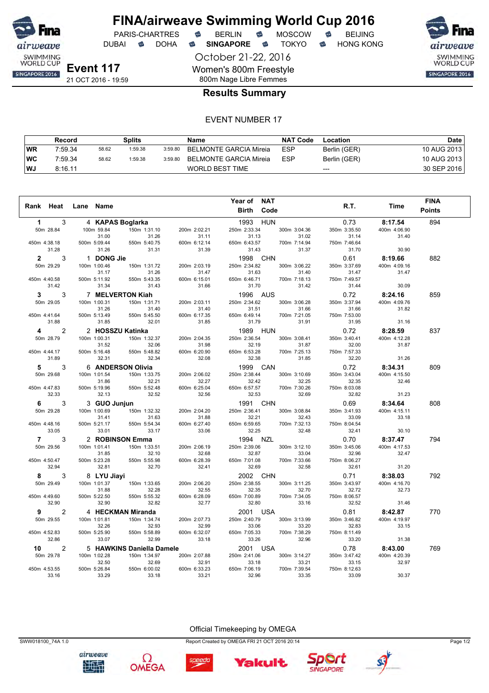

DUBAI **S** DOHA S SINGAPORE S TOKYO S HONG KONG

airweave SWIMMING<br>WORLD CUP SINGAPORE 2016

**Event 117** 21 OCT 2016 - 19:59

#### 800m Nage Libre Femmes **Results Summary**

October 21-22, 2016

Women's 800m Freestyle

#### EVENT NUMBER 17

|      | Record  |       | Splits  |         | Name                   | <b>NAT Code</b> | Location     | Date        |
|------|---------|-------|---------|---------|------------------------|-----------------|--------------|-------------|
| WR   | 7:59.34 | 58.62 | 1:59.38 | 3:59.80 | BELMONTE GARCIA Mireia | <b>ESP</b>      | Berlin (GER) | 10 AUG 2013 |
| ∣wc  | 7:59.34 | 58.62 | 1:59.38 | 3:59.80 | BELMONTE GARCIA Mireia | <b>ESP</b>      | Berlin (GER) | 10 AUG 2013 |
| l WJ | 8:16.11 |       |         |         | WORLD BEST TIME        |                 | $---$        | 30 SEP 2016 |

|                |                |                       |                           |                       | Year of NAT           |                       |                       |                       | <b>FINA</b>   |
|----------------|----------------|-----------------------|---------------------------|-----------------------|-----------------------|-----------------------|-----------------------|-----------------------|---------------|
| Rank Heat      |                | Lane Name             |                           |                       |                       |                       | R.T.                  | Time                  |               |
|                |                |                       |                           |                       | <b>Birth</b>          | Code                  |                       |                       | <b>Points</b> |
| $\mathbf{1}$   | 3              |                       | 4 KAPAS Boglarka          |                       | 1993                  | <b>HUN</b>            | 0.73                  | 8:17.54               | 894           |
|                | 50m 28.84      | 100m 59.84            | 150m 1:31.10              | 200m 2:02.21          | 250m 2:33.34          | 300m 3:04.36          | 350m 3:35.50          | 400m 4:06.90          |               |
|                |                | 31.00                 | 31.26                     | 31.11                 | 31.13                 | 31.02                 | 31.14                 | 31.40                 |               |
| 450m 4:38.18   |                | 500m 5:09.44          | 550m 5:40.75              | 600m 6:12.14          | 650m 6:43.57          | 700m 7:14.94          | 750m 7:46.64          |                       |               |
|                | 31.28          | 31.26                 | 31.31                     | 31.39                 | 31.43                 | 31.37                 | 31.70                 | 30.90                 |               |
| $\mathbf{2}$   | 3              | 1 DONG Jie            |                           |                       | 1998                  | <b>CHN</b>            | 0.61                  | 8:19.66               | 882           |
|                | 50m 29.29      | 100m 1:00.46          | 150m 1:31.72              | 200m 2:03.19          | 250m 2:34.82          | 300m 3:06.22          | 350m 3:37.69          | 400m 4:09.16          |               |
|                |                | 31.17                 | 31.26                     | 31.47                 | 31.63                 | 31.40                 | 31.47                 | 31.47                 |               |
| 450m 4:40.58   |                | 500m 5:11.92          | 550m 5:43.35              | 600m 6:15.01          | 650m 6:46.71          | 700m 7:18.13          | 750m 7:49.57          |                       |               |
|                | 31.42          | 31.34                 | 31.43                     | 31.66                 | 31.70                 | 31.42                 | 31.44                 | 30.09                 |               |
| 3              | 3              |                       | 7 MELVERTON Kiah          |                       | 1996 AUS              |                       | 0.72                  | 8:24.16               | 859           |
|                | 50m 29.05      | 100m 1:00.31          | 150m 1:31.71              | 200m 2:03.11          | 250m 2:34.62          | 300m 3:06.28          | 350m 3:37.94          | 400m 4:09.76          |               |
|                |                | 31.26                 | 31.40                     | 31.40                 | 31.51                 | 31.66                 | 31.66                 | 31.82                 |               |
| 450m 4:41.64   |                | 500m 5:13.49          | 550m 5:45.50              | 600m 6:17.35          | 650m 6:49.14          | 700m 7:21.05          | 750m 7:53.00          |                       |               |
|                | 31.88          | 31.85                 | 32.01                     | 31.85                 | 31.79                 | 31.91                 | 31.95                 | 31.16                 |               |
| 4              | $\overline{2}$ |                       | 2 HOSSZU Katinka          |                       | 1989 HUN              |                       | 0.72                  | 8:28.59               | 837           |
|                | 50m 28.79      | 100m 1:00.31          | 150m 1:32.37              | 200m 2:04.35          | 250m 2:36.54          | 300m 3:08.41          | 350m 3:40.41          | 400m 4:12.28          |               |
|                |                | 31.52                 | 32.06                     | 31.98                 | 32.19                 | 31.87                 | 32.00                 | 31.87                 |               |
| 450m 4:44.17   |                | 500m 5:16.48          | 550m 5:48.82              | 600m 6:20.90          | 650m 6:53.28          | 700m 7:25.13          | 750m 7:57.33          |                       |               |
|                | 31.89          | 32.31                 | 32.34                     | 32.08                 | 32.38                 | 31.85                 | 32.20                 | 31.26                 |               |
| 5              | 3              |                       | 6 ANDERSON Olivia         |                       | 1999                  | CAN                   | 0.72                  | 8:34.31               | 809           |
|                | 50m 29.68      | 100m 1:01.54          | 150m 1:33.75              | 200m 2:06.02          | 250m 2:38.44          | 300m 3:10.69          | 350m 3:43.04          | 400m 4:15.50          |               |
|                |                | 31.86                 | 32.21                     | 32.27                 | 32.42                 | 32.25                 | 32.35                 | 32.46                 |               |
| 450m 4:47.83   |                | 500m 5:19.96          | 550m 5:52.48              | 600m 6:25.04          | 650m 6:57.57          | 700m 7:30.26          | 750m 8:03.08          |                       |               |
|                | 32.33          | 32.13                 | 32.52                     | 32.56                 | 32.53                 | 32.69                 | 32.82                 | 31.23                 |               |
| 6              | 3              | 3 GUO Junjun          |                           |                       | 1991 CHN              |                       | 0.69                  | 8:34.64               | 808           |
|                | 50m 29.28      | 100m 1:00.69          | 150m 1:32.32              | 200m 2:04.20          | 250m 2:36.41          | 300m 3:08.84          | 350m 3:41.93          | 400m 4:15.11          |               |
|                |                | 31.41                 | 31.63                     | 31.88                 | 32.21                 | 32.43                 | 33.09                 | 33.18                 |               |
| 450m 4:48.16   |                | 500m 5:21.17          | 550m 5:54.34              | 600m 6:27.40          | 650m 6:59.65          | 700m 7:32.13          | 750m 8:04.54          |                       |               |
|                | 33.05          | 33.01                 | 33.17                     | 33.06                 | 32.25                 | 32.48                 | 32.41                 | 30.10                 |               |
| $\overline{7}$ | 3              |                       | 2 ROBINSON Emma           |                       | 1994 NZL              |                       | 0.70                  | 8:37.47               | 794           |
|                | 50m 29.56      | 100m 1:01.41          | 150m 1:33.51              | 200m 2:06.19          | 250m 2:39.06          | 300m 3:12.10          | 350m 3:45.06          | 400m 4:17.53          |               |
|                |                | 31.85                 | 32.10                     | 32.68                 | 32.87                 | 33.04                 | 32.96                 | 32.47                 |               |
| 450m 4:50.47   | 32.94          | 500m 5:23.28<br>32.81 | 550m 5:55.98<br>32.70     | 600m 6:28.39<br>32.41 | 650m 7:01.08<br>32.69 | 700m 7:33.66<br>32.58 | 750m 8:06.27<br>32.61 | 31.20                 |               |
|                |                |                       |                           |                       |                       |                       |                       |                       |               |
| 8              | 3              | 8 LYU Jiayi           |                           |                       | 2002 CHN              |                       | 0.71                  | 8:38.03               | 792           |
|                | 50m 29.49      | 100m 1:01.37          | 150m 1:33.65              | 200m 2:06.20          | 250m 2:38.55          | 300m 3:11.25          | 350m 3:43.97          | 400m 4:16.70          |               |
|                |                | 31.88                 | 32.28                     | 32.55                 | 32.35                 | 32.70                 | 32.72                 | 32.73                 |               |
| 450m 4:49.60   | 32.90          | 500m 5:22.50<br>32.90 | 550m 5:55.32<br>32.82     | 600m 6:28.09<br>32.77 | 650m 7:00.89<br>32.80 | 700m 7:34.05<br>33.16 | 750m 8:06.57<br>32.52 | 31.46                 |               |
|                |                |                       |                           |                       |                       |                       |                       |                       |               |
| 9              | $\overline{c}$ |                       | 4 HECKMAN Miranda         |                       | 2001 USA              |                       | 0.81                  | 8:42.87               | 770           |
|                | 50m 29.55      | 100m 1:01.81          | 150m 1:34.74              | 200m 2:07.73          | 250m 2:40.79          | 300m 3:13.99          | 350m 3:46.82          | 400m 4:19.97          |               |
| 450m 4:52.83   |                | 32.26<br>500m 5:25.90 | 32.93<br>550m 5:58.89     | 32.99<br>600m 6:32.07 | 33.06<br>650m 7:05.33 | 33.20<br>700m 7:38.29 | 32.83<br>750m 8:11.49 | 33.15                 |               |
|                | 32.86          | 33.07                 | 32.99                     | 33.18                 | 33.26                 | 32.96                 | 33.20                 | 31.38                 |               |
|                |                |                       |                           |                       |                       |                       |                       |                       |               |
| 10             | $\overline{2}$ |                       | 5 HAWKINS Daniella Damele |                       | 2001 USA              |                       | 0.78                  | 8:43.00               | 769           |
|                | 50m 29.78      | 100m 1:02.28<br>32.50 | 150m 1:34.97<br>32.69     | 200m 2:07.88<br>32.91 | 250m 2:41.06<br>33.18 | 300m 3:14.27<br>33.21 | 350m 3:47.42<br>33.15 | 400m 4:20.39<br>32.97 |               |
| 450m 4:53.55   |                | 500m 5:26.84          | 550m 6:00.02              | 600m 6:33.23          | 650m 7:06.19          | 700m 7:39.54          | 750m 8:12.63          |                       |               |
|                | 33.16          | 33.29                 | 33.18                     | 33.21                 | 32.96                 | 33.35                 | 33.09                 | 30.37                 |               |
|                |                |                       |                           |                       |                       |                       |                       |                       |               |

airweave

地理

Ω

**OMEGA** 

Official Timekeeping by OMEGA

SWW018100\_74A 1.0 Report Created by OMEGA FRI 21 OCT 2016 20:14 Page 1/2





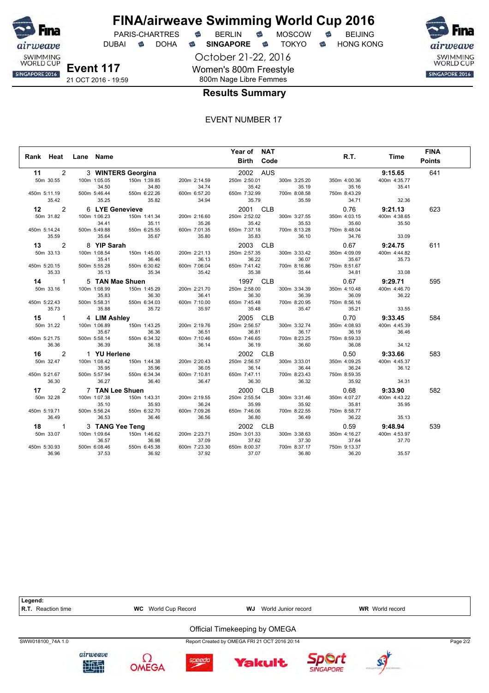

DUBAI **S** DOHA S SINGAPORE S TOKYO S HONG KONG

October 21-22, 2016 Women's 800m Freestyle 800m Nage Libre Femmes



#### **Results Summary**

| Rank Heat            | Lane Name |              |                    |              | Year of NAT<br><b>Birth Code</b> |              | R.T.         | Time         | <b>FINA</b><br><b>Points</b> |
|----------------------|-----------|--------------|--------------------|--------------|----------------------------------|--------------|--------------|--------------|------------------------------|
| 2<br>11              |           |              | 3 WINTERS Georgina |              | 2002 AUS                         |              |              | 9:15.65      | 641                          |
| 50m 30.55            |           | 100m 1:05.05 | 150m 1:39.85       | 200m 2:14.59 | 250m 2:50.01                     | 300m 3:25.20 | 350m 4:00.36 | 400m 4:35.77 |                              |
|                      |           | 34.50        | 34.80              | 34.74        | 35.42                            | 35.19        | 35.16        | 35.41        |                              |
| 450m 5:11.19         |           | 500m 5:46.44 | 550m 6:22.26       | 600m 6:57.20 | 650m 7:32.99                     | 700m 8:08.58 | 750m 8:43.29 |              |                              |
| 35.42                |           | 35.25        | 35.82              | 34.94        | 35.79                            | 35.59        | 34.71        | 32.36        |                              |
| 2<br>12              |           |              | 6 LYE Genevieve    |              | 2001 CLB                         |              | 0.76         | 9:21.13      | 623                          |
| 50m 31.82            |           | 100m 1:06.23 | 150m 1:41.34       | 200m 2:16.60 | 250m 2:52.02                     | 300m 3:27.55 | 350m 4:03.15 | 400m 4:38.65 |                              |
|                      |           | 34.41        | 35.11              | 35.26        | 35.42                            | 35.53        | 35.60        | 35.50        |                              |
| 450m 5:14.24         |           | 500m 5:49.88 | 550m 6:25.55       | 600m 7:01.35 | 650m 7:37.18                     | 700m 8:13.28 | 750m 8:48.04 |              |                              |
| 35.59                |           | 35.64        | 35.67              | 35.80        | 35.83                            | 36.10        | 34.76        | 33.09        |                              |
| 2<br>13 —            |           | 8 YIP Sarah  |                    |              | 2003 CLB                         |              | 0.67         | 9:24.75      | 611                          |
| 50m 33.13            |           | 100m 1:08.54 | 150m 1:45.00       | 200m 2:21.13 | 250m 2:57.35                     | 300m 3:33.42 | 350m 4:09.09 | 400m 4:44.82 |                              |
|                      |           | 35.41        | 36.46              | 36.13        | 36.22                            | 36.07        | 35.67        | 35.73        |                              |
| 450m 5:20.15         |           | 500m 5:55.28 | 550m 6:30.62       | 600m 7:06.04 | 650m 7:41.42                     | 700m 8:16.86 | 750m 8:51.67 |              |                              |
| 35.33                |           | 35.13        | 35.34              | 35.42        | 35.38                            | 35.44        | 34.81        | 33.08        |                              |
| $\mathbf{1}$<br>14   |           |              | 5 TAN Mae Shuen    |              | 1997 CLB                         |              | 0.67         | 9:29.71      | 595                          |
| 50m 33.16            |           | 100m 1:08.99 | 150m 1:45.29       | 200m 2:21.70 | 250m 2:58.00                     | 300m 3:34.39 | 350m 4:10.48 | 400m 4:46.70 |                              |
|                      |           | 35.83        | 36.30              | 36.41        | 36.30                            | 36.39        | 36.09        | 36.22        |                              |
| 450m 5:22.43         |           | 500m 5:58.31 | 550m 6:34.03       | 600m 7:10.00 | 650m 7:45.48                     | 700m 8:20.95 | 750m 8:56.16 |              |                              |
| 35.73                |           | 35.88        | 35.72              | 35.97        | 35.48                            | 35.47        | 35.21        | 33.55        |                              |
| 15 1                 |           | 4 LIM Ashley |                    |              | 2005 CLB                         |              | 0.70         | 9:33.45      | 584                          |
| 50m 31.22            |           | 100m 1:06.89 | 150m 1:43.25       | 200m 2:19.76 | 250m 2:56.57                     | 300m 3:32.74 | 350m 4:08.93 | 400m 4:45.39 |                              |
|                      |           | 35.67        | 36.36              | 36.51        | 36.81                            | 36.17        | 36.19        | 36.46        |                              |
| 450m 5:21.75         |           | 500m 5:58.14 | 550m 6:34.32       | 600m 7:10.46 | 650m 7:46.65                     | 700m 8:23.25 | 750m 8:59.33 |              |                              |
| 36.36                |           | 36.39        | 36.18              | 36.14        | 36.19                            | 36.60        | 36.08        | 34.12        |                              |
| 16 —<br>2            |           | 1 YU Herlene |                    |              | 2002 CLB                         |              | 0.50         | 9:33.66      | 583                          |
| 50m 32.47            |           | 100m 1:08.42 | 150m 1:44.38       | 200m 2:20.43 | 250m 2:56.57                     | 300m 3:33.01 | 350m 4:09.25 | 400m 4:45.37 |                              |
|                      |           | 35.95        | 35.96              | 36.05        | 36.14                            | 36.44        | 36.24        | 36.12        |                              |
| 450m 5:21.67         |           | 500m 5:57.94 | 550m 6:34.34       | 600m 7:10.81 | 650m 7:47.11                     | 700m 8:23.43 | 750m 8:59.35 |              |                              |
| 36.30                |           | 36.27        | 36.40              | 36.47        | 36.30                            | 36.32        | 35.92        | 34.31        |                              |
| $\overline{2}$<br>17 |           |              | 7 TAN Lee Shuen    |              | 2000 CLB                         |              | 0.68         | 9:33.90      | 582                          |
| 50m 32.28            |           | 100m 1:07.38 | 150m 1:43.31       | 200m 2:19.55 | 250m 2:55.54                     | 300m 3:31.46 | 350m 4:07.27 | 400m 4:43.22 |                              |
|                      |           | 35.10        | 35.93              | 36.24        | 35.99                            | 35.92        | 35.81        | 35.95        |                              |
| 450m 5:19.71         |           | 500m 5:56.24 | 550m 6:32.70       | 600m 7:09.26 | 650m 7:46.06                     | 700m 8:22.55 | 750m 8:58.77 |              |                              |
| 36.49                |           | 36.53        | 36.46              | 36.56        | 36.80                            | 36.49        | 36.22        | 35.13        |                              |
| 18<br>$\overline{1}$ |           |              | 3 TANG Yee Teng    |              | 2002 CLB                         |              | 0.59         | 9:48.94      | 539                          |
| 50m 33.07            |           | 100m 1:09.64 | 150m 1:46.62       | 200m 2:23.71 | 250m 3:01.33                     | 300m 3:38.63 | 350m 4:16.27 | 400m 4:53.97 |                              |
|                      |           | 36.57        | 36.98              | 37.09        | 37.62                            | 37.30        | 37.64        | 37.70        |                              |
| 450m 5:30.93         |           | 500m 6:08.46 | 550m 6:45.38       | 600m 7:23.30 | 650m 8:00.37                     | 700m 8:37.17 | 750m 9:13.37 |              |                              |
| 36.96                |           | 37.53        | 36.92              | 37.92        | 37.07                            | 36.80        | 36.20        | 35.57        |                              |

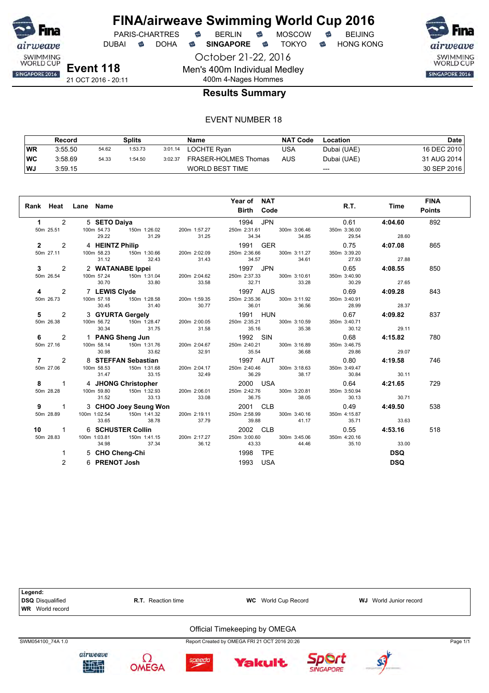

DUBAI **S** DOHA S SINGAPORE S TOKYO S HONG KONG

October 21-22, 2016 Men's 400m Individual Medley

400m 4-Nages Hommes

SWIMMING<br>WORLD CUP SINGAPORE 2016

**Results Summary**

|           | Record  |       | Splits  |         | Name                 | <b>NAT Code</b> | Location    | Date        |
|-----------|---------|-------|---------|---------|----------------------|-----------------|-------------|-------------|
| WR        | 3:55.50 | 54.62 | 1:53.73 | 3:01.14 | LOCHTE Ryan          | USA             | Dubai (UAE) | 16 DEC 2010 |
| <b>WC</b> | 3:58.69 | 54.33 | 1:54.50 | 3:02.37 | FRASER-HOLMES Thomas | AUS             | Dubai (UAE) | 31 AUG 2014 |
| WJ        | 3:59.15 |       |         |         | WORLD BEST TIME      |                 | $---$       | 30 SEP 2016 |

|                     |                                                                                                                                                                                                                                                                                            |       | Year of NAT                                            |                             |                | <b>FINA</b>   |
|---------------------|--------------------------------------------------------------------------------------------------------------------------------------------------------------------------------------------------------------------------------------------------------------------------------------------|-------|--------------------------------------------------------|-----------------------------|----------------|---------------|
|                     | Rank Heat Lane Name                                                                                                                                                                                                                                                                        |       | <b>Birth Code</b>                                      |                             | R.T. Time      | <b>Points</b> |
| $1 \quad \Box$      | 2 5 SETO Daiya                                                                                                                                                                                                                                                                             |       | 1994 JPN                                               | 0.61                        | 4:04.60        | 892           |
| 50m 25.51           | 100m 54.73                                                                                                                                                                                                                                                                                 |       | 150m 1:26.02  200m 1:57.27  250m 2:31.61  300m 3:06.46 | 350m 3:36.00                |                |               |
|                     | 29.22<br>31.29                                                                                                                                                                                                                                                                             | 31.25 | 34.34<br>34.85                                         | 29.54                       | 28.60          |               |
| $\mathbf{2}$        | 2 4 HEINTZ Philip<br>100m 58.23 150m 1:30.66 200m 2:02.09 250m 2:36.66 300m 3:11.27                                                                                                                                                                                                        |       |                                                        | 0.75                        | 4:07.08        | 865           |
|                     | 50m 27.11 100m 58.23<br>31.12                                                                                                                                                                                                                                                              |       | 300m 3:11.27                                           | 350m 3:39.20                | 27.88          |               |
|                     | 32.43 31.43                                                                                                                                                                                                                                                                                |       | 34.57                                                  | 34.61 27.93                 |                |               |
|                     |                                                                                                                                                                                                                                                                                            |       |                                                        | $0.65$ 4:08.55              |                | 850           |
|                     | 3 2 2 WATANABE Ippei 1997 JPN<br>50m 26.54 100m 57.24 150m 1:31.04 200m 2:04.62 250m 2:37.33 300m 3:10.61<br>30.70 33.80 32.71 33.28                                                                                                                                                       |       |                                                        | 350m 3:40.90<br>30.29       | 27.65          |               |
|                     |                                                                                                                                                                                                                                                                                            |       |                                                        |                             |                |               |
| 2<br>4<br>50m 26.73 | 7 LEWIS Clyde 1997 AUS<br>100m 57.18 150m 1:28.58 200m 1:59.35 250m 2:35.36 300m 3:11.92 350m                                                                                                                                                                                              |       |                                                        | 350m 3:40.91                | $0.69$ 4:09.28 | 843           |
|                     | 30.45<br>31.40                                                                                                                                                                                                                                                                             | 30.77 | 36.01 36.56 28.99                                      |                             | 28.37          |               |
| $5 \t2$             |                                                                                                                                                                                                                                                                                            |       |                                                        |                             | $0.67$ 4:09.82 | 837           |
| 50m 26.38           | 3 <b>GYURTA Gergely</b><br>100m 56.72 150m 1:28.47 200m 2:00.05 250m 2:35.21 300m 3:10.59 350m                                                                                                                                                                                             |       |                                                        | 350m 3:40.71                |                |               |
|                     |                                                                                                                                                                                                                                                                                            |       |                                                        | 30.12 29.11                 |                |               |
| $6\qquad 2$         | 100m 30.72<br>30.34<br>30.34<br>31.75<br>31.75<br>31.58<br>33.62<br>32.91<br>300m 3.16.89<br>33.86<br>33.86<br>33.86<br>33.95<br>33.62<br>32.91<br>33.54<br>33.54<br>33.54<br>33.95<br>33.62<br>32.91<br>33.54<br>33.62<br>32.91<br>33.54<br>33.62<br>32.91<br>33.54<br>33.68<br>33.62<br> |       |                                                        | 0.68                        | 4:15.82        | 780           |
| 50m 27.16           |                                                                                                                                                                                                                                                                                            |       |                                                        | 350m 3:46.75                |                |               |
|                     |                                                                                                                                                                                                                                                                                            |       |                                                        | $36.68$ $29.86$             | 29.07          |               |
| $7 \t2$             |                                                                                                                                                                                                                                                                                            |       |                                                        | 0.80                        | 4:19.58        | 746           |
|                     | 50m 27.06 100m 58.53                                                                                                                                                                                                                                                                       |       |                                                        | 350m 3:49.47                |                |               |
|                     | 31.47<br>33.15                                                                                                                                                                                                                                                                             |       | 32.49<br>36.29                                         | 38.17 30.84                 | 30.11          |               |
|                     | <b>8</b> 1 4 JHONG Christopher 2000 USA<br>50m 28.28 100m 59.80 150m 1:32.93 200m 2:06.01 250m 2:42.76 300m 3:20.81                                                                                                                                                                        |       |                                                        | 0.64                        | 4:21.65        | 729           |
| 50m 28.28           |                                                                                                                                                                                                                                                                                            |       |                                                        | 350m 3:50.94                |                |               |
|                     | 33.13<br>31.52                                                                                                                                                                                                                                                                             | 33.08 | 36.75<br>38.05                                         | 30.13                       | 30.71          |               |
|                     |                                                                                                                                                                                                                                                                                            |       |                                                        | 0.49                        | 4:49.50        | 538           |
|                     |                                                                                                                                                                                                                                                                                            |       | $250m$ $2:58.99$ 300m $3:40.16$                        | 350m 4:15.87<br>35.71 33.63 |                |               |
|                     | 9 1 3 CHOO Joey Seung Won<br>50m 28.89 100m 1:02.54 150m 1:41.32 200m 2:19.11 250m 2:58.99 300m 3:40.16<br>33.65 38.78 37.79 39.88 41.17<br>10 1 6 SCHUSTER Collin 2002 CLB<br>50m 28.83 100m 1:03.81 150m 1:41.15 200m 2:17.27 250m 3                                                     |       |                                                        |                             |                |               |
|                     |                                                                                                                                                                                                                                                                                            |       |                                                        | 0.55                        | 4:53.16        | 518           |
|                     | 37.34<br>34.98                                                                                                                                                                                                                                                                             |       | 300m 3:45.06<br>36.12 43.33<br>44.46                   | 350m 4:20.16<br>35.10       | 33.00          |               |
| 1                   | 5 CHO Cheng-Chi                                                                                                                                                                                                                                                                            |       | 1998 TPE                                               |                             | <b>DSQ</b>     |               |
|                     |                                                                                                                                                                                                                                                                                            |       |                                                        |                             |                |               |
| 2                   | 6 PRENOT Josh                                                                                                                                                                                                                                                                              |       | 1993<br>USA                                            |                             | <b>DSQ</b>     |               |

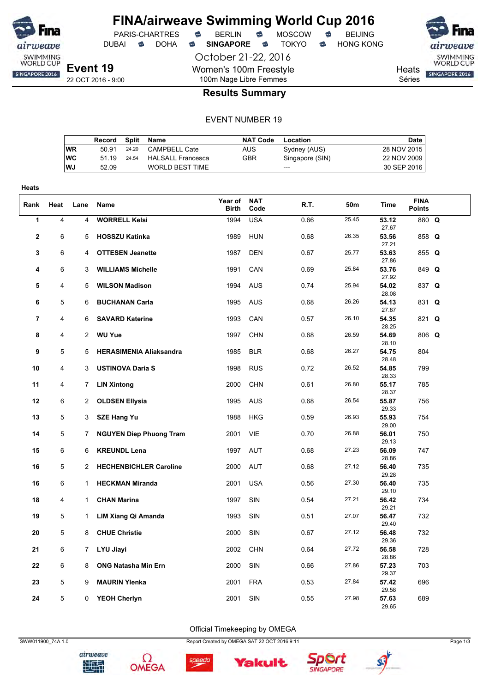

DUBAI **S** DOHA S SINGAPORE S TOKYO S HONG KONG

October 21-22, 2016 Women's 100m Freestyle 100m Nage Libre Femmes





**Heats** Séries

#### **Results Summary**

#### EVENT NUMBER 19

|           | Record | Split | Name                   | <b>NAT Code</b> | Location        | Date        |
|-----------|--------|-------|------------------------|-----------------|-----------------|-------------|
| WR        | 50.91  | 24.20 | CAMPBELL Cate          | AUS             | Sydney (AUS)    | 28 NOV 2015 |
| <b>WC</b> | 51 19  | 24.54 | HALSALL Francesca      | GBR             | Singapore (SIN) | 22 NOV 2009 |
| <b>WJ</b> | 52.09  |       | <b>WORLD BEST TIME</b> |                 | ---             | 30 SEP 2016 |

| <b>Heats</b>   |      |                |                                |                  |                    |      |       |                |                              |  |
|----------------|------|----------------|--------------------------------|------------------|--------------------|------|-------|----------------|------------------------------|--|
| Rank           | Heat | Lane           | Name                           | Year of<br>Birth | <b>NAT</b><br>Code | R.T. | 50m   | Time           | <b>FINA</b><br><b>Points</b> |  |
| 1              | 4    | $\overline{4}$ | <b>WORRELL Kelsi</b>           | 1994             | <b>USA</b>         | 0.66 | 25.45 | 53.12<br>27.67 | 880 Q                        |  |
| $\mathbf{2}$   | 6    | 5              | <b>HOSSZU Katinka</b>          | 1989             | <b>HUN</b>         | 0.68 | 26.35 | 53.56<br>27.21 | 858 Q                        |  |
| 3              | 6    | 4              | <b>OTTESEN Jeanette</b>        | 1987             | <b>DEN</b>         | 0.67 | 25.77 | 53.63<br>27.86 | 855 Q                        |  |
| 4              | 6    | 3              | <b>WILLIAMS Michelle</b>       | 1991             | CAN                | 0.69 | 25.84 | 53.76<br>27.92 | 849 Q                        |  |
| 5              | 4    | 5              | <b>WILSON Madison</b>          | 1994             | <b>AUS</b>         | 0.74 | 25.94 | 54.02<br>28.08 | 837 Q                        |  |
| 6              | 5    | 6              | <b>BUCHANAN Carla</b>          | 1995             | <b>AUS</b>         | 0.68 | 26.26 | 54.13<br>27.87 | 831 Q                        |  |
| $\overline{7}$ | 4    | 6              | <b>SAVARD Katerine</b>         | 1993             | CAN                | 0.57 | 26.10 | 54.35<br>28.25 | 821 Q                        |  |
| 8              | 4    | $\overline{2}$ | <b>WU Yue</b>                  | 1997             | <b>CHN</b>         | 0.68 | 26.59 | 54.69<br>28.10 | 806 Q                        |  |
| 9              | 5    | 5              | <b>HERASIMENIA Aliaksandra</b> | 1985             | <b>BLR</b>         | 0.68 | 26.27 | 54.75<br>28.48 | 804                          |  |
| 10             | 4    | 3              | <b>USTINOVA Daria S</b>        | 1998             | <b>RUS</b>         | 0.72 | 26.52 | 54.85<br>28.33 | 799                          |  |
| 11             | 4    | 7              | <b>LIN Xintong</b>             | 2000             | <b>CHN</b>         | 0.61 | 26.80 | 55.17<br>28.37 | 785                          |  |
| 12             | 6    | $\overline{2}$ | <b>OLDSEN Ellysia</b>          | 1995             | <b>AUS</b>         | 0.68 | 26.54 | 55.87<br>29.33 | 756                          |  |
| 13             | 5    | 3              | <b>SZE Hang Yu</b>             | 1988             | <b>HKG</b>         | 0.59 | 26.93 | 55.93<br>29.00 | 754                          |  |
| 14             | 5    | 7              | <b>NGUYEN Diep Phuong Tram</b> | 2001             | VIE                | 0.70 | 26.88 | 56.01<br>29.13 | 750                          |  |
| 15             | 6    | 6              | <b>KREUNDL Lena</b>            | 1997             | <b>AUT</b>         | 0.68 | 27.23 | 56.09<br>28.86 | 747                          |  |
| 16             | 5    | $\overline{2}$ | <b>HECHENBICHLER Caroline</b>  | 2000             | <b>AUT</b>         | 0.68 | 27.12 | 56.40<br>29.28 | 735                          |  |
| 16             | 6    | $\mathbf{1}$   | <b>HECKMAN Miranda</b>         | 2001             | <b>USA</b>         | 0.56 | 27.30 | 56.40<br>29.10 | 735                          |  |
| 18             | 4    | $\mathbf{1}$   | <b>CHAN Marina</b>             | 1997             | SIN                | 0.54 | 27.21 | 56.42<br>29.21 | 734                          |  |
| 19             | 5    | 1              | LIM Xiang Qi Amanda            | 1993             | SIN                | 0.51 | 27.07 | 56.47<br>29.40 | 732                          |  |
| 20             | 5    | 8              | <b>CHUE Christie</b>           | 2000             | SIN                | 0.67 | 27.12 | 56.48<br>29.36 | 732                          |  |
| 21             | 6    | 7              | LYU Jiayi                      | 2002             | <b>CHN</b>         | 0.64 | 27.72 | 56.58<br>28.86 | 728                          |  |
| 22             | 6    | 8              | <b>ONG Natasha Min Ern</b>     | 2000             | SIN                | 0.66 | 27.86 | 57.23<br>29.37 | 703                          |  |
| 23             | 5    | 9              | <b>MAURIN Ylenka</b>           | 2001             | <b>FRA</b>         | 0.53 | 27.84 | 57.42<br>29.58 | 696                          |  |
| 24             | 5    | 0              | <b>YEOH Cherlyn</b>            | 2001             | SIN                | 0.55 | 27.98 | 57.63<br>29.65 | 689                          |  |

Official Timekeeping by OMEGA

speedo



airweave 地型



SWW011900\_74A 1.0 Page 1/3





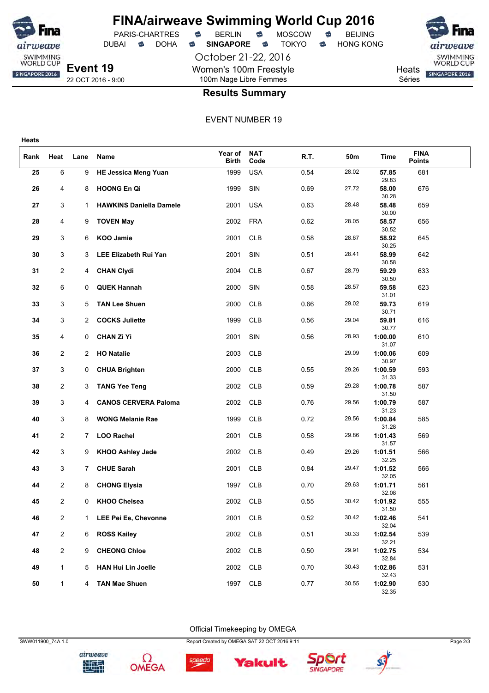

**Heats**

### **FINA/airweave Swimming World Cup 2016**

October 21-22, 2016 Women's 100m Freestyle 100m Nage Libre Femmes





**Results Summary**

#### EVENT NUMBER 19

| Rank | Heat           | Lane           | Name                           | Year of<br><b>Birth</b> | <b>NAT</b><br>Code | R.T. | 50m   | Time             | <b>FINA</b><br><b>Points</b> |  |
|------|----------------|----------------|--------------------------------|-------------------------|--------------------|------|-------|------------------|------------------------------|--|
| 25   | 6              | 9              | <b>HE Jessica Meng Yuan</b>    | 1999                    | <b>USA</b>         | 0.54 | 28.02 | 57.85<br>29.83   | 681                          |  |
| 26   | 4              | 8              | HOONG En Qi                    | 1999                    | SIN                | 0.69 | 27.72 | 58.00<br>30.28   | 676                          |  |
| 27   | 3              | 1              | <b>HAWKINS Daniella Damele</b> | 2001                    | <b>USA</b>         | 0.63 | 28.48 | 58.48<br>30.00   | 659                          |  |
| 28   | 4              | 9              | <b>TOVEN May</b>               | 2002                    | <b>FRA</b>         | 0.62 | 28.05 | 58.57            | 656                          |  |
| 29   | 3              | 6              | KOO Jamie                      | 2001                    | <b>CLB</b>         | 0.58 | 28.67 | 30.52<br>58.92   | 645                          |  |
| 30   | 3              | 3              | LEE Elizabeth Rui Yan          | 2001                    | SIN                | 0.51 | 28.41 | 30.25<br>58.99   | 642                          |  |
| 31   | 2              | 4              | <b>CHAN Clydi</b>              | 2004                    | <b>CLB</b>         | 0.67 | 28.79 | 30.58<br>59.29   | 633                          |  |
| 32   | 6              | 0              | <b>QUEK Hannah</b>             | 2000                    | SIN                | 0.58 | 28.57 | 30.50<br>59.58   | 623                          |  |
| 33   | 3              | 5              | <b>TAN Lee Shuen</b>           | 2000                    | <b>CLB</b>         | 0.66 | 29.02 | 31.01<br>59.73   | 619                          |  |
| 34   | 3              | 2              | <b>COCKS Juliette</b>          | 1999                    | <b>CLB</b>         | 0.56 | 29.04 | 30.71<br>59.81   | 616                          |  |
| 35   | 4              | 0              | <b>CHAN Zi Yi</b>              | 2001                    | SIN                | 0.56 | 28.93 | 30.77<br>1:00.00 | 610                          |  |
| 36   | 2              | 2              | <b>HO Natalie</b>              | 2003                    | <b>CLB</b>         |      | 29.09 | 31.07<br>1:00.06 | 609                          |  |
| 37   | 3              | 0              | <b>CHUA Brighten</b>           | 2000                    | <b>CLB</b>         | 0.55 | 29.26 | 30.97<br>1:00.59 | 593                          |  |
| 38   | $\overline{c}$ | 3              | <b>TANG Yee Teng</b>           | 2002                    | <b>CLB</b>         | 0.59 | 29.28 | 31.33<br>1:00.78 | 587                          |  |
| 39   | 3              | 4              | <b>CANOS CERVERA Paloma</b>    | 2002                    | <b>CLB</b>         | 0.76 | 29.56 | 31.50<br>1:00.79 | 587                          |  |
| 40   | 3              | 8              | <b>WONG Melanie Rae</b>        | 1999                    | <b>CLB</b>         | 0.72 | 29.56 | 31.23<br>1:00.84 | 585                          |  |
| 41   | $\overline{c}$ | 7              | <b>LOO Rachel</b>              | 2001                    | <b>CLB</b>         | 0.58 | 29.86 | 31.28<br>1:01.43 | 569                          |  |
| 42   | 3              | 9              | <b>KHOO Ashley Jade</b>        | 2002                    | <b>CLB</b>         | 0.49 | 29.26 | 31.57<br>1:01.51 | 566                          |  |
| 43   | 3              | 7 <sup>1</sup> | <b>CHUE Sarah</b>              | 2001                    | <b>CLB</b>         | 0.84 | 29.47 | 32.25<br>1:01.52 | 566                          |  |
| 44   | $\overline{c}$ |                | <b>CHONG Elysia</b>            | 1997                    | <b>CLB</b>         | 0.70 | 29.63 | 32.05<br>1:01.71 | 561                          |  |
|      |                | 8              |                                |                         |                    |      |       | 32.08            |                              |  |
| 45   | 2              | 0              | <b>KHOO Chelsea</b>            | 2002                    | <b>CLB</b>         | 0.55 | 30.42 | 1:01.92<br>31.50 | 555                          |  |
| 46   | 2              | 1              | LEE Pei Ee, Chevonne           | 2001                    | CLB                | 0.52 | 30.42 | 1:02.46<br>32.04 | 541                          |  |
| 47   | $\overline{c}$ | 6              | <b>ROSS Kailey</b>             | 2002                    | CLB                | 0.51 | 30.33 | 1:02.54<br>32.21 | 539                          |  |
| 48   | $\overline{c}$ | 9              | <b>CHEONG Chloe</b>            | 2002                    | CLB                | 0.50 | 29.91 | 1:02.75<br>32.84 | 534                          |  |
| 49   | 1              | 5              | <b>HAN Hui Lin Joelle</b>      | 2002                    | CLB                | 0.70 | 30.43 | 1:02.86<br>32.43 | 531                          |  |
| 50   | 1              | 4              | <b>TAN Mae Shuen</b>           | 1997                    | <b>CLB</b>         | 0.77 | 30.55 | 1:02.90<br>32.35 | 530                          |  |

Official Timekeeping by OMEGA







Yakult

speedo



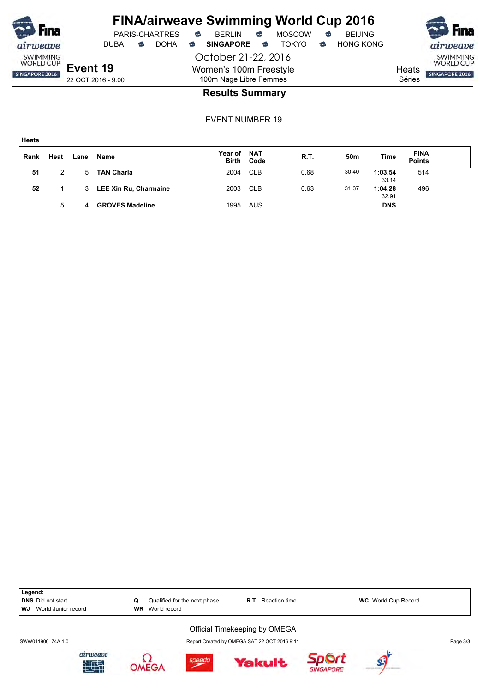

October 21-22, 2016 Women's 100m Freestyle 100m Nage Libre Femmes



SWIMMING<br>WORLD CUP SINGAPORE 2016

**Heats** Séries

#### **Results Summary**

| . .<br>۰.<br>۰.<br>×<br>×<br>e e |
|----------------------------------|
|----------------------------------|

| Rank | Heat | Lane | Name                   | Year of | <b>NAT</b><br><b>Birth Code</b> | R.T. | 50m   | Time             | <b>FINA</b><br><b>Points</b> |  |
|------|------|------|------------------------|---------|---------------------------------|------|-------|------------------|------------------------------|--|
| 51   |      | 5.   | <b>TAN Charla</b>      | 2004    | <b>CLB</b>                      | 0.68 | 30.40 | 1:03.54<br>33.14 | 514                          |  |
| 52   |      | 3    | LEE Xin Ru, Charmaine  | 2003    | <b>CLB</b>                      | 0.63 | 31.37 | 1:04.28<br>32.91 | 496                          |  |
|      | 5    | 4    | <b>GROVES Madeline</b> | 1995    | AUS                             |      |       | <b>DNS</b>       |                              |  |

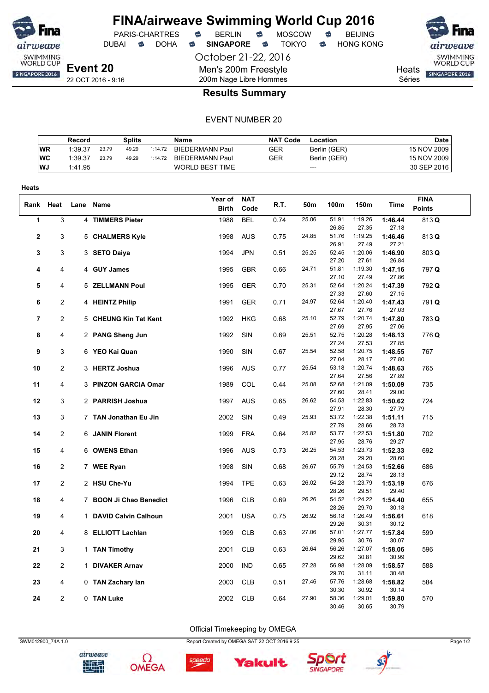

DUBAI **S** DOHA S SINGAPORE S TOKYO S HONG KONG

October 21-22, 2016 Men's 200m Freestyle 200m Nage Libre Hommes

PARIS-CHARTRES **B** BERLIN **B** MOSCOW **B** BEIJING

SWIMMING<br>WORLD CUP SINGAPORE 2016

**Heats** Séries

22 OCT 2016 - 9:16

#### **Results Summary**

#### EVENT NUMBER 20

|           | Record  |       | Splits |         | <b>Name</b>            | <b>NAT Code</b> | Location     | <b>Date</b> |
|-----------|---------|-------|--------|---------|------------------------|-----------------|--------------|-------------|
| <b>WR</b> | 1:39.37 | 23.79 | 49.29  | 1:14.72 | <b>BIEDERMANN Paul</b> | GER             | Berlin (GER) | 15 NOV 2009 |
| WC        | 1:39.37 | 23.79 | 49.29  | 1:14.72 | BIEDERMANN Paul        | GER             | Berlin (GER) | 15 NOV 2009 |
| l WJ      | 1:41.95 |       |        |         | <b>WORLD BEST TIME</b> |                 | $---$        | 30 SEP 2016 |

| <b>Heats</b>   |                |                         |              |            |      |       |                |                  |                  |               |
|----------------|----------------|-------------------------|--------------|------------|------|-------|----------------|------------------|------------------|---------------|
|                |                |                         | Year of      | <b>NAT</b> |      |       |                |                  |                  | <b>FINA</b>   |
|                | Rank Heat      | Lane Name               | <b>Birth</b> | Code       | R.T. | 50m   | 100m           | 150m             | Time             | <b>Points</b> |
| 1              | 3              | 4 TIMMERS Pieter        | 1988         | <b>BEL</b> | 0.74 | 25.06 | 51.91          | 1:19.26          | 1:46.44          | 813 Q         |
|                |                |                         |              |            |      |       | 26.85          | 27.35            | 27.18            |               |
| $\mathbf{2}$   | 3              | 5 CHALMERS Kyle         | 1998         | <b>AUS</b> | 0.75 | 24.85 | 51.76          | 1:19.25          | 1:46.46          | 813 Q         |
|                |                |                         |              |            |      |       | 26.91          | 27.49            | 27.21            |               |
| 3              | 3              | 3 SETO Daiya            | 1994         | <b>JPN</b> | 0.51 | 25.25 | 52.45          | 1:20.06          | 1:46.90          | 803 Q         |
|                |                |                         |              |            |      |       | 27.20          | 27.61            | 26.84            |               |
| 4              | $\overline{4}$ | 4 GUY James             | 1995         | <b>GBR</b> | 0.66 | 24.71 | 51.81          | 1:19.30          | 1:47.16          | 797 Q         |
|                |                |                         |              |            |      |       | 27.10          | 27.49            | 27.86            |               |
| 5              | 4              | 5 ZELLMANN Poul         | 1995         | GER        | 0.70 | 25.31 | 52.64<br>27.33 | 1:20.24<br>27.60 | 1:47.39<br>27.15 | 792 Q         |
| 6              | 2              |                         | 1991         | <b>GER</b> |      | 24.97 | 52.64          | 1:20.40          | 1:47.43          | 791 Q         |
|                |                | 4 HEINTZ Philip         |              |            | 0.71 |       | 27.67          | 27.76            | 27.03            |               |
| $\overline{7}$ | $\overline{2}$ | 5 CHEUNG Kin Tat Kent   | 1992         | <b>HKG</b> | 0.68 | 25.10 | 52.79          | 1:20.74          | 1:47.80          | 783 Q         |
|                |                |                         |              |            |      |       | 27.69          | 27.95            | 27.06            |               |
| 8              | 4              | 2 PANG Sheng Jun        | 1992         | SIN        | 0.69 | 25.51 | 52.75          | 1:20.28          | 1:48.13          | 776 Q         |
|                |                |                         |              |            |      |       | 27.24          | 27.53            | 27.85            |               |
| 9              | 3              | 6 YEO Kai Quan          | 1990         | SIN        | 0.67 | 25.54 | 52.58          | 1:20.75          | 1:48.55          | 767           |
|                |                |                         |              |            |      |       | 27.04          | 28.17            | 27.80            |               |
| 10             | $\overline{2}$ | 3 HERTZ Joshua          | 1996         | <b>AUS</b> | 0.77 | 25.54 | 53.18          | 1:20.74          | 1:48.63          | 765           |
|                |                |                         |              |            |      |       | 27.64          | 27.56            | 27.89            |               |
| 11             | $\overline{4}$ | 3 PINZON GARCIA Omar    | 1989         | COL        | 0.44 | 25.08 | 52.68          | 1:21.09          | 1:50.09          | 735           |
|                |                |                         |              |            |      |       | 27.60          | 28.41            | 29.00            |               |
| 12             | 3              | 2 PARRISH Joshua        | 1997         | <b>AUS</b> | 0.65 | 26.62 | 54.53          | 1:22.83          | 1:50.62          | 724           |
|                |                |                         |              |            |      |       | 27.91          | 28.30            | 27.79            |               |
| 13             | 3              | 7 TAN Jonathan Eu Jin   | 2002         | SIN        | 0.49 | 25.93 | 53.72          | 1:22.38          | 1:51.11          | 715           |
| 14             | 2              |                         |              |            |      | 25.82 | 27.79<br>53.77 | 28.66<br>1:22.53 | 28.73            |               |
|                |                | 6 JANIN Florent         | 1999         | <b>FRA</b> | 0.64 |       | 27.95          | 28.76            | 1:51.80<br>29.27 | 702           |
| 15             | 4              | 6 OWENS Ethan           | 1996         | <b>AUS</b> | 0.73 | 26.25 | 54.53          | 1:23.73          | 1:52.33          | 692           |
|                |                |                         |              |            |      |       | 28.28          | 29.20            | 28.60            |               |
| 16             | 2              | 7 WEE Ryan              | 1998         | <b>SIN</b> | 0.68 | 26.67 | 55.79          | 1:24.53          | 1:52.66          | 686           |
|                |                |                         |              |            |      |       | 29.12          | 28.74            | 28.13            |               |
| 17             | $\overline{2}$ | 2 HSU Che-Yu            | 1994         | <b>TPE</b> | 0.63 | 26.02 | 54.28          | 1:23.79          | 1:53.19          | 676           |
|                |                |                         |              |            |      |       | 28.26          | 29.51            | 29.40            |               |
| 18             | 4              | 7 BOON Ji Chao Benedict | 1996         | <b>CLB</b> | 0.69 | 26.26 | 54.52          | 1:24.22          | 1:54.40          | 655           |
|                |                |                         |              |            |      |       | 28.26          | 29.70            | 30.18            |               |
| 19             | 4              | 1 DAVID Calvin Calhoun  | 2001         | <b>USA</b> | 0.75 | 26.92 | 56.18          | 1:26.49          | 1:56.61          | 618           |
|                |                |                         |              |            |      |       | 29.26          | 30.31            | 30.12            |               |
| 20             | 4              | 8 ELLIOTT Lachlan       | 1999         | <b>CLB</b> | 0.63 | 27.06 | 57.01          | 1:27.77          | 1:57.84          | 599           |
|                |                |                         |              |            |      |       | 29.95          | 30.76            | 30.07            |               |
| 21             | 3              | 1 TAN Timothy           | 2001         | <b>CLB</b> | 0.63 | 26.64 | 56.26<br>29.62 | 1:27.07          | 1:58.06          | 596           |
| 22             | $\overline{2}$ |                         |              |            |      | 27.28 | 56.98          | 30.81<br>1:28.09 | 30.99            |               |
|                |                | 1 DIVAKER Arnav         | 2000         | <b>IND</b> | 0.65 |       | 29.70          | 31.11            | 1:58.57<br>30.48 | 588           |
| 23             | 4              | 0 TAN Zachary lan       | 2003         | <b>CLB</b> | 0.51 | 27.46 | 57.76          | 1:28.68          | 1:58.82          | 584           |
|                |                |                         |              |            |      |       | 30.30          | 30.92            | 30.14            |               |
| 24             | $\overline{2}$ | 0 TAN Luke              | 2002         | <b>CLB</b> | 0.64 | 27.90 | 58.36          | 1:29.01          | 1:59.80          | 570           |
|                |                |                         |              |            |      |       | 30.46          | 30.65            | 30.79            |               |

Official Timekeeping by OMEGA



Ω







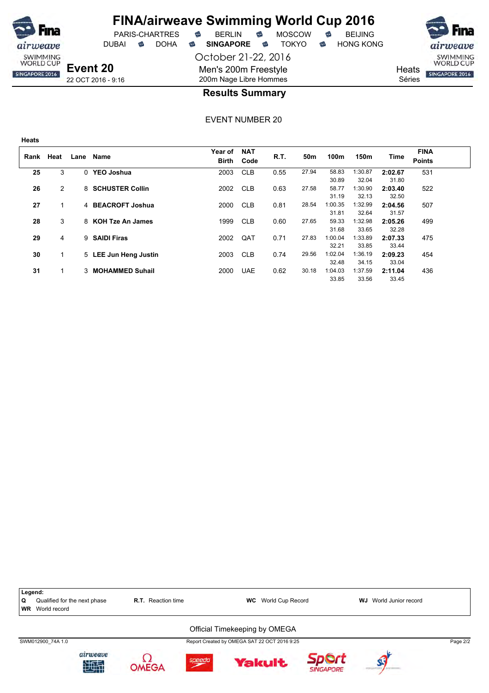

DUBAI **S** DOHA S SINGAPORE S TOKYO S HONG KONG

SWIMMING<br>WORLD CUP SINGAPORE 2016

**Heats** Séries

**Event 20** 22 OCT 2016 - 9:16

**Heats**

weave SWIMMING<br>WORLD CUP

SINGAPORE 2016

#### 200m Nage Libre Hommes **Results Summary**

October 21-22, 2016

Men's 200m Freestyle

| Rank | Heat | Lane     | Name                   | Year of<br><b>Birth</b> | <b>NAT</b><br>Code | R.T. | 50 <sub>m</sub> | 100m             | 150m             | Time             | <b>FINA</b><br><b>Points</b> |
|------|------|----------|------------------------|-------------------------|--------------------|------|-----------------|------------------|------------------|------------------|------------------------------|
| 25   | 3    | $\Omega$ | <b>YEO Joshua</b>      | 2003                    | <b>CLB</b>         | 0.55 | 27.94           | 58.83<br>30.89   | 1:30.87<br>32.04 | 2:02.67<br>31.80 | 531                          |
| 26   | 2    |          | 8 SCHUSTER Collin      | 2002                    | <b>CLB</b>         | 0.63 | 27.58           | 58.77<br>31.19   | 1:30.90<br>32.13 | 2:03.40<br>32.50 | 522                          |
| 27   |      |          | 4 BEACROFT Joshua      | 2000                    | <b>CLB</b>         | 0.81 | 28.54           | 1:00.35<br>31.81 | 1:32.99<br>32.64 | 2:04.56<br>31.57 | 507                          |
| 28   | 3    |          | 8 KOH Tze An James     | 1999                    | <b>CLB</b>         | 0.60 | 27.65           | 59.33<br>31.68   | 1:32.98<br>33.65 | 2:05.26<br>32.28 | 499                          |
| 29   | 4    | 9        | <b>SAIDI Firas</b>     | 2002                    | QAT                | 0.71 | 27.83           | 1:00.04<br>32.21 | 1:33.89<br>33.85 | 2:07.33<br>33.44 | 475                          |
| 30   | 1    |          | 5 LEE Jun Heng Justin  | 2003                    | <b>CLB</b>         | 0.74 | 29.56           | 1:02.04<br>32.48 | 1:36.19<br>34.15 | 2:09.23<br>33.04 | 454                          |
| 31   |      | 3        | <b>MOHAMMED Suhail</b> | 2000                    | <b>UAE</b>         | 0.62 | 30.18           | 1:04.03<br>33.85 | 1:37.59<br>33.56 | 2:11.04<br>33.45 | 436                          |

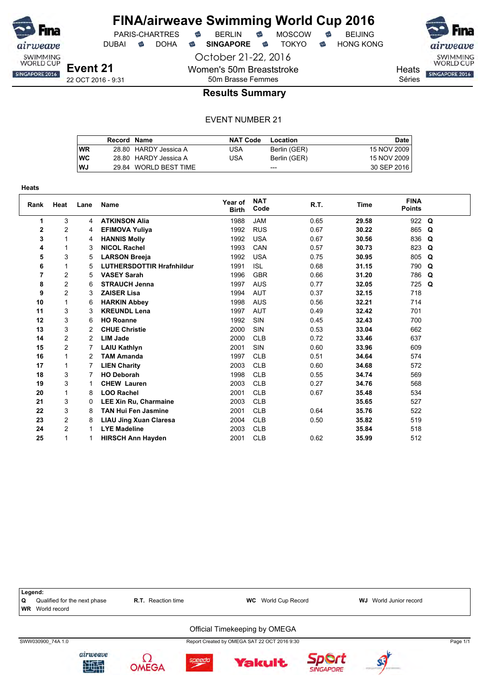

DUBAI **S** DOHA S SINGAPORE S TOKYO S HONG KONG

October 21-22, 2016

Women's 50m Breaststroke

**Heats** SINGAPORE 2016

SWIMMING<br>WORLD CUP

Séries

50m Brasse Femmes

### **Results Summary**

|    | Record Name |                       | <b>NAT Code</b> | Location     | Date l      |
|----|-------------|-----------------------|-----------------|--------------|-------------|
| WR |             | 28.80 HARDY Jessica A | USA             | Berlin (GER) | 15 NOV 2009 |
| wс |             | 28.80 HARDY Jessica A | USA             | Berlin (GER) | 15 NOV 2009 |
| WJ |             | 29.84 WORLD BEST TIME |                 | $---$        | 30 SEP 2016 |

| <b>Heats</b> |                |                |                                  |                         |                    |      |             |                              |   |
|--------------|----------------|----------------|----------------------------------|-------------------------|--------------------|------|-------------|------------------------------|---|
| Rank         | Heat           | Lane           | <b>Name</b>                      | Year of<br><b>Birth</b> | <b>NAT</b><br>Code | R.T. | <b>Time</b> | <b>FINA</b><br><b>Points</b> |   |
| 1            | 3              | 4              | <b>ATKINSON Alia</b>             | 1988                    | <b>JAM</b>         | 0.65 | 29.58       | 922 Q                        |   |
| 2            | 2              | 4              | <b>EFIMOVA Yuliya</b>            | 1992                    | <b>RUS</b>         | 0.67 | 30.22       | 865                          | Q |
| 3            | 1              | 4              | <b>HANNIS Molly</b>              | 1992                    | <b>USA</b>         | 0.67 | 30.56       | 836                          | Q |
| 4            | 1              | 3              | <b>NICOL Rachel</b>              | 1993                    | CAN                | 0.57 | 30.73       | 823                          | Q |
| 5            | 3              | 5              | <b>LARSON Breeja</b>             | 1992                    | <b>USA</b>         | 0.75 | 30.95       | 805                          | Q |
| 6            | 1              | 5              | <b>LUTHERSDOTTIR Hrafnhildur</b> | 1991                    | <b>ISL</b>         | 0.68 | 31.15       | 790                          | Q |
| 7            | 2              | 5              | <b>VASEY Sarah</b>               | 1996                    | <b>GBR</b>         | 0.66 | 31.20       | 786                          | Q |
| 8            | $\overline{c}$ | 6              | <b>STRAUCH Jenna</b>             | 1997                    | <b>AUS</b>         | 0.77 | 32.05       | 725                          | Q |
| 9            | $\overline{2}$ | 3              | <b>ZAISER Lisa</b>               | 1994                    | <b>AUT</b>         | 0.37 | 32.15       | 718                          |   |
| 10           | 1              | 6              | <b>HARKIN Abbey</b>              | 1998                    | <b>AUS</b>         | 0.56 | 32.21       | 714                          |   |
| 11           | 3              | 3              | <b>KREUNDL Lena</b>              | 1997                    | <b>AUT</b>         | 0.49 | 32.42       | 701                          |   |
| 12           | 3              | 6              | <b>HO Roanne</b>                 | 1992                    | SIN                | 0.45 | 32.43       | 700                          |   |
| 13           | 3              | 2              | <b>CHUE Christie</b>             | 2000                    | SIN                | 0.53 | 33.04       | 662                          |   |
| 14           | 2              | $\overline{2}$ | <b>LIM Jade</b>                  | 2000                    | <b>CLB</b>         | 0.72 | 33.46       | 637                          |   |
| 15           | $\overline{c}$ | 7              | <b>LAIU Kathlyn</b>              | 2001                    | SIN                | 0.60 | 33.96       | 609                          |   |
| 16           | 1              | 2              | <b>TAM Amanda</b>                | 1997                    | <b>CLB</b>         | 0.51 | 34.64       | 574                          |   |
| 17           | 1              |                | <b>LIEN Charity</b>              | 2003                    | <b>CLB</b>         | 0.60 | 34.68       | 572                          |   |
| 18           | 3              | 7              | <b>HO Deborah</b>                | 1998                    | <b>CLB</b>         | 0.55 | 34.74       | 569                          |   |
| 19           | 3              | 1              | <b>CHEW Lauren</b>               | 2003                    | <b>CLB</b>         | 0.27 | 34.76       | 568                          |   |
| 20           | 1              | 8              | <b>LOO Rachel</b>                | 2001                    | <b>CLB</b>         | 0.67 | 35.48       | 534                          |   |
| 21           | 3              | 0              | <b>LEE Xin Ru, Charmaine</b>     | 2003                    | <b>CLB</b>         |      | 35.65       | 527                          |   |
| 22           | 3              | 8              | <b>TAN Hui Fen Jasmine</b>       | 2001                    | <b>CLB</b>         | 0.64 | 35.76       | 522                          |   |
| 23           | $\overline{c}$ | 8              | <b>LIAU Jing Xuan Claresa</b>    | 2004                    | <b>CLB</b>         | 0.50 | 35.82       | 519                          |   |
| 24           | $\overline{c}$ | 1              | <b>LYE Madeline</b>              | 2003                    | <b>CLB</b>         |      | 35.84       | 518                          |   |
| 25           | 1              | 1              | <b>HIRSCH Ann Hayden</b>         | 2001                    | <b>CLB</b>         | 0.62 | 35.99       | 512                          |   |

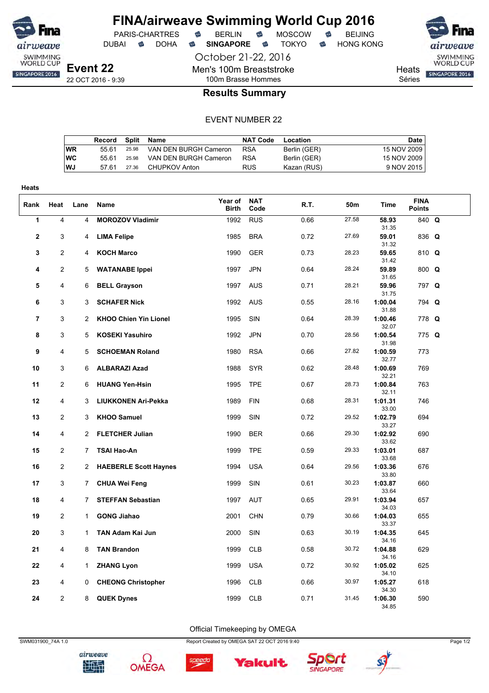

DUBAI **S** DOHA S SINGAPORE S TOKYO S HONG KONG

October 21-22, 2016

Men's 100m Breaststroke

PARIS-CHARTRES **B** BERLIN **B** MOSCOW **B** BEIJING



SWIMMING<br>WORLD CUP SINGAPORE 2016

**Heats** 

Séries

100m Brasse Hommes **Results Summary**

#### EVENT NUMBER 22

|    | Record |       | Split Name            | <b>NAT Code</b> | Location     | Date        |
|----|--------|-------|-----------------------|-----------------|--------------|-------------|
| WR | 55.61  | 25.98 | VAN DEN BURGH Cameron | <b>RSA</b>      | Berlin (GER) | 15 NOV 2009 |
| WС | 55.61  | 25.98 | VAN DEN BURGH Cameron | <b>RSA</b>      | Berlin (GER) | 15 NOV 2009 |
| WJ | 57.61  | 27.36 | CHUPKOV Anton         | <b>RUS</b>      | Kazan (RUS)  | 9 NOV 2015  |

| <b>Heats</b>   |                     |                     |                                                      |                  |                    |              |                |                             |                              |  |
|----------------|---------------------|---------------------|------------------------------------------------------|------------------|--------------------|--------------|----------------|-----------------------------|------------------------------|--|
| Rank           | Heat                | Lane                | Name                                                 | Year of<br>Birth | <b>NAT</b><br>Code | R.T.         | 50m            | <b>Time</b>                 | <b>FINA</b><br><b>Points</b> |  |
| 1              | 4                   | 4                   | <b>MOROZOV Vladimir</b>                              | 1992             | <b>RUS</b>         | 0.66         | 27.58          | 58.93<br>31.35              | 840 Q                        |  |
| $\mathbf{2}$   | 3                   | 4                   | <b>LIMA Felipe</b>                                   | 1985             | <b>BRA</b>         | 0.72         | 27.69          | 59.01<br>31.32              | 836 Q                        |  |
| 3              | 2                   | 4                   | <b>KOCH Marco</b>                                    | 1990             | GER                | 0.73         | 28.23          | 59.65<br>31.42              | 810 Q                        |  |
| 4              | $\overline{c}$      | 5                   | <b>WATANABE Ippei</b>                                | 1997             | <b>JPN</b>         | 0.64         | 28.24          | 59.89<br>31.65              | 800 Q                        |  |
| 5              | 4                   | 6                   | <b>BELL Grayson</b>                                  | 1997             | <b>AUS</b>         | 0.71         | 28.21          | 59.96<br>31.75              | 797 Q                        |  |
| 6              | 3                   | 3                   | <b>SCHAFER Nick</b>                                  | 1992             | <b>AUS</b>         | 0.55         | 28.16          | 1:00.04<br>31.88            | 794 Q                        |  |
| $\overline{7}$ | 3                   | $\overline{2}$      | <b>KHOO Chien Yin Lionel</b>                         | 1995             | SIN                | 0.64         | 28.39          | 1:00.46<br>32.07            | 778 Q                        |  |
| 8              | 3                   | 5                   | <b>KOSEKI Yasuhiro</b>                               | 1992             | <b>JPN</b>         | 0.70         | 28.56          | 1:00.54<br>31.98            | 775 Q                        |  |
| 9              | 4                   | 5                   | <b>SCHOEMAN Roland</b>                               | 1980             | <b>RSA</b>         | 0.66         | 27.82          | 1:00.59<br>32.77            | 773                          |  |
| 10             | 3                   | 6                   | <b>ALBARAZI Azad</b>                                 | 1988             | <b>SYR</b>         | 0.62         | 28.48          | 1:00.69<br>32.21            | 769                          |  |
| 11             | 2                   | 6                   | <b>HUANG Yen-Hsin</b>                                | 1995             | <b>TPE</b>         | 0.67         | 28.73          | 1:00.84<br>32.11            | 763                          |  |
| 12             | 4                   | 3                   | LIUKKONEN Ari-Pekka                                  | 1989             | <b>FIN</b>         | 0.68         | 28.31          | 1:01.31<br>33.00            | 746                          |  |
| 13             | $\overline{2}$      | 3                   | <b>KHOO Samuel</b>                                   | 1999             | SIN                | 0.72         | 29.52          | 1:02.79<br>33.27            | 694                          |  |
| 14             | 4                   | 2                   | <b>FLETCHER Julian</b>                               | 1990             | <b>BER</b>         | 0.66         | 29.30<br>29.33 | 1:02.92<br>33.62            | 690                          |  |
| 15             | 2<br>$\overline{2}$ | 7                   | <b>TSAI Hao-An</b>                                   | 1999             | <b>TPE</b>         | 0.59         | 29.56          | 1:03.01<br>33.68            | 687                          |  |
| 16<br>17       | 3                   | $\overline{2}$<br>7 | <b>HAEBERLE Scott Haynes</b><br><b>CHUA Wei Feng</b> | 1994<br>1999     | <b>USA</b><br>SIN  | 0.64<br>0.61 | 30.23          | 1:03.36<br>33.80<br>1:03.87 | 676<br>660                   |  |
| 18             | 4                   | $\overline{7}$      | <b>STEFFAN Sebastian</b>                             | 1997             | <b>AUT</b>         | 0.65         | 29.91          | 33.64<br>1:03.94            | 657                          |  |
| 19             | 2                   | $\mathbf{1}$        | <b>GONG Jiahao</b>                                   | 2001             | <b>CHN</b>         | 0.79         | 30.66          | 34.03<br>1:04.03            | 655                          |  |
| 20             | 3                   | $\mathbf{1}$        | TAN Adam Kai Jun                                     | 2000             | SIN                | 0.63         | 30.19          | 33.37<br>1:04.35            | 645                          |  |
| 21             | 4                   | 8                   | <b>TAN Brandon</b>                                   | 1999             | <b>CLB</b>         | 0.58         | 30.72          | 34.16<br>1:04.88            | 629                          |  |
| 22             | 4                   | 1                   | <b>ZHANG Lyon</b>                                    | 1999             | <b>USA</b>         | 0.72         | 30.92          | 34.16<br>1:05.02            | 625                          |  |
| 23             | 4                   | 0                   | <b>CHEONG Christopher</b>                            | 1996             | <b>CLB</b>         | 0.66         | 30.97          | 34.10<br>1:05.27            | 618                          |  |
| 24             | $\overline{c}$      | 8                   | <b>QUEK Dynes</b>                                    | 1999             | <b>CLB</b>         | 0.71         | 31.45          | 34.30<br>1:06.30            | 590                          |  |
|                |                     |                     |                                                      |                  |                    |              |                | 34.85                       |                              |  |

Official Timekeeping by OMEGA





Ω

SWM031900\_74A 1.0 Report Created by OMEGA SAT 22 OCT 2016 9:40 Page 1/2



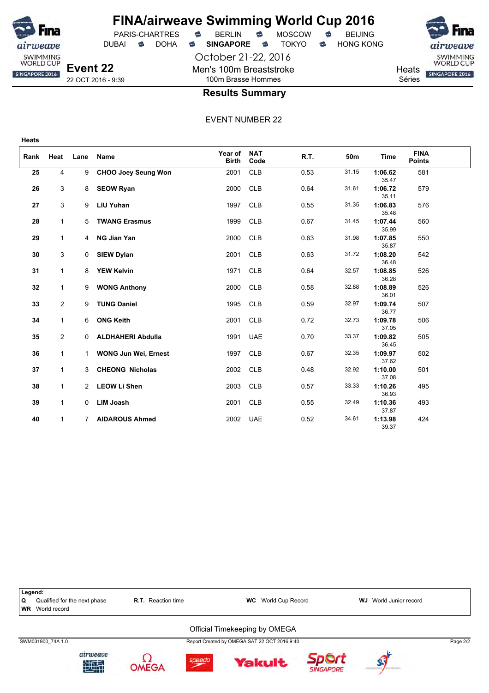

**Heats**

### **FINA/airweave Swimming World Cup 2016**

October 21-22, 2016 Men's 100m Breaststroke 100m Brasse Hommes



SWIMMING<br>WORLD CUP

**Heats** Séries



#### **Results Summary**

| Rank | Heat           | Lane           | Name                        | Year of<br><b>Birth</b> | <b>NAT</b><br>Code | R.T. | 50m   | <b>Time</b>      | <b>FINA</b><br><b>Points</b> |  |
|------|----------------|----------------|-----------------------------|-------------------------|--------------------|------|-------|------------------|------------------------------|--|
| 25   | 4              | 9              | <b>CHOO Joey Seung Won</b>  | 2001                    | <b>CLB</b>         | 0.53 | 31.15 | 1:06.62<br>35.47 | 581                          |  |
| 26   | 3              | 8              | <b>SEOW Ryan</b>            | 2000                    | <b>CLB</b>         | 0.64 | 31.61 | 1:06.72<br>35.11 | 579                          |  |
| 27   | 3              | 9              | <b>LIU Yuhan</b>            | 1997                    | <b>CLB</b>         | 0.55 | 31.35 | 1:06.83<br>35.48 | 576                          |  |
| 28   | 1              | 5              | <b>TWANG Erasmus</b>        | 1999                    | <b>CLB</b>         | 0.67 | 31.45 | 1:07.44<br>35.99 | 560                          |  |
| 29   | $\mathbf{1}$   | $\overline{4}$ | <b>NG Jian Yan</b>          | 2000                    | <b>CLB</b>         | 0.63 | 31.98 | 1:07.85<br>35.87 | 550                          |  |
| 30   | 3              | 0              | <b>SIEW Dylan</b>           | 2001                    | <b>CLB</b>         | 0.63 | 31.72 | 1:08.20<br>36.48 | 542                          |  |
| 31   | $\mathbf{1}$   | 8              | <b>YEW Kelvin</b>           | 1971                    | <b>CLB</b>         | 0.64 | 32.57 | 1:08.85<br>36.28 | 526                          |  |
| 32   | $\mathbf{1}$   | 9              | <b>WONG Anthony</b>         | 2000                    | <b>CLB</b>         | 0.58 | 32.88 | 1:08.89<br>36.01 | 526                          |  |
| 33   | $\overline{2}$ | 9              | <b>TUNG Daniel</b>          | 1995                    | <b>CLB</b>         | 0.59 | 32.97 | 1:09.74<br>36.77 | 507                          |  |
| 34   | 1              | 6              | <b>ONG Keith</b>            | 2001                    | <b>CLB</b>         | 0.72 | 32.73 | 1:09.78<br>37.05 | 506                          |  |
| 35   | $\overline{2}$ | $\mathbf 0$    | <b>ALDHAHERI Abdulla</b>    | 1991                    | <b>UAE</b>         | 0.70 | 33.37 | 1:09.82<br>36.45 | 505                          |  |
| 36   | $\mathbf{1}$   | 1              | <b>WONG Jun Wei, Ernest</b> | 1997                    | <b>CLB</b>         | 0.67 | 32.35 | 1:09.97<br>37.62 | 502                          |  |
| 37   | $\mathbf{1}$   | 3              | <b>CHEONG Nicholas</b>      | 2002                    | <b>CLB</b>         | 0.48 | 32.92 | 1:10.00<br>37.08 | 501                          |  |
| 38   | $\mathbf{1}$   | $\overline{2}$ | <b>LEOW Li Shen</b>         | 2003                    | <b>CLB</b>         | 0.57 | 33.33 | 1:10.26<br>36.93 | 495                          |  |
| 39   | $\mathbf{1}$   | 0              | <b>LIM Joash</b>            | 2001                    | <b>CLB</b>         | 0.55 | 32.49 | 1:10.36<br>37.87 | 493                          |  |
| 40   | $\mathbf{1}$   | 7              | <b>AIDAROUS Ahmed</b>       | 2002                    | <b>UAE</b>         | 0.52 | 34.61 | 1:13.98<br>39.37 | 424                          |  |

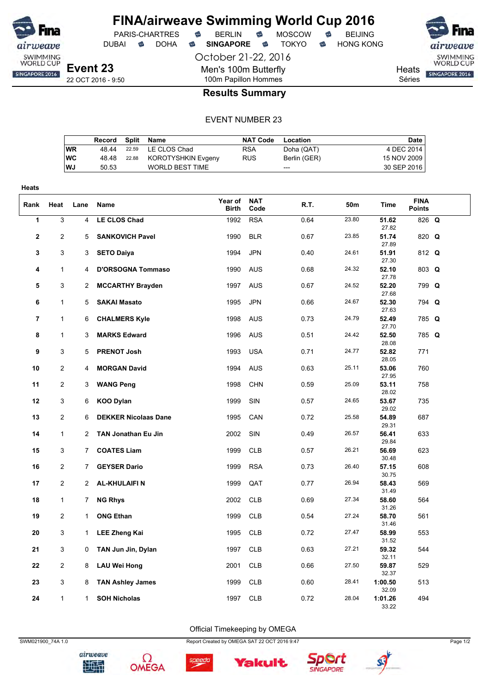

DUBAI **S** DOHA S SINGAPORE S TOKYO S HONG KONG

October 21-22, 2016

Men's 100m Butterfly

airweave SWIMMING<br>WORLD CUP **Heats** SINGAPORE 2016 Séries

22 OCT 2016 - 9:50

#### 100m Papillon Hommes **Results Summary**

#### EVENT NUMBER 23

|           | Record | Split | Name                   | NAT Code   | Location     | Date        |
|-----------|--------|-------|------------------------|------------|--------------|-------------|
| WR        | 48.44  |       | 22.59 LE CLOS Chad     | <b>RSA</b> | Doha (QAT)   | 4 DEC 2014  |
| <b>WC</b> | 48.48  | 22.88 | KOROTYSHKIN Evgeny     | <b>RUS</b> | Berlin (GER) | 15 NOV 2009 |
| WJ        | 50.53  |       | <b>WORLD BEST TIME</b> |            | $---$        | 30 SEP 2016 |
|           |        |       |                        |            |              |             |

| <b>Heats</b>   |                         |                |                             |                         |                    |      |       |                  |                              |  |
|----------------|-------------------------|----------------|-----------------------------|-------------------------|--------------------|------|-------|------------------|------------------------------|--|
| Rank           | Heat                    | Lane           | Name                        | Year of<br><b>Birth</b> | <b>NAT</b><br>Code | R.T. | 50m   | <b>Time</b>      | <b>FINA</b><br><b>Points</b> |  |
| $\overline{1}$ | $\overline{\mathbf{3}}$ | 4              | <b>LE CLOS Chad</b>         | 1992                    | <b>RSA</b>         | 0.64 | 23.80 | 51.62<br>27.82   | 826 Q                        |  |
| $\mathbf{2}$   | 2                       | 5              | <b>SANKOVICH Pavel</b>      | 1990                    | <b>BLR</b>         | 0.67 | 23.85 | 51.74<br>27.89   | 820 Q                        |  |
| 3              | 3                       | 3              | <b>SETO Daiya</b>           | 1994                    | <b>JPN</b>         | 0.40 | 24.61 | 51.91<br>27.30   | 812 Q                        |  |
| 4              | $\mathbf{1}$            | 4              | <b>D'ORSOGNA Tommaso</b>    | 1990                    | <b>AUS</b>         | 0.68 | 24.32 | 52.10<br>27.78   | 803 Q                        |  |
| 5              | 3                       | 2              | <b>MCCARTHY Brayden</b>     | 1997                    | <b>AUS</b>         | 0.67 | 24.52 | 52.20<br>27.68   | 799 Q                        |  |
| 6              | 1                       | 5              | <b>SAKAI Masato</b>         | 1995                    | <b>JPN</b>         | 0.66 | 24.67 | 52.30<br>27.63   | 794 Q                        |  |
| $\overline{7}$ | 1                       | 6              | <b>CHALMERS Kyle</b>        | 1998                    | <b>AUS</b>         | 0.73 | 24.79 | 52.49<br>27.70   | 785 Q                        |  |
| 8              | $\mathbf{1}$            | 3              | <b>MARKS Edward</b>         | 1996                    | <b>AUS</b>         | 0.51 | 24.42 | 52.50<br>28.08   | 785 Q                        |  |
| 9              | 3                       | 5              | <b>PRENOT Josh</b>          | 1993                    | <b>USA</b>         | 0.71 | 24.77 | 52.82<br>28.05   | 771                          |  |
| 10             | $\overline{2}$          | 4              | <b>MORGAN David</b>         | 1994                    | <b>AUS</b>         | 0.63 | 25.11 | 53.06<br>27.95   | 760                          |  |
| 11             | $\overline{2}$          | 3              | <b>WANG Peng</b>            | 1998                    | <b>CHN</b>         | 0.59 | 25.09 | 53.11<br>28.02   | 758                          |  |
| 12             | 3                       | 6              | <b>KOO Dylan</b>            | 1999                    | SIN                | 0.57 | 24.65 | 53.67<br>29.02   | 735                          |  |
| 13             | $\overline{2}$          | 6              | <b>DEKKER Nicolaas Dane</b> | 1995                    | CAN                | 0.72 | 25.58 | 54.89<br>29.31   | 687                          |  |
| 14             | 1                       | $\overline{2}$ | <b>TAN Jonathan Eu Jin</b>  | 2002                    | <b>SIN</b>         | 0.49 | 26.57 | 56.41<br>29.84   | 633                          |  |
| 15             | 3                       | $\overline{7}$ | <b>COATES Liam</b>          | 1999                    | <b>CLB</b>         | 0.57 | 26.21 | 56.69<br>30.48   | 623                          |  |
| 16             | $\overline{\mathbf{c}}$ | $\overline{7}$ | <b>GEYSER Dario</b>         | 1999                    | <b>RSA</b>         | 0.73 | 26.40 | 57.15<br>30.75   | 608                          |  |
| 17             | $\overline{2}$          | $\overline{2}$ | <b>AL-KHULAIFIN</b>         | 1999                    | QAT                | 0.77 | 26.94 | 58.43<br>31.49   | 569                          |  |
| 18             | 1                       | $\overline{7}$ | <b>NG Rhys</b>              | 2002                    | <b>CLB</b>         | 0.69 | 27.34 | 58.60<br>31.26   | 564                          |  |
| 19             | 2                       | $\mathbf{1}$   | <b>ONG Ethan</b>            | 1999                    | <b>CLB</b>         | 0.54 | 27.24 | 58.70<br>31.46   | 561                          |  |
| 20             | 3                       | $\mathbf{1}$   | <b>LEE Zheng Kai</b>        | 1995                    | <b>CLB</b>         | 0.72 | 27.47 | 58.99<br>31.52   | 553                          |  |
| 21             | 3                       | 0              | TAN Jun Jin, Dylan          | 1997                    | <b>CLB</b>         | 0.63 | 27.21 | 59.32<br>32.11   | 544                          |  |
| 22             | $\overline{2}$          | 8              | <b>LAU Wei Hong</b>         | 2001                    | <b>CLB</b>         | 0.66 | 27.50 | 59.87<br>32.37   | 529                          |  |
| 23             | 3                       | 8              | <b>TAN Ashley James</b>     | 1999                    | <b>CLB</b>         | 0.60 | 28.41 | 1:00.50<br>32.09 | 513                          |  |
| 24             | $\mathbf{1}$            | $\mathbf{1}$   | <b>SOH Nicholas</b>         | 1997                    | <b>CLB</b>         | 0.72 | 28.04 | 1:01.26<br>33.22 | 494                          |  |

SWM021900\_74A 1.0 Report Created by OMEGA SAT 22 OCT 2016 9:47 Page 1/2

Official Timekeeping by OMEGA











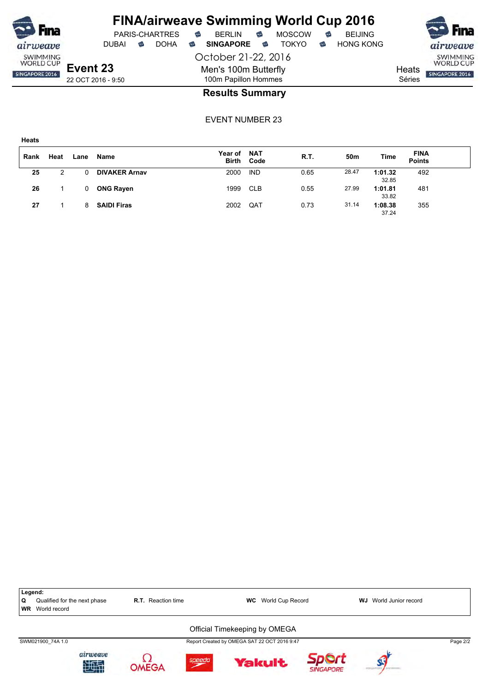

SWIMMING<br>WORLD CUP SINGAPORE 2016

October 21-22, 2016 Men's 100m Butterfly 100m Papillon Hommes

**Heats** Séries

#### **Results Summary**

| Rank | Heat | Lane | Name                 | Year of<br><b>Birth</b> | NAT<br>Code | R.T. | 50m   | Time             | <b>FINA</b><br><b>Points</b> |  |
|------|------|------|----------------------|-------------------------|-------------|------|-------|------------------|------------------------------|--|
| 25   | 2    |      | <b>DIVAKER Arnav</b> | 2000                    | <b>IND</b>  | 0.65 | 28.47 | 1:01.32<br>32.85 | 492                          |  |
| 26   |      |      | <b>ONG Rayen</b>     | 1999                    | <b>CLB</b>  | 0.55 | 27.99 | 1:01.81<br>33.82 | 481                          |  |
| 27   |      | 8    | <b>SAIDI Firas</b>   | 2002                    | QAT         | 0.73 | 31.14 | 1:08.38<br>37.24 | 355                          |  |

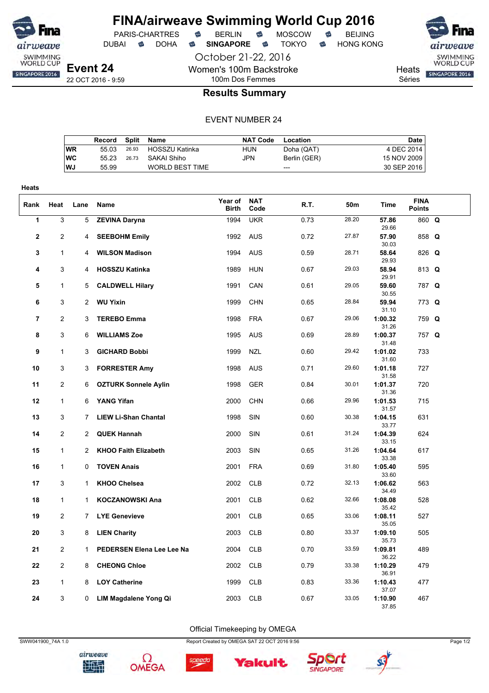

DUBAI **S** DOHA S SINGAPORE S TOKYO S HONG KONG

PARIS-CHARTRES **B** BERLIN **B** MOSCOW **B** BEIJING

October 21-22, 2016

SWIMMING<br>WORLD CUP **Heats** SINGAPORE 2016

Séries

22 OCT 2016 - 9:59

**Event 24**

### 100m Dos Femmes **Results Summary**

Women's 100m Backstroke

#### EVENT NUMBER 24

|           | Record |       | Split Name             | <b>NAT Code</b> | Location     | Date        |
|-----------|--------|-------|------------------------|-----------------|--------------|-------------|
| WR        | 55 03  | 26.93 | HOSSZU Katinka         | HUN             | Doha (QAT)   | 4 DEC 2014  |
| WC        | 55 23  | 26.73 | SAKAI Shiho            | JPN             | Berlin (GER) | 15 NOV 2009 |
| <b>WJ</b> | 55.99  |       | <b>WORLD BEST TIME</b> |                 | $---$        | 30 SEP 2016 |
|           |        |       |                        |                 |              |             |

| Heats          |                |                |                             |                         |                    |      |       |                  |                              |  |
|----------------|----------------|----------------|-----------------------------|-------------------------|--------------------|------|-------|------------------|------------------------------|--|
| Rank           | Heat           | Lane           | Name                        | Year of<br><b>Birth</b> | <b>NAT</b><br>Code | R.T. | 50m   | Time             | <b>FINA</b><br><b>Points</b> |  |
| $\mathbf{1}$   | $\overline{3}$ | 5              | <b>ZEVINA Daryna</b>        | 1994                    | <b>UKR</b>         | 0.73 | 28.20 | 57.86<br>29.66   | 860 Q                        |  |
| $\mathbf 2$    | $\overline{2}$ | 4              | <b>SEEBOHM Emily</b>        | 1992                    | <b>AUS</b>         | 0.72 | 27.87 | 57.90<br>30.03   | 858 Q                        |  |
| 3              | $\mathbf{1}$   | 4              | <b>WILSON Madison</b>       | 1994                    | <b>AUS</b>         | 0.59 | 28.71 | 58.64<br>29.93   | 826 Q                        |  |
| 4              | 3              | 4              | <b>HOSSZU Katinka</b>       | 1989                    | <b>HUN</b>         | 0.67 | 29.03 | 58.94<br>29.91   | 813 Q                        |  |
| 5              | $\mathbf{1}$   | 5              | <b>CALDWELL Hilary</b>      | 1991                    | CAN                | 0.61 | 29.05 | 59.60<br>30.55   | 787 Q                        |  |
| 6              | 3              | $\overline{2}$ | <b>WU Yixin</b>             | 1999                    | <b>CHN</b>         | 0.65 | 28.84 | 59.94<br>31.10   | 773 Q                        |  |
| $\overline{7}$ | $\overline{2}$ | 3              | <b>TEREBO Emma</b>          | 1998                    | <b>FRA</b>         | 0.67 | 29.06 | 1:00.32<br>31.26 | 759 Q                        |  |
| 8              | 3              | 6              | <b>WILLIAMS Zoe</b>         | 1995                    | <b>AUS</b>         | 0.69 | 28.89 | 1:00.37<br>31.48 | 757 Q                        |  |
| 9              | $\mathbf{1}$   | 3              | <b>GICHARD Bobbi</b>        | 1999                    | <b>NZL</b>         | 0.60 | 29.42 | 1:01.02<br>31.60 | 733                          |  |
| 10             | 3              | 3              | <b>FORRESTER Amy</b>        | 1998                    | <b>AUS</b>         | 0.71 | 29.60 | 1:01.18<br>31.58 | 727                          |  |
| 11             | $\overline{c}$ | 6              | <b>OZTURK Sonnele Aylin</b> | 1998                    | <b>GER</b>         | 0.84 | 30.01 | 1:01.37<br>31.36 | 720                          |  |
| 12             | $\mathbf{1}$   | 6              | <b>YANG Yifan</b>           | 2000                    | <b>CHN</b>         | 0.66 | 29.96 | 1:01.53<br>31.57 | 715                          |  |
| 13             | 3              | 7              | <b>LIEW Li-Shan Chantal</b> | 1998                    | <b>SIN</b>         | 0.60 | 30.38 | 1:04.15<br>33.77 | 631                          |  |
| 14             | $\overline{2}$ | $\overline{2}$ | <b>QUEK Hannah</b>          | 2000                    | <b>SIN</b>         | 0.61 | 31.24 | 1:04.39<br>33.15 | 624                          |  |
| 15             | $\mathbf{1}$   | 2              | <b>KHOO Faith Elizabeth</b> | 2003                    | SIN                | 0.65 | 31.26 | 1:04.64<br>33.38 | 617                          |  |
| 16             | $\mathbf{1}$   | 0              | <b>TOVEN Anais</b>          | 2001                    | <b>FRA</b>         | 0.69 | 31.80 | 1:05.40<br>33.60 | 595                          |  |
| 17             | 3              | $\mathbf{1}$   | <b>KHOO Chelsea</b>         | 2002                    | <b>CLB</b>         | 0.72 | 32.13 | 1:06.62<br>34.49 | 563                          |  |
| 18             | $\mathbf{1}$   | $\mathbf{1}$   | <b>KOCZANOWSKI Ana</b>      | 2001                    | <b>CLB</b>         | 0.62 | 32.66 | 1:08.08<br>35.42 | 528                          |  |
| 19             | $\overline{c}$ | 7              | <b>LYE Genevieve</b>        | 2001                    | <b>CLB</b>         | 0.65 | 33.06 | 1:08.11<br>35.05 | 527                          |  |
| 20             | 3              | 8              | <b>LIEN Charity</b>         | 2003                    | <b>CLB</b>         | 0.80 | 33.37 | 1:09.10<br>35.73 | 505                          |  |
| 21             | $\overline{2}$ | $\mathbf{1}$   | PEDERSEN Elena Lee Lee Na   | 2004                    | <b>CLB</b>         | 0.70 | 33.59 | 1:09.81<br>36.22 | 489                          |  |
| 22             | $\overline{2}$ | 8              | <b>CHEONG Chloe</b>         | 2002                    | <b>CLB</b>         | 0.79 | 33.38 | 1:10.29<br>36.91 | 479                          |  |
| 23             | $\mathbf{1}$   | 8              | <b>LOY Catherine</b>        | 1999                    | <b>CLB</b>         | 0.83 | 33.36 | 1:10.43<br>37.07 | 477                          |  |
| 24             | 3              | $\Omega$       | LIM Magdalene Yong Qi       | 2003                    | <b>CLB</b>         | 0.67 | 33.05 | 1:10.90<br>37.85 | 467                          |  |

Official Timekeeping by OMEGA





Ω

SWW041900\_74A 1.0 Page 1/2





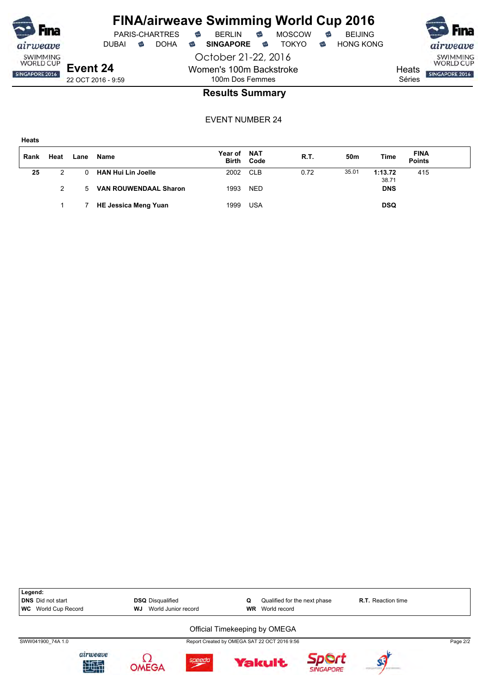

October 21-22, 2016 Women's 100m Backstroke

DUBAI **S** DOHA S SINGAPORE S TOKYO S HONG KONG

Séries

SWIMMING<br>WORLD CUP **Heats** SINGAPORE 2016

22 OCT 2016 - 9:59

### 100m Dos Femmes **Results Summary**

EVENT NUMBER 24

**Heats**

| Rank | Heat | Lane     | Name                         | Year of NAT | <b>Birth Code</b> | R.T. | 50 <sub>m</sub> | Time             | <b>FINA</b><br><b>Points</b> |  |
|------|------|----------|------------------------------|-------------|-------------------|------|-----------------|------------------|------------------------------|--|
| 25   | 2    | $\Omega$ | <b>HAN Hui Lin Joelle</b>    | 2002 CLB    |                   | 0.72 | 35.01           | 1:13.72<br>38.71 | 415                          |  |
|      | 2    | 5        | <b>VAN ROUWENDAAL Sharon</b> | 1993        | <b>NED</b>        |      |                 | <b>DNS</b>       |                              |  |
|      |      |          | <b>HE Jessica Meng Yuan</b>  | 1999        | <b>USA</b>        |      |                 | <b>DSQ</b>       |                              |  |

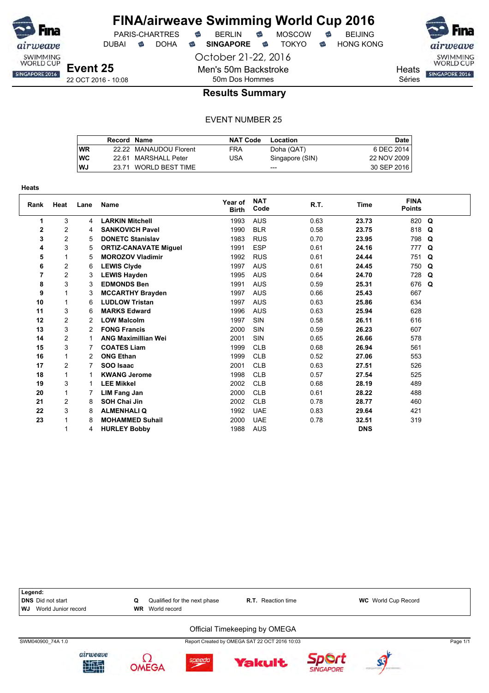

October 21-22, 2016

Men's 50m Backstroke

DUBAI **S** DOHA S SINGAPORE S TOKYO S HONG KONG

**Heats** 

Séries

SWIMMING<br>WORLD CUP SINGAPORE 2016

22 OCT 2016 - 10:08

### 50m Dos Hommes **Results Summary**

#### EVENT NUMBER 25

|           | Record Name |                        | <b>NAT Code</b> | Location        | <b>Date</b> |
|-----------|-------------|------------------------|-----------------|-----------------|-------------|
| <b>WR</b> |             | 22.22 MANAUDOU Florent | <b>FRA</b>      | Doha (QAT)      | 6 DEC 2014  |
| WC        |             | 22.61 MARSHALL Peter   | USA             | Singapore (SIN) | 22 NOV 2009 |
| WJ        |             | 23.71 WORLD BEST TIME  |                 | $- - -$         | 30 SEP 2016 |

| <b>Heats</b>   |                |      |                              |                         |                    |      |             |                              |  |
|----------------|----------------|------|------------------------------|-------------------------|--------------------|------|-------------|------------------------------|--|
| Rank           | Heat           | Lane | <b>Name</b>                  | Year of<br><b>Birth</b> | <b>NAT</b><br>Code | R.T. | <b>Time</b> | <b>FINA</b><br><b>Points</b> |  |
| 1.             | 3              | 4    | <b>LARKIN Mitchell</b>       | 1993                    | <b>AUS</b>         | 0.63 | 23.73       | 820 Q                        |  |
| $\mathbf{2}$   | $\overline{c}$ | 4    | <b>SANKOVICH Pavel</b>       | 1990                    | <b>BLR</b>         | 0.58 | 23.75       | 818 Q                        |  |
| 3              | $\overline{c}$ | 5    | <b>DONETC Stanislav</b>      | 1983                    | <b>RUS</b>         | 0.70 | 23.95       | 798 Q                        |  |
| 4              | 3              | 5    | <b>ORTIZ-CANAVATE Miquel</b> | 1991                    | <b>ESP</b>         | 0.61 | 24.16       | 777 Q                        |  |
| 5              | 1              | 5    | <b>MOROZOV Vladimir</b>      | 1992                    | <b>RUS</b>         | 0.61 | 24.44       | 751 Q                        |  |
| 6              | 2              | 6    | <b>LEWIS Clyde</b>           | 1997                    | <b>AUS</b>         | 0.61 | 24.45       | 750 Q                        |  |
| $\overline{7}$ | $\overline{c}$ | 3    | <b>LEWIS Hayden</b>          | 1995                    | <b>AUS</b>         | 0.64 | 24.70       | 728 Q                        |  |
| 8              | 3              | 3    | <b>EDMONDS Ben</b>           | 1991                    | <b>AUS</b>         | 0.59 | 25.31       | 676 Q                        |  |
| 9              | 1              | 3    | <b>MCCARTHY Brayden</b>      | 1997                    | <b>AUS</b>         | 0.66 | 25.43       | 667                          |  |
| 10             | 1              | 6    | <b>LUDLOW Tristan</b>        | 1997                    | <b>AUS</b>         | 0.63 | 25.86       | 634                          |  |
| 11             | 3              | 6    | <b>MARKS Edward</b>          | 1996                    | <b>AUS</b>         | 0.63 | 25.94       | 628                          |  |
| 12             | $\overline{c}$ | 2    | <b>LOW Malcolm</b>           | 1997                    | SIN                | 0.58 | 26.11       | 616                          |  |
| 13             | 3              | 2    | <b>FONG Francis</b>          | 2000                    | SIN                | 0.59 | 26.23       | 607                          |  |
| 14             | $\overline{2}$ |      | <b>ANG Maximillian Wei</b>   | 2001                    | <b>SIN</b>         | 0.65 | 26.66       | 578                          |  |
| 15             | 3              |      | <b>COATES Liam</b>           | 1999                    | <b>CLB</b>         | 0.68 | 26.94       | 561                          |  |
| 16             | 1              | 2    | <b>ONG Ethan</b>             | 1999                    | <b>CLB</b>         | 0.52 | 27.06       | 553                          |  |
| 17             | $\overline{2}$ | 7    | SOO Isaac                    | 2001                    | <b>CLB</b>         | 0.63 | 27.51       | 526                          |  |
| 18             | 1              |      | <b>KWANG Jerome</b>          | 1998                    | <b>CLB</b>         | 0.57 | 27.54       | 525                          |  |
| 19             | 3              |      | <b>LEE Mikkel</b>            | 2002                    | <b>CLB</b>         | 0.68 | 28.19       | 489                          |  |
| 20             | 1              | 7    | <b>LIM Fang Jan</b>          | 2000                    | <b>CLB</b>         | 0.61 | 28.22       | 488                          |  |
| 21             | 2              | 8    | <b>SOH Chai Jin</b>          | 2002                    | <b>CLB</b>         | 0.78 | 28.77       | 460                          |  |
| 22             | 3              | 8    | <b>ALMENHALI Q</b>           | 1992                    | <b>UAE</b>         | 0.83 | 29.64       | 421                          |  |
| 23             |                | 8    | <b>MOHAMMED Suhail</b>       | 2000                    | <b>UAE</b>         | 0.78 | 32.51       | 319                          |  |
|                |                | 4    | <b>HURLEY Bobby</b>          | 1988                    | <b>AUS</b>         |      | <b>DNS</b>  |                              |  |



**SINGAPORE** 

**OMEGA**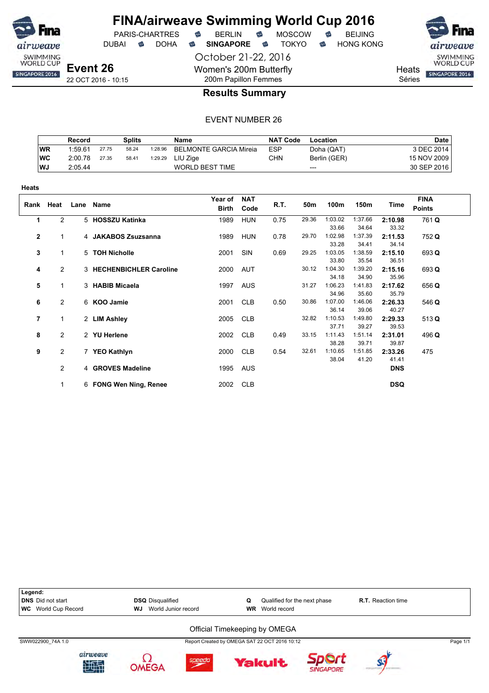

**Heats**

### **FINA/airweave Swimming World Cup 2016**

October 21-22, 2016 Women's 200m Butterfly 200m Papillon Femmes





**Heats** 

Séries

#### **Results Summary**

#### EVENT NUMBER 26

|            | Record  |       | <b>Splits</b> |         | Name                          | NAT Code | Location     | <b>Date</b> |
|------------|---------|-------|---------------|---------|-------------------------------|----------|--------------|-------------|
| <b>WR</b>  | 1:59.61 | 27.75 | 58.24         | 1:28.96 | <b>BELMONTE GARCIA Mireia</b> | ESP      | Doha (QAT)   | 3 DEC 2014  |
| <b>IWC</b> | 2:00.78 | 27.35 | 58.41         | 1:29.29 | LIU Ziae                      | CHN      | Berlin (GER) | 15 NOV 2009 |
| <b>WJ</b>  | 2:05.44 |       |               |         | <b>WORLD BEST TIME</b>        |          | $---$        | 30 SEP 2016 |

| .    |                |                          |                  |                    |      |       |         |         |            |                              |  |
|------|----------------|--------------------------|------------------|--------------------|------|-------|---------|---------|------------|------------------------------|--|
| Rank | Heat           | Lane Name                | Year of<br>Birth | <b>NAT</b><br>Code | R.T. | 50m   | 100m    | 150m    | Time       | <b>FINA</b><br><b>Points</b> |  |
| 1    | $\overline{2}$ | 5 HOSSZU Katinka         | 1989             | <b>HUN</b>         | 0.75 | 29.36 | 1:03.02 | 1:37.66 | 2:10.98    | 761 Q                        |  |
|      |                |                          |                  |                    |      |       | 33.66   | 34.64   | 33.32      |                              |  |
| 2    | 1              | 4 JAKABOS Zsuzsanna      | 1989             | <b>HUN</b>         | 0.78 | 29.70 | 1:02.98 | 1:37.39 | 2:11.53    | 752 Q                        |  |
|      |                |                          |                  |                    |      |       | 33.28   | 34.41   | 34.14      |                              |  |
| 3    | 1              | 5 TOH Nicholle           | 2001             | SIN                | 0.69 | 29.25 | 1:03.05 | 1:38.59 | 2:15.10    | 693 Q                        |  |
|      |                |                          |                  |                    |      |       | 33.80   | 35.54   | 36.51      |                              |  |
| 4    | $\overline{2}$ | 3 HECHENBICHLER Caroline | 2000             | AUT                |      | 30.12 | 1:04.30 | 1:39.20 | 2:15.16    | 693 Q                        |  |
|      |                |                          |                  |                    |      |       | 34.18   | 34.90   | 35.96      |                              |  |
| 5    | 1              | 3 HABIB Micaela          | 1997             | <b>AUS</b>         |      | 31.27 | 1:06.23 | 1:41.83 | 2:17.62    | 656 Q                        |  |
|      |                |                          |                  |                    |      |       | 34.96   | 35.60   | 35.79      |                              |  |
| 6    | $\overline{c}$ | 6 KOO Jamie              | 2001             | <b>CLB</b>         | 0.50 | 30.86 | 1:07.00 | 1:46.06 | 2:26.33    | 546 Q                        |  |
|      |                |                          |                  |                    |      |       | 36.14   | 39.06   | 40.27      |                              |  |
| 7    | 1              | 2 LIM Ashley             | 2005             | <b>CLB</b>         |      | 32.82 | 1:10.53 | 1:49.80 | 2:29.33    | 513Q                         |  |
|      |                |                          |                  |                    |      |       | 37.71   | 39.27   | 39.53      |                              |  |
| 8    | $\overline{c}$ | 2 YU Herlene             | 2002             | <b>CLB</b>         | 0.49 | 33.15 | 1:11.43 | 1:51.14 | 2:31.01    | 496 Q                        |  |
|      |                |                          |                  |                    |      |       | 38.28   | 39.71   | 39.87      |                              |  |
| 9    | 2              | 7 YEO Kathlyn            | 2000             | <b>CLB</b>         | 0.54 | 32.61 | 1:10.65 | 1:51.85 | 2:33.26    | 475                          |  |
|      |                |                          |                  |                    |      |       | 38.04   | 41.20   | 41.41      |                              |  |
|      | $\overline{2}$ | 4 GROVES Madeline        | 1995             | AUS                |      |       |         |         | <b>DNS</b> |                              |  |
|      | 1              | 6 FONG Wen Ning, Renee   | 2002             | <b>CLB</b>         |      |       |         |         | <b>DSQ</b> |                              |  |



**Yakult** 

Sport

**SINGAPORE** 

 $\left( \right)$ 

**OMEGA** 

出班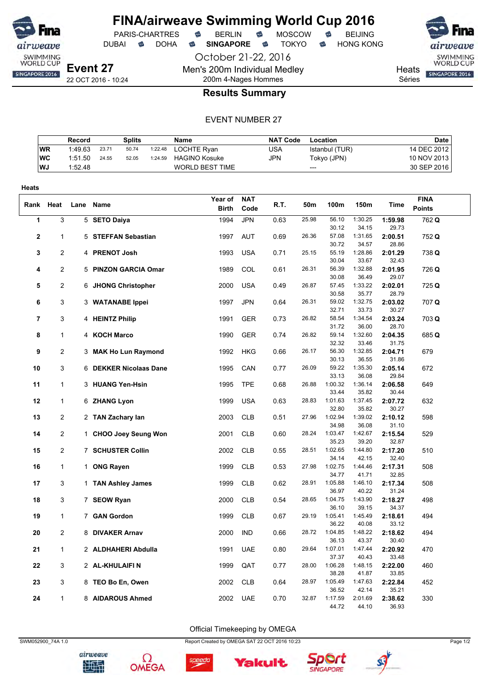

**Heats**

#### **FINA/airweave Swimming World Cup 2016** PARIS-CHARTRES **B** BERLIN **B** MOSCOW **B** BEIJING

DUBAI **S** DOHA S SINGAPORE S TOKYO S HONG KONG

October 21-22, 2016 Men's 200m Individual Medley

**Event 27** 22 OCT 2016 - 10:24

#### **Heats** Séries

SWIMMING<br>WORLD CUP SINGAPORE 2016

200m 4-Nages Hommes **Results Summary**

#### EVENT NUMBER 27

|           | Record  |       | Splits |         | Name                   | <b>NAT Code</b> | Location       | <b>Date</b> |
|-----------|---------|-------|--------|---------|------------------------|-----------------|----------------|-------------|
| <b>WR</b> | 1:49.63 | 23.71 | 50.74  | 1:22.48 | LOCHTE Rvan            | USA             | Istanbul (TUR) | 14 DEC 2012 |
| WC        | 1:51.50 | 24.55 | 52.05  | 1:24.59 | <b>HAGINO Kosuke</b>   | JPN             | Tokyo (JPN)    | 10 NOV 2013 |
| l WJ      | 1:52.48 |       |        |         | <b>WORLD BEST TIME</b> |                 | $---$          | 30 SEP 2016 |

| Rank Heat |                | Lane Name              | Year of<br><b>Birth</b> | <b>NAT</b><br>Code | R.T. | 50m   | 100m                      | 150m                      | Time                      | <b>FINA</b><br><b>Points</b> |
|-----------|----------------|------------------------|-------------------------|--------------------|------|-------|---------------------------|---------------------------|---------------------------|------------------------------|
| 1         | 3              | 5 SETO Daiya           | 1994                    | <b>JPN</b>         | 0.63 | 25.98 | 56.10<br>30.12            | 1:30.25<br>34.15          | 1:59.98<br>29.73          | 762 Q                        |
| 2         | 1              | 5 STEFFAN Sebastian    | 1997                    | <b>AUT</b>         | 0.69 | 26.36 | 57.08<br>30.72            | 1:31.65<br>34.57          | 2:00.51<br>28.86          | 752 Q                        |
| 3         | 2              | 4 PRENOT Josh          | 1993                    | <b>USA</b>         | 0.71 | 25.15 | 55.19<br>30.04            | 1:28.86<br>33.67          | 2:01.29<br>32.43          | 738 Q                        |
| 4         | 2              | 5 PINZON GARCIA Omar   | 1989                    | COL                | 0.61 | 26.31 | 56.39<br>30.08            | 1:32.88<br>36.49          | 2:01.95<br>29.07          | 726 Q                        |
| 5         | $\overline{2}$ | 6 JHONG Christopher    | 2000                    | <b>USA</b>         | 0.49 | 26.87 | 57.45<br>30.58            | 1:33.22<br>35.77          | 2:02.01<br>28.79          | 725 Q                        |
| 6         | 3              | 3 WATANABE Ippei       | 1997                    | <b>JPN</b>         | 0.64 | 26.31 | 59.02<br>32.71            | 1:32.75<br>33.73          | 2:03.02<br>30.27          | 707 Q                        |
| 7         | 3              | 4 HEINTZ Philip        | 1991                    | GER                | 0.73 | 26.82 | 58.54<br>31.72            | 1:34.54<br>36.00          | 2:03.24<br>28.70          | 703 Q                        |
| 8         | $\mathbf{1}$   | 4 KOCH Marco           | 1990                    | <b>GER</b>         | 0.74 | 26.82 | 59.14                     | 1:32.60                   | 2:04.35                   | 685 Q                        |
| 9         | 2              | 3 MAK Ho Lun Raymond   | 1992                    | <b>HKG</b>         | 0.66 | 26.17 | 32.32<br>56.30<br>30.13   | 33.46<br>1:32.85<br>36.55 | 31.75<br>2:04.71<br>31.86 | 679                          |
| 10        | 3              | 6 DEKKER Nicolaas Dane | 1995                    | CAN                | 0.77 | 26.09 | 59.22                     | 1:35.30                   | 2:05.14                   | 672                          |
| 11        | 1              | 3 HUANG Yen-Hsin       | 1995                    | <b>TPE</b>         | 0.68 | 26.88 | 33.13<br>1:00.32<br>33.44 | 36.08<br>1:36.14          | 29.84<br>2:06.58<br>30.44 | 649                          |
| 12        | 1              | 6 ZHANG Lyon           | 1999                    | <b>USA</b>         | 0.63 | 28.83 | 1:01.63<br>32.80          | 35.82<br>1:37.45<br>35.82 | 2:07.72<br>30.27          | 632                          |
| 13        | $\overline{2}$ | 2 TAN Zachary lan      | 2003                    | <b>CLB</b>         | 0.51 | 27.96 | 1:02.94<br>34.98          | 1:39.02<br>36.08          | 2:10.12<br>31.10          | 598                          |
| 14        | 2              | 1 CHOO Joey Seung Won  | 2001                    | <b>CLB</b>         | 0.60 | 28.24 | 1:03.47<br>35.23          | 1:42.67<br>39.20          | 2:15.54<br>32.87          | 529                          |
| 15        | $\overline{2}$ | 7 SCHUSTER Collin      | 2002                    | <b>CLB</b>         | 0.55 | 28.51 | 1:02.65<br>34.14          | 1:44.80<br>42.15          | 2:17.20<br>32.40          | 510                          |
| 16        | $\mathbf{1}$   | 1 ONG Rayen            | 1999                    | <b>CLB</b>         | 0.53 | 27.98 | 1:02.75<br>34.77          | 1:44.46<br>41.71          | 2:17.31<br>32.85          | 508                          |
| 17        | 3              | 1 TAN Ashley James     | 1999                    | <b>CLB</b>         | 0.62 | 28.91 | 1:05.88<br>36.97          | 1:46.10<br>40.22          | 2:17.34<br>31.24          | 508                          |
| 18        | 3              | 7 SEOW Ryan            | 2000                    | <b>CLB</b>         | 0.54 | 28.65 | 1:04.75<br>36.10          | 1:43.90<br>39.15          | 2:18.27<br>34.37          | 498                          |
| 19        | 1              | 7 GAN Gordon           | 1999                    | <b>CLB</b>         | 0.67 | 29.19 | 1:05.41<br>36.22          | 1:45.49<br>40.08          | 2:18.61<br>33.12          | 494                          |
| 20        | 2              | 8 DIVAKER Arnav        | 2000                    | <b>IND</b>         | 0.66 | 28.72 | 1:04.85<br>36.13          | 1:48.22<br>43.37          | 2:18.62<br>30.40          | 494                          |
| 21        | $\mathbf{1}$   | 2 ALDHAHERI Abdulla    | 1991                    | <b>UAE</b>         | 0.80 | 29.64 | 1:07.01<br>37.37          | 1:47.44<br>40.43          | 2:20.92<br>33.48          | 470                          |
| 22        | 3              | 2 AL-KHULAIFI N        | 1999                    | QAT                | 0.77 | 28.00 | 1:06.28<br>38.28          | 1:48.15<br>41.87          | 2:22.00<br>33.85          | 460                          |
| 23        | 3              | 8 TEO Bo En, Owen      | 2002                    | <b>CLB</b>         | 0.64 | 28.97 | 1:05.49<br>36.52          | 1:47.63<br>42.14          | 2:22.84<br>35.21          | 452                          |
| 24        | 1              | 8 AIDAROUS Ahmed       | 2002                    | <b>UAE</b>         | 0.70 | 32.87 | 1:17.59<br>44.72          | 2:01.69<br>44.10          | 2:38.62<br>36.93          | 330                          |

Official Timekeeping by OMEGA



airweave 地型









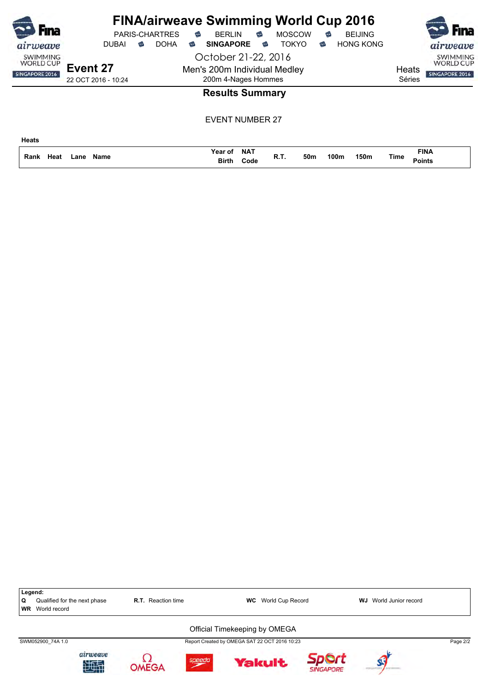| Fına<br>airweave                                      | <b>PARIS-CHARTRES</b><br><b>DOHA</b><br><b>DUBAI</b><br>ຣ | <b>FINA/airweave Swimming World Cup 2016</b><br><b>MOSCOW</b><br><b>BERLIN</b><br><b>BEIJING</b><br>€<br>€<br>€<br><b>TOKYO</b><br><b>SINGAPORE</b><br><b>HONG KONG</b><br>€<br>☜<br>ಹ | Fına<br>airweave                                                         |
|-------------------------------------------------------|-----------------------------------------------------------|----------------------------------------------------------------------------------------------------------------------------------------------------------------------------------------|--------------------------------------------------------------------------|
| <b>SWIMMING</b><br><b>WORLD CUP</b><br>SINGAPORE 2016 | Event 27<br>22 OCT 2016 - 10:24                           | October 21-22, 2016<br>Men's 200m Individual Medley<br>200m 4-Nages Hommes                                                                                                             | <b>SWIMMING</b><br><b>WORLD CUP</b><br>Heats<br>SINGAPORE 2016<br>Séries |
|                                                       |                                                           | <b>Results Summary</b>                                                                                                                                                                 |                                                                          |
| <b>Heats</b>                                          |                                                           | <b>EVENT NUMBER 27</b>                                                                                                                                                                 |                                                                          |

**Name Rank Lane Time**

**NAT Year of Code Birth**

**Points Heat R.T. 50m 100m 150m**

**FINA**

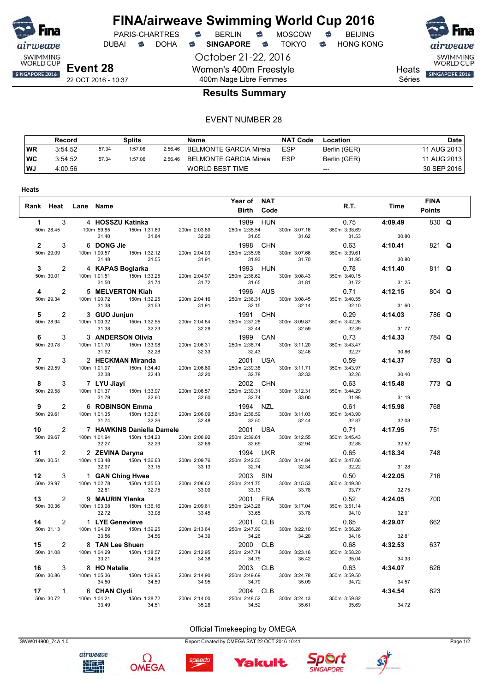

**Heats**

#### **FINA/airweave Swimming World Cup 2016** PARIS-CHARTRES **B** BERLIN **B** MOSCOW **B** BEIJING

DUBAI **S** DOHA S SINGAPORE S TOKYO S HONG KONG

October 21-22, 2016 Women's 400m Freestyle 400m Nage Libre Femmes



airweave SWIMMING<br>WORLD CUP SINGAPORE 2016

**Heats** 

Séries

#### **Results Summary**

#### EVENT NUMBER 28

|    | Record  |       | Splits  |         | <b>Name</b>            | <b>NAT Code</b> | Location     | Date        |
|----|---------|-------|---------|---------|------------------------|-----------------|--------------|-------------|
| WR | 3:54.52 | 57.34 | 1:57.06 | 2:56.46 | BELMONTE GARCIA Mireia | <b>ESP</b>      | Berlin (GER) | 11 AUG 2013 |
| WC | 3:54.52 | 57.34 | 1:57.06 | 2:56.46 | BELMONTE GARCIA Mireia | <b>ESP</b>      | Berlin (GER) | 11 AUG 2013 |
| WJ | 4:00.56 |       |         |         | <b>WORLD BEST TIME</b> |                 | $---$        | 30 SEP 2016 |

|           | Rank Heat Lane Name                                                                                                                                                |             |                   | Year of NAT                                                                                                                                                                                                                                                | <b>Birth Code</b> |                                                                                              | R.T. Time | <b>FINA</b><br><b>Points</b> |  |
|-----------|--------------------------------------------------------------------------------------------------------------------------------------------------------------------|-------------|-------------------|------------------------------------------------------------------------------------------------------------------------------------------------------------------------------------------------------------------------------------------------------------|-------------------|----------------------------------------------------------------------------------------------|-----------|------------------------------|--|
|           | 1 3 4 HOSSZU Katinka                                                                                                                                               |             |                   |                                                                                                                                                                                                                                                            |                   | 1989 HUN 0.75 4:09.49<br>250m 2:35.54 300m 3:07.16 350m 3:38.69<br>31.65 31.62 31.53 30.80   |           | 830 Q                        |  |
|           | 1 3 4 HUSSLU Natifika<br>50m 28.45 100m 59.85 150m 1:31.69 200m 2:03.89<br>31.40 31.84 32.20<br>2 3 6 DONG Jie<br>50m 29.09 100m 1:00.57 150m 1:32.12 200m 2:04.03 |             |                   | 31.65<br>1998 CHN                                                                                                                                                                                                                                          |                   | 1998 CHN 0.63 4:10.41<br>250m 2:35.96 300m 3:07.66 350m 3:39.61                              |           | 821 Q                        |  |
|           |                                                                                                                                                                    |             | 31.48 31.55 31.91 | 31.93 31.70                                                                                                                                                                                                                                                |                   | 31.95                                                                                        | 30.80     | 811 Q                        |  |
|           |                                                                                                                                                                    |             |                   | $\begin{array}{ccccccccc} &31.48 &31.55&31.91&31.93&31.70&31.95&30.80\\ 30.7&4&16APRAS Boglarka&130.7&200m 2:04.97&250m 2:36.62&300m 3:08.43&350m 3:40.15\\ 4&2&50m 29.34&50m 10.072&150n 16.12255&200m 2:04.16&250m 2:36.31&300m 3:08.45&300m 3:40.15\\ $ |                   |                                                                                              |           | $804$ Q                      |  |
|           |                                                                                                                                                                    |             |                   |                                                                                                                                                                                                                                                            |                   |                                                                                              |           | 786 Q                        |  |
|           |                                                                                                                                                                    |             |                   |                                                                                                                                                                                                                                                            |                   |                                                                                              |           | 784 Q                        |  |
|           |                                                                                                                                                                    |             |                   |                                                                                                                                                                                                                                                            |                   |                                                                                              |           | 783 Q                        |  |
|           | 7 3 2 HECKMAN Miranda<br>50m 29.59 100m 1:01.97 150m 1:34.40 200m 2:06.60<br>32.38 32.43 32.20                                                                     |             |                   | 32.43<br>2001 USA<br>250m 2:39.38 300m 3:11.71<br>32.33<br>32.78                                                                                                                                                                                           |                   |                                                                                              |           |                              |  |
| 50m 29.58 | 8 3 7 LYU Jiayi<br>50m 29.58 100m 1:01.37 150m 1:33.97 200m 2:06.57                                                                                                |             | 31.79 32.60 32.60 |                                                                                                                                                                                                                                                            |                   | $22.78$<br>$2002$ CHN $250m$ 2:39.31 300m 3:12.31 350m 3:44.29<br>$32.74$ 37.00 350m 3:44.29 |           | 773 Q                        |  |
| 50m 29.61 | 9 2 6 ROBINSON Emma                                                                                                                                                |             |                   | 6 <b>ROBINSON Emma</b> 1994 NZL 0.61 4:15.98<br>100m 1:01.35 150m 1:33.61 200m 2:06.09 250m 2:38.59 300m 3:11.03 350m 3:43.90                                                                                                                              |                   |                                                                                              |           | 768                          |  |
|           |                                                                                                                                                                    |             |                   | 100m 1:01.35 150m 1:33.61 200m 2:06.09 250m 2:38.59 300m 3:11.03 350m 3:43.90<br>10 2 7 HAWKINS Daniella Damele 2001 USA 32.50<br>10 2 7 HAWKINS Daniella Damele 2001 USA 32.61 32.64 32.67 32.08<br>10 2 7 HAWKINS Daniella Damel                         |                   |                                                                                              |           | 751                          |  |
|           |                                                                                                                                                                    |             |                   |                                                                                                                                                                                                                                                            |                   |                                                                                              |           | 748                          |  |
|           |                                                                                                                                                                    |             |                   |                                                                                                                                                                                                                                                            |                   |                                                                                              |           | 716                          |  |
|           |                                                                                                                                                                    |             |                   |                                                                                                                                                                                                                                                            |                   |                                                                                              |           | 700                          |  |
|           |                                                                                                                                                                    |             |                   | 2001 CLB<br>250m 2:47.90 300m 3:22.10                                                                                                                                                                                                                      |                   | $0.65$ 4:29.07                                                                               |           | 662                          |  |
|           | <b>14</b> 2 1 LYE Genevieve<br>50m 31.13 100m 1:04.69 150m 1:39.25 200m 2:13.64<br>33.56 34.56 34.56 34.39                                                         |             |                   | 34.26 34.20<br>2000 CLB                                                                                                                                                                                                                                    |                   | 350m 3:56.26<br>34.16                                                                        | 32.81     | 637                          |  |
|           | 15 2 8 TAN Lee Shuen<br>50m 31.08 100m 1:04.29 150m 1:38.57 200m 2:12.95                                                                                           |             |                   |                                                                                                                                                                                                                                                            |                   | 2000 CLB 0.68 4:32.53<br>250m 2:47.74 300m 3:23.16 350m 3:58.20                              |           |                              |  |
|           |                                                                                                                                                                    |             |                   | 33.21 34.28 34.38 34.74 300m 3:23.16 350m 3:58.20<br>33.21 34.28 34.38 34.79 300m 3:23.16 350m 3:58.20<br>53.64 35.04 34.33<br>16 3 8 HO Natalie 2003 CLB<br>50m 30.86 100m 1:05.36 150m 1:39.95 200m 2:14.90 250m 2:49.69 300m 3:24.                      |                   |                                                                                              |           | 626                          |  |
|           |                                                                                                                                                                    | 33.49 34.51 | 35.28             | 34.52                                                                                                                                                                                                                                                      | 35.61             | 35.69                                                                                        | 34.72     | 623                          |  |



Ω



speedo



Official Timekeeping by OMEGA



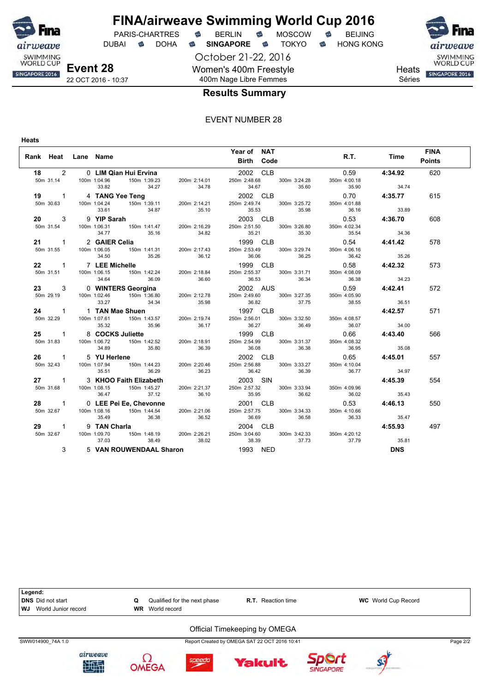

DUBAI **S** DOHA S SINGAPORE S TOKYO S HONG KONG

October 21-22, 2016 Women's 400m Freestyle 400m Nage Libre Femmes





**Heats** 

#### Séries

#### **Results Summary**

#### EVENT NUMBER 28

**Heats**

|   |                                                                                                                                                                                                                                                                                                         |             | Year of NAT                             |                                |                          | <b>FINA</b>   |
|---|---------------------------------------------------------------------------------------------------------------------------------------------------------------------------------------------------------------------------------------------------------------------------------------------------------|-------------|-----------------------------------------|--------------------------------|--------------------------|---------------|
|   | Rank Heat Lane Name                                                                                                                                                                                                                                                                                     |             | <b>Birth Code</b>                       |                                | R.T. Time                | <b>Points</b> |
|   |                                                                                                                                                                                                                                                                                                         |             |                                         |                                | $0.59$ $4:34.92$         | 620           |
|   |                                                                                                                                                                                                                                                                                                         |             |                                         | 350m 4:00.18                   | $34.74$<br>35.90 $34.74$ |               |
|   | 18 2 0 LIM Qian Hui Ervina<br>50m 31.14 100m 1:04.96 150m 1:39.23 200m 2:14.01 250m 2:48.68 300m 3:24.28<br>33.82 34.27 34.78 2002 CLB<br>50m 30.63 100m 1:04.24 150m 1:39.11 200m 2:14.21 250m 2:49.74 300m 3:25.72                                                                                    |             |                                         | $0.70$ 4:35.77<br>350m 4:01.88 |                          | 615           |
|   | 33.61<br>33.61<br>33.61<br>50m 31.54<br>50m 31.54<br>100m 1:06.31<br>4:36.70<br>33.89<br>200 3<br>4:36.70<br>50m 31.55<br>100m 1:06.31<br>34.77<br>35.16<br>33.89<br>200m 2:16.29<br>200m 2:16.29<br>250m 2:51.50<br>36.16<br>35.53<br>250m 3:26.80<br>35.90<br>35.53<br>35.                            |             |                                         |                                |                          | 608           |
|   |                                                                                                                                                                                                                                                                                                         |             | $36.50$ $36.25$ $36.12$ $36.06$ $36.25$ | 36.42 35.26                    |                          | 578           |
|   | 22 1 7 LEE Michelle 1999 CLB 0.58 4:42.32<br>50m 31.51 100m 1:06.15 150m 1:42.24 200m 2:18.84 250m 2:55.37 300m 3:31.71 350m 4:08.09                                                                                                                                                                    |             |                                         |                                |                          | 573           |
|   | 23 3 0 WINTERS Georgina 2000 2:12.78 250m 2:49.60 36.53 36.34 36.38 34.23<br>36.09 36.53 36.34 36.38 36.34 36.38 34.23<br>56m 29.19 100m 1:02.46 150m 1:36.80 200m 2:12.78 250m 2:49.60 300m 3:27.35 350m 4:05.90<br>33.27 34.34 36.                                                                    |             |                                         |                                |                          | 572           |
|   | 24 1 1 TAN Mae Shuen<br>50m 32.29 100m 1:07.61 150m 1:43.57 200m 2:19.74 250m 2:56.01 300m 3:32.50 350m 4:08.57 4:42.57                                                                                                                                                                                 |             |                                         |                                |                          | 571           |
|   |                                                                                                                                                                                                                                                                                                         |             |                                         |                                |                          | 566           |
|   | 26. 1 and 1.98.57<br>200m 3.18.3 and 1.98.57<br>35.32 35.96 36.17<br>36.27 36.49 36.07 34.00<br>36.67 36.49 36.07 34.00<br>26. 1 8 COCKS Juliette<br>50m 31.83 100m 1:06.72 150m 1:42.52 200m 2:18.91<br>36.39 36.08 36.08 36.38 36.38 36.9                                                             | 36.29 36.23 | 36.42 36.39                             | 36.77 34.97                    |                          | 557           |
|   | 27 1 3 KHOO Faith Elizabeth 2003 SIN 2000 3:33.94 350m 4:09.96 4:45.39<br>50m 31.68 100m 1:08.15 150m 1:45.27 200m 2:21.37 250m 2:57.32 300m 3:33.94 350m 4:09.96                                                                                                                                       |             |                                         |                                | 35.43                    | 554           |
|   |                                                                                                                                                                                                                                                                                                         |             |                                         |                                |                          | 550           |
|   |                                                                                                                                                                                                                                                                                                         |             |                                         |                                |                          |               |
|   | 36.47<br>36.47<br>36.47<br>36.47<br>56 1 O LEE Pei Ee, Chevonne<br>36.47<br>56 36.62<br>36.52<br>36.52<br>36.49<br>36.52<br>36.52<br>36.52<br>36.62<br>36.62<br>36.62<br>36.62<br>36.62<br>36.82<br>36.82<br>36.82<br>36.82<br>36.82<br>36.82<br>36.82<br>36.82<br>36.82<br>36.82<br><br>38.49<br>37.03 | 38.02 38.39 | 37.73                                   | 37.79                          | 35.81                    | 497           |
| 3 | 5 VAN ROUWENDAAL Sharon 1993 NED                                                                                                                                                                                                                                                                        |             |                                         |                                | <b>DNS</b>               |               |



**Yakult** 

speedo

**OMEGA** 

浊味

Sport

**SINGAPORE**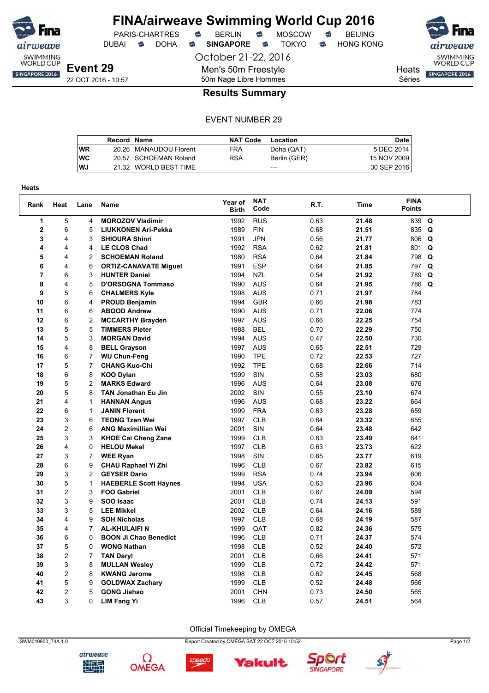

DUBAI **S** DOHA S SINGAPORE S TOKYO S HONG KONG

October 21-22, 2016

Séries

**Heats** SINGAPORE 2016

airweave

SWIMMING<br>WORLD CUP

#### 50m Nage Libre Hommes **Results Summary**

Men's 50m Freestyle

#### EVENT NUMBER 29

|           | Record Name |                        | <b>NAT Code</b> | Location     | <b>Date</b> |
|-----------|-------------|------------------------|-----------------|--------------|-------------|
| WR        |             | 20.26 MANAUDOU Florent | FRA             | Doha (QAT)   | 5 DEC 2014  |
| <b>WC</b> |             | 20.57 SCHOEMAN Roland  | <b>RSA</b>      | Berlin (GER) | 15 NOV 2009 |
| <b>WJ</b> |             | 21.32 WORLD BEST TIME  |                 | $---$        | 30 SEP 2016 |

| <b>Heats</b>   |                         |                |                              |                         |                    |      |             |                              |   |
|----------------|-------------------------|----------------|------------------------------|-------------------------|--------------------|------|-------------|------------------------------|---|
| Rank           | Heat                    | Lane           | <b>Name</b>                  | Year of<br><b>Birth</b> | <b>NAT</b><br>Code | R.T. | <b>Time</b> | <b>FINA</b><br><b>Points</b> |   |
| 1              | $\overline{5}$          | 4              | <b>MOROZOV Vladimir</b>      | 1992                    | <b>RUS</b>         | 0.63 | 21.48       | 839                          | Q |
| $\overline{2}$ | 6                       | 5              | <b>LIUKKONEN Ari-Pekka</b>   | 1989                    | <b>FIN</b>         | 0.68 | 21.51       | 835 Q                        |   |
| 3              | 4                       | 3              | <b>SHIOURA Shinri</b>        | 1991                    | <b>JPN</b>         | 0.56 | 21.77       | 806 Q                        |   |
| 4              | 4                       | 4              | <b>LE CLOS Chad</b>          | 1992                    | <b>RSA</b>         | 0.62 | 21.81       | 801 Q                        |   |
| 5              | 4                       | $\overline{2}$ | <b>SCHOEMAN Roland</b>       | 1980                    | <b>RSA</b>         | 0.64 | 21.84       | 798 Q                        |   |
| 6              | 4                       | 6              | <b>ORTIZ-CANAVATE Miguel</b> | 1991                    | <b>ESP</b>         | 0.64 | 21.85       | 797                          | Q |
| 7              | 6                       | 3              | <b>HUNTER Daniel</b>         | 1994                    | <b>NZL</b>         | 0.54 | 21.92       | 789                          | Q |
| 8              | $\overline{\mathbf{4}}$ | 5              | <b>D'ORSOGNA Tommaso</b>     | 1990                    | <b>AUS</b>         | 0.64 | 21.95       | 786 Q                        |   |
| 9              | 5                       | 6              | <b>CHALMERS Kyle</b>         | 1998                    | <b>AUS</b>         | 0.71 | 21.97       | 784                          |   |
| 10             | 6                       | 4              | <b>PROUD Benjamin</b>        | 1994                    | <b>GBR</b>         | 0.66 | 21.98       | 783                          |   |
| 11             | 6                       | 6              | <b>ABOOD Andrew</b>          | 1990                    | <b>AUS</b>         | 0.71 | 22.06       | 774                          |   |
| 12             | 6                       | $\overline{c}$ | <b>MCCARTHY Brayden</b>      | 1997                    | <b>AUS</b>         | 0.66 | 22.25       | 754                          |   |
| 13             | 5                       | 5              | <b>TIMMERS Pieter</b>        | 1988                    | <b>BEL</b>         | 0.70 | 22.29       | 750                          |   |
| 14             | 5                       | 3              | <b>MORGAN David</b>          | 1994                    | <b>AUS</b>         | 0.47 | 22.50       | 730                          |   |
| 15             | 4                       | 8              | <b>BELL Grayson</b>          | 1997                    | <b>AUS</b>         | 0.65 | 22.51       | 729                          |   |
| 16             | 6                       | $\overline{7}$ | <b>WU Chun-Feng</b>          | 1990                    | <b>TPE</b>         | 0.72 | 22.53       | 727                          |   |
| 17             | 5                       | 7              | <b>CHANG Kuo-Chi</b>         | 1992                    | <b>TPE</b>         | 0.68 | 22.66       | 714                          |   |
| 18             | 6                       | 8              | <b>KOO Dylan</b>             | 1999                    | SIN                | 0.58 | 23.03       | 680                          |   |
| 19             | 5                       | 2              | <b>MARKS Edward</b>          | 1996                    | <b>AUS</b>         | 0.64 | 23.08       | 676                          |   |
| 20             | 5                       | 8              | <b>TAN Jonathan Eu Jin</b>   | 2002                    | SIN                | 0.55 | 23.10       | 674                          |   |
| 21             | $\overline{4}$          | 1              | <b>HANNAN Angus</b>          | 1996                    | <b>AUS</b>         | 0.68 | 23.22       | 664                          |   |
| 22             | 6                       | 1              | <b>JANIN Florent</b>         | 1999                    | <b>FRA</b>         | 0.63 | 23.28       | 659                          |   |
| 23             | 3                       | 6              | <b>TEONG Tzen Wei</b>        | 1997                    | <b>CLB</b>         | 0.64 | 23.32       | 655                          |   |
| 24             | $\overline{c}$          | 6              | <b>ANG Maximillian Wei</b>   | 2001                    | SIN                | 0.64 | 23.48       | 642                          |   |
| 25             | 3                       | 3              | <b>KHOE Cai Cheng Zane</b>   | 1999                    | CLB                | 0.63 | 23.49       | 641                          |   |
| 26             | $\overline{4}$          | 0              | <b>HELOU Mekal</b>           | 1997                    | <b>CLB</b>         | 0.63 | 23.73       | 622                          |   |
| 27             | 3                       | 7              | <b>WEE Ryan</b>              | 1998                    | SIN                | 0.65 | 23.77       | 619                          |   |
| 28             | 6                       | 9              | CHAU Raphael Yi Zhi          | 1996                    | <b>CLB</b>         | 0.67 | 23.82       | 615                          |   |
| 29             | 3                       | $\overline{c}$ | <b>GEYSER Dario</b>          | 1999                    | <b>RSA</b>         | 0.74 | 23.94       | 606                          |   |
| 30             | 5                       | 1              | <b>HAEBERLE Scott Haynes</b> | 1994                    | <b>USA</b>         | 0.63 | 23.96       | 604                          |   |
| 31             | $\overline{c}$          | 3              | <b>FOO Gabriel</b>           | 2001                    | <b>CLB</b>         | 0.67 | 24.09       | 594                          |   |
| 32             | 3                       | 9              | SOO Isaac                    | 2001                    | <b>CLB</b>         | 0.74 | 24.13       | 591                          |   |
| 33             | 3                       | 5              | <b>LEE Mikkel</b>            | 2002                    | <b>CLB</b>         | 0.64 | 24.16       | 589                          |   |
| 34             | $\overline{4}$          | 9              | <b>SOH Nicholas</b>          | 1997                    | <b>CLB</b>         | 0.68 | 24.19       | 587                          |   |
| 35             | 4                       | 7              | <b>AL-KHULAIFI N</b>         | 1999                    | QAT                | 0.82 | 24.36       | 575                          |   |
| 36             | 6                       | 0              | <b>BOON Ji Chao Benedict</b> | 1996                    | <b>CLB</b>         | 0.71 | 24.37       | 574                          |   |
| 37             | 5                       | 0              | <b>WONG Nathan</b>           | 1998                    | <b>CLB</b>         | 0.52 | 24.40       | 572                          |   |
| 38             | $\overline{c}$          | 7              | <b>TAN Daryl</b>             | 2001                    | <b>CLB</b>         | 0.66 | 24.41       | 571                          |   |
| 39             | 3                       | 8              | <b>MULLAN Wesley</b>         | 1999                    | <b>CLB</b>         | 0.72 | 24.42       | 571                          |   |
| 40             | $\overline{c}$          | 8              | <b>KWANG Jerome</b>          | 1998                    | <b>CLB</b>         | 0.62 | 24.45       | 568                          |   |
| 41             | 5                       | 9              | <b>GOLDWAX Zachary</b>       | 1999                    | <b>CLB</b>         | 0.52 | 24.48       | 566                          |   |
| 42             | $\overline{2}$          | 5              | <b>GONG Jiahao</b>           | 2001                    | <b>CHN</b>         | 0.73 | 24.50       | 565                          |   |
| 43             | 3                       | 0              | <b>LIM Fang Yi</b>           | 1996                    | <b>CLB</b>         | 0.57 | 24.51       | 564                          |   |

airweave

地型





Ω

**OMEGA** 



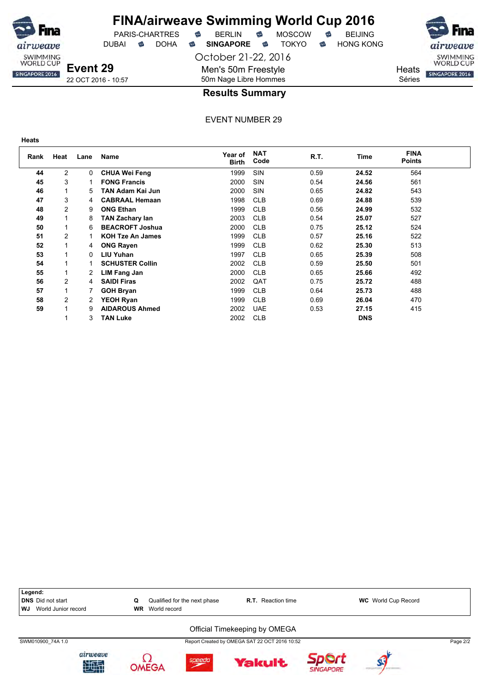

DUBAI **S** DOHA S SINGAPORE S TOKYO S HONG KONG

October 21-22, 2016 Men's 50m Freestyle 50m Nage Libre Hommes

PARIS-CHARTRES **B** BERLIN **B** MOSCOW **B** BEIJING



22 OCT 2016 - 10:57

#### **Results Summary**

| ×<br>٠ | e e<br>×<br>I | × |
|--------|---------------|---|
|        |               |   |

| Rank | Heat           | Lane | <b>Name</b>             | Year of<br><b>Birth</b> | <b>NAT</b><br>Code | R.T. | Time       | <b>FINA</b><br>Points |  |
|------|----------------|------|-------------------------|-------------------------|--------------------|------|------------|-----------------------|--|
| 44   | 2              | 0    | <b>CHUA Wei Feng</b>    | 1999                    | <b>SIN</b>         | 0.59 | 24.52      | 564                   |  |
| 45   | 3              |      | <b>FONG Francis</b>     | 2000                    | <b>SIN</b>         | 0.54 | 24.56      | 561                   |  |
| 46   |                | 5.   | TAN Adam Kai Jun        | 2000                    | <b>SIN</b>         | 0.65 | 24.82      | 543                   |  |
| 47   | 3              | 4    | <b>CABRAAL Hemaan</b>   | 1998                    | <b>CLB</b>         | 0.69 | 24.88      | 539                   |  |
| 48   | $\overline{2}$ | 9    | <b>ONG Ethan</b>        | 1999                    | <b>CLB</b>         | 0.56 | 24.99      | 532                   |  |
| 49   |                | 8    | <b>TAN Zachary lan</b>  | 2003                    | <b>CLB</b>         | 0.54 | 25.07      | 527                   |  |
| 50   |                | 6    | <b>BEACROFT Joshua</b>  | 2000                    | <b>CLB</b>         | 0.75 | 25.12      | 524                   |  |
| 51   | $\overline{c}$ |      | <b>KOH Tze An James</b> | 1999                    | <b>CLB</b>         | 0.57 | 25.16      | 522                   |  |
| 52   |                | 4    | <b>ONG Rayen</b>        | 1999                    | <b>CLB</b>         | 0.62 | 25.30      | 513                   |  |
| 53   |                | 0    | <b>LIU Yuhan</b>        | 1997                    | <b>CLB</b>         | 0.65 | 25.39      | 508                   |  |
| 54   |                |      | <b>SCHUSTER Collin</b>  | 2002                    | <b>CLB</b>         | 0.59 | 25.50      | 501                   |  |
| 55   |                | 2    | LIM Fang Jan            | 2000                    | <b>CLB</b>         | 0.65 | 25.66      | 492                   |  |
| 56   | $\overline{c}$ | 4    | <b>SAIDI Firas</b>      | 2002                    | QAT                | 0.75 | 25.72      | 488                   |  |
| 57   |                |      | <b>GOH Bryan</b>        | 1999                    | <b>CLB</b>         | 0.64 | 25.73      | 488                   |  |
| 58   | $\overline{c}$ | 2    | <b>YEOH Ryan</b>        | 1999                    | <b>CLB</b>         | 0.69 | 26.04      | 470                   |  |
| 59   |                | 9    | <b>AIDAROUS Ahmed</b>   | 2002                    | <b>UAE</b>         | 0.53 | 27.15      | 415                   |  |
|      |                | 3    | <b>TAN Luke</b>         | 2002                    | <b>CLB</b>         |      | <b>DNS</b> |                       |  |

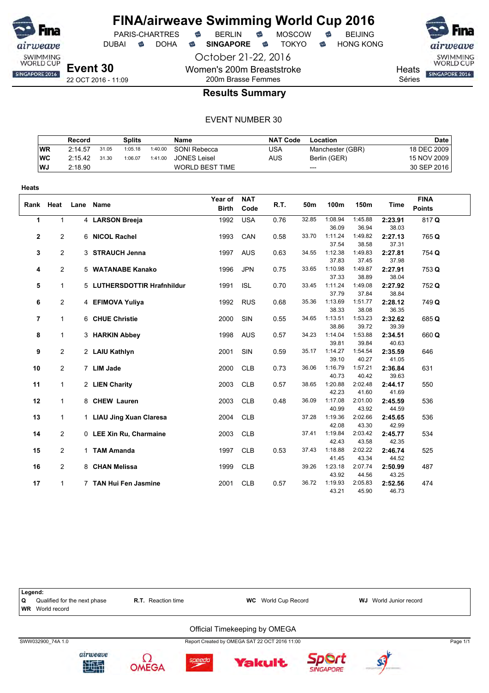

Women's 200m Breaststroke 200m Brasse Femmes

PARIS-CHARTRES **B** BERLIN **B** MOSCOW **B** BEIJING DUBAI **S** DOHA S SINGAPORE S TOKYO S HONG KONG

October 21-22, 2016



**Heats** 

Séries

**Results Summary**

|           | Record  |       | Splits  |         | Name                | <b>NAT Code</b> | Location         | Date l      |
|-----------|---------|-------|---------|---------|---------------------|-----------------|------------------|-------------|
| <b>WR</b> | 2:14.57 | 31.05 | 1:05.18 | 1:40.00 | SONI Rebecca        | USA             | Manchester (GBR) | 18 DEC 2009 |
| WC        | 2:15.42 | 31.30 | 1:06.07 | 1:41.00 | <b>JONES Leisel</b> | AUS             | Berlin (GER)     | 15 NOV 2009 |
| WJ.       | 2:18.90 |       |         |         | WORLD BEST TIME     |                 | ---              | 30 SEP 2016 |

| <b>Heats</b> |                |      |                             |                         |                    |      |       |                  |                  |                  |                              |
|--------------|----------------|------|-----------------------------|-------------------------|--------------------|------|-------|------------------|------------------|------------------|------------------------------|
| Rank         | Heat           | Lane | Name                        | Year of<br><b>Birth</b> | <b>NAT</b><br>Code | R.T. | 50m   | 100m             | 150m             | <b>Time</b>      | <b>FINA</b><br><b>Points</b> |
| $\mathbf{1}$ | $\mathbf{1}$   |      | 4 LARSON Breeja             | 1992                    | <b>USA</b>         | 0.76 | 32.85 | 1:08.94          | 1:45.88          | 2:23.91          | 817Q                         |
|              |                |      |                             |                         |                    |      |       | 36.09            | 36.94            | 38.03            |                              |
| $\mathbf{2}$ | $\overline{c}$ |      | 6 NICOL Rachel              | 1993                    | CAN                | 0.58 | 33.70 | 1:11.24          | 1:49.82          | 2:27.13          | 765 Q                        |
|              |                |      |                             |                         |                    |      |       | 37.54            | 38.58            | 37.31            |                              |
| 3            | $\overline{c}$ |      | 3 STRAUCH Jenna             | 1997                    | <b>AUS</b>         | 0.63 | 34.55 | 1:12.38          | 1:49.83          | 2:27.81          | 754 Q                        |
|              |                |      |                             |                         |                    |      |       | 37.83            | 37.45            | 37.98            |                              |
| 4            | $\overline{c}$ |      | 5 WATANABE Kanako           | 1996                    | <b>JPN</b>         | 0.75 | 33.65 | 1:10.98          | 1:49.87          | 2:27.91          | 753 Q                        |
|              |                |      |                             |                         |                    |      |       | 37.33            | 38.89            | 38.04            |                              |
| 5            | $\mathbf{1}$   |      | 5 LUTHERSDOTTIR Hrafnhildur | 1991                    | <b>ISL</b>         | 0.70 | 33.45 | 1:11.24          | 1:49.08          | 2:27.92          | 752 Q                        |
|              |                |      |                             |                         |                    |      |       | 37.79            | 37.84            | 38.84            |                              |
| 6            | $\overline{c}$ |      | 4 EFIMOVA Yuliya            | 1992                    | <b>RUS</b>         | 0.68 | 35.36 | 1:13.69          | 1:51.77          | 2:28.12          | 749 Q                        |
|              |                |      |                             |                         |                    |      |       | 38.33            | 38.08            | 36.35            |                              |
| 7            | $\mathbf{1}$   |      | 6 CHUE Christie             | 2000                    | SIN                | 0.55 | 34.65 | 1:13.51          | 1:53.23          | 2:32.62          | 685 Q                        |
|              |                |      |                             |                         |                    |      |       | 38.86<br>1:14.04 | 39.72            | 39.39            |                              |
| 8            | 1              |      | 3 HARKIN Abbey              | 1998                    | <b>AUS</b>         | 0.57 | 34.23 | 39.81            | 1:53.88          | 2:34.51<br>40.63 | 660Q                         |
|              |                |      |                             |                         | <b>SIN</b>         | 0.59 | 35.17 | 1:14.27          | 39.84<br>1:54.54 | 2:35.59          | 646                          |
| 9            | 2              |      | 2 LAIU Kathlyn              | 2001                    |                    |      |       | 39.10            | 40.27            | 41.05            |                              |
| 10           | $\overline{c}$ |      | 7 LIM Jade                  | 2000                    | <b>CLB</b>         | 0.73 | 36.06 | 1:16.79          | 1:57.21          | 2:36.84          | 631                          |
|              |                |      |                             |                         |                    |      |       | 40.73            | 40.42            | 39.63            |                              |
| 11           | 1              |      | 2 LIEN Charity              | 2003                    | <b>CLB</b>         | 0.57 | 38.65 | 1:20.88          | 2:02.48          | 2:44.17          | 550                          |
|              |                |      |                             |                         |                    |      |       | 42.23            | 41.60            | 41.69            |                              |
| 12           | $\mathbf{1}$   |      | 8 CHEW Lauren               | 2003                    | <b>CLB</b>         | 0.48 | 36.09 | 1:17.08          | 2:01.00          | 2:45.59          | 536                          |
|              |                |      |                             |                         |                    |      |       | 40.99            | 43.92            | 44.59            |                              |
| 13           | 1              |      | 1 LIAU Jing Xuan Claresa    | 2004                    | <b>CLB</b>         |      | 37.28 | 1:19.36          | 2:02.66          | 2:45.65          | 536                          |
|              |                |      |                             |                         |                    |      |       | 42.08            | 43.30            | 42.99            |                              |
| 14           | 2              |      | 0 LEE Xin Ru, Charmaine     | 2003                    | <b>CLB</b>         |      | 37.41 | 1:19.84          | 2:03.42          | 2:45.77          | 534                          |
|              |                |      |                             |                         |                    |      |       | 42.43            | 43.58            | 42.35            |                              |
| 15           | 2              |      | 1 TAM Amanda                | 1997                    | <b>CLB</b>         | 0.53 | 37.43 | 1:18.88          | 2:02.22          | 2:46.74          | 525                          |
|              |                |      |                             |                         |                    |      |       | 41.45            | 43.34            | 44.52            |                              |
| 16           | $\overline{c}$ |      | 8 CHAN Melissa              | 1999                    | <b>CLB</b>         |      | 39.26 | 1:23.18          | 2:07.74          | 2:50.99          | 487                          |
|              |                |      |                             |                         |                    |      |       | 43.92            | 44.56            | 43.25            |                              |
| 17           | 1              |      | 7 TAN Hui Fen Jasmine       | 2001                    | <b>CLB</b>         | 0.57 | 36.72 | 1:19.93          | 2:05.83          | 2:52.56          | 474                          |
|              |                |      |                             |                         |                    |      |       | 43.21            | 45.90            | 46.73            |                              |

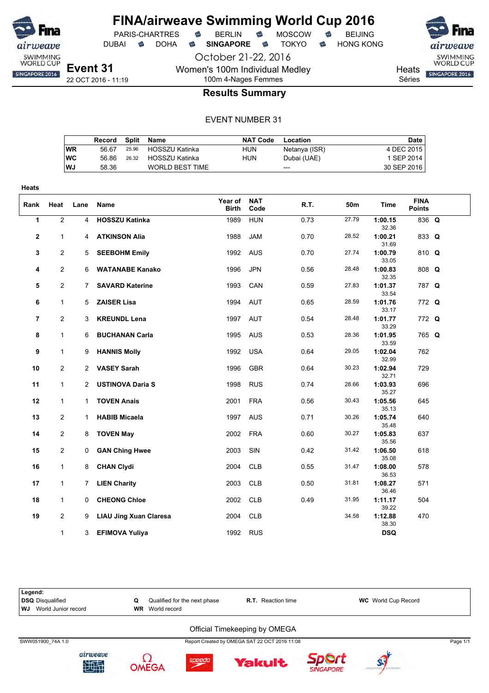

**Heats**

### **FINA/airweave Swimming World Cup 2016**

PARIS-CHARTRES **B** BERLIN **B** MOSCOW **B** BEIJING

DUBAI **S** DOHA S SINGAPORE S TOKYO S HONG KONG

**Event 31** 22 OCT 2016 - 11:19

October 21-22, 2016 Women's 100m Individual Medley 100m 4-Nages Femmes

SWIMMING<br>WORLD CUP **Heats** SINGAPORE 2016 Séries

**Results Summary**

#### EVENT NUMBER 31

|           | Record |       | Split Name             | <b>NAT Code</b> | Location      | Date        |
|-----------|--------|-------|------------------------|-----------------|---------------|-------------|
| WR        | 56.67  |       | 25.96 HOSSZU Katinka   | HUN             | Netanya (ISR) | 4 DEC 2015  |
| <b>WC</b> | 56.86  | 26.32 | HOSSZU Katinka         | HUN             | Dubai (UAE)   | 1 SEP 2014  |
| <b>WJ</b> | 58.36  |       | <b>WORLD BEST TIME</b> |                 | ---           | 30 SEP 2016 |

| Rank         | Heat           | Lane           | Name                          | Year of<br><b>Birth</b> | <b>NAT</b><br>Code | R.T. | 50m   | <b>Time</b>      | <b>FINA</b><br><b>Points</b> |  |
|--------------|----------------|----------------|-------------------------------|-------------------------|--------------------|------|-------|------------------|------------------------------|--|
| 1            | $\overline{2}$ | $\overline{4}$ | <b>HOSSZU Katinka</b>         | 1989                    | <b>HUN</b>         | 0.73 | 27.79 | 1:00.15<br>32.36 | 836 Q                        |  |
| $\mathbf{2}$ | $\mathbf{1}$   |                | 4 ATKINSON Alia               | 1988                    | <b>JAM</b>         | 0.70 | 28.52 | 1:00.21<br>31.69 | 833 Q                        |  |
| 3            | $\overline{2}$ |                | 5 SEEBOHM Emily               | 1992 AUS                |                    | 0.70 | 27.74 | 1:00.79<br>33.05 | 810 Q                        |  |
| 4            | $\overline{2}$ | 6              | <b>WATANABE Kanako</b>        | 1996                    | <b>JPN</b>         | 0.56 | 28.48 | 1:00.83<br>32.35 | 808 Q                        |  |
| 5            | $\overline{2}$ | $7^{\circ}$    | <b>SAVARD Katerine</b>        | 1993                    | CAN                | 0.59 | 27.83 | 1:01.37<br>33.54 | 787 Q                        |  |
| 6            | $\mathbf{1}$   | 5              | <b>ZAISER Lisa</b>            | 1994                    | AUT                | 0.65 | 28.59 | 1:01.76<br>33.17 | 772 Q                        |  |
| 7            | $\overline{2}$ | 3              | <b>KREUNDL Lena</b>           | 1997 AUT                |                    | 0.54 | 28.48 | 1:01.77<br>33.29 | 772 Q                        |  |
| 8            | $\mathbf{1}$   | 6              | <b>BUCHANAN Carla</b>         | 1995                    | <b>AUS</b>         | 0.53 | 28.36 | 1:01.95<br>33.59 | 765 Q                        |  |
| 9            | $\mathbf{1}$   | 9              | <b>HANNIS Molly</b>           | 1992                    | <b>USA</b>         | 0.64 | 29.05 | 1:02.04<br>32.99 | 762                          |  |
| 10           | $\overline{2}$ |                | 2 VASEY Sarah                 | 1996                    | <b>GBR</b>         | 0.64 | 30.23 | 1:02.94<br>32.71 | 729                          |  |
| 11           | $\mathbf{1}$   | 2              | <b>USTINOVA Daria S</b>       | 1998                    | <b>RUS</b>         | 0.74 | 28.66 | 1:03.93<br>35.27 | 696                          |  |
| 12           | $\mathbf{1}$   |                | 1 TOVEN Anais                 | 2001 FRA                |                    | 0.56 | 30.43 | 1:05.56<br>35.13 | 645                          |  |
| 13           | $\overline{2}$ | 1.             | <b>HABIB Micaela</b>          | 1997                    | <b>AUS</b>         | 0.71 | 30.26 | 1:05.74<br>35.48 | 640                          |  |
| 14           | $\overline{c}$ | 8              | <b>TOVEN May</b>              | 2002                    | <b>FRA</b>         | 0.60 | 30.27 | 1:05.83<br>35.56 | 637                          |  |
| 15           | $\overline{2}$ | $\mathbf{0}$   | <b>GAN Ching Hwee</b>         | 2003                    | SIN                | 0.42 | 31.42 | 1:06.50<br>35.08 | 618                          |  |
| 16           | $\mathbf{1}$   | 8              | <b>CHAN Clydi</b>             | 2004                    | <b>CLB</b>         | 0.55 | 31.47 | 1:08.00<br>36.53 | 578                          |  |
| 17           | $\mathbf{1}$   | $7^{\circ}$    | <b>LIEN Charity</b>           | 2003                    | <b>CLB</b>         | 0.50 | 31.81 | 1:08.27<br>36.46 | 571                          |  |
| 18           | $\mathbf{1}$   | 0              | <b>CHEONG Chloe</b>           | 2002                    | <b>CLB</b>         | 0.49 | 31.95 | 1:11.17<br>39.22 | 504                          |  |
| 19           | $\overline{2}$ | 9              | <b>LIAU Jing Xuan Claresa</b> | 2004                    | <b>CLB</b>         |      | 34.58 | 1:12.88<br>38.30 | 470                          |  |
|              | $\mathbf{1}$   | 3              | <b>EFIMOVA Yuliya</b>         | 1992                    | <b>RUS</b>         |      |       | <b>DSQ</b>       |                              |  |

**Legend: DSQ** Disqualified **C** Qualified for the next phase **R.T.** Reaction time **WC** World Cup Record **WI** World Cup Record **WJ** World Junior record Official Timekeeping by OMEGA SWW051900\_74A 1.0 Report Created by OMEGA SAT 22 OCT 2016 11:08 Page 1/1











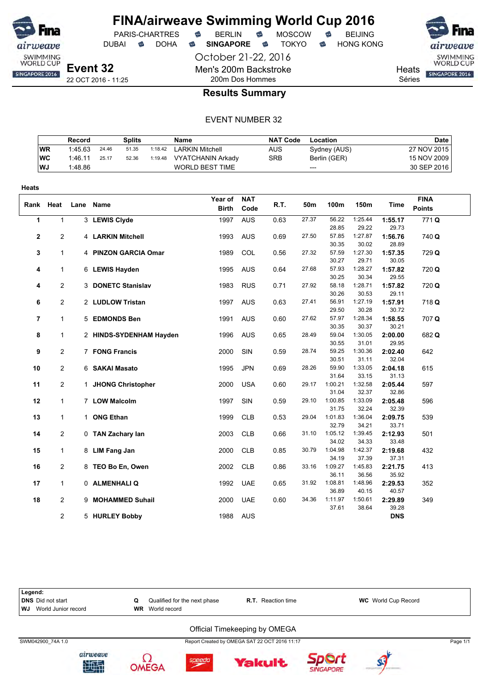

DUBAI **S** DOHA S SINGAPORE S TOKYO S HONG KONG

October 21-22, 2016

PARIS-CHARTRES **B** BERLIN **B** MOSCOW **B** BEIJING

**Heats** Séries

SWIMMING<br>WORLD CUP SINGAPORE 2016

22 OCT 2016 - 11:25

#### 200m Dos Hommes **Results Summary**

Men's 200m Backstroke

|            | Record  |       | <b>Splits</b> |         | Name                     | NAT Code   | Location     | Date        |
|------------|---------|-------|---------------|---------|--------------------------|------------|--------------|-------------|
| <b>WR</b>  | 1:45.63 | 24.46 | 51.35         | 1:18.42 | <b>LARKIN Mitchell</b>   | AUS        | Sydney (AUS) | 27 NOV 2015 |
| <b>IWC</b> | 1:46.11 | 25.17 | 52.36         | 1:19.48 | <b>VYATCHANIN Arkady</b> | <b>SRB</b> | Berlin (GER) | 15 NOV 2009 |
| l WJ       | 1:48.86 |       |               |         | <b>WORLD BEST TIME</b>   |            | $---$        | 30 SEP 2016 |

| <b>Heats</b>   |                |      |                         |                         |                    |      |       |                |                  |                  |                              |
|----------------|----------------|------|-------------------------|-------------------------|--------------------|------|-------|----------------|------------------|------------------|------------------------------|
| Rank           | Heat           | Lane | Name                    | Year of<br><b>Birth</b> | <b>NAT</b><br>Code | R.T. | 50m   | 100m           | 150m             | Time             | <b>FINA</b><br><b>Points</b> |
| 1              | $\mathbf{1}$   |      | 3 LEWIS Clyde           | 1997                    | <b>AUS</b>         | 0.63 | 27.37 | 56.22          | 1:25.44          | 1:55.17          | 771Q                         |
|                |                |      |                         |                         |                    |      |       | 28.85          | 29.22            | 29.73            |                              |
| $\mathbf{2}$   | 2              |      | 4 LARKIN Mitchell       | 1993                    | <b>AUS</b>         | 0.69 | 27.50 | 57.85          | 1:27.87          | 1:56.76          | 740 Q                        |
|                |                |      |                         |                         |                    |      |       | 30.35          | 30.02            | 28.89            |                              |
| 3              | $\mathbf{1}$   |      | 4 PINZON GARCIA Omar    | 1989                    | COL                | 0.56 | 27.32 | 57.59          | 1:27.30          | 1:57.35          | 729 Q                        |
|                |                |      |                         |                         |                    |      |       | 30.27          | 29.71            | 30.05            |                              |
| 4              | 1              |      | 6 LEWIS Hayden          | 1995                    | <b>AUS</b>         | 0.64 | 27.68 | 57.93          | 1:28.27          | 1:57.82          | 720 Q                        |
|                |                |      |                         |                         |                    |      |       | 30.25          | 30.34            | 29.55            |                              |
| 4              | $\overline{c}$ |      | 3 DONETC Stanislav      | 1983                    | <b>RUS</b>         | 0.71 | 27.92 | 58.18          | 1:28.71          | 1:57.82          | 720 Q                        |
|                |                |      |                         |                         |                    |      |       | 30.26          | 30.53            | 29.11            |                              |
| 6              | $\overline{c}$ |      | 2 LUDLOW Tristan        | 1997                    | <b>AUS</b>         | 0.63 | 27.41 | 56.91          | 1:27.19          | 1:57.91          | 718 Q                        |
|                |                |      |                         |                         |                    |      | 27.62 | 29.50<br>57.97 | 30.28<br>1:28.34 | 30.72            |                              |
| $\overline{7}$ | $\mathbf{1}$   |      | 5 EDMONDS Ben           | 1991                    | <b>AUS</b>         | 0.60 |       | 30.35          | 30.37            | 1:58.55<br>30.21 | 707 Q                        |
| 8              | $\mathbf{1}$   |      | 2 HINDS-SYDENHAM Hayden | 1996                    | <b>AUS</b>         | 0.65 | 28.49 | 59.04          | 1:30.05          | 2:00.00          | 682 Q                        |
|                |                |      |                         |                         |                    |      |       | 30.55          | 31.01            | 29.95            |                              |
| 9              | $\overline{2}$ |      | 7 FONG Francis          | 2000                    | SIN                | 0.59 | 28.74 | 59.25          | 1:30.36          | 2:02.40          | 642                          |
|                |                |      |                         |                         |                    |      |       | 30.51          | 31.11            | 32.04            |                              |
| 10             | $\overline{2}$ |      | 6 SAKAI Masato          | 1995                    | <b>JPN</b>         | 0.69 | 28.26 | 59.90          | 1:33.05          | 2:04.18          | 615                          |
|                |                |      |                         |                         |                    |      |       | 31.64          | 33.15            | 31.13            |                              |
| 11             | 2              |      | 1 JHONG Christopher     | 2000                    | <b>USA</b>         | 0.60 | 29.17 | 1:00.21        | 1:32.58          | 2:05.44          | 597                          |
|                |                |      |                         |                         |                    |      |       | 31.04          | 32.37            | 32.86            |                              |
| 12             | $\mathbf{1}$   |      | 7 LOW Malcolm           | 1997                    | SIN                | 0.59 | 29.10 | 1:00.85        | 1:33.09          | 2:05.48          | 596                          |
|                |                |      |                         |                         |                    |      |       | 31.75          | 32.24            | 32.39            |                              |
| 13             | $\mathbf{1}$   |      | 1 ONG Ethan             | 1999                    | <b>CLB</b>         | 0.53 | 29.04 | 1:01.83        | 1:36.04          | 2:09.75          | 539                          |
|                |                |      |                         |                         |                    |      |       | 32.79          | 34.21            | 33.71            |                              |
| 14             | 2              |      | 0 TAN Zachary lan       | 2003                    | <b>CLB</b>         | 0.66 | 31.10 | 1:05.12        | 1:39.45          | 2:12.93          | 501                          |
|                |                |      |                         |                         |                    |      |       | 34.02          | 34.33            | 33.48            |                              |
| 15             | $\mathbf{1}$   |      | 8 LIM Fang Jan          | 2000                    | <b>CLB</b>         | 0.85 | 30.79 | 1:04.98        | 1:42.37          | 2:19.68          | 432                          |
|                |                |      |                         |                         |                    |      |       | 34.19          | 37.39            | 37.31            |                              |
| 16             | $\overline{2}$ |      | 8 TEO Bo En, Owen       | 2002                    | <b>CLB</b>         | 0.86 | 33.16 | 1:09.27        | 1:45.83          | 2:21.75          | 413                          |
|                |                |      |                         |                         |                    |      |       | 36.11          | 36.56            | 35.92            |                              |
| 17             | $\mathbf{1}$   |      | 0 ALMENHALIQ            | 1992                    | <b>UAE</b>         | 0.65 | 31.92 | 1:08.81        | 1:48.96          | 2:29.53          | 352                          |
|                |                |      |                         |                         |                    |      |       | 36.89          | 40.15            | 40.57            |                              |
| 18             | 2              |      | 9 MOHAMMED Suhail       | 2000                    | <b>UAE</b>         | 0.60 | 34.36 | 1:11.97        | 1:50.61          | 2:29.89          | 349                          |
|                |                |      |                         |                         |                    |      |       | 37.61          | 38.64            | 39.28            |                              |
|                | $\overline{2}$ |      | 5 HURLEY Bobby          | 1988                    | <b>AUS</b>         |      |       |                |                  | <b>DNS</b>       |                              |











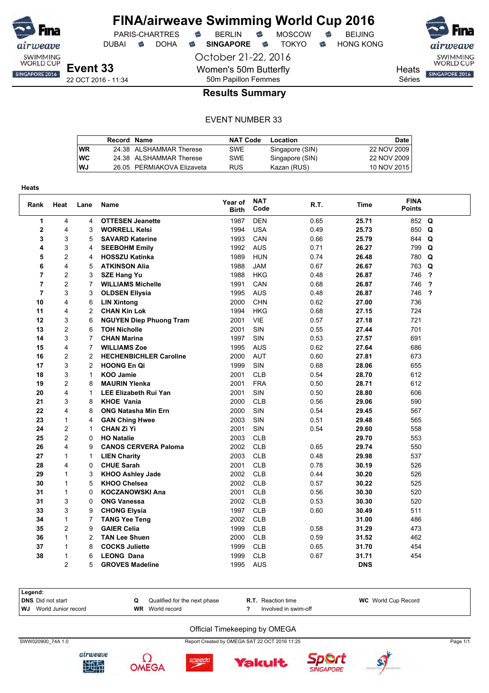

DUBAI **S** DOHA S SINGAPORE S TOKYO S HONG KONG

October 21-22, 2016 Women's 50m Butterfly 50m Papillon Femmes

PARIS-CHARTRES **B** BERLIN **B** MOSCOW **B** BEIJING

SWIMMING<br>WORLD CUP Heats **SINGAPORE 2016** 

Séries

### **Results Summary**

#### EVENT NUMBER 33

|    | Record Name |                            | <b>NAT Code</b> | Location        | <b>Date</b> |
|----|-------------|----------------------------|-----------------|-----------------|-------------|
| WR |             | 24.38 ALSHAMMAR Therese    | SWE             | Singapore (SIN) | 22 NOV 2009 |
| WС |             | 24.38 ALSHAMMAR Therese    | SWE             | Singapore (SIN) | 22 NOV 2009 |
| WJ |             | 26.05 PERMIAKOVA Elizaveta | <b>RUS</b>      | Kazan (RUS)     | 10 NOV 2015 |

| Heats          |                         |                |                                |                         |                    |      |             |                              |                         |
|----------------|-------------------------|----------------|--------------------------------|-------------------------|--------------------|------|-------------|------------------------------|-------------------------|
| Rank           | Heat                    | Lane           | Name                           | Year of<br><b>Birth</b> | <b>NAT</b><br>Code | R.T. | <b>Time</b> | <b>FINA</b><br><b>Points</b> |                         |
| 1              | 4                       | 4              | <b>OTTESEN Jeanette</b>        | 1987                    | <b>DEN</b>         | 0.65 | 25.71       | 852                          | Q                       |
| $\mathbf 2$    | 4                       | 3              | <b>WORRELL Kelsi</b>           | 1994                    | <b>USA</b>         | 0.49 | 25.73       | 850                          | Q                       |
| 3              | 3                       | 5              | <b>SAVARD Katerine</b>         | 1993                    | CAN                | 0.66 | 25.79       | 844                          | Q                       |
| 4              | 3                       | 4              | <b>SEEBOHM Emily</b>           | 1992                    | <b>AUS</b>         | 0.71 | 26.27       | 799                          | Q                       |
| 5              | $\overline{c}$          | 4              | <b>HOSSZU Katinka</b>          | 1989                    | <b>HUN</b>         | 0.74 | 26.48       | 780                          | Q                       |
| 6              | 4                       | 5              | <b>ATKINSON Alia</b>           | 1988                    | <b>JAM</b>         | 0.67 | 26.67       | 763                          | Q                       |
| $\overline{7}$ | $\overline{c}$          | 3              | <b>SZE Hang Yu</b>             | 1988                    | <b>HKG</b>         | 0.48 | 26.87       | 746                          | $\overline{\mathbf{?}}$ |
| $\overline{7}$ | $\overline{2}$          | 7              | <b>WILLIAMS Michelle</b>       | 1991                    | CAN                | 0.68 | 26.87       | 746                          | ?                       |
| $\overline{7}$ | 3                       | 3              | <b>OLDSEN Ellysia</b>          | 1995                    | <b>AUS</b>         | 0.48 | 26.87       | 746                          | $\overline{\mathbf{?}}$ |
| 10             | 4                       | 6              | <b>LIN Xintong</b>             | 2000                    | <b>CHN</b>         | 0.62 | 27.00       | 736                          |                         |
| 11             | 4                       | $\overline{2}$ | <b>CHAN Kin Lok</b>            | 1994                    | <b>HKG</b>         | 0.68 | 27.15       | 724                          |                         |
| 12             | 3                       | 6              | <b>NGUYEN Diep Phuong Tram</b> | 2001                    | <b>VIE</b>         | 0.57 | 27.18       | 721                          |                         |
| 13             | $\overline{2}$          | 6              | <b>TOH Nicholle</b>            | 2001                    | SIN                | 0.55 | 27.44       | 701                          |                         |
| 14             | 3                       | 7              | <b>CHAN Marina</b>             | 1997                    | SIN                | 0.53 | 27.57       | 691                          |                         |
| 15             | 4                       | 7              | <b>WILLIAMS Zoe</b>            | 1995                    | <b>AUS</b>         | 0.62 | 27.64       | 686                          |                         |
| 16             | $\overline{c}$          | $\overline{c}$ | <b>HECHENBICHLER Caroline</b>  | 2000                    | <b>AUT</b>         | 0.60 | 27.81       | 673                          |                         |
| 17             | 3                       | $\overline{c}$ | <b>HOONG En Qi</b>             | 1999                    | SIN                | 0.68 | 28.06       | 655                          |                         |
| 18             | 3                       | 1              | <b>KOO Jamie</b>               | 2001                    | <b>CLB</b>         | 0.54 | 28.70       | 612                          |                         |
| 19             | $\overline{2}$          | 8              | <b>MAURIN Ylenka</b>           | 2001                    | <b>FRA</b>         | 0.50 | 28.71       | 612                          |                         |
| 20             | 4                       | 1              | <b>LEE Elizabeth Rui Yan</b>   | 2001                    | SIN                | 0.50 | 28.80       | 606                          |                         |
| 21             | 3                       | 8              | <b>KHOE Vania</b>              | 2000                    | <b>CLB</b>         | 0.56 | 29.06       | 590                          |                         |
| 22             | 4                       | 8              | <b>ONG Natasha Min Ern</b>     | 2000                    | SIN                | 0.54 | 29.45       | 567                          |                         |
| 23             | $\mathbf{1}$            | 4              | <b>GAN Ching Hwee</b>          | 2003                    | SIN                | 0.51 | 29.48       | 565                          |                         |
| 24             | 2                       | $\mathbf{1}$   | <b>CHAN Zi Yi</b>              | 2001                    | <b>SIN</b>         | 0.54 | 29.60       | 558                          |                         |
| 25             | $\overline{c}$          | 0              | <b>HO Natalie</b>              | 2003                    | <b>CLB</b>         |      | 29.70       | 553                          |                         |
| 26             | 4                       | 9              | <b>CANOS CERVERA Paloma</b>    | 2002                    | <b>CLB</b>         | 0.65 | 29.74       | 550                          |                         |
| 27             | $\mathbf{1}$            | $\mathbf{1}$   | <b>LIEN Charity</b>            | 2003                    | <b>CLB</b>         | 0.48 | 29.98       | 537                          |                         |
| 28             | $\overline{\mathbf{4}}$ | 0              | <b>CHUE Sarah</b>              | 2001                    | <b>CLB</b>         | 0.78 | 30.19       | 526                          |                         |
| 29             | 1                       | 3              | <b>KHOO Ashley Jade</b>        | 2002                    | <b>CLB</b>         | 0.44 | 30.20       | 526                          |                         |
| 30             | 1                       | 5              | <b>KHOO Chelsea</b>            | 2002                    | <b>CLB</b>         | 0.57 | 30.22       | 525                          |                         |
| 31             | $\mathbf{1}$            | 0              | <b>KOCZANOWSKI Ana</b>         | 2001                    | <b>CLB</b>         | 0.56 | 30.30       | 520                          |                         |
| 31             | 3                       | 0              | <b>ONG Vanessa</b>             | 2002                    | <b>CLB</b>         | 0.53 | 30.30       | 520                          |                         |
| 33             | 3                       | 9              | <b>CHONG Elysia</b>            | 1997                    | <b>CLB</b>         | 0.60 | 30.49       | 511                          |                         |
| 34             | 1                       | 7              | <b>TANG Yee Teng</b>           | 2002                    | <b>CLB</b>         |      | 31.00       | 486                          |                         |
| 35             | $\overline{c}$          | 9              | <b>GAIER Celia</b>             | 1999                    | <b>CLB</b>         | 0.58 | 31.29       | 473                          |                         |
| 36             | $\mathbf{1}$            | $\overline{c}$ | <b>TAN Lee Shuen</b>           | 2000                    | <b>CLB</b>         | 0.59 | 31.52       | 462                          |                         |
| 37             | 1                       | 8              | <b>COCKS Juliette</b>          | 1999                    | <b>CLB</b>         | 0.65 | 31.70       | 454                          |                         |
| 38             | 1                       | 6              | <b>LEONG Dana</b>              | 1999                    | <b>CLB</b>         | 0.67 | 31.71       | 454                          |                         |
|                | $\mathfrak{p}$          | 5              | <b>GROVES Madeline</b>         | 1995                    | <b>AUS</b>         |      | <b>DNS</b>  |                              |                         |

| Legend:                       |                              |                           |                            |
|-------------------------------|------------------------------|---------------------------|----------------------------|
| DNS Did not start             | Qualified for the next phase | <b>R.T.</b> Reaction time | <b>WC</b> World Cup Record |
| <b>WJ</b> World Junior record | <b>WR</b> World record       | Involved in swim-off      |                            |
|                               |                              |                           |                            |

#### Official Timekeeping by OMEGA

**Yakult** 

SWW020900\_74A 1.0 Report Created by OMEGA SAT 22 OCT 2016 11:25 Page 1/1





speedo



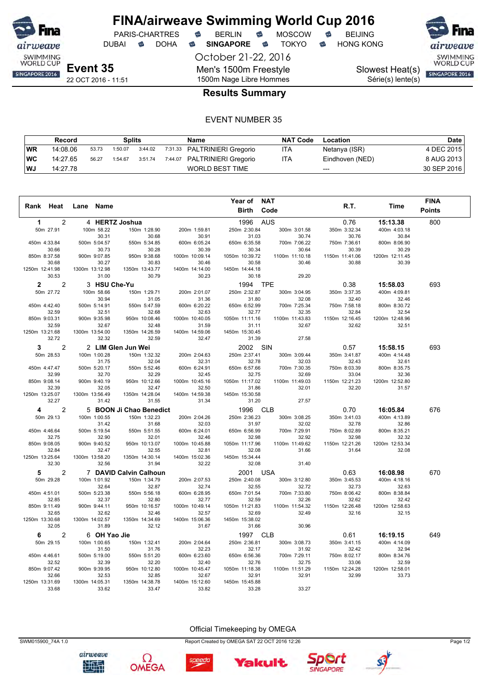

DUBAI **S** DOHA S SINGAPORE S TOKYO S HONG KONG

PARIS-CHARTRES **B** BERLIN **B** MOSCOW **B** BEIJING

October 21-22, 2016

Men's 1500m Freestyle

SWIMMING<br>WORLD CUP

Série(s) lente(s)

Slowest Heat(s) SINGAPORE 2016

22 OCT 2016 - 11:51

# 1500m Nage Libre Hommes **Results Summary**

### EVENT NUMBER 35

|           | Record   |       | Splits  |         | Name                         | <b>NAT Code</b> | Location        | Date        |
|-----------|----------|-------|---------|---------|------------------------------|-----------------|-----------------|-------------|
| <b>WR</b> | 14:08.06 | 53.73 | 1:50.07 | 3:44.02 | 7:31.33 PALTRINIERI Gregorio | ITA             | Netanya (ISR)   | 4 DEC 2015  |
| ∣WC       | 14:27.65 | 56.27 | 1:54.67 | 3:51.74 | 7:44.07 PALTRINIERI Gregorio | <b>ITA</b>      | Eindhoven (NED) | 8 AUG 2013  |
| ∣WJ       | 14:27.78 |       |         |         | WORLD BEST TIME              |                 | $---$           | 30 SEP 2016 |

|                                  |                         |                         |                         | Year of NAT             |                         |                         |                         | <b>FINA</b>   |
|----------------------------------|-------------------------|-------------------------|-------------------------|-------------------------|-------------------------|-------------------------|-------------------------|---------------|
| Rank Heat                        | Name<br>Lane            |                         |                         | <b>Birth</b>            | Code                    | R.T.                    | <b>Time</b>             | <b>Points</b> |
| $\overline{c}$<br>$\mathbf 1$    | 4 HERTZ Joshua          |                         |                         | 1996                    | <b>AUS</b>              | 0.76                    | 15:13.38                | 800           |
| 50m 27.91                        | 100m 58.22              | 150m 1:28.90            | 200m 1:59.81            | 250m 2:30.84            | 300m 3:01.58            | 350m 3:32.34            | 400m 4:03.18            |               |
|                                  | 30.31                   | 30.68                   | 30.91                   | 31.03                   | 30.74                   | 30.76                   | 30.84                   |               |
| 450m 4:33.84                     | 500m 5:04.57            | 550m 5:34.85            | 600m 6:05.24            | 650m 6:35.58            | 700m 7:06.22            | 750m 7:36.61            | 800m 8:06.90            |               |
| 30.66<br>850m 8:37.58            | 30.73<br>900m 9:07.85   | 30.28<br>950m 9:38.68   | 30.39<br>1000m 10:09.14 | 30.34<br>1050m 10:39.72 | 30.64<br>1100m 11:10.18 | 30.39<br>1150m 11:41.06 | 30.29                   |               |
| 30.68                            | 30.27                   | 30.83                   | 30.46                   | 30.58                   | 30.46                   | 30.88                   | 1200m 12:11.45<br>30.39 |               |
| 1250m 12:41.98                   | 1300m 13:12.98          | 1350m 13:43.77          | 1400m 14:14.00          | 1450m 14:44.18          |                         |                         |                         |               |
| 30.53                            | 31.00                   | 30.79                   | 30.23                   | 30.18                   | 29.20                   |                         |                         |               |
| $\overline{2}$<br>$\overline{2}$ | 3 HSU Che-Yu            |                         |                         | 1994 TPE                |                         | 0.38                    | 15:58.03                | 693           |
| 50m 27.72                        | 100m 58.66              | 150m 1:29.71            | 200m 2:01.07            | 250m 2:32.87            | 300m 3:04.95            | 350m 3:37.35            | 400m 4:09.81            |               |
|                                  | 30.94                   | 31.05                   | 31.36                   | 31.80                   | 32.08                   | 32.40                   | 32.46                   |               |
| 450m 4:42.40                     | 500m 5:14.91            | 550m 5:47.59            | 600m 6:20.22            | 650m 6:52.99            | 700m 7:25.34            | 750m 7:58.18            | 800m 8:30.72            |               |
| 32.59                            | 32.51                   | 32.68                   | 32.63                   | 32.77                   | 32.35                   | 32.84                   | 32.54                   |               |
| 850m 9:03.31<br>32.59            | 900m 9:35.98            | 950m 10:08.46           | 1000m 10:40.05          | 1050m 11:11.16          | 1100m 11:43.83<br>32.67 | 1150m 12:16.45<br>32.62 | 1200m 12:48.96<br>32.51 |               |
| 1250m 13:21.68                   | 32.67<br>1300m 13:54.00 | 32.48<br>1350m 14:26.59 | 31.59<br>1400m 14:59.06 | 31.11<br>1450m 15:30.45 |                         |                         |                         |               |
| 32.72                            | 32.32                   | 32.59                   | 32.47                   | 31.39                   | 27.58                   |                         |                         |               |
| $\overline{2}$<br>3              |                         | 2 LIM Glen Jun Wei      |                         | SIN<br>2002             |                         | 0.57                    | 15:58.15                | 693           |
| 50m 28.53                        | 100m 1:00.28            | 150m 1:32.32            | 200m 2:04.63            | 250m 2:37.41            | 300m 3:09.44            | 350m 3:41.87            | 400m 4:14.48            |               |
|                                  | 31.75                   | 32.04                   | 32.31                   | 32.78                   | 32.03                   | 32.43                   | 32.61                   |               |
| 450m 4:47.47                     | 500m 5:20.17            | 550m 5:52.46            | 600m 6:24.91            | 650m 6:57.66            | 700m 7:30.35            | 750m 8:03.39            | 800m 8:35.75            |               |
| 32.99                            | 32.70                   | 32.29                   | 32.45                   | 32.75                   | 32.69                   | 33.04                   | 32.36                   |               |
| 850m 9:08.14                     | 900m 9:40.19            | 950m 10:12.66           | 1000m 10:45.16          | 1050m 11:17.02          | 1100m 11:49.03          | 1150m 12:21.23          | 1200m 12:52.80          |               |
| 32.39                            | 32.05                   | 32.47                   | 32.50                   | 31.86                   | 32.01                   | 32.20                   | 31.57                   |               |
| 1250m 13:25.07<br>32.27          | 1300m 13:56.49<br>31.42 | 1350m 14:28.04<br>31.55 | 1400m 14:59.38<br>31.34 | 1450m 15:30.58<br>31.20 | 27.57                   |                         |                         |               |
|                                  |                         |                         |                         |                         |                         |                         |                         |               |
| 2<br>4                           |                         | 5 BOON Ji Chao Benedict |                         | 1996                    | <b>CLB</b>              | 0.70                    | 16:05.84                | 676           |
| 50m 29.13                        | 100m 1:00.55<br>31.42   | 150m 1:32.23<br>31.68   | 200m 2:04.26<br>32.03   | 250m 2:36.23<br>31.97   | 300m 3:08.25<br>32.02   | 350m 3:41.03<br>32.78   | 400m 4:13.89<br>32.86   |               |
| 450m 4:46.64                     | 500m 5:19.54            | 550m 5:51.55            | 600m 6:24.01            | 650m 6:56.99            | 700m 7:29.91            | 750m 8:02.89            | 800m 8:35.21            |               |
| 32.75                            | 32.90                   | 32.01                   | 32.46                   | 32.98                   | 32.92                   | 32.98                   | 32.32                   |               |
| 850m 9:08.05                     | 900m 9:40.52            | 950m 10:13.07           | 1000m 10:45.88          | 1050m 11:17.96          | 1100m 11:49.62          | 1150m 12:21.26          | 1200m 12:53.34          |               |
| 32.84                            | 32.47                   | 32.55                   | 32.81                   | 32.08                   | 31.66                   | 31.64                   | 32.08                   |               |
| 1250m 13:25.64                   | 1300m 13:58.20          | 1350m 14:30.14          | 1400m 15:02.36          | 1450m 15:34.44          |                         |                         |                         |               |
| 32.30                            | 32.56                   | 31.94                   | 32.22                   | 32.08                   | 31.40                   |                         |                         |               |
| 5<br>$\overline{2}$              |                         | 7 DAVID Calvin Calhoun  |                         | 2001                    | <b>USA</b>              | 0.63                    | 16:08.98                | 670           |
| 50m 29.28                        | 100m 1:01.92            | 150m 1:34.79            | 200m 2:07.53            | 250m 2:40.08            | 300m 3:12.80            | 350m 3:45.53            | 400m 4:18.16            |               |
| 450m 4:51.01                     | 32.64<br>500m 5:23.38   | 32.87<br>550m 5:56.18   | 32.74<br>600m 6:28.95   | 32.55<br>650m 7:01.54   | 32.72<br>700m 7:33.80   | 32.73<br>750m 8:06.42   | 32.63<br>800m 8:38.84   |               |
| 32.85                            | 32.37                   | 32.80                   | 32.77                   | 32.59                   | 32.26                   | 32.62                   | 32.42                   |               |
| 850m 9:11.49                     | 900m 9:44.11            | 950m 10:16.57           | 1000m 10:49.14          | 1050m 11:21.83          | 1100m 11:54.32          | 1150m 12:26.48          | 1200m 12:58.63          |               |
| 32.65                            | 32.62                   | 32.46                   | 32.57                   | 32.69                   | 32.49                   | 32.16                   | 32.15                   |               |
| 1250m 13:30.68                   | 1300m 14:02.57          | 1350m 14:34.69          | 1400m 15:06.36          | 1450m 15:38.02          |                         |                         |                         |               |
| 32.05                            | 31.89                   | 32.12                   | 31.67                   | 31.66                   | 30.96                   |                         |                         |               |
| 6<br>2                           | 6 OH Yao Jie            |                         |                         | 1997                    | <b>CLB</b>              | 0.61                    | 16:19.15                | 649           |
| 50m 29.15                        | 100m 1:00.65            | 150m 1:32.41            | 200m 2:04.64            | 250m 2:36.81            | 300m 3:08.73            | 350m 3:41.15            | 400m 4:14.09            |               |
| 450m 4:46.61                     | 31.50<br>500m 5:19.00   | 31.76<br>550m 5:51.20   | 32.23<br>600m 6:23.60   | 32.17<br>650m 6:56.36   | 31.92<br>700m 7:29.11   | 32.42<br>750m 8:02.17   | 32.94<br>800m 8:34.76   |               |
| 32.52                            | 32.39                   | 32.20                   | 32.40                   | 32.76                   | 32.75                   | 33.06                   | 32.59                   |               |
| 850m 9:07.42                     | 900m 9:39.95            | 950m 10:12.80           | 1000m 10:45.47          | 1050m 11:18.38          | 1100m 11:51.29          | 1150m 12:24.28          | 1200m 12:58.01          |               |
| 32.66                            | 32.53                   | 32.85                   | 32.67                   | 32.91                   | 32.91                   | 32.99                   | 33.73                   |               |
| 1250m 13:31.69                   | 1300m 14:05.31          | 1350m 14:38.78          | 1400m 15:12.60          | 1450m 15:45.88          |                         |                         |                         |               |
| 33.68                            | 33.62                   | 33.47                   | 33.82                   | 33.28                   | 33.27                   |                         |                         |               |

Official Timekeeping by OMEGA

Yakult



Ω



speedo



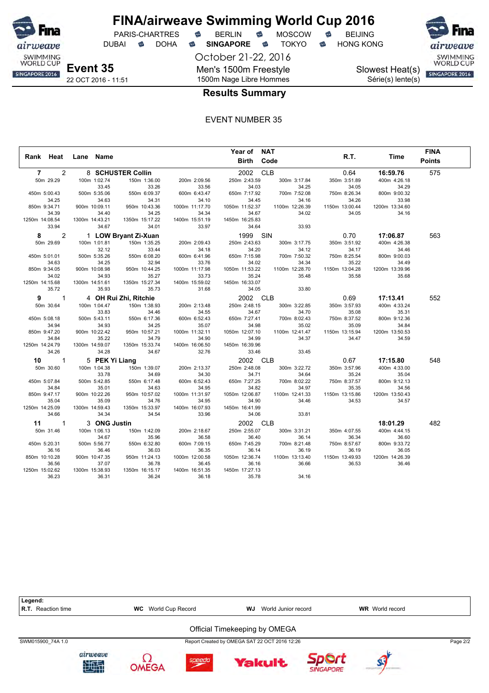

DUBAI **S** DOHA S SINGAPORE S TOKYO S HONG KONG

October 21-22, 2016

Men's 1500m Freestyle 1500m Nage Libre Hommes

PARIS-CHARTRES **B** BERLIN **B** MOSCOW **B** BEIJING

Slowest Heat(s) Série(s) lente(s)



### **Results Summary**

|                                  |                         |                         |                         | Year of NAT             |                |                |                | <b>FINA</b>   |  |
|----------------------------------|-------------------------|-------------------------|-------------------------|-------------------------|----------------|----------------|----------------|---------------|--|
| Rank Heat                        | Lane Name               |                         |                         | <b>Birth Code</b>       |                | R.T.           | Time           | <b>Points</b> |  |
| $\overline{2}$<br>$\overline{7}$ |                         | 8 SCHUSTER Collin       |                         | 2002                    | <b>CLB</b>     | 0.64           | 16:59.76       | 575           |  |
| 50m 29.29                        | 100m 1:02.74            | 150m 1:36.00            | 200m 2:09.56            | 250m 2:43.59            | 300m 3:17.84   | 350m 3:51.89   | 400m 4:26.18   |               |  |
|                                  | 33.45                   | 33.26                   | 33.56                   | 34.03                   | 34.25          | 34.05          | 34.29          |               |  |
| 450m 5:00.43                     | 500m 5:35.06            | 550m 6:09.37            | 600m 6:43.47            | 650m 7:17.92            | 700m 7:52.08   | 750m 8:26.34   | 800m 9:00.32   |               |  |
| 34.25                            | 34.63                   | 34.31                   | 34.10                   | 34.45                   | 34.16          | 34.26          | 33.98          |               |  |
| 850m 9:34.71                     | 900m 10:09.11           | 950m 10:43.36           | 1000m 11:17.70          | 1050m 11:52.37          | 1100m 12:26.39 | 1150m 13:00.44 | 1200m 13:34.60 |               |  |
| 34.39                            | 34.40                   | 34.25                   | 34.34                   | 34.67                   | 34.02          | 34.05          | 34.16          |               |  |
| 1250m 14:08.54                   | 1300m 14:43.21          | 1350m 15:17.22          | 1400m 15:51.19          | 1450m 16:25.83          |                |                |                |               |  |
| 33.94                            | 34.67                   | 34.01                   | 33.97                   | 34.64                   | 33.93          |                |                |               |  |
| 2<br>8                           |                         | 1 LOW Bryant Zi-Xuan    |                         | 1999 SIN                |                | 0.70           | 17:06.87       | 563           |  |
| 50m 29.69                        | 100m 1:01.81            | 150m 1:35.25            | 200m 2:09.43            | 250m 2:43.63            | 300m 3:17.75   | 350m 3:51.92   | 400m 4:26.38   |               |  |
|                                  | 32.12                   | 33.44                   | 34.18                   | 34.20                   | 34.12          | 34.17          | 34.46          |               |  |
| 450m 5:01.01                     | 500m 5:35.26            | 550m 6:08.20            | 600m 6:41.96            | 650m 7:15.98            | 700m 7:50.32   | 750m 8:25.54   | 800m 9:00.03   |               |  |
| 34.63                            | 34.25                   | 32.94                   | 33.76                   | 34.02                   | 34.34          | 35.22          | 34.49          |               |  |
| 850m 9:34.05                     | 900m 10:08.98           | 950m 10:44.25           | 1000m 11:17.98          | 1050m 11:53.22          | 1100m 12:28.70 | 1150m 13:04.28 | 1200m 13:39.96 |               |  |
| 34.02                            | 34.93                   | 35.27                   | 33.73                   | 35.24                   | 35.48          | 35.58          | 35.68          |               |  |
| 1250m 14:15.68                   | 1300m 14:51.61          | 1350m 15:27.34          | 1400m 15:59.02          | 1450m 16:33.07          |                |                |                |               |  |
| 35.72                            | 35.93                   | 35.73                   | 31.68                   | 34.05                   | 33.80          |                |                |               |  |
| $\mathbf{1}$<br>9                |                         | 4 OH Rui Zhi, Ritchie   |                         | 2002 CLB                |                | 0.69           | 17:13.41       | 552           |  |
| 50m 30.64                        | 100m 1:04.47            | 150m 1:38.93            | 200m 2:13.48            | 250m 2:48.15            | 300m 3:22.85   | 350m 3:57.93   | 400m 4:33.24   |               |  |
|                                  | 33.83                   | 34.46                   | 34.55                   | 34.67                   | 34.70          | 35.08          | 35.31          |               |  |
| 450m 5:08.18                     | 500m 5:43.11            | 550m 6:17.36            | 600m 6:52.43            | 650m 7:27.41            | 700m 8:02.43   | 750m 8:37.52   | 800m 9:12.36   |               |  |
| 34.94                            | 34.93                   | 34.25                   | 35.07                   | 34.98                   | 35.02          | 35.09          | 34.84          |               |  |
| 850m 9:47.20                     | 900m 10:22.42           | 950m 10:57.21           | 1000m 11:32.11          | 1050m 12:07.10          | 1100m 12:41.47 | 1150m 13:15.94 | 1200m 13:50.53 |               |  |
| 34.84                            | 35.22                   | 34.79                   | 34.90                   | 34.99                   | 34.37          | 34.47          | 34.59          |               |  |
| 1250m 14:24.79                   | 1300m 14:59.07          | 1350m 15:33.74          | 1400m 16:06.50          | 1450m 16:39.96          |                |                |                |               |  |
| 34.26                            | 34.28                   | 34.67                   | 32.76                   | 33.46                   | 33.45          |                |                |               |  |
| 10<br>$\overline{\phantom{1}}$   | 5 PEK Yi Liang          |                         |                         | 2002 CLB                |                | 0.67           | 17:15.80       | 548           |  |
| 50m 30.60                        | 100m 1:04.38            | 150m 1:39.07            | 200m 2:13.37            | 250m 2:48.08            | 300m 3:22.72   | 350m 3:57.96   | 400m 4:33.00   |               |  |
|                                  | 33.78                   | 34.69                   | 34.30                   | 34.71                   | 34.64          | 35.24          | 35.04          |               |  |
| 450m 5:07.84                     | 500m 5:42.85            | 550m 6:17.48            | 600m 6:52.43            | 650m 7:27.25            | 700m 8:02.22   | 750m 8:37.57   | 800m 9:12.13   |               |  |
| 34.84                            | 35.01                   | 34.63                   | 34.95                   | 34.82                   | 34.97          | 35.35          | 34.56          |               |  |
| 850m 9:47.17                     | 900m 10:22.26           | 950m 10:57.02           | 1000m 11:31.97          | 1050m 12:06.87          | 1100m 12:41.33 | 1150m 13:15.86 | 1200m 13:50.43 |               |  |
| 35.04                            | 35.09                   | 34.76                   | 34.95                   | 34.90                   | 34.46          | 34.53          | 34.57          |               |  |
| 1250m 14:25.09<br>34.66          | 1300m 14:59.43<br>34.34 | 1350m 15:33.97<br>34.54 | 1400m 16:07.93<br>33.96 | 1450m 16:41.99<br>34.06 | 33.81          |                |                |               |  |
|                                  |                         |                         |                         |                         |                |                |                |               |  |
| 11<br>$\overline{\phantom{1}}$ 1 | 3 ONG Justin            |                         |                         | 2002 CLB                |                |                | 18:01.29       | 482           |  |
| 50m 31.46                        | 100m 1:06.13            | 150m 1:42.09            | 200m 2:18.67            | 250m 2:55.07            | 300m 3:31.21   | 350m 4:07.55   | 400m 4:44.15   |               |  |
|                                  | 34.67                   | 35.96                   | 36.58                   | 36.40                   | 36.14          | 36.34          | 36.60          |               |  |
| 450m 5:20.31                     | 500m 5:56.77            | 550m 6:32.80            | 600m 7:09.15            | 650m 7:45.29            | 700m 8:21.48   | 750m 8:57.67   | 800m 9:33.72   |               |  |
| 36.16                            | 36.46                   | 36.03                   | 36.35                   | 36.14                   | 36.19          | 36.19          | 36.05          |               |  |
| 850m 10:10.28                    | 900m 10:47.35           | 950m 11:24.13           | 1000m 12:00.58          | 1050m 12:36.74          | 1100m 13:13.40 | 1150m 13:49.93 | 1200m 14:26.39 |               |  |
| 36.56                            | 37.07                   | 36.78                   | 36.45                   | 36.16                   | 36.66          | 36.53          | 36.46          |               |  |
| 1250m 15:02.62<br>36.23          | 1300m 15:38.93<br>36.31 | 1350m 16:15.17<br>36.24 | 1400m 16:51.35<br>36.18 | 1450m 17:27.13<br>35.78 | 34.16          |                |                |               |  |
|                                  |                         |                         |                         |                         |                |                |                |               |  |

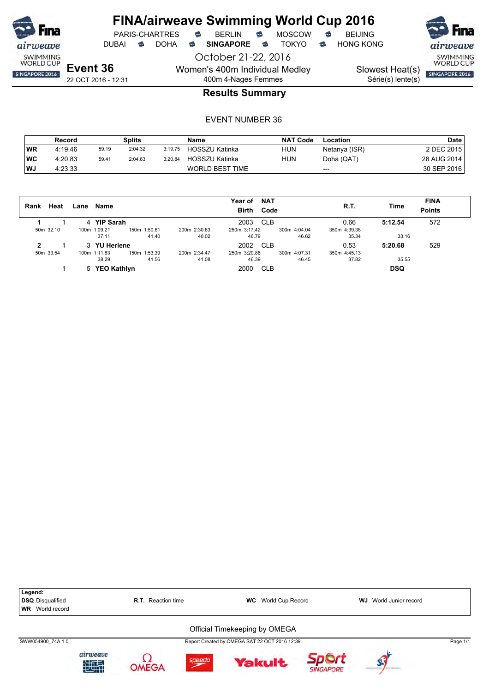

DUBAI **S** DOHA S SINGAPORE S TOKYO S HONG KONG

October 21-22, 2016 Women's 400m Individual Medley 400m 4-Nages Femmes

22 OCT 2016 - 12:31

Slowest Heat(s)

SWIMMING<br>WORLD CUP

Série(s) lente(s)

SINGAPORE 2016

### **Results Summary**

|           | Record  |       | Splits  |         | <b>Name</b>            | <b>NAT Code</b> | Location      | <b>Date</b> |
|-----------|---------|-------|---------|---------|------------------------|-----------------|---------------|-------------|
| WR        | 4:19.46 | 59.19 | 2:04.32 | 3:19.75 | HOSSZU Katinka         | <b>HUN</b>      | Netanya (ISR) | 2 DEC 2015  |
| <b>WC</b> | 4:20.83 | 59.41 | 2:04.63 | 3:20.84 | HOSSZU Katinka         | HUN             | Doha (QAT)    | 28 AUG 2014 |
| l WJ      | 4:23.33 |       |         |         | <b>WORLD BEST TIME</b> |                 | $---$         | 30 SEP 2016 |

| Heat<br>Rank | Name<br>Lane  |                              | <b>NAT</b><br>Year of<br><b>Birth</b><br>Code | <b>R.T.</b>  | <b>FINA</b><br>Time<br><b>Points</b> |
|--------------|---------------|------------------------------|-----------------------------------------------|--------------|--------------------------------------|
|              | 4 YIP Sarah   |                              | CLB<br>2003                                   | 0.66         | 572<br>5:12.54                       |
| 50m 32.10    | 100m 1:09.21  | 200m 2:30.63<br>150m 1:50.61 | 250m 3:17.42<br>300m 4:04.04                  | 350m 4:39.38 |                                      |
|              | 37.11         | 41.40<br>40.02               | 46.62<br>46.79                                | 35.34        | 33.16                                |
| 2            | 3 YU Herlene  |                              | 2002<br><b>CLB</b>                            | 0.53         | 529<br>5:20.68                       |
| 50m 33.54    | 100m 1:11.83  | 200m 2:34.47<br>150m 1:53.39 | 250m 3:20.86<br>300m 4:07.31                  | 350m 4:45.13 |                                      |
|              | 38.29         | 41.56<br>41.08               | 46.39<br>46.45                                | 37.82        | 35.55                                |
|              | 5 YEO Kathlyn |                              | 2000<br>CLB                                   |              | <b>DSQ</b>                           |

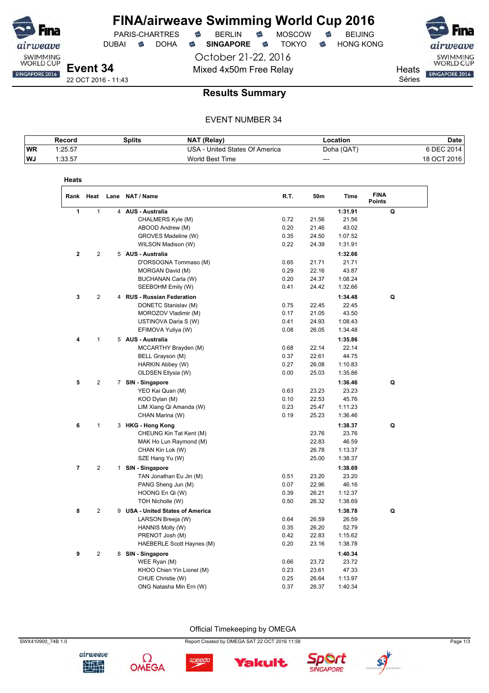

DUBAI **S** DOHA S SINGAPORE S TOKYO S HONG KONG

October 21-22, 2016 Mixed 4x50m Free Relay Neats

PARIS-CHARTRES **B** BERLIN **B** MOSCOW **B** BEIJING

SINGAPORE 2016 Séries

SWIMMING<br>WORLD CUP

### **Results Summary**

### EVENT NUMBER 34

|           | Record  | Splits | NAT (Relay)                    | Location   | Date          |
|-----------|---------|--------|--------------------------------|------------|---------------|
| <b>WR</b> | 1:25.57 |        | USA - United States Of America | Doha (QAT) | 6 DEC 2014    |
| <b>WJ</b> | 1:33.57 |        | World Best Time                | $---$      | 18 OCT 2016 I |

| Heats       |                |              |                                  |      |       |             |                              |
|-------------|----------------|--------------|----------------------------------|------|-------|-------------|------------------------------|
| Rank        | Heat           |              | Lane NAT / Name                  | R.T. | 50m   | <b>Time</b> | <b>FINA</b><br><b>Points</b> |
| 1           | $\mathbf{1}$   | 4            | <b>AUS - Australia</b>           |      |       | 1:31.91     | Q                            |
|             |                |              | CHALMERS Kyle (M)                | 0.72 | 21.56 | 21.56       |                              |
|             |                |              | ABOOD Andrew (M)                 | 0.20 | 21.46 | 43.02       |                              |
|             |                |              | GROVES Madeline (W)              | 0.35 | 24.50 | 1:07.52     |                              |
|             |                |              | WILSON Madison (W)               | 0.22 | 24.39 | 1:31.91     |                              |
| $\mathbf 2$ | $\overline{c}$ |              | 5 AUS - Australia                |      |       | 1:32.66     |                              |
|             |                |              | D'ORSOGNA Tommaso (M)            | 0.65 | 21.71 | 21.71       |                              |
|             |                |              | MORGAN David (M)                 | 0.29 | 22.16 | 43.87       |                              |
|             |                |              | BUCHANAN Carla (W)               | 0.20 | 24.37 | 1:08.24     |                              |
|             |                |              | SEEBOHM Emily (W)                | 0.41 | 24.42 | 1:32.66     |                              |
| 3           | 2              |              | 4 RUS - Russian Federation       |      |       | 1:34.48     | Q                            |
|             |                |              | DONETC Stanislav (M)             | 0.75 | 22.45 | 22.45       |                              |
|             |                |              | MOROZOV Vladimir (M)             | 0.17 | 21.05 | 43.50       |                              |
|             |                |              | USTINOVA Daria S (W)             | 0.41 | 24.93 | 1:08.43     |                              |
|             |                |              | EFIMOVA Yuliya (W)               | 0.08 | 26.05 | 1:34.48     |                              |
| 4           | 1              |              | 5 AUS - Australia                |      |       | 1:35.86     |                              |
|             |                |              | MCCARTHY Brayden (M)             | 0.68 | 22.14 | 22.14       |                              |
|             |                |              | BELL Grayson (M)                 | 0.37 | 22.61 | 44.75       |                              |
|             |                |              | HARKIN Abbey (W)                 | 0.27 | 26.08 | 1:10.83     |                              |
|             |                |              | OLDSEN Ellysia (W)               | 0.00 | 25.03 | 1:35.86     |                              |
| 5           | $\overline{2}$ |              | 7 SIN - Singapore                |      |       | 1:36.46     | Q                            |
|             |                |              | YEO Kai Quan (M)                 | 0.63 | 23.23 | 23.23       |                              |
|             |                |              | KOO Dylan (M)                    | 0.10 | 22.53 | 45.76       |                              |
|             |                |              | LIM Xiang Qi Amanda (W)          | 0.23 | 25.47 | 1:11.23     |                              |
|             |                |              | CHAN Marina (W)                  | 0.19 | 25.23 | 1:36.46     |                              |
| 6           | $\mathbf{1}$   |              | 3 HKG - Hong Kong                |      |       | 1:38.37     | Q                            |
|             |                |              | CHEUNG Kin Tat Kent (M)          |      | 23.76 | 23.76       |                              |
|             |                |              | MAK Ho Lun Raymond (M)           |      | 22.83 | 46.59       |                              |
|             |                |              | CHAN Kin Lok (W)                 |      | 26.78 | 1:13.37     |                              |
|             |                |              | SZE Hang Yu (W)                  |      | 25.00 | 1:38.37     |                              |
| 7           | $\overline{2}$ | $\mathbf{1}$ | SIN - Singapore                  |      |       | 1:38.69     |                              |
|             |                |              | TAN Jonathan Eu Jin (M)          | 0.51 | 23.20 | 23.20       |                              |
|             |                |              | PANG Sheng Jun (M)               | 0.07 | 22.96 | 46.16       |                              |
|             |                |              | HOONG En Qi (W)                  | 0.39 | 26.21 | 1:12.37     |                              |
|             |                |              | TOH Nicholle (W)                 | 0.50 | 26.32 | 1:38.69     |                              |
| 8           | $\overline{c}$ |              | 9 USA - United States of America |      |       | 1:38.78     | Q                            |
|             |                |              | LARSON Breeja (W)                | 0.64 | 26.59 | 26.59       |                              |
|             |                |              | HANNIS Molly (W)                 | 0.35 | 26.20 | 52.79       |                              |
|             |                |              | PRENOT Josh (M)                  | 0.42 | 22.83 | 1:15.62     |                              |
|             |                |              | HAEBERLE Scott Haynes (M)        | 0.20 | 23.16 | 1:38.78     |                              |
| 9           | 2              | 8            | SIN - Singapore                  |      |       | 1:40.34     |                              |
|             |                |              | WEE Ryan (M)                     | 0.66 | 23.72 | 23.72       |                              |
|             |                |              | KHOO Chien Yin Lionel (M)        | 0.23 | 23.61 | 47.33       |                              |
|             |                |              | CHUE Christie (W)                | 0.25 | 26.64 | 1:13.97     |                              |
|             |                |              | ONG Natasha Min Ern (W)          | 0.37 | 26.37 | 1:40.34     |                              |

Official Timekeeping by OMEGA

speedo





SWX410900\_74B 1.0 Page 1/3

**Yakult** 



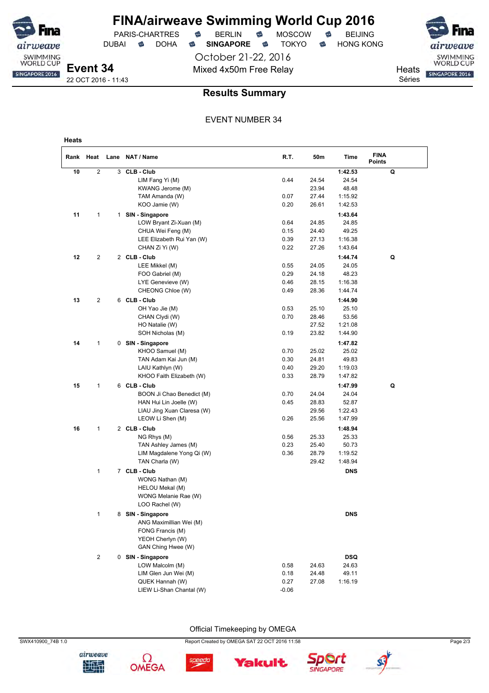PARIS-CHARTRES **B** BERLIN **B** MOSCOW **B** BEIJING

**FINA/airweave Swimming World Cup 2016**

October 21-22, 2016 Mixed 4x50m Free Relay Neats

DUBAI **S** DOHA S SINGAPORE S TOKYO S HONG KONG

SWIMMING<br>WORLD CUP SINGAPORE 2016

Séries

**Event 34** 22 OCT 2016 - 11:43

weave SWIMMING<br>WORLD CUP

SINGAPORE 2016

### **Results Summary**

### EVENT NUMBER 34

| Heats |                |   |                                                   |              |                |                    |                              |
|-------|----------------|---|---------------------------------------------------|--------------|----------------|--------------------|------------------------------|
|       | Rank Heat      |   | Lane NAT / Name                                   | R.T.         | 50m            | Time               | <b>FINA</b><br><b>Points</b> |
| 10    | 2              | 3 | <b>CLB - Club</b>                                 |              |                | 1:42.53            | Q                            |
|       |                |   | LIM Fang Yi (M)                                   | 0.44         | 24.54          | 24.54              |                              |
|       |                |   | KWANG Jerome (M)                                  |              | 23.94          | 48.48              |                              |
|       |                |   | TAM Amanda (W)                                    | 0.07         | 27.44          | 1:15.92            |                              |
|       |                |   | KOO Jamie (W)                                     | 0.20         | 26.61          | 1:42.53            |                              |
| 11    | 1              |   | 1 SIN - Singapore                                 |              |                | 1:43.64            |                              |
|       |                |   | LOW Bryant Zi-Xuan (M)                            | 0.64         | 24.85          | 24.85              |                              |
|       |                |   | CHUA Wei Feng (M)                                 | 0.15         | 24.40          | 49.25              |                              |
|       |                |   | LEE Elizabeth Rui Yan (W)                         | 0.39         | 27.13          | 1:16.38            |                              |
|       |                |   | CHAN Zi Yi (W)                                    | 0.22         | 27.26          | 1:43.64            |                              |
| 12    | 2              |   | 2 CLB - Club                                      |              |                | 1:44.74            | Q                            |
|       |                |   | LEE Mikkel (M)                                    | 0.55         | 24.05          | 24.05              |                              |
|       |                |   | FOO Gabriel (M)                                   | 0.29         | 24.18          | 48.23              |                              |
|       |                |   | LYE Genevieve (W)                                 | 0.46         | 28.15          | 1:16.38            |                              |
|       |                |   | CHEONG Chloe (W)                                  | 0.49         | 28.36          | 1:44.74            |                              |
| 13    | 2              |   | 6 CLB - Club                                      |              |                | 1:44.90            |                              |
|       |                |   | OH Yao Jie (M)                                    | 0.53         | 25.10          | 25.10              |                              |
|       |                |   | CHAN Clydi (W)                                    | 0.70         | 28.46          | 53.56              |                              |
|       |                |   | HO Natalie (W)                                    |              | 27.52          | 1:21.08            |                              |
|       |                |   | SOH Nicholas (M)                                  | 0.19         | 23.82          | 1:44.90            |                              |
| 14    | 1              |   | 0 SIN - Singapore                                 |              |                | 1:47.82            |                              |
|       |                |   | KHOO Samuel (M)                                   | 0.70         | 25.02          | 25.02              |                              |
|       |                |   | TAN Adam Kai Jun (M)                              | 0.30         | 24.81          | 49.83              |                              |
|       |                |   | LAIU Kathlyn (W)                                  | 0.40         | 29.20          | 1:19.03            |                              |
|       |                |   | KHOO Faith Elizabeth (W)                          | 0.33         | 28.79          | 1:47.82            |                              |
| 15    | 1              |   | 6 CLB - Club                                      |              |                | 1:47.99            | Q                            |
|       |                |   | BOON Ji Chao Benedict (M)                         | 0.70         | 24.04          | 24.04              |                              |
|       |                |   | HAN Hui Lin Joelle (W)                            | 0.45         | 28.83          | 52.87              |                              |
|       |                |   | LIAU Jing Xuan Claresa (W)                        |              | 29.56          | 1:22.43            |                              |
|       |                |   | LEOW Li Shen (M)                                  | 0.26         | 25.56          | 1:47.99            |                              |
| 16    | 1              |   | 2 CLB-Club                                        |              |                | 1:48.94            |                              |
|       |                |   | NG Rhys (M)                                       | 0.56         | 25.33          | 25.33              |                              |
|       |                |   | TAN Ashley James (M)<br>LIM Magdalene Yong Qi (W) | 0.23<br>0.36 | 25.40<br>28.79 | 50.73              |                              |
|       |                |   | TAN Charla (W)                                    |              | 29.42          | 1:19.52<br>1:48.94 |                              |
|       |                |   |                                                   |              |                |                    |                              |
|       | 1              |   | 7 CLB - Club                                      |              |                | <b>DNS</b>         |                              |
|       |                |   | WONG Nathan (M)<br>HELOU Mekal (M)                |              |                |                    |                              |
|       |                |   | WONG Melanie Rae (W)                              |              |                |                    |                              |
|       |                |   | LOO Rachel (W)                                    |              |                |                    |                              |
|       | 1              |   | 8 SIN - Singapore                                 |              |                | <b>DNS</b>         |                              |
|       |                |   | ANG Maximillian Wei (M)                           |              |                |                    |                              |
|       |                |   | FONG Francis (M)                                  |              |                |                    |                              |
|       |                |   | YEOH Cherlyn (W)                                  |              |                |                    |                              |
|       |                |   | GAN Ching Hwee (W)                                |              |                |                    |                              |
|       | $\overline{c}$ |   | 0 SIN - Singapore                                 |              |                | <b>DSQ</b>         |                              |
|       |                |   | LOW Malcolm (M)                                   | 0.58         | 24.63          | 24.63              |                              |
|       |                |   | LIM Glen Jun Wei (M)                              | 0.18         | 24.48          | 49.11              |                              |
|       |                |   | QUEK Hannah (W)                                   | 0.27         | 27.08          | 1:16.19            |                              |
|       |                |   | LIEW Li-Shan Chantal (W)                          | -0.06        |                |                    |                              |

Official Timekeeping by OMEGA

speedo





SWX410900\_74B 1.0 Page 2/3

**Yakult** 



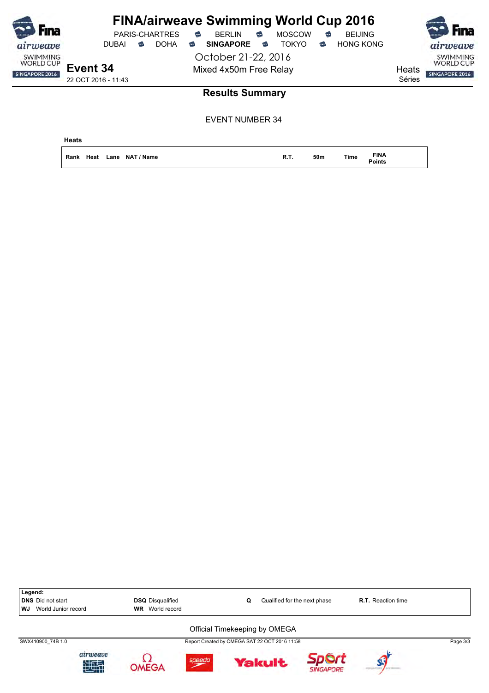| <b>F</b> ina                                          | PARIS-CHARTRES                  |             | <b>FINA/airweave Swimming World Cup 2016</b><br><b>BERLIN</b><br>€<br>€ | <b>MOSCOW</b> | <b>BEIJING</b><br>€   |                 | <br><b>F</b> ina                                      |
|-------------------------------------------------------|---------------------------------|-------------|-------------------------------------------------------------------------|---------------|-----------------------|-----------------|-------------------------------------------------------|
| airweave                                              | <b>DUBAI</b><br>ຣ               | <b>DOHA</b> | <b>SINGAPORE</b><br>€<br>☜                                              | <b>TOKYO</b>  | <b>HONG KONG</b><br>☜ |                 | airweave                                              |
| <b>SWIMMING</b><br><b>WORLD CUP</b><br>SINGAPORE 2016 | Event 34<br>22 OCT 2016 - 11:43 |             | October 21-22, 2016<br>Mixed 4x50m Free Relay                           |               |                       | Heats<br>Séries | <b>SWIMMING</b><br><b>WORLD CUP</b><br>SINGAPORE 2016 |
|                                                       |                                 |             | <b>Results Summary</b>                                                  |               |                       |                 |                                                       |

| Heats |  |                           |             |     |             |                |  |  |
|-------|--|---------------------------|-------------|-----|-------------|----------------|--|--|
|       |  | Rank Heat Lane NAT / Name | <b>R.T.</b> | 50m | <b>Time</b> | FINA<br>Points |  |  |

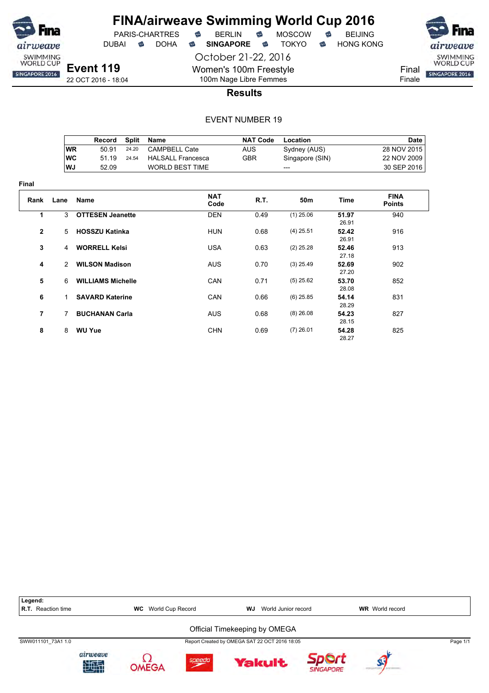

**Final**

## **FINA/airweave Swimming World Cup 2016** PARIS-CHARTRES **B** BERLIN **B** MOSCOW **B** BEIJING

DUBAI **S** DOHA S SINGAPORE S TOKYO S HONG KONG

October 21-22, 2016

Final

Finale

**Results**

### EVENT NUMBER 19

Women's 100m Freestyle 100m Nage Libre Femmes

|                |               | Record                   | <b>Split</b> | Name                     | <b>NAT Code</b> | Location        |                | <b>Date</b>                  |
|----------------|---------------|--------------------------|--------------|--------------------------|-----------------|-----------------|----------------|------------------------------|
|                | <b>WR</b>     | 50.91                    | 24.20        | <b>CAMPBELL Cate</b>     | <b>AUS</b>      | Sydney (AUS)    |                | 28 NOV 2015                  |
|                | <b>WC</b>     | 51.19                    | 24.54        | <b>HALSALL Francesca</b> | <b>GBR</b>      | Singapore (SIN) |                | 22 NOV 2009                  |
|                | WJ            | 52.09                    |              | <b>WORLD BEST TIME</b>   |                 | ---             |                | 30 SEP 2016                  |
| ıal            |               |                          |              |                          |                 |                 |                |                              |
| Rank           | Lane          | <b>Name</b>              |              | <b>NAT</b><br>Code       | R.T.            | 50 <sub>m</sub> | Time           | <b>FINA</b><br><b>Points</b> |
| 1              | 3             | <b>OTTESEN Jeanette</b>  |              | <b>DEN</b>               | 0.49            | $(1)$ 25.06     | 51.97<br>26.91 | 940                          |
| $\mathbf{2}$   | 5             | <b>HOSSZU Katinka</b>    |              | <b>HUN</b>               | 0.68            | $(4)$ 25.51     | 52.42<br>26.91 | 916                          |
| 3              | 4             | <b>WORRELL Kelsi</b>     |              | <b>USA</b>               | 0.63            | $(2)$ 25.28     | 52.46<br>27.18 | 913                          |
| 4              | $\mathcal{P}$ | <b>WILSON Madison</b>    |              | <b>AUS</b>               | 0.70            | $(3)$ 25.49     | 52.69<br>27.20 | 902                          |
| 5              | 6             | <b>WILLIAMS Michelle</b> |              | CAN                      | 0.71            | $(5)$ 25.62     | 53.70<br>28.08 | 852                          |
| 6              | 1.            | <b>SAVARD Katerine</b>   |              | CAN                      | 0.66            | $(6)$ 25.85     | 54.14<br>28.29 | 831                          |
| $\overline{7}$ | 7             | <b>BUCHANAN Carla</b>    |              | <b>AUS</b>               | 0.68            | $(8)$ 26.08     | 54.23<br>28.15 | 827                          |
| 8              | 8             | <b>WU Yue</b>            |              | <b>CHN</b>               | 0.69            | $(7)$ 26.01     | 54.28<br>28.27 | 825                          |

Legend:<br>R.T. Reaction time **R.T.** WC World Cup Record **WJ** World Junior record **WR** World record Official Timekeeping by OMEGA SWW011101\_73A1 1.0 Report Created by OMEGA SAT 22 OCT 2016 18:05 Page 1/1airweave Ω Sport speedo **Yakult** 地理 **OMEGA SINGAPORE** 

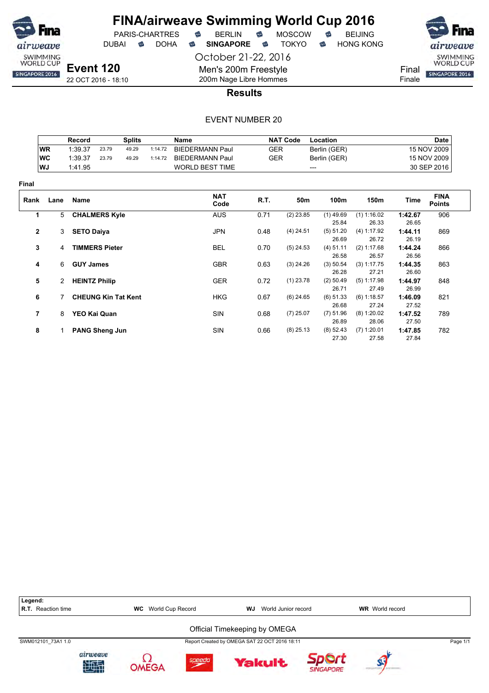

PARIS-CHARTRES DUBAI **S** DOHA S SINGAPORE S TOKYO S HONG KONG

October 21-22, 2016

Men's 200m Freestyle 200m Nage Libre Hommes



**Results**

|                |           | Record                |                       | <b>Splits</b>              |         | <b>Name</b>            |            | <b>NAT Code</b> | Location             |                        |                  | <b>Date</b>                  |
|----------------|-----------|-----------------------|-----------------------|----------------------------|---------|------------------------|------------|-----------------|----------------------|------------------------|------------------|------------------------------|
|                | <b>WR</b> | 1:39.37               | 23.79                 | 49.29                      | 1:14.72 | <b>BIEDERMANN Paul</b> | <b>GER</b> |                 | Berlin (GER)         |                        |                  | 15 NOV 2009                  |
|                | <b>WC</b> | 1:39.37               | 23.79                 | 49.29                      | 1:14.72 | <b>BIEDERMANN Paul</b> | <b>GER</b> |                 | Berlin (GER)         |                        |                  | 15 NOV 2009                  |
|                | WJ        | 1:41.95               |                       |                            |         | <b>WORLD BEST TIME</b> |            |                 | $---$                |                        |                  | 30 SEP 2016                  |
| Final          |           |                       |                       |                            |         |                        |            |                 |                      |                        |                  |                              |
| Rank           | Lane      | Name                  |                       |                            |         | <b>NAT</b><br>Code     | R.T.       | 50m             | 100m                 | 150m                   | Time             | <b>FINA</b><br><b>Points</b> |
| 1              | 5         | <b>CHALMERS Kyle</b>  |                       |                            |         | <b>AUS</b>             | 0.71       | $(2)$ 23.85     | $(1)$ 49.69<br>25.84 | (1) 1:16.02<br>26.33   | 1:42.67<br>26.65 | 906                          |
| $\mathbf{2}$   | 3         | <b>SETO Daiya</b>     |                       |                            |         | <b>JPN</b>             | 0.48       | $(4)$ 24.51     | (5) 51.20<br>26.69   | (4) 1:17.92<br>26.72   | 1:44.11<br>26.19 | 869                          |
| 3              | 4         |                       | <b>TIMMERS Pieter</b> |                            |         | <b>BEL</b>             | 0.70       | $(5)$ 24.53     | $(4)$ 51.11<br>26.58 | (2) 1:17.68<br>26.57   | 1:44.24<br>26.56 | 866                          |
| 4              | 6         | <b>GUY James</b>      |                       |                            |         | <b>GBR</b>             | 0.63       | $(3)$ 24.26     | (3) 50.54<br>26.28   | (3) 1:17.75<br>27.21   | 1:44.35<br>26.60 | 863                          |
| 5              | 2         | <b>HEINTZ Philip</b>  |                       |                            |         | <b>GER</b>             | 0.72       | $(1)$ 23.78     | $(2)$ 50.49<br>26.71 | $(5)$ 1:17.98<br>27.49 | 1:44.97<br>26.99 | 848                          |
| 6              |           |                       |                       | <b>CHEUNG Kin Tat Kent</b> |         | <b>HKG</b>             | 0.67       | $(6)$ 24.65     | (6) 51.33<br>26.68   | $(6)$ 1:18.57<br>27.24 | 1:46.09<br>27.52 | 821                          |
| $\overline{7}$ | 8         |                       | YEO Kai Quan          |                            |         | <b>SIN</b>             | 0.68       | $(7)$ 25.07     | $(7)$ 51.96<br>26.89 | $(8)$ 1:20.02<br>28.06 | 1:47.52<br>27.50 | 789                          |
| 8              |           | <b>PANG Sheng Jun</b> |                       |                            |         | SIN                    | 0.66       | $(8)$ 25.13     | $(8)$ 52.43<br>27.30 | $(7)$ 1:20.01<br>27.58 | 1:47.85<br>27.84 | 782                          |

| Legend:                   |               |                               |        |                               |                                               |                  |                        |          |
|---------------------------|---------------|-------------------------------|--------|-------------------------------|-----------------------------------------------|------------------|------------------------|----------|
| <b>R.T.</b> Reaction time |               | World Cup Record<br><b>WC</b> |        | WJ                            | World Junior record                           |                  | <b>WR</b> World record |          |
|                           |               |                               |        | Official Timekeeping by OMEGA |                                               |                  |                        |          |
| SWM012101 73A1 1.0        |               |                               |        |                               | Report Created by OMEGA SAT 22 OCT 2016 18:11 |                  |                        | Page 1/1 |
|                           | airweave<br>珊 | OMEGA                         | speedo |                               | <b>Yakult</b>                                 | <b>SINGAPORE</b> |                        |          |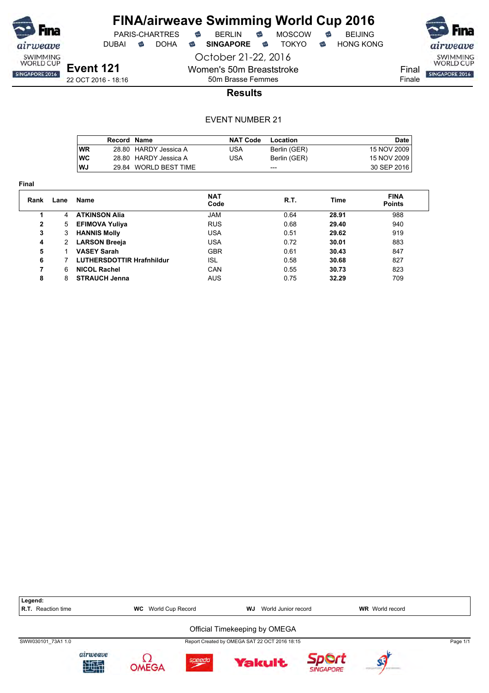

**Final**

# **FINA/airweave Swimming World Cup 2016**

PARIS-CHARTRES **B** BERLIN **B** MOSCOW **B** BEIJING

DUBAI **S** DOHA S SINGAPORE S TOKYO S HONG KONG

October 21-22, 2016

Women's 50m Breaststroke 50m Brasse Femmes



22 OCT 2016 - 18:16

### **Results**

|            | <b>Record Name</b> |                       | <b>NAT Code</b> | Location     | Date        |
|------------|--------------------|-----------------------|-----------------|--------------|-------------|
| <b>WR</b>  |                    | 28.80 HARDY Jessica A | USA             | Berlin (GER) | 15 NOV 2009 |
| <b>IWC</b> |                    | 28.80 HARDY Jessica A | JSA             | Berlin (GER) | 15 NOV 2009 |
| WJ         |                    | 29.84 WORLD BEST TIME |                 | ---          | 30 SEP 2016 |

| Rank         | Lane | Name                      | <b>NAT</b><br>Code | R.T. | Time  | <b>FINA</b><br><b>Points</b> |
|--------------|------|---------------------------|--------------------|------|-------|------------------------------|
|              | 4    | <b>ATKINSON Alia</b>      | <b>JAM</b>         | 0.64 | 28.91 | 988                          |
| $\mathbf{2}$ | 5    | <b>EFIMOVA Yuliya</b>     | <b>RUS</b>         | 0.68 | 29.40 | 940                          |
| 3            | 3    | <b>HANNIS Molly</b>       | USA                | 0.51 | 29.62 | 919                          |
| 4            | 2    | <b>LARSON Breeja</b>      | <b>USA</b>         | 0.72 | 30.01 | 883                          |
| 5            |      | <b>VASEY Sarah</b>        | <b>GBR</b>         | 0.61 | 30.43 | 847                          |
| 6            |      | LUTHERSDOTTIR Hrafnhildur | ISL                | 0.58 | 30.68 | 827                          |
|              | 6    | <b>NICOL Rachel</b>       | CAN                | 0.55 | 30.73 | 823                          |
| 8            | 8    | <b>STRAUCH Jenna</b>      | <b>AUS</b>         | 0.75 | 32.29 | 709                          |
|              |      |                           |                    |      |       |                              |

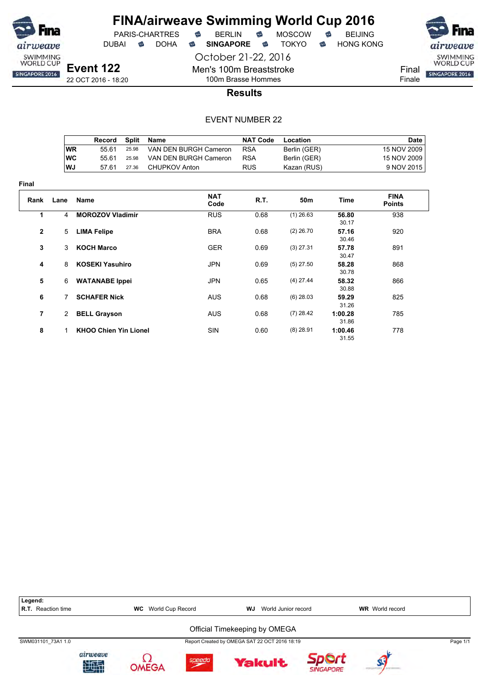

# **FINA/airweave Swimming World Cup 2016**<br>PARIS-CHARTRES **& BERLIN & MOSCOW & BEIJING**  $PARIS-CHARTRES$  **BERLIN B** MOSCOW **B**

DUBAI **S** DOHA S SINGAPORE S TOKYO S HONG KONG

October 21-22, 2016

airweave SWIMMING<br>WORLD CUP

Final SINGAPORE 2016 Finale

22 OCT 2016 - 18:20

# 100m Brasse Hommes **Results**

Men's 100m Breaststroke

|      | Record |       | Split Name            | <b>NAT Code</b> | Location     | Date        |
|------|--------|-------|-----------------------|-----------------|--------------|-------------|
| WR   | 55 61  | 25.98 | VAN DEN BURGH Cameron | <b>RSA</b>      | Berlin (GER) | 15 NOV 2009 |
| ∣wc  | 55 61  | 25.98 | VAN DEN BURGH Cameron | <b>RSA</b>      | Berlin (GER) | 15 NOV 2009 |
| l WJ | 57 61  | 27.36 | CHUPKOV Anton         | <b>RUS</b>      | Kazan (RUS)  | 9 NOV 2015  |

| <b>Final</b>   |                |                              |                    |      |             |                  |                              |
|----------------|----------------|------------------------------|--------------------|------|-------------|------------------|------------------------------|
| Rank           | Lane           | <b>Name</b>                  | <b>NAT</b><br>Code | R.T. | 50m         | Time             | <b>FINA</b><br><b>Points</b> |
| 1              | 4              | <b>MOROZOV Vladimir</b>      | <b>RUS</b>         | 0.68 | $(1)$ 26.63 | 56.80<br>30.17   | 938                          |
| $\mathbf{2}$   | 5              | <b>LIMA Felipe</b>           | <b>BRA</b>         | 0.68 | $(2)$ 26.70 | 57.16<br>30.46   | 920                          |
| 3              | 3              | <b>KOCH Marco</b>            | <b>GER</b>         | 0.69 | $(3)$ 27.31 | 57.78<br>30.47   | 891                          |
| 4              | 8              | <b>KOSEKI Yasuhiro</b>       | <b>JPN</b>         | 0.69 | $(5)$ 27.50 | 58.28<br>30.78   | 868                          |
| 5              | 6              | <b>WATANABE Ippei</b>        | <b>JPN</b>         | 0.65 | $(4)$ 27.44 | 58.32<br>30.88   | 866                          |
| 6              | 7              | <b>SCHAFER Nick</b>          | <b>AUS</b>         | 0.68 | $(6)$ 28.03 | 59.29<br>31.26   | 825                          |
| $\overline{7}$ | $\overline{2}$ | <b>BELL Grayson</b>          | <b>AUS</b>         | 0.68 | $(7)$ 28.42 | 1:00.28<br>31.86 | 785                          |
| 8              | 1              | <b>KHOO Chien Yin Lionel</b> | SIN                | 0.60 | $(8)$ 28.91 | 1:00.46<br>31.55 | 778                          |

| Legend:<br><b>R.T.</b> Reaction time                                                                 |               | <b>WC</b> World Cup Record |        | WJ | World Junior record |                  | <b>WR</b> World record |  |
|------------------------------------------------------------------------------------------------------|---------------|----------------------------|--------|----|---------------------|------------------|------------------------|--|
| Official Timekeeping by OMEGA<br>Report Created by OMEGA SAT 22 OCT 2016 18:19<br>SWM031101 73A1 1.0 |               |                            |        |    |                     |                  | Page 1/1               |  |
|                                                                                                      |               |                            |        |    |                     |                  |                        |  |
|                                                                                                      | airweave<br>蛐 | ∩MFGA                      | speedo |    | <b>Yakult</b>       | <b>SINGAPORE</b> |                        |  |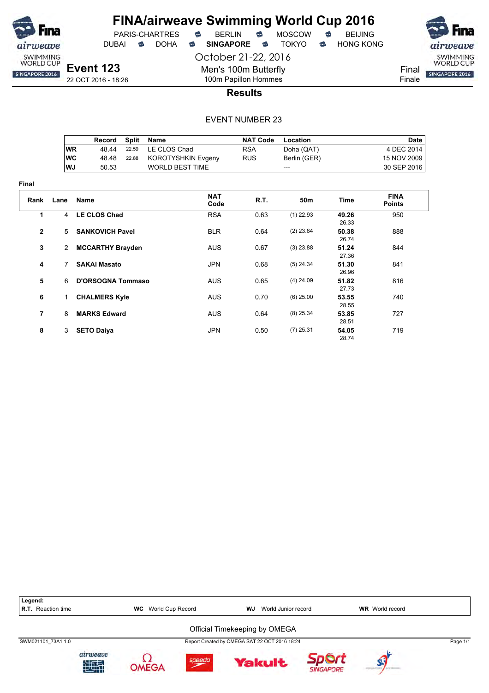

**Final**

# **FINA/airweave Swimming World Cup 2016**<br>PARIS-CHARTRES **& BERLIN & MOSCOW & BEIJING** PARIS-CHARTRES **S** BERLIN S MOSCOW S

DUBAI **S** DOHA S SINGAPORE S TOKYO S HONG KONG

October 21-22, 2016

Men's 100m Butterfly 100m Papillon Hommes



22 OCT 2016 - 18:26

### **Results**

|             |                | Record                   | <b>Split</b> | <b>Name</b>               |             | <b>NAT Code</b> | Location     |                | Date                         |
|-------------|----------------|--------------------------|--------------|---------------------------|-------------|-----------------|--------------|----------------|------------------------------|
|             | <b>WR</b>      | 48.44                    | 22.59        | LE CLOS Chad              |             | <b>RSA</b>      | Doha (QAT)   |                | 4 DEC 2014                   |
|             | <b>WC</b>      | 48.48                    | 22.88        | <b>KOROTYSHKIN Evgeny</b> |             | <b>RUS</b>      | Berlin (GER) |                | 15 NOV 2009                  |
|             | WJ             | 50.53                    |              | <b>WORLD BEST TIME</b>    |             |                 | ---          |                | 30 SEP 2016                  |
| ıal         |                |                          |              |                           |             |                 |              |                |                              |
| Rank        | Lane           | Name                     |              |                           | NAT<br>Code | R.T.            | 50m          | Time           | <b>FINA</b><br><b>Points</b> |
| 1           | 4              | <b>LE CLOS Chad</b>      |              |                           | <b>RSA</b>  | 0.63            | $(1)$ 22.93  | 49.26<br>26.33 | 950                          |
| $\mathbf 2$ | 5              | <b>SANKOVICH Pavel</b>   |              |                           | <b>BLR</b>  | 0.64            | $(2)$ 23.64  | 50.38<br>26.74 | 888                          |
| 3           | $\overline{2}$ | <b>MCCARTHY Brayden</b>  |              |                           | <b>AUS</b>  | 0.67            | $(3)$ 23.88  | 51.24<br>27.36 | 844                          |
| 4           | 7              | <b>SAKAI Masato</b>      |              |                           | <b>JPN</b>  | 0.68            | $(5)$ 24.34  | 51.30<br>26.96 | 841                          |
| 5           | 6              | <b>D'ORSOGNA Tommaso</b> |              |                           | <b>AUS</b>  | 0.65            | $(4)$ 24.09  | 51.82<br>27.73 | 816                          |
| 6           | 1.             | <b>CHALMERS Kyle</b>     |              |                           | <b>AUS</b>  | 0.70            | $(6)$ 25.00  | 53.55<br>28.55 | 740                          |
| 7           | 8              | <b>MARKS Edward</b>      |              |                           | <b>AUS</b>  | 0.64            | $(8)$ 25.34  | 53.85<br>28.51 | 727                          |
| 8           | 3              | <b>SETO Daiya</b>        |              |                           | <b>JPN</b>  | 0.50            | $(7)$ 25.31  | 54.05<br>28.74 | 719                          |

| Legend:<br><b>R.T.</b> Reaction time |                | <b>WC</b> World Cup Record |        | WJ | World Junior record                           |           | <b>WR</b> World record |          |  |  |
|--------------------------------------|----------------|----------------------------|--------|----|-----------------------------------------------|-----------|------------------------|----------|--|--|
| Official Timekeeping by OMEGA        |                |                            |        |    |                                               |           |                        |          |  |  |
| SWM021101 73A1 1.0                   |                |                            |        |    | Report Created by OMEGA SAT 22 OCT 2016 18:24 |           |                        | Page 1/1 |  |  |
|                                      | airweave<br>西南 | OMFGA                      | speedo |    | <b>Yakult</b>                                 | SINGAPORE |                        |          |  |  |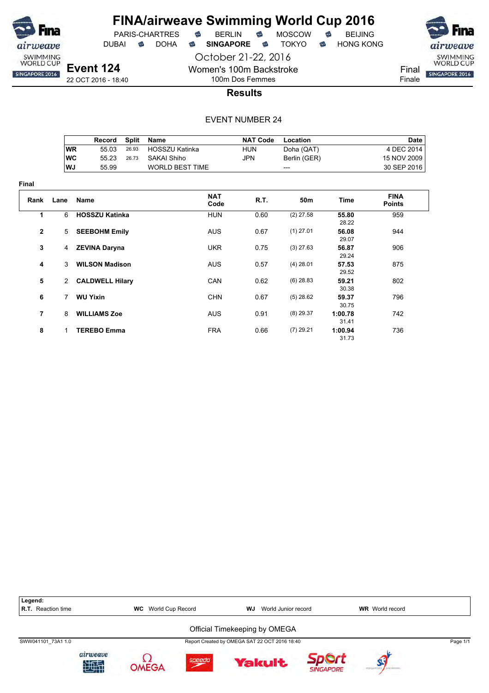

**Final**

# **FINA/airweave Swimming World Cup 2016**

PARIS-CHARTRES **B** BERLIN **B** MOSCOW **B** BEIJING

October 21-22, 2016

DUBAI **S** DOHA S SINGAPORE S TOKYO S HONG KONG



22 OCT 2016 - 18:40

100m Dos Femmes **Results**

Women's 100m Backstroke

|                |                | Record                 | <b>Split</b> | <b>Name</b>            |            | <b>NAT Code</b> | Location     |                  | <b>Date</b>                  |
|----------------|----------------|------------------------|--------------|------------------------|------------|-----------------|--------------|------------------|------------------------------|
|                | <b>WR</b>      | 55.03                  | 26.93        | HOSSZU Katinka         | <b>HUN</b> |                 | Doha (QAT)   |                  | 4 DEC 2014                   |
|                | <b>WC</b>      | 55.23                  | 26.73        | SAKAI Shiho            | <b>JPN</b> |                 | Berlin (GER) |                  | 15 NOV 2009                  |
|                | WJ             | 55.99                  |              | <b>WORLD BEST TIME</b> |            |                 | ---          |                  | 30 SEP 2016                  |
| ıal            |                |                        |              |                        |            |                 |              |                  |                              |
| Rank           | Lane           | <b>Name</b>            |              | <b>NAT</b><br>Code     |            | R.T.            | 50m          | <b>Time</b>      | <b>FINA</b><br><b>Points</b> |
| 1              | 6              | <b>HOSSZU Katinka</b>  |              | <b>HUN</b>             |            | 0.60            | $(2)$ 27.58  | 55.80<br>28.22   | 959                          |
| $\mathbf{2}$   | 5              | <b>SEEBOHM Emily</b>   |              | <b>AUS</b>             |            | 0.67            | $(1)$ 27.01  | 56.08<br>29.07   | 944                          |
| 3              | 4              | <b>ZEVINA Daryna</b>   |              | <b>UKR</b>             |            | 0.75            | $(3)$ 27.63  | 56.87<br>29.24   | 906                          |
| 4              | 3              | <b>WILSON Madison</b>  |              | <b>AUS</b>             |            | 0.57            | $(4)$ 28.01  | 57.53<br>29.52   | 875                          |
| 5              | $\overline{2}$ | <b>CALDWELL Hilary</b> |              | CAN                    |            | 0.62            | $(6)$ 28.83  | 59.21<br>30.38   | 802                          |
| 6              | 7              | <b>WU Yixin</b>        |              | <b>CHN</b>             |            | 0.67            | $(5)$ 28.62  | 59.37<br>30.75   | 796                          |
| $\overline{7}$ | 8              | <b>WILLIAMS Zoe</b>    |              | <b>AUS</b>             |            | 0.91            | $(8)$ 29.37  | 1:00.78<br>31.41 | 742                          |
| 8              | 1              | <b>TEREBO Emma</b>     |              | <b>FRA</b>             |            | 0.66            | $(7)$ 29.21  | 1:00.94<br>31.73 | 736                          |

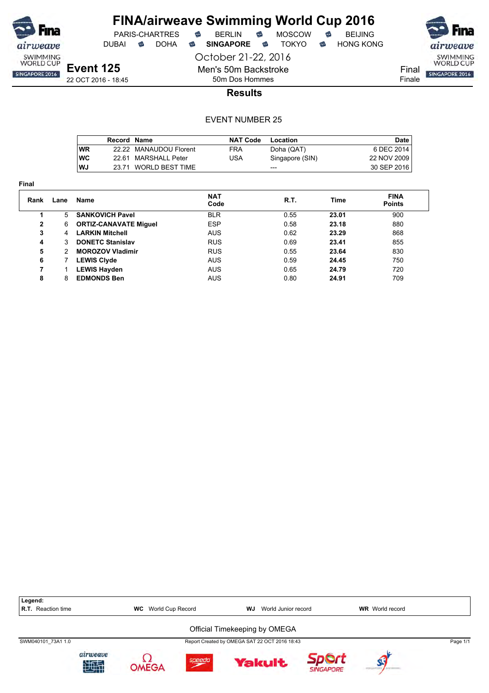

DUBAI **S** DOHA S SINGAPORE S TOKYO S HONG KONG

October 21-22, 2016

SWIMMING<br>WORLD CUP Final SINGAPORE 2016 Finale

22 OCT 2016 - 18:45

50m Dos Hommes **Results**

Men's 50m Backstroke

|            | Record Name |                        | <b>NAT Code</b> | Location        | Date        |
|------------|-------------|------------------------|-----------------|-----------------|-------------|
| <b>WR</b>  |             | 22.22 MANAUDOU Florent | <b>FRA</b>      | Doha (QAT)      | 6 DEC 2014  |
| <b>IWC</b> |             | 22.61 MARSHALL Peter   | USA             | Singapore (SIN) | 22 NOV 2009 |
| WJ         |             | 23.71 WORLD BEST TIME  |                 | $- - -$         | 30 SEP 2016 |

| Rank | Lane | Name                         | <b>NAT</b><br>Code | R.T. | Time  | <b>FINA</b><br><b>Points</b> |  |
|------|------|------------------------------|--------------------|------|-------|------------------------------|--|
|      | 5    | <b>SANKOVICH Pavel</b>       | <b>BLR</b>         | 0.55 | 23.01 | 900                          |  |
| 2    | 6    | <b>ORTIZ-CANAVATE Miguel</b> | <b>ESP</b>         | 0.58 | 23.18 | 880                          |  |
| 3    | 4    | <b>LARKIN Mitchell</b>       | <b>AUS</b>         | 0.62 | 23.29 | 868                          |  |
| 4    | 3    | <b>DONETC Stanislav</b>      | <b>RUS</b>         | 0.69 | 23.41 | 855                          |  |
| 5    | 2    | <b>MOROZOV Vladimir</b>      | <b>RUS</b>         | 0.55 | 23.64 | 830                          |  |
| 6    |      | <b>LEWIS Clyde</b>           | <b>AUS</b>         | 0.59 | 24.45 | 750                          |  |
| 7    |      | <b>LEWIS Hayden</b>          | <b>AUS</b>         | 0.65 | 24.79 | 720                          |  |
| 8    | 8    | <b>EDMONDS Ben</b>           | <b>AUS</b>         | 0.80 | 24.91 | 709                          |  |
|      |      |                              |                    |      |       |                              |  |

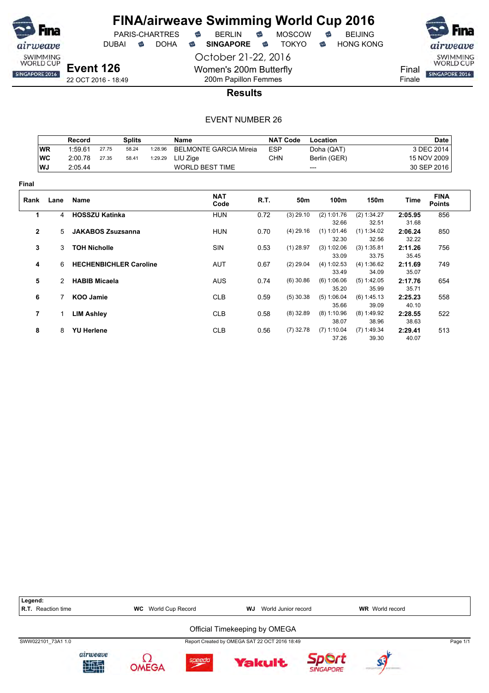

PARIS-CHARTRES **&** BERLIN<br>JBAI & DOHA & SINGAPORE

October 21-22, 2016 Women's 200m Butterfly 200m Papillon Femmes

DUBAI **S** DOHA S SINGAPORE S TOKYO S HONG KONG



Finale

22 OCT 2016 - 18:49

### **Results**

|                |           | Record                |                          | <b>Splits</b>                 |         | Name                          |            | <b>NAT Code</b> | Location             |                      |                  | <b>Date</b>                  |
|----------------|-----------|-----------------------|--------------------------|-------------------------------|---------|-------------------------------|------------|-----------------|----------------------|----------------------|------------------|------------------------------|
|                | <b>WR</b> | 1:59.61               | 27.75                    | 58.24                         | 1:28.96 | <b>BELMONTE GARCIA Mireia</b> | <b>ESP</b> |                 | Doha (QAT)           |                      |                  | 3 DEC 2014                   |
|                | <b>WC</b> | 2:00.78               | 27.35                    | 58.41                         | 1:29.29 | LIU Zige                      | <b>CHN</b> |                 | Berlin (GER)         |                      |                  | 15 NOV 2009                  |
|                | WJ        | 2:05.44               |                          |                               |         | <b>WORLD BEST TIME</b>        |            |                 | $---$                |                      |                  | 30 SEP 2016                  |
| Final          |           |                       |                          |                               |         |                               |            |                 |                      |                      |                  |                              |
| Rank           | Lane      | Name                  |                          |                               |         | <b>NAT</b><br>Code            | R.T.       | 50m             | 100m                 | 150m                 | Time             | <b>FINA</b><br><b>Points</b> |
| 1              | 4         | <b>HOSSZU Katinka</b> |                          |                               |         | <b>HUN</b>                    | 0.72       | $(3)$ 29.10     | (2) 1:01.76          | (2) 1:34.27          | 2:05.95          | 856                          |
|                |           |                       |                          |                               |         |                               |            |                 | 32.66                | 32.51                | 31.68            |                              |
| $\mathbf{2}$   | 5         |                       | <b>JAKABOS Zsuzsanna</b> |                               |         | <b>HUN</b>                    | 0.70       | $(4)$ 29.16     | $(1)$ 1:01.46        | $(1)$ 1:34.02        | 2:06.24          | 850                          |
|                |           |                       |                          |                               |         |                               |            |                 | 32.30                | 32.56                | 32.22            |                              |
| 3              | 3         | <b>TOH Nicholle</b>   |                          |                               |         | <b>SIN</b>                    | 0.53       | $(1)$ 28.97     | (3) 1:02.06          | (3) 1:35.81          | 2:11.26          | 756                          |
|                |           |                       |                          |                               |         |                               |            |                 | 33.09                | 33.75                | 35.45            |                              |
| 4              | 6         |                       |                          | <b>HECHENBICHLER Caroline</b> |         | <b>AUT</b>                    | 0.67       | $(2)$ 29.04     | (4) 1:02.53          | (4) 1:36.62          | 2:11.69          | 749                          |
|                |           |                       |                          |                               |         |                               |            |                 | 33.49                | 34.09                | 35.07            |                              |
| 5              | 2         | <b>HABIB Micaela</b>  |                          |                               |         | <b>AUS</b>                    | 0.74       | $(6)$ 30.86     | (6) 1:06.06          | (5) 1:42.05          | 2:17.76          | 654                          |
| 6              |           |                       |                          |                               |         | <b>CLB</b>                    |            | $(5)$ 30.38     | 35.20<br>(5) 1:06.04 | 35.99<br>(6) 1:45.13 | 35.71<br>2:25.23 |                              |
|                |           | <b>KOO Jamie</b>      |                          |                               |         |                               | 0.59       |                 | 35.66                | 39.09                | 40.10            | 558                          |
| $\overline{7}$ | 1         | <b>LIM Ashley</b>     |                          |                               |         | <b>CLB</b>                    | 0.58       | $(8)$ 32.89     | (8) 1:10.96          | $(8)$ 1:49.92        | 2:28.55          | 522                          |
|                |           |                       |                          |                               |         |                               |            |                 | 38.07                | 38.96                | 38.63            |                              |
| 8              | 8         | <b>YU Herlene</b>     |                          |                               |         | <b>CLB</b>                    | 0.56       | $(7)$ 32.78     | $(7)$ 1:10.04        | $(7)$ 1:49.34        | 2:29.41          | 513                          |
|                |           |                       |                          |                               |         |                               |            |                 | 37.26                | 39.30                | 40.07            |                              |

| Legend:            |                |                            |                               |                                               |                  |                        |          |
|--------------------|----------------|----------------------------|-------------------------------|-----------------------------------------------|------------------|------------------------|----------|
| R.T. Reaction time |                | <b>WC</b> World Cup Record |                               | World Junior record<br>WJ                     |                  | <b>WR</b> World record |          |
|                    |                |                            | Official Timekeeping by OMEGA |                                               |                  |                        |          |
| SWW022101 73A1 1.0 |                |                            |                               | Report Created by OMEGA SAT 22 OCT 2016 18:49 |                  |                        | Page 1/1 |
|                    | airweave<br>地电 | speedo                     |                               | <b>Yakult</b>                                 | <b>SINGAPORE</b> |                        |          |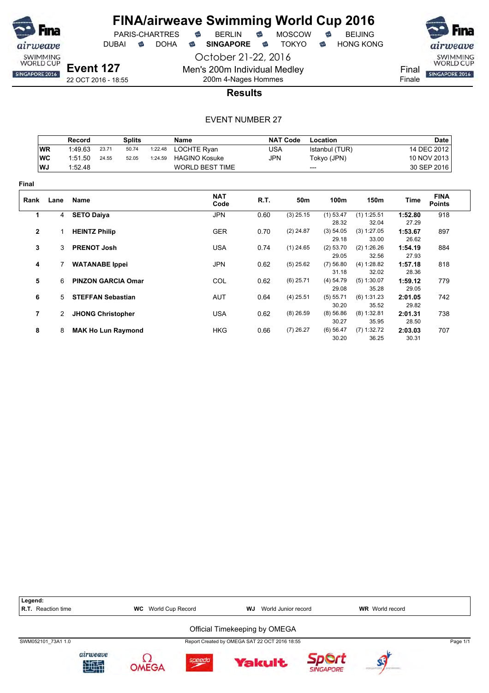

**Final**

# **FINA/airweave Swimming World Cup 2016**



October 21-22, 2016

Men's 200m Individual Medley 200m 4-Nages Hommes

**Results**



### EVENT NUMBER 27

|                |           | Record                   |                          | <b>Splits</b>             |         | Name                   |            | <b>NAT Code</b> | Location       |               |         | Date                         |
|----------------|-----------|--------------------------|--------------------------|---------------------------|---------|------------------------|------------|-----------------|----------------|---------------|---------|------------------------------|
|                | <b>WR</b> | 1:49.63                  | 23.71                    | 50.74                     | 1:22.48 | LOCHTE Ryan            | <b>USA</b> |                 | Istanbul (TUR) |               |         | 14 DEC 2012                  |
|                | <b>WC</b> | 1:51.50                  | 24.55                    | 52.05                     | 1:24.59 | <b>HAGINO Kosuke</b>   | <b>JPN</b> |                 | Tokyo (JPN)    |               |         | 10 NOV 2013                  |
|                | WJ        | 1:52.48                  |                          |                           |         | <b>WORLD BEST TIME</b> |            |                 | $---$          |               |         | 30 SEP 2016                  |
| inal           |           |                          |                          |                           |         |                        |            |                 |                |               |         |                              |
| Rank           | Lane      | Name                     |                          |                           |         | <b>NAT</b><br>Code     | R.T.       | 50m             | 100m           | 150m          | Time    | <b>FINA</b><br><b>Points</b> |
| 1              | 4         | <b>SETO Daiya</b>        |                          |                           |         | <b>JPN</b>             | 0.60       | $(3)$ 25.15     | $(1)$ 53.47    | $(1)$ 1:25.51 | 1:52.80 | 918                          |
|                |           |                          |                          |                           |         |                        |            |                 | 28.32          | 32.04         | 27.29   |                              |
| $\mathbf{2}$   |           | <b>HEINTZ Philip</b>     |                          |                           |         | <b>GER</b>             | 0.70       | $(2)$ 24.87     | (3) 54.05      | (3) 1:27.05   | 1:53.67 | 897                          |
|                |           |                          |                          |                           |         |                        |            |                 | 29.18          | 33.00         | 26.62   |                              |
| 3              | 3         | <b>PRENOT Josh</b>       |                          |                           |         | <b>USA</b>             | 0.74       | $(1)$ 24.65     | $(2)$ 53.70    | (2) 1:26.26   | 1:54.19 | 884                          |
|                |           |                          |                          |                           |         |                        |            |                 | 29.05          | 32.56         | 27.93   |                              |
| 4              |           |                          | <b>WATANABE Ippei</b>    |                           |         | JPN                    | 0.62       | $(5)$ 25.62     | (7) 56.80      | (4) 1:28.82   | 1:57.18 | 818                          |
|                |           |                          |                          |                           |         |                        |            |                 | 31.18          | 32.02         | 28.36   |                              |
| 5              | 6         |                          |                          | <b>PINZON GARCIA Omar</b> |         | COL                    | 0.62       | $(6)$ 25.71     | (4) 54.79      | $(5)$ 1:30.07 | 1:59.12 | 779                          |
|                |           |                          |                          |                           |         |                        |            |                 | 29.08          | 35.28         | 29.05   |                              |
| 6              | 5         | <b>STEFFAN Sebastian</b> |                          |                           |         | <b>AUT</b>             | 0.64       | $(4)$ 25.51     | (5) 55.71      | (6) 1:31.23   | 2:01.05 | 742                          |
|                |           |                          |                          |                           |         |                        |            |                 | 30.20          | 35.52         | 29.82   |                              |
| $\overline{7}$ | 2         |                          | <b>JHONG Christopher</b> |                           |         | <b>USA</b>             | 0.62       | $(8)$ 26.59     | (8) 56.86      | (8) 1:32.81   | 2:01.31 | 738                          |
|                |           |                          |                          |                           |         |                        |            |                 | 30.27          | 35.95         | 28.50   |                              |
| 8              | 8         |                          |                          | <b>MAK Ho Lun Raymond</b> |         | HKG                    | 0.66       | $(7)$ 26.27     | (6) 56.47      | $(7)$ 1:32.72 | 2:03.03 | 707                          |
|                |           |                          |                          |                           |         |                        |            |                 | 30.20          | 36.25         | 30.31   |                              |

Legend:<br>R.T. Reaction time **R.T.** WC World Cup Record **WJ** World Junior record **WR** World record Official Timekeeping by OMEGA SWM052101\_73A1 1.0 Report Created by OMEGA SAT 22 OCT 2016 18:55 Page 1/1airweave Ω Sport speedo **Yakult** 地理 **OMEGA SINGAPORE**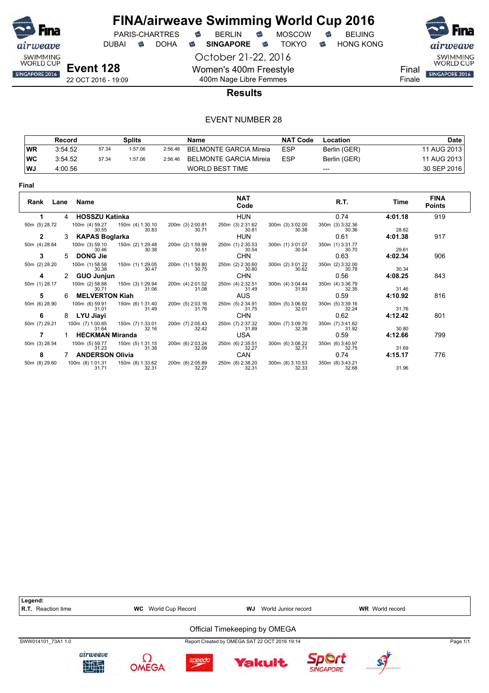

# **FINA/airweave Swimming World Cup 2016**<br>PARIS-CHARTRES **& BERLIN & MOSCOW & BEIJING** PARIS-CHARTRES **S** BERLIN S MOSCOW S

DUBAI **S** DOHA S SINGAPORE S TOKYO S HONG KONG

October 21-22, 2016

airweave SWIMMING<br>WORLD CUP

Final **SINGAPORE 2016** 

Finale

**Event 128**

22 OCT 2016 - 19:09

# 400m Nage Libre Femmes **Results**

Women's 400m Freestyle

|           | Record  |       | <b>Splits</b> |         | Name                   | <b>NAT Code</b> | Location     | <b>Date</b> |
|-----------|---------|-------|---------------|---------|------------------------|-----------------|--------------|-------------|
| <b>WR</b> | 3:54.52 | 57.34 | 1:57.06       | 2:56.46 | BELMONTE GARCIA Mireia | <b>ESP</b>      | Berlin (GER) | 11 AUG 2013 |
| <b>WC</b> | 3:54.52 | 57.34 | 1:57.06       | 2:56.46 | BELMONTE GARCIA Mireia | <b>ESP</b>      | Berlin (GER) | 11 AUG 2013 |
| WJ        | 4:00.56 |       |               |         | <b>WORLD BEST TIME</b> |                 | $---$        | 30 SEP 2016 |

| . .<br>w |  |
|----------|--|
|----------|--|

|               |                |                           |                           |                           | <b>NAT</b>                |                           |                           |         | <b>FINA</b>   |
|---------------|----------------|---------------------------|---------------------------|---------------------------|---------------------------|---------------------------|---------------------------|---------|---------------|
| Rank Lane     |                | Name                      |                           |                           | Code                      |                           | R.T.                      | Time    | <b>Points</b> |
|               | $\overline{4}$ | <b>HOSSZU Katinka</b>     |                           |                           | <b>HUN</b>                |                           | 0.74                      | 4:01.18 | 919           |
| 50m (5) 28.72 |                | 100m (4) 59.27<br>30.55   | 150m (4) 1:30.10<br>30.83 | 200m (3) 2:00.81<br>30.71 | 250m (3) 2:31.62<br>30.81 | 300m (3) 3:02.00<br>30.38 | 350m (3) 3:32.36<br>30.36 | 28.82   |               |
| $\mathbf{2}$  | 3              | <b>KAPAS Boglarka</b>     |                           |                           | <b>HUN</b>                |                           | 0.61                      | 4:01.38 | 917           |
| 50m (4) 28.64 |                | 100m (3) 59.10<br>30.46   | 150m (2) 1:29.48<br>30.38 | 200m (2) 1:59.99<br>30.51 | 250m (1) 2:30.53<br>30.54 | 300m (1) 3:01.07<br>30.54 | 350m (1) 3:31.77<br>30.70 | 29.61   |               |
| 3             | 5.             | <b>DONG Jie</b>           |                           |                           | <b>CHN</b>                |                           | 0.63                      | 4:02.34 | 906           |
| 50m (2) 28.20 |                | 100m (1) 58.58<br>30.38   | 150m (1) 1:29.05<br>30.47 | 200m (1) 1:59.80<br>30.75 | 250m (2) 2:30.60<br>30.80 | 300m (2) 3:01.22<br>30.62 | 350m (2) 3:32.00<br>30.78 | 30.34   |               |
| 4             |                | <b>GUO Junjun</b>         |                           |                           | <b>CHN</b>                |                           | 0.56                      | 4:08.25 | 843           |
| 50m (1) 28.17 |                | 100m (2) 58.88<br>30.71   | 150m (3) 1:29.94<br>31.06 | 200m (4) 2:01.02<br>31.08 | 250m (4) 2:32.51<br>31.49 | 300m (4) 3:04.44<br>31.93 | 350m (4) 3:36.79<br>32.35 | 31.46   |               |
| 5             |                | <b>MELVERTON Kiah</b>     |                           |                           | <b>AUS</b>                |                           | 0.59                      | 4:10.92 | 816           |
| 50m (6) 28.90 |                | 100m (6) 59.91<br>31.01   | 150m (6) 1:31.40<br>31.49 | 200m (5) 2:03.16<br>31.76 | 250m (5) 2:34.91<br>31.75 | 300m (5) 3:06.92<br>32.01 | 350m (5) 3:39.16<br>32.24 | 31.76   |               |
| 6             | 8              | LYU Jiayi                 |                           |                           | <b>CHN</b>                |                           | 0.62                      | 4:12.42 | 801           |
| 50m (7) 29.21 |                | 100m (7) 1:00.85<br>31.64 | 150m (7) 1:33.01<br>32.16 | 200m (7) 2:05.43<br>32.42 | 250m (7) 2:37.32<br>31.89 | 300m (7) 3:09.70<br>32.38 | 350m (7) 3:41.62<br>31.92 | 30.80   |               |
|               |                | <b>HECKMAN Miranda</b>    |                           |                           | <b>USA</b>                |                           | 0.59                      | 4:12.66 | 799           |
| 50m (3) 28.54 |                | 100m (5) 59.77<br>31.23   | 150m (5) 1:31.15<br>31.38 | 200m (6) 2:03.24<br>32.09 | 250m (6) 2:35.51<br>32.27 | 300m (6) 3:08.22<br>32.71 | 350m (6) 3:40.97<br>32.75 | 31.69   |               |
| 8             |                | <b>ANDERSON Olivia</b>    |                           |                           | CAN                       |                           | 0.74                      | 4:15.17 | 776           |
| 50m (8) 29.60 |                | 100m (8) 1:01.31<br>31.71 | 150m (8) 1:33.62<br>32.31 | 200m (8) 2:05.89<br>32.27 | 250m (8) 2:38.20<br>32.31 | 300m (8) 3:10.53<br>32.33 | 350m (8) 3:43.21<br>32.68 | 31.96   |               |

| Legend:<br><b>R.T.</b> Reaction time |                | <b>WC</b> World Cup Record | WJ.                                           | World Junior record |           | <b>WR</b> World record |          |
|--------------------------------------|----------------|----------------------------|-----------------------------------------------|---------------------|-----------|------------------------|----------|
|                                      |                |                            | Official Timekeeping by OMEGA                 |                     |           |                        |          |
| SWW014101 73A1 1.0                   |                |                            | Report Created by OMEGA SAT 22 OCT 2016 19:14 |                     |           |                        | Page 1/1 |
|                                      | airweave<br>地型 |                            |                                               | <b>Yakult</b>       | SINGAPORE |                        |          |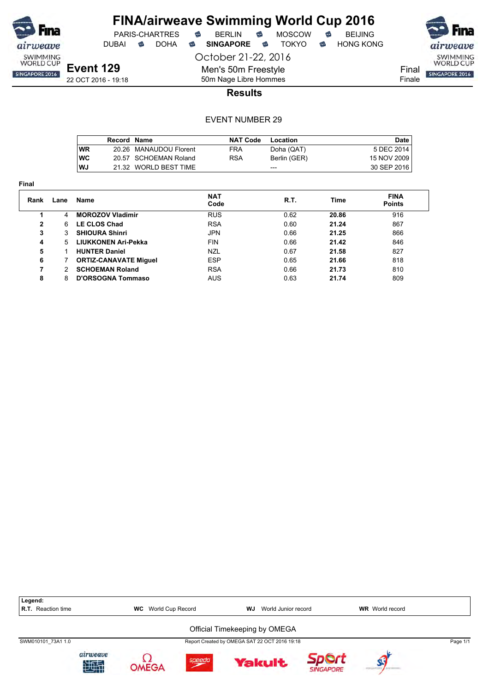

**Final**

# **FINA/airweave Swimming World Cup 2016**<br>PARIS-CHARTRES **& BERLIN & MOSCOW & BEIJING**  $PARIS-CHARTRES$  **BERLIN B** MOSCOW **B**

DUBAI **S** DOHA S SINGAPORE S TOKYO S HONG KONG

October 21-22, 2016

Men's 50m Freestyle 50m Nage Libre Hommes



**Results**

|            | <b>Record Name</b> |                        | <b>NAT Code</b> | Location     | Date        |
|------------|--------------------|------------------------|-----------------|--------------|-------------|
| <b>WR</b>  |                    | 20.26 MANAUDOU Florent | <b>FRA</b>      | Doha (QAT)   | 5 DEC 2014  |
| <b>IWC</b> |                    | 20.57 SCHOEMAN Roland  | RSA             | Berlin (GER) | 15 NOV 2009 |
| WJ         |                    | 21.32 WORLD BEST TIME  |                 | ---          | 30 SEP 2016 |

| Rank | Lane | Name                         | <b>NAT</b><br>Code | R.T. | Time  | <b>FINA</b><br><b>Points</b> |
|------|------|------------------------------|--------------------|------|-------|------------------------------|
|      | 4    | <b>MOROZOV Vladimir</b>      | <b>RUS</b>         | 0.62 | 20.86 | 916                          |
| 2    | 6    | <b>LE CLOS Chad</b>          | <b>RSA</b>         | 0.60 | 21.24 | 867                          |
| 3    | 3    | <b>SHIOURA Shinri</b>        | <b>JPN</b>         | 0.66 | 21.25 | 866                          |
| 4    | 5.   | LIUKKONEN Ari-Pekka          | <b>FIN</b>         | 0.66 | 21.42 | 846                          |
| 5    |      | <b>HUNTER Daniel</b>         | <b>NZL</b>         | 0.67 | 21.58 | 827                          |
| 6    |      | <b>ORTIZ-CANAVATE Miguel</b> | <b>ESP</b>         | 0.65 | 21.66 | 818                          |
| 7    | 2    | <b>SCHOEMAN Roland</b>       | <b>RSA</b>         | 0.66 | 21.73 | 810                          |
| 8    | 8    | <b>D'ORSOGNA Tommaso</b>     | AUS                | 0.63 | 21.74 | 809                          |

| Legend:<br><b>R.T.</b> Reaction time |               | <b>WC</b> World Cup Record |        | <b>WJ</b> World Junior record                 |                  | <b>WR</b> World record |          |
|--------------------------------------|---------------|----------------------------|--------|-----------------------------------------------|------------------|------------------------|----------|
|                                      |               |                            |        | Official Timekeeping by OMEGA                 |                  |                        |          |
| SWM010101 73A1 1.0                   |               |                            |        | Report Created by OMEGA SAT 22 OCT 2016 19:18 |                  |                        | Page 1/1 |
|                                      | airweave<br>触 |                            | speedo | <b>Yakult</b>                                 | <b>SINGAPORE</b> |                        |          |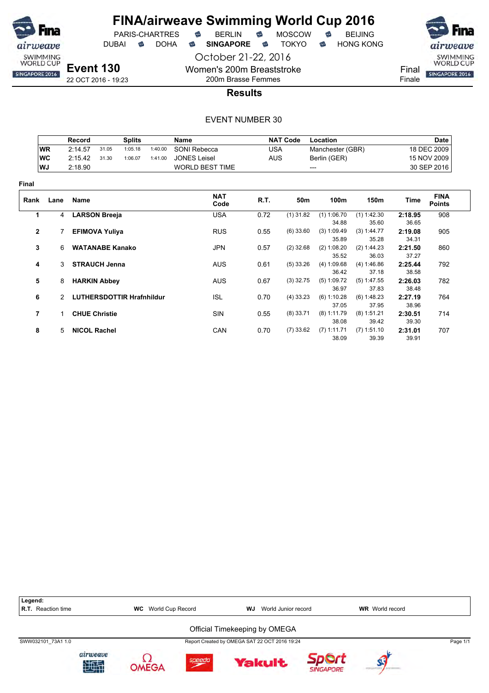

PARIS-CHARTRES **B** BERLIN **B** MOSCOW **B** BEIJING

DUBAI **S** DOHA S SINGAPORE S TOKYO S HONG KONG

October 21-22, 2016 Women's 200m Breaststroke

**Event 130** 22 OCT 2016 - 19:23



Finale

200m Brasse Femmes **Results**

|              |               | <b>Record</b>          |                       | <b>Splits</b>                    |         | <b>Name</b>            |            | <b>NAT Code</b> | Location             |                      |                  | <b>Date</b>                  |  |
|--------------|---------------|------------------------|-----------------------|----------------------------------|---------|------------------------|------------|-----------------|----------------------|----------------------|------------------|------------------------------|--|
|              | <b>WR</b>     | 2:14.57                | 31.05                 | 1:05.18                          | 1:40.00 | SONI Rebecca           | <b>USA</b> |                 | Manchester (GBR)     |                      |                  | 18 DEC 2009                  |  |
|              | WC            | 2:15.42                | 31.30                 | 1:06.07                          | 1:41.00 | <b>JONES Leisel</b>    | <b>AUS</b> |                 | Berlin (GER)         |                      |                  | 15 NOV 2009                  |  |
|              | WJ            | 2:18.90                |                       |                                  |         | <b>WORLD BEST TIME</b> |            | ---             |                      |                      | 30 SEP 2016      |                              |  |
| Final        |               |                        |                       |                                  |         |                        |            |                 |                      |                      |                  |                              |  |
| Rank         | Lane          | Name                   |                       |                                  |         | <b>NAT</b><br>Code     | R.T.       | 50m             | 100m                 | 150m                 | Time             | <b>FINA</b><br><b>Points</b> |  |
| 1            | 4             | <b>LARSON Breeja</b>   |                       |                                  |         | <b>USA</b>             | 0.72       | $(1)$ 31.82     | $(1)$ 1:06.70        | $(1)$ 1:42.30        | 2:18.95          | 908                          |  |
|              |               |                        |                       |                                  |         |                        |            |                 | 34.88                | 35.60                | 36.65            |                              |  |
| $\mathbf{2}$ |               |                        | <b>EFIMOVA Yuliya</b> |                                  |         | <b>RUS</b>             | 0.55       | $(6)$ 33.60     | (3) 1:09.49<br>35.89 | (3) 1:44.77<br>35.28 | 2:19.08<br>34.31 | 905                          |  |
| 3            | 6             | <b>WATANABE Kanako</b> |                       |                                  |         | <b>JPN</b>             | 0.57       | $(2)$ 32.68     | (2) 1:08.20          | (2) 1:44.23          | 2:21.50          | 860                          |  |
|              |               |                        |                       |                                  |         |                        |            |                 | 35.52                | 36.03                | 37.27            |                              |  |
| 4            |               | 3 STRAUCH Jenna        |                       |                                  |         | <b>AUS</b>             | 0.61       | $(5)$ 33.26     | (4) 1:09.68          | (4) 1:46.86          | 2:25.44          | 792                          |  |
|              |               |                        |                       |                                  |         |                        |            |                 | 36.42                | 37.18                | 38.58            |                              |  |
| 5            | 8             | <b>HARKIN Abbey</b>    |                       |                                  |         | <b>AUS</b>             | 0.67       | $(3)$ 32.75     | (5) 1:09.72          | $(5)$ 1:47.55        | 2:26.03          | 782                          |  |
|              |               |                        |                       |                                  |         |                        |            |                 | 36.97                | 37.83                | 38.48            |                              |  |
| 6            | $\mathcal{P}$ |                        |                       | <b>LUTHERSDOTTIR Hrafnhildur</b> |         | <b>ISL</b>             | 0.70       | $(4)$ 33.23     | (6) 1:10.28          | (6) 1:48.23          | 2:27.19          | 764                          |  |
|              |               |                        |                       |                                  |         |                        |            |                 | 37.05                | 37.95                | 38.96            |                              |  |
| 7            | 1.            | <b>CHUE Christie</b>   |                       |                                  |         | <b>SIN</b>             | 0.55       | $(8)$ 33.71     | $(8)$ 1:11.79        | $(8)$ 1:51.21        | 2:30.51          | 714                          |  |
|              |               |                        |                       |                                  |         |                        |            |                 | 38.08                | 39.42                | 39.30            |                              |  |
| 8            | 5             | <b>NICOL Rachel</b>    |                       |                                  |         | CAN                    | 0.70       | $(7)$ 33.62     | $(7)$ 1:11.71        | $(7)$ 1:51.10        | 2:31.01          | 707                          |  |
|              |               |                        |                       |                                  |         |                        |            |                 | 38.09                | 39.39                | 39.91            |                              |  |

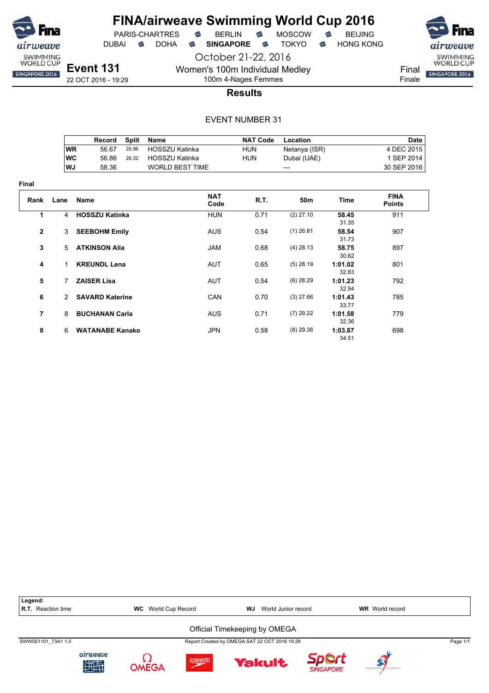

**Final**

## **FINA/airweave Swimming World Cup 2016** PARIS-CHARTRES **B** BERLIN **B** MOSCOW **B** BEIJING

DUBAI **S** DOHA S SINGAPORE S TOKYO S HONG KONG

October 21-22, 2016 Women's 100m Individual Medley

**Event 131** 22 OCT 2016 - 19:29



Finale

# 100m 4-Nages Femmes **Results**

|                |                | Record                 | <b>Split</b> | Name                   |                    | <b>NAT Code</b> | Location      |                  | <b>Date</b>                  |
|----------------|----------------|------------------------|--------------|------------------------|--------------------|-----------------|---------------|------------------|------------------------------|
|                | <b>WR</b>      | 56.67                  | 25.96        | <b>HOSSZU Katinka</b>  |                    | HUN             | Netanya (ISR) |                  | 4 DEC 2015                   |
|                | <b>WC</b>      | 56.86                  | 26.32        | <b>HOSSZU Katinka</b>  |                    | <b>HUN</b>      | Dubai (UAE)   |                  | 1 SEP 2014                   |
|                | <b>WJ</b>      | 58.36                  |              | <b>WORLD BEST TIME</b> |                    |                 | ---           |                  | 30 SEP 2016                  |
| ıal            |                |                        |              |                        |                    |                 |               |                  |                              |
| Rank           | Lane           | Name                   |              |                        | <b>NAT</b><br>Code | R.T.            | 50m           | Time             | <b>FINA</b><br><b>Points</b> |
| 1              | $\overline{4}$ | <b>HOSSZU Katinka</b>  |              |                        | <b>HUN</b>         | 0.71            | $(2)$ 27.10   | 58.45<br>31.35   | 911                          |
| 2              | 3              | <b>SEEBOHM Emily</b>   |              |                        | <b>AUS</b>         | 0.54            | $(1)$ 26.81   | 58.54<br>31.73   | 907                          |
| 3              | 5              | <b>ATKINSON Alia</b>   |              |                        | <b>JAM</b>         | 0.68            | $(4)$ 28.13   | 58.75<br>30.62   | 897                          |
| 4              | 1.             | <b>KREUNDL Lena</b>    |              |                        | AUT                | 0.65            | $(5)$ 28.19   | 1:01.02<br>32.83 | 801                          |
| 5              | 7              | <b>ZAISER Lisa</b>     |              |                        | AUT                | 0.54            | $(6)$ 28.29   | 1:01.23<br>32.94 | 792                          |
| 6              | 2              | <b>SAVARD Katerine</b> |              |                        | CAN                | 0.70            | $(3)$ 27.66   | 1:01.43<br>33.77 | 785                          |
| $\overline{7}$ | 8              | <b>BUCHANAN Carla</b>  |              |                        | <b>AUS</b>         | 0.71            | $(7)$ 29.22   | 1:01.58<br>32.36 | 779                          |
| 8              | 6              | <b>WATANABE Kanako</b> |              |                        | <b>JPN</b>         | 0.58            | $(8)$ 29.36   | 1:03.87<br>34.51 | 698                          |

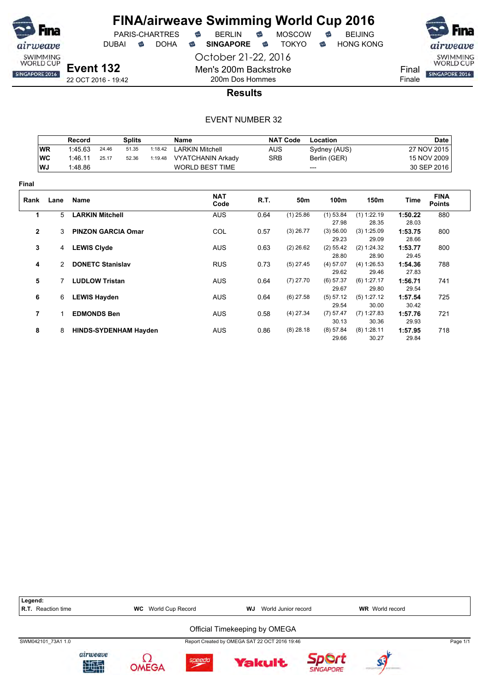

PARIS-CHARTRES

DUBAI **S** DOHA S SINGAPORE S TOKYO S HONG KONG

October 21-22, 2016 Men's 200m Backstroke 200m Dos Hommes



22 OCT 2016 - 19:42

### **Results**

|              |                | Record             |                              | <b>Splits</b> |         | <b>Name</b>              |            | <b>NAT Code</b> | Location             |                        |                  | <b>Date</b>                  |
|--------------|----------------|--------------------|------------------------------|---------------|---------|--------------------------|------------|-----------------|----------------------|------------------------|------------------|------------------------------|
|              | <b>WR</b>      | 1:45.63            | 24.46                        | 51.35         | 1:18.42 | <b>LARKIN Mitchell</b>   | <b>AUS</b> |                 | Sydney (AUS)         |                        |                  | 27 NOV 2015                  |
|              | <b>WC</b>      | 1:46.11            | 25.17                        | 52.36         | 1:19.48 | <b>VYATCHANIN Arkady</b> | <b>SRB</b> |                 | Berlin (GER)         |                        |                  | 15 NOV 2009                  |
|              | WJ             | 1:48.86            |                              |               |         | <b>WORLD BEST TIME</b>   |            | ---             |                      |                        |                  | 30 SEP 2016                  |
| Final        |                |                    |                              |               |         |                          |            |                 |                      |                        |                  |                              |
| Rank         | Lane           | Name               |                              |               |         | <b>NAT</b><br>Code       | R.T.       | 50m             | 100m                 | 150m                   | Time             | <b>FINA</b><br><b>Points</b> |
| 1            | 5              |                    | <b>LARKIN Mitchell</b>       |               |         | <b>AUS</b>               | 0.64       | $(1)$ 25.86     | $(1)$ 53.84          | $(1)$ 1:22.19          | 1:50.22          | 880                          |
|              |                |                    |                              |               |         |                          |            |                 | 27.98                | 28.35                  | 28.03            |                              |
| $\mathbf{2}$ | 3              |                    | <b>PINZON GARCIA Omar</b>    |               |         | COL                      | 0.57       | $(3)$ 26.77     | (3) 56.00<br>29.23   | (3) 1:25.09<br>29.09   | 1:53.75<br>28.66 | 800                          |
| 3            | $\overline{4}$ | <b>LEWIS Clyde</b> |                              |               |         | <b>AUS</b>               | 0.63       | $(2)$ 26.62     | $(2)$ 55.42<br>28.80 | (2) 1:24.32<br>28.90   | 1:53.77<br>29.45 | 800                          |
| 4            | $\mathcal{P}$  |                    | <b>DONETC Stanislav</b>      |               |         | <b>RUS</b>               | 0.73       | $(5)$ 27.45     | (4) 57.07            | (4) 1:26.53            | 1:54.36          | 788                          |
| 5            |                |                    | <b>LUDLOW Tristan</b>        |               |         | <b>AUS</b>               | 0.64       | $(7)$ 27.70     | 29.62<br>(6) 57.37   | 29.46<br>(6) 1:27.17   | 27.83<br>1:56.71 | 741                          |
|              |                |                    |                              |               |         |                          |            |                 | 29.67                | 29.80                  | 29.54            |                              |
| 6            | 6              |                    | <b>LEWIS Hayden</b>          |               |         | <b>AUS</b>               | 0.64       | $(6)$ 27.58     | (5) 57.12<br>29.54   | (5) 1:27.12<br>30.00   | 1:57.54<br>30.42 | 725                          |
| 7            |                |                    | <b>EDMONDS Ben</b>           |               |         | <b>AUS</b>               | 0.58       | $(4)$ 27.34     | (7) 57.47<br>30.13   | $(7)$ 1:27.83<br>30.36 | 1:57.76<br>29.93 | 721                          |
| 8            | 8              |                    | <b>HINDS-SYDENHAM Hayden</b> |               |         | AUS                      | 0.86       | $(8)$ 28.18     | (8) 57.84<br>29.66   | $(8)$ 1:28.11<br>30.27 | 1:57.95<br>29.84 | 718                          |

| Legend:<br><b>R.T.</b> Reaction time |                | <b>WC</b> | World Cup Record | WJ | World Junior record                           |                  | <b>WR</b> World record |          |
|--------------------------------------|----------------|-----------|------------------|----|-----------------------------------------------|------------------|------------------------|----------|
|                                      |                |           |                  |    | Official Timekeeping by OMEGA                 |                  |                        |          |
| SWM042101 73A1 1.0                   |                |           |                  |    | Report Created by OMEGA SAT 22 OCT 2016 19:46 |                  |                        | Page 1/1 |
|                                      | airweave<br>地面 |           | speedo           |    | <b>Yakult</b>                                 | <b>SINGAPORE</b> |                        |          |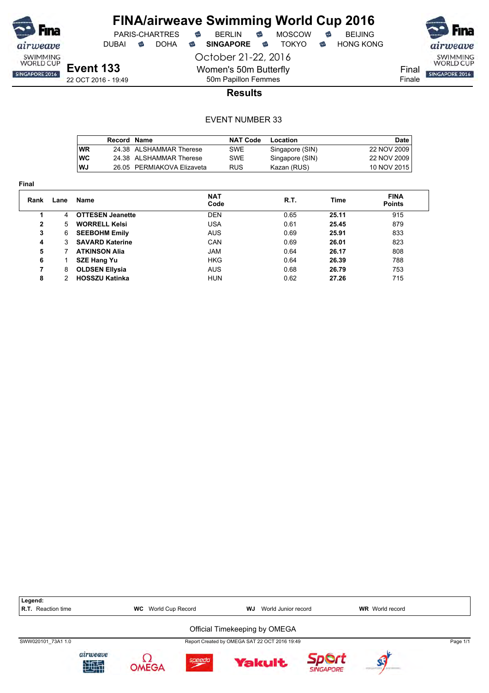

DUBAI **S** DOHA S SINGAPORE S TOKYO S HONG KONG

PARIS-CHARTRES **B** BERLIN **B** MOSCOW **B** BEIJING



**Event 133** 22 OCT 2016 - 19:49 October 21-22, 2016 Women's 50m Butterfly 50m Papillon Femmes

**Results**

|            | Record Name |                            | <b>NAT Code</b> | Location        | Date I      |
|------------|-------------|----------------------------|-----------------|-----------------|-------------|
| <b>WR</b>  |             | 24.38 ALSHAMMAR Therese    | SWE             | Singapore (SIN) | 22 NOV 2009 |
| <b>IWC</b> |             | 24.38 ALSHAMMAR Therese    | SWE             | Singapore (SIN) | 22 NOV 2009 |
| lWJ        |             | 26.05 PERMIAKOVA Elizaveta | <b>RUS</b>      | Kazan (RUS)     | 10 NOV 2015 |

| <b>Final</b>   |      |                         |                    |      |       |                              |
|----------------|------|-------------------------|--------------------|------|-------|------------------------------|
| Rank           | Lane | <b>Name</b>             | <b>NAT</b><br>Code | R.T. | Time  | <b>FINA</b><br><b>Points</b> |
|                | 4    | <b>OTTESEN Jeanette</b> | <b>DEN</b>         | 0.65 | 25.11 | 915                          |
| $\overline{2}$ | 5    | <b>WORRELL Kelsi</b>    | USA                | 0.61 | 25.45 | 879                          |
| 3              | 6    | <b>SEEBOHM Emily</b>    | <b>AUS</b>         | 0.69 | 25.91 | 833                          |
| 4              | 3    | <b>SAVARD Katerine</b>  | <b>CAN</b>         | 0.69 | 26.01 | 823                          |
| 5              |      | <b>ATKINSON Alia</b>    | <b>JAM</b>         | 0.64 | 26.17 | 808                          |
| 6              |      | <b>SZE Hang Yu</b>      | <b>HKG</b>         | 0.64 | 26.39 | 788                          |
| 7              | 8    | <b>OLDSEN Ellysia</b>   | <b>AUS</b>         | 0.68 | 26.79 | 753                          |
| 8              | 2    | <b>HOSSZU Katinka</b>   | <b>HUN</b>         | 0.62 | 27.26 | 715                          |

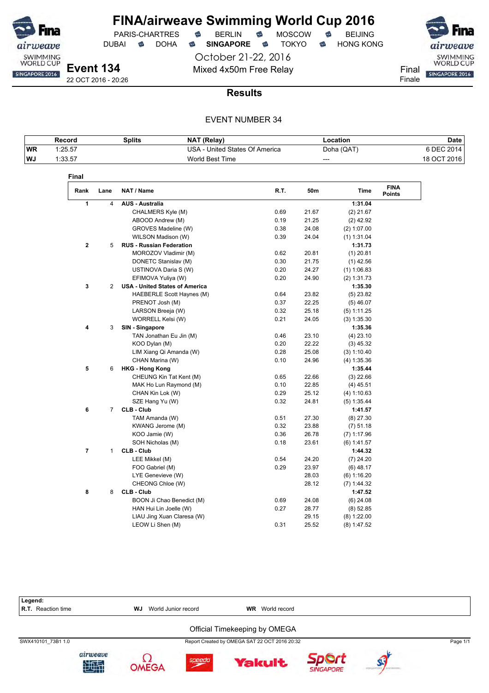

DUBAI **SINGAPORE SINGAPORE SINGAPORE SING A** 

October 21-22, 2016 Mixed 4x50m Free Relay Final

SWIMMING<br>WORLD CUP SINGAPORE 2016 Finale

22 OCT 2016 - 20:26

### **Results**

### EVENT NUMBER 34

|            | Record  | <b>Splits</b> | <b>NAT (Relay)</b>             | Location   | <b>Date</b> |
|------------|---------|---------------|--------------------------------|------------|-------------|
| <b>IWR</b> | 1:25.57 |               | USA - United States Of America | Doha (QAT) | 6 DEC 2014, |
| ∣WJ        | 1:33.57 |               | World Best Time                | ---        | 18 OCT 2016 |

| Rank        | Lane           | NAT / Name                            | R.T. | 50m   | Time          | <b>FINA</b><br><b>Points</b> |
|-------------|----------------|---------------------------------------|------|-------|---------------|------------------------------|
| 1           | 4              | <b>AUS - Australia</b>                |      |       | 1:31.04       |                              |
|             |                | CHALMERS Kyle (M)                     | 0.69 | 21.67 | $(2)$ 21.67   |                              |
|             |                | ABOOD Andrew (M)                      | 0.19 | 21.25 | $(2)$ 42.92   |                              |
|             |                | GROVES Madeline (W)                   | 0.38 | 24.08 | (2) 1:07.00   |                              |
|             |                | WILSON Madison (W)                    | 0.39 | 24.04 | $(1)$ 1:31.04 |                              |
| $\mathbf 2$ | 5              | <b>RUS - Russian Federation</b>       |      |       | 1:31.73       |                              |
|             |                | MOROZOV Vladimir (M)                  | 0.62 | 20.81 | $(1)$ 20.81   |                              |
|             |                | DONETC Stanislav (M)                  | 0.30 | 21.75 | $(1)$ 42.56   |                              |
|             |                | USTINOVA Daria S (W)                  | 0.20 | 24.27 | $(1)$ 1:06.83 |                              |
|             |                | EFIMOVA Yuliya (W)                    | 0.20 | 24.90 | (2) 1:31.73   |                              |
| 3           | 2              | <b>USA - United States of America</b> |      |       | 1:35.30       |                              |
|             |                | HAEBERLE Scott Haynes (M)             | 0.64 | 23.82 | $(5)$ 23.82   |                              |
|             |                | PRENOT Josh (M)                       | 0.37 | 22.25 | $(5)$ 46.07   |                              |
|             |                | LARSON Breeja (W)                     | 0.32 | 25.18 | (5) 1:11.25   |                              |
|             |                | WORRELL Kelsi (W)                     | 0.21 | 24.05 | (3) 1:35.30   |                              |
| 4           | 3              | SIN - Singapore                       |      |       | 1:35.36       |                              |
|             |                | TAN Jonathan Eu Jin (M)               | 0.46 | 23.10 | $(4)$ 23.10   |                              |
|             |                | KOO Dylan (M)                         | 0.20 | 22.22 | $(3)$ 45.32   |                              |
|             |                | LIM Xiang Qi Amanda (W)               | 0.28 | 25.08 | (3) 1:10.40   |                              |
|             |                | CHAN Marina (W)                       | 0.10 | 24.96 | (4) 1:35.36   |                              |
| 5           | 6              | <b>HKG - Hong Kong</b>                |      |       | 1:35.44       |                              |
|             |                | CHEUNG Kin Tat Kent (M)               | 0.65 | 22.66 | $(3)$ 22.66   |                              |
|             |                | MAK Ho Lun Raymond (M)                | 0.10 | 22.85 | $(4)$ 45.51   |                              |
|             |                | CHAN Kin Lok (W)                      | 0.29 | 25.12 | (4) 1:10.63   |                              |
|             |                | SZE Hang Yu (W)                       | 0.32 | 24.81 | $(5)$ 1:35.44 |                              |
| 6           | $\overline{7}$ | CLB - Club                            |      |       | 1:41.57       |                              |
|             |                | TAM Amanda (W)                        | 0.51 | 27.30 | $(8)$ 27.30   |                              |
|             |                | KWANG Jerome (M)                      | 0.32 | 23.88 | $(7)$ 51.18   |                              |
|             |                | KOO Jamie (W)                         | 0.36 | 26.78 | $(7)$ 1:17.96 |                              |
|             |                | SOH Nicholas (M)                      | 0.18 | 23.61 | (6) 1:41.57   |                              |
| 7           | 1              | <b>CLB - Club</b>                     |      |       | 1:44.32       |                              |
|             |                | LEE Mikkel (M)                        | 0.54 | 24.20 | $(7)$ 24.20   |                              |
|             |                | FOO Gabriel (M)                       | 0.29 | 23.97 | $(6)$ 48.17   |                              |
|             |                | LYE Genevieve (W)                     |      | 28.03 | (6) 1:16.20   |                              |
|             |                | CHEONG Chloe (W)                      |      | 28.12 | (7) 1:44.32   |                              |
| 8           | 8              | CLB - Club                            |      |       | 1:47.52       |                              |
|             |                | BOON Ji Chao Benedict (M)             | 0.69 | 24.08 | $(6)$ 24.08   |                              |
|             |                | HAN Hui Lin Joelle (W)                | 0.27 | 28.77 | $(8)$ 52.85   |                              |
|             |                | LIAU Jing Xuan Claresa (W)            |      | 29.15 | $(8)$ 1:22.00 |                              |
|             |                | LEOW Li Shen (M)                      | 0.31 | 25.52 | $(8)$ 1:47.52 |                              |

Legend:<br>R.T. Reaction time **WJ** World Junior record **WR** World record Official Timekeeping by OMEGA SWX410101\_73B1 1.0 Report Created by OMEGA SAT 22 OCT 2016 20:32 Page 1/1airweave Ω Sport speedo **Yakult** 地型 **OMEGA SINGAPORE**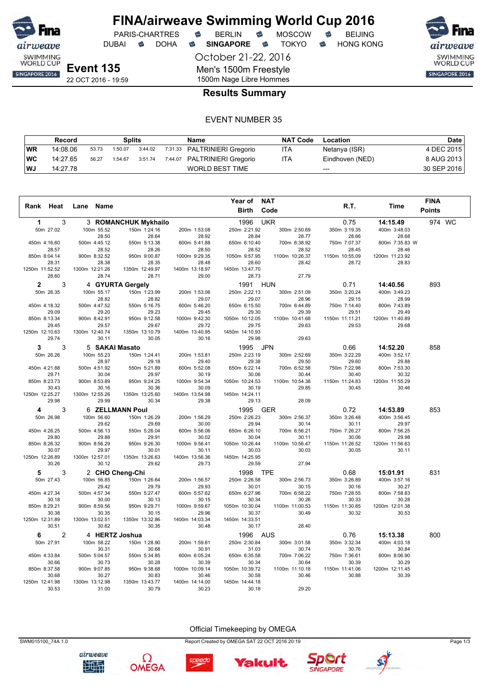

DUBAI **S** DOHA S SINGAPORE S TOKYO S HONG KONG

airweave SWIMMING<br>WORLD CUP SINGAPORE 2016

**Event 135** 22 OCT 2016 - 19:59 October 21-22, 2016

Men's 1500m Freestyle 1500m Nage Libre Hommes

### **Results Summary**

### EVENT NUMBER 35

|     | Record   |       | Splits  |         | <b>Name</b>                  | <b>NAT Code</b> | Location        | Date        |
|-----|----------|-------|---------|---------|------------------------------|-----------------|-----------------|-------------|
| WR  | 14:08.06 | 53.73 | 1:50.07 | 3:44.02 | 7:31.33 PALTRINIERI Gregorio | ITA             | Netanya (ISR)   | 4 DEC 2015  |
| ∣WC | 14:27.65 | 56.27 | 1:54.67 | 3:51.74 | 7:44.07 PALTRINIERI Gregorio | ITA             | Eindhoven (NED) | 8 AUG 2013  |
| ∣WJ | 14:27.78 |       |         |         | <b>WORLD BEST TIME</b>       |                 | $---$           | 30 SEP 2016 |

|                         |                |                         |                         |                         | Year of                 | <b>NAT</b>     |                                  |                         | <b>FINA</b>   |  |
|-------------------------|----------------|-------------------------|-------------------------|-------------------------|-------------------------|----------------|----------------------------------|-------------------------|---------------|--|
| Rank Heat               | Lane           | Name                    |                         |                         | <b>Birth</b>            | Code           | R.T.                             | Time                    | <b>Points</b> |  |
| 1                       | 3              |                         | 3 ROMANCHUK Mykhailo    |                         | 1996                    | <b>UKR</b>     | 0.75                             | 14:15.49                | 974 WC        |  |
| 50m 27.02               |                | 100m 55.52              | 150m 1:24.16            | 200m 1:53.08            | 250m 2:21.92            | 300m 2:50.69   | 350m 3:19.35                     | 400m 3:48.03            |               |  |
|                         |                | 28.50                   | 28.64                   | 28.92                   | 28.84                   |                | 28.77<br>28.66                   | 28.68                   |               |  |
| 450m 4:16.60            |                | 500m 4:45.12            | 550m 5:13.38            | 600m 5:41.88            | 650m 6:10.40            | 700m 6:38.92   | 750m 7:07.37                     | 800m 7:35.83 W          |               |  |
| 28.57                   |                | 28.52                   | 28.26                   | 28.50                   | 28.52                   |                | 28.52<br>28.45                   | 28.46                   |               |  |
| 850m 8:04.14            |                | 900m 8:32.52            | 950m 9:00.87            | 1000m 9:29.35           | 1050m 9:57.95           | 1100m 10:26.37 | 1150m 10:55.09                   | 1200m 11:23.92          |               |  |
| 28.31<br>1250m 11:52.52 |                | 28.38                   | 28.35                   | 28.48                   | 28.60<br>1450m 13:47.70 |                | 28.72<br>28.42                   | 28.83                   |               |  |
| 28.60                   |                | 1300m 12:21.26<br>28.74 | 1350m 12:49.97<br>28.71 | 1400m 13:18.97<br>29.00 | 28.73                   |                | 27.79                            |                         |               |  |
|                         |                |                         |                         |                         |                         |                |                                  |                         |               |  |
| $\mathbf{2}$            | 3              |                         | 4 GYURTA Gergely        |                         | 1991                    | <b>HUN</b>     | 0.71                             | 14:40.56                | 893           |  |
| 50m 26.35               |                | 100m 55.17              | 150m 1:23.99            | 200m 1:53.06            | 250m 2:22.13            | 300m 2:51.09   | 350m 3:20.24                     | 400m 3:49.23            |               |  |
| 450m 4:18.32            |                | 28.82<br>500m 4:47.52   | 28.82<br>550m 5:16.75   | 29.07<br>600m 5:46.20   | 29.07<br>650m 6:15.50   | 700m 6:44.89   | 28.96<br>29.15<br>750m 7:14.40   | 28.99<br>800m 7:43.89   |               |  |
| 29.09                   |                | 29.20                   | 29.23                   | 29.45                   | 29.30                   |                | 29.39<br>29.51                   | 29.49                   |               |  |
| 850m 8:13.34            |                | 900m 8:42.91            | 950m 9:12.58            | 1000m 9:42.30           | 1050m 10:12.05          | 1100m 10:41.68 | 1150m 11:11.21                   | 1200m 11:40.89          |               |  |
| 29.45                   |                | 29.57                   | 29.67                   | 29.72                   | 29.75                   |                | 29.63<br>29.53                   | 29.68                   |               |  |
| 1250m 12:10.63          |                | 1300m 12:40.74          | 1350m 13:10.79          | 1400m 13:40.95          | 1450m 14:10.93          |                |                                  |                         |               |  |
| 29.74                   |                | 30.11                   | 30.05                   | 30.16                   | 29.98                   |                | 29.63                            |                         |               |  |
| 3                       | 3              |                         | 5 SAKAI Masato          |                         | 1995                    | <b>JPN</b>     | 0.66                             | 14:52.20                | 858           |  |
| 50m 26.26               |                | 100m 55.23              | 150m 1:24.41            | 200m 1:53.81            | 250m 2:23.19            | 300m 2:52.69   | 350m 3:22.29                     | 400m 3:52.17            |               |  |
|                         |                | 28.97                   | 29.18                   | 29.40                   | 29.38                   |                | 29.50<br>29.60                   | 29.88                   |               |  |
| 450m 4:21.88            |                | 500m 4:51.92            | 550m 5:21.89            | 600m 5:52.08            | 650m 6:22.14            | 700m 6:52.58   | 750m 7:22.98                     | 800m 7:53.30            |               |  |
| 29.71                   |                | 30.04                   | 29.97                   | 30.19                   | 30.06                   |                | 30.44<br>30.40                   | 30.32                   |               |  |
| 850m 8:23.73            |                | 900m 8:53.89            | 950m 9:24.25            | 1000m 9:54.34           | 1050m 10:24.53          | 1100m 10:54.38 | 1150m 11:24.83                   | 1200m 11:55.29          |               |  |
| 30.43                   |                | 30.16                   | 30.36                   | 30.09                   | 30.19                   |                | 29.85<br>30.45                   | 30.46                   |               |  |
| 1250m 12:25.27          |                | 1300m 12:55.26          | 1350m 13:25.60          | 1400m 13:54.98          | 1450m 14:24.11          |                |                                  |                         |               |  |
| 29.98                   |                | 29.99                   | 30.34                   | 29.38                   | 29.13                   |                | 28.09                            |                         |               |  |
| 4                       | 3              |                         | <b>6 ZELLMANN Poul</b>  |                         | 1995                    | <b>GER</b>     | 0.72                             | 14:53.89                | 853           |  |
| 50m 26.98               |                | 100m 56.60              | 150m 1:26.29            | 200m 1:56.29            | 250m 2:26.23            | 300m 2:56.37   | 350m 3:26.48                     | 400m 3:56.45            |               |  |
|                         |                | 29.62                   | 29.69                   | 30.00                   | 29.94                   |                | 30.11<br>30.14                   | 29.97                   |               |  |
| 450m 4:26.25            |                | 500m 4:56.13            | 550m 5:26.04            | 600m 5:56.06            | 650m 6:26.10            | 700m 6:56.21   | 750m 7:26.27                     | 800m 7:56.25            |               |  |
| 29.80                   |                | 29.88                   | 29.91                   | 30.02                   | 30.04                   |                | 30.11<br>30.06                   | 29.98                   |               |  |
| 850m 8:26.32<br>30.07   |                | 900m 8:56.29<br>29.97   | 950m 9:26.30<br>30.01   | 1000m 9:56.41<br>30.11  | 1050m 10:26.44<br>30.03 | 1100m 10:56.47 | 1150m 11:26.52<br>30.03<br>30.05 | 1200m 11:56.63<br>30.11 |               |  |
| 1250m 12:26.89          |                | 1300m 12:57.01          | 1350m 13:26.63          | 1400m 13:56.36          | 1450m 14:25.95          |                |                                  |                         |               |  |
| 30.26                   |                | 30.12                   | 29.62                   | 29.73                   | 29.59                   |                | 27.94                            |                         |               |  |
| 5                       | 3              |                         | 2 CHO Cheng-Chi         |                         | 1998                    | <b>TPE</b>     | 0.68                             | 15:01.91                | 831           |  |
| 50m 27.43               |                | 100m 56.85              |                         | 200m 1:56.57            | 250m 2:26.58            |                | 350m 3:26.89                     | 400m 3:57.16            |               |  |
|                         |                | 29.42                   | 150m 1:26.64<br>29.79   | 29.93                   | 30.01                   | 300m 2:56.73   | 30.15<br>30.16                   | 30.27                   |               |  |
| 450m 4:27.34            |                | 500m 4:57.34            | 550m 5:27.47            | 600m 5:57.62            | 650m 6:27.96            | 700m 6:58.22   | 750m 7:28.55                     | 800m 7:58.83            |               |  |
| 30.18                   |                | 30.00                   | 30.13                   | 30.15                   | 30.34                   |                | 30.26<br>30.33                   | 30.28                   |               |  |
| 850m 8:29.21            |                | 900m 8:59.56            | 950m 9:29.71            | 1000m 9:59.67           | 1050m 10:30.04          | 1100m 11:00.53 | 1150m 11:30.85                   | 1200m 12:01.38          |               |  |
| 30.38                   |                | 30.35                   | 30.15                   | 29.96                   | 30.37                   |                | 30.49<br>30.32                   | 30.53                   |               |  |
| 1250m 12:31.89          |                | 1300m 13:02.51          | 1350m 13:32.86          | 1400m 14:03.34          | 1450m 14:33.51          |                |                                  |                         |               |  |
| 30.51                   |                | 30.62                   | 30.35                   | 30.48                   | 30.17                   |                | 28.40                            |                         |               |  |
| 6                       | $\overline{c}$ |                         | 4 HERTZ Joshua          |                         | 1996                    | <b>AUS</b>     | 0.76                             | 15:13.38                | 800           |  |
| 50m 27.91               |                | 100m 58.22              | 150m 1:28.90            | 200m 1:59.81            | 250m 2:30.84            | 300m 3:01.58   | 350m 3:32.34                     | 400m 4:03.18            |               |  |
|                         |                | 30.31                   | 30.68                   | 30.91                   | 31.03                   |                | 30.74<br>30.76                   | 30.84                   |               |  |
| 450m 4:33.84            |                | 500m 5:04.57            | 550m 5:34.85            | 600m 6:05.24            | 650m 6:35.58            | 700m 7:06.22   | 750m 7:36.61                     | 800m 8:06.90            |               |  |
| 30.66                   |                | 30.73                   | 30.28                   | 30.39                   | 30.34                   |                | 30.64<br>30.39                   | 30.29                   |               |  |
| 850m 8:37.58            |                | 900m 9:07.85            | 950m 9:38.68            | 1000m 10:09.14          | 1050m 10:39.72          | 1100m 11:10.18 | 1150m 11:41.06                   | 1200m 12:11.45          |               |  |
| 30.68<br>1250m 12:41.98 |                | 30.27                   | 30.83                   | 30.46                   | 30.58                   |                | 30.46<br>30.88                   | 30.39                   |               |  |
| 30.53                   |                | 1300m 13:12.98<br>31.00 | 1350m 13:43.77<br>30.79 | 1400m 14:14.00<br>30.23 | 1450m 14:44.18<br>30.18 |                | 29.20                            |                         |               |  |
|                         |                |                         |                         |                         |                         |                |                                  |                         |               |  |

SWM015100\_74A 1.0 Report Created by OMEGA SAT 22 OCT 2016 20:19 Page 1/3

airweave Ω 地理 **OMEGA** 





Yakult

Sport **SINGAPORE** 

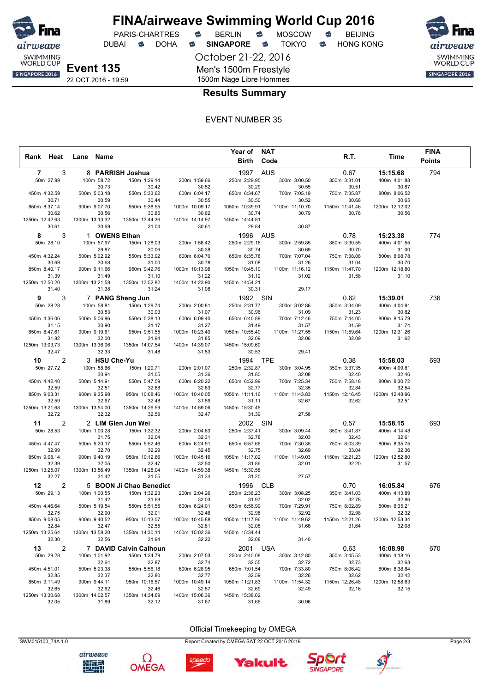

DUBAI **S** DOHA S SINGAPORE S TOKYO S HONG KONG

PARIS-CHARTRES **B** BERLIN **B** MOSCOW **B** BEIJING

October 21-22, 2016 Men's 1500m Freestyle



22 OCT 2016 - 19:59

## 1500m Nage Libre Hommes **Results Summary**

### EVENT NUMBER 35

|                |                |                |                       |                         |                         | Year of NAT             |                         |                         |                         | <b>FINA</b>   |
|----------------|----------------|----------------|-----------------------|-------------------------|-------------------------|-------------------------|-------------------------|-------------------------|-------------------------|---------------|
| Rank Heat      |                | Lane Name      |                       |                         |                         | Birth                   | Code                    | R.T.                    | Time                    | <b>Points</b> |
| $\overline{7}$ | 3              |                |                       | 8 PARRISH Joshua        |                         | 1997 AUS                |                         | 0.67                    | 15:15.68                | 794           |
| 50m 27.99      |                |                | 100m 58.72            | 150m 1:29.14            | 200m 1:59.66            | 250m 2:29.95            | 300m 3:00.50            | 350m 3:31.01            | 400m 4:01.88            |               |
|                |                |                | 30.73                 | 30.42                   | 30.52                   | 30.29                   | 30.55                   | 30.51                   | 30.87                   |               |
| 450m 4:32.59   |                |                | 500m 5:03.18          | 550m 5:33.62            | 600m 6:04.17            | 650m 6:34.67            | 700m 7:05.19            | 750m 7:35.87            | 800m 8:06.52            |               |
| 30.71          |                |                | 30.59                 | 30.44                   | 30.55                   | 30.50                   | 30.52                   | 30.68                   | 30.65                   |               |
| 850m 8:37.14   |                |                | 900m 9:07.70          | 950m 9:38.55            | 1000m 10:09.17          | 1050m 10:39.91          | 1100m 11:10.70          | 1150m 11:41.46          | 1200m 12:12.02          |               |
|                | 30.62          |                | 30.56                 | 30.85                   | 30.62                   | 30.74                   | 30.79                   | 30.76                   | 30.56                   |               |
| 1250m 12:42.63 |                | 1300m 13:13.32 |                       | 1350m 13:44.36          | 1400m 14:14.97          | 1450m 14:44.81          |                         |                         |                         |               |
|                | 30.61          |                | 30.69                 | 31.04                   | 30.61                   | 29.84                   | 30.87                   |                         |                         |               |
| 8              | 3              |                |                       | 1 OWENS Ethan           |                         | 1996                    | AUS                     | 0.78                    | 15:23.38                | 774           |
| 50m 28.10      |                |                | 100m 57.97            | 150m 1:28.03            | 200m 1:58.42            | 250m 2:29.16            | 300m 2:59.85            | 350m 3:30.55            | 400m 4:01.55            |               |
|                |                |                | 29.87                 | 30.06                   | 30.39                   | 30.74                   | 30.69                   | 30.70                   | 31.00                   |               |
| 450m 4:32.24   | 30.69          |                | 500m 5:02.92          | 550m 5:33.92            | 600m 6:04.70            | 650m 6:35.78<br>31.08   | 700m 7:07.04            | 750m 7:38.08<br>31.04   | 800m 8:08.78<br>30.70   |               |
| 850m 8:40.17   |                |                | 30.68<br>900m 9:11.66 | 31.00<br>950m 9:42.76   | 30.78<br>1000m 10:13.98 | 1050m 10:45.10          | 31.26<br>1100m 11:16.12 | 1150m 11:47.70          | 1200m 12:18.80          |               |
| 31.39          |                |                | 31.49                 | 31.10                   | 31.22                   | 31.12                   | 31.02                   | 31.58                   | 31.10                   |               |
| 1250m 12:50.20 |                | 1300m 13:21.58 |                       | 1350m 13:52.82          | 1400m 14:23.90          | 1450m 14:54.21          |                         |                         |                         |               |
|                | 31.40          |                | 31.38                 | 31.24                   | 31.08                   | 30.31                   | 29.17                   |                         |                         |               |
| 9              | 3              |                |                       | 7 PANG Sheng Jun        |                         | 1992                    | SIN                     | 0.62                    | 15:39.01                | 736           |
| 50m 28.28      |                |                | 100m 58.81            | 150m 1:29.74            | 200m 2:00.81            | 250m 2:31.77            | 300m 3:02.86            | 350m 3:34.09            | 400m 4:04.91            |               |
|                |                |                | 30.53                 | 30.93                   | 31.07                   | 30.96                   | 31.09                   | 31.23                   | 30.82                   |               |
| 450m 4:36.06   |                |                | 500m 5:06.96          | 550m 5:38.13            | 600m 6:09.40            | 650m 6:40.89            | 700m 7:12.46            | 750m 7:44.05            | 800m 8:15.79            |               |
|                | 31.15          |                | 30.90                 | 31.17                   | 31.27                   | 31.49                   | 31.57                   | 31.59                   | 31.74                   |               |
| 850m 8:47.61   |                |                | 900m 9:19.61          | 950m 9:51.55            | 1000m 10:23.40          | 1050m 10:55.49          | 1100m 11:27.55          | 1150m 11:59.64          | 1200m 12:31.26          |               |
| 31.82          |                |                | 32.00                 | 31.94                   | 31.85                   | 32.09                   | 32.06                   | 32.09                   | 31.62                   |               |
| 1250m 13:03.73 |                | 1300m 13:36.06 |                       | 1350m 14:07.54          | 1400m 14:39.07          | 1450m 15:09.60          |                         |                         |                         |               |
|                | 32.47          |                | 32.33                 | 31.48                   | 31.53                   | 30.53                   | 29.41                   |                         |                         |               |
| 10             | $\overline{2}$ |                | 3 HSU Che-Yu          |                         |                         | 1994 TPE                |                         | 0.38                    | 15:58.03                | 693           |
| 50m 27.72      |                |                | 100m 58.66            | 150m 1:29.71            | 200m 2:01.07            | 250m 2:32.87            | 300m 3:04.95            | 350m 3:37.35            | 400m 4:09.81            |               |
|                |                |                | 30.94                 | 31.05                   | 31.36                   | 31.80                   | 32.08                   | 32.40                   | 32.46                   |               |
| 450m 4:42.40   |                |                | 500m 5:14.91          | 550m 5:47.59            | 600m 6:20.22            | 650m 6:52.99            | 700m 7:25.34            | 750m 7:58.18            | 800m 8:30.72            |               |
| 32.59          |                |                | 32.51                 | 32.68                   | 32.63                   | 32.77                   | 32.35                   | 32.84                   | 32.54                   |               |
| 850m 9:03.31   |                |                | 900m 9:35.98          | 950m 10:08.46           | 1000m 10:40.05          | 1050m 11:11.16          | 1100m 11:43.83          | 1150m 12:16.45          | 1200m 12:48.96          |               |
|                | 32.59          |                | 32.67                 | 32.48                   | 31.59                   | 31.11                   | 32.67                   | 32.62                   | 32.51                   |               |
| 1250m 13:21.68 | 32.72          | 1300m 13:54.00 | 32.32                 | 1350m 14:26.59<br>32.59 | 1400m 14:59.06<br>32.47 | 1450m 15:30.45<br>31.39 | 27.58                   |                         |                         |               |
|                |                |                |                       |                         |                         |                         |                         |                         |                         |               |
| 11             | $\overline{2}$ |                |                       | 2 LIM Glen Jun Wei      |                         | 2002                    | SIN                     | 0.57                    | 15:58.15                | 693           |
| 50m 28.53      |                |                | 100m 1:00.28          | 150m 1:32.32            | 200m 2:04.63            | 250m 2:37.41            | 300m 3:09.44            | 350m 3:41.87            | 400m 4:14.48            |               |
| 450m 4:47.47   |                |                | 31.75<br>500m 5:20.17 | 32.04<br>550m 5:52.46   | 32.31<br>600m 6:24.91   | 32.78<br>650m 6:57.66   | 32.03<br>700m 7:30.35   | 32.43<br>750m 8:03.39   | 32.61<br>800m 8:35.75   |               |
|                | 32.99          |                | 32.70                 | 32.29                   | 32.45                   | 32.75                   | 32.69                   | 33.04                   | 32.36                   |               |
| 850m 9:08.14   |                |                | 900m 9:40.19          | 950m 10:12.66           | 1000m 10:45.16          | 1050m 11:17.02          | 1100m 11:49.03          | 1150m 12:21.23          | 1200m 12:52.80          |               |
|                | 32.39          |                | 32.05                 | 32.47                   | 32.50                   | 31.86                   | 32.01                   | 32.20                   | 31.57                   |               |
| 1250m 13:25.07 |                | 1300m 13:56.49 |                       | 1350m 14:28.04          | 1400m 14:59.38          | 1450m 15:30.58          |                         |                         |                         |               |
|                | 32.27          |                | 31.42                 | 31.55                   | 31.34                   | 31.20                   | 27.57                   |                         |                         |               |
| 12             | 2              |                |                       | 5 BOON Ji Chao Benedict |                         | 1996                    | <b>CLB</b>              | 0.70                    | 16:05.84                | 676           |
| 50m 29.13      |                |                | 100m 1:00.55          | 150m 1:32.23            | 200m 2:04.26            | 250m 2:36.23            | 300m 3:08.25            | 350m 3:41.03            | 400m 4:13.89            |               |
|                |                |                | 31.42                 | 31.68                   | 32.03                   | 31.97                   | 32.02                   | 32.78                   | 32.86                   |               |
| 450m 4:46.64   |                |                | 500m 5:19.54          | 550m 5:51.55            | 600m 6:24.01            | 650m 6:56.99            | 700m 7:29.91            | 750m 8:02.89            | 800m 8:35.21            |               |
|                | 32.75          |                | 32.90                 | 32.01                   | 32.46                   | 32.98                   | 32.92                   | 32.98                   | 32.32                   |               |
| 850m 9:08.05   |                |                | 900m 9:40.52          | 950m 10:13.07           | 1000m 10:45.88          | 1050m 11:17.96          | 1100m 11:49.62          | 1150m 12:21.26          | 1200m 12:53.34          |               |
| 32.84          |                |                | 32.47                 | 32.55                   | 32.81                   | 32.08                   | 31.66                   | 31.64                   | 32.08                   |               |
| 1250m 13:25.64 |                | 1300m 13:58.20 |                       | 1350m 14:30.14          | 1400m 15:02.36          | 1450m 15:34.44          |                         |                         |                         |               |
|                | 32.30          |                | 32.56                 | 31.94                   | 32.22                   | 32.08                   | 31.40                   |                         |                         |               |
| 13             | 2              |                |                       | 7 DAVID Calvin Calhoun  |                         | 2001 USA                |                         | 0.63                    | 16:08.98                | 670           |
| 50m 29.28      |                |                | 100m 1:01.92          | 150m 1:34.79            | 200m 2:07.53            | 250m 2:40.08            | 300m 3:12.80            | 350m 3:45.53            | 400m 4:18.16            |               |
|                |                |                | 32.64                 | 32.87                   | 32.74                   | 32.55                   | 32.72                   | 32.73                   | 32.63                   |               |
| 450m 4:51.01   |                |                | 500m 5:23.38          | 550m 5:56.18            | 600m 6:28.95            | 650m 7:01.54            | 700m 7:33.80            | 750m 8:06.42            | 800m 8:38.84            |               |
| 850m 9:11.49   | 32.85          |                | 32.37<br>900m 9:44.11 | 32.80<br>950m 10:16.57  | 32.77<br>1000m 10:49.14 | 32.59<br>1050m 11:21.83 | 32.26<br>1100m 11:54.32 | 32.62<br>1150m 12:26.48 | 32.42<br>1200m 12:58.63 |               |
|                | 32.65          |                | 32.62                 | 32.46                   | 32.57                   | 32.69                   | 32.49                   | 32.16                   | 32.15                   |               |
| 1250m 13:30.68 |                | 1300m 14:02.57 |                       | 1350m 14:34.69          | 1400m 15:06.36          | 1450m 15:38.02          |                         |                         |                         |               |
|                | 32.05          |                | 31.89                 | 32.12                   | 31.67                   | 31.66                   | 30.96                   |                         |                         |               |



Ω



SWM015100\_74A 1.0 Report Created by OMEGA SAT 22 OCT 2016 20:19 Page 2/3

Official Timekeeping by OMEGA





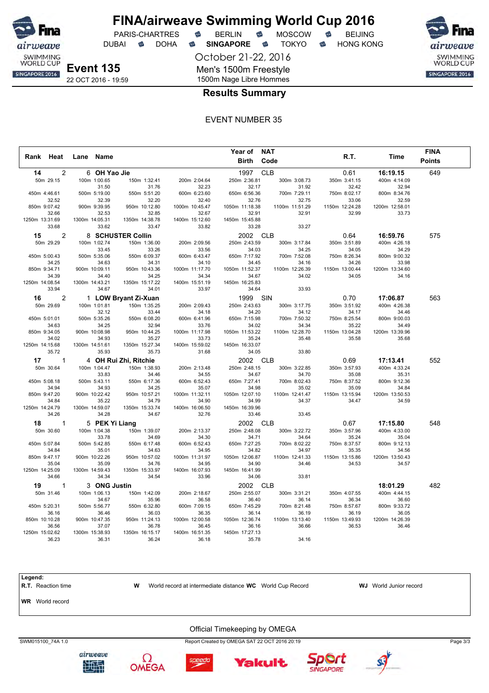

DUBAI **S** DOHA S SINGAPORE S TOKYO S HONG KONG

SWIMMING<br>WORLD CUP SINGAPORE 2016

**Event 135** 22 OCT 2016 - 19:59

1500m Nage Libre Hommes **Results Summary**

October 21-22, 2016

Men's 1500m Freestyle

EVENT NUMBER 35

|                       |                        |                        |                         | Year of NAT             |                         |                         |                         | <b>FINA</b>   |
|-----------------------|------------------------|------------------------|-------------------------|-------------------------|-------------------------|-------------------------|-------------------------|---------------|
| Rank Heat             | Lane Name              |                        |                         | <b>Birth</b>            | Code                    | R.T.                    | Time                    | <b>Points</b> |
|                       |                        |                        |                         |                         |                         |                         |                         |               |
| $\overline{2}$<br>14  | 6 OH Yao Jie           |                        |                         | 1997                    | <b>CLB</b>              | 0.61                    | 16:19.15                | 649           |
| 50m 29.15             | 100m 1:00.65           | 150m 1:32.41           | 200m 2:04.64            | 250m 2:36.81            | 300m 3:08.73            | 350m 3:41.15            | 400m 4:14.09            |               |
|                       | 31.50                  | 31.76                  | 32.23                   | 32.17                   | 31.92                   | 32.42                   | 32.94                   |               |
| 450m 4:46.61<br>32.52 | 500m 5:19.00<br>32.39  | 550m 5:51.20<br>32.20  | 600m 6:23.60<br>32.40   | 650m 6:56.36<br>32.76   | 700m 7:29.11<br>32.75   | 750m 8:02.17<br>33.06   | 800m 8:34.76            |               |
| 850m 9:07.42          | 900m 9:39.95           | 950m 10:12.80          | 1000m 10:45.47          | 1050m 11:18.38          | 1100m 11:51.29          | 1150m 12:24.28          | 32.59<br>1200m 12:58.01 |               |
| 32.66                 | 32.53                  | 32.85                  | 32.67                   | 32.91                   | 32.91                   | 32.99                   | 33.73                   |               |
| 1250m 13:31.69        | 1300m 14:05.31         | 1350m 14:38.78         | 1400m 15:12.60          | 1450m 15:45.88          |                         |                         |                         |               |
| 33.68                 | 33.62                  | 33.47                  | 33.82                   | 33.28                   | 33.27                   |                         |                         |               |
| $\overline{2}$<br>15  |                        | 8 SCHUSTER Collin      |                         | 2002                    | <b>CLB</b>              | 0.64                    | 16:59.76                | 575           |
| 50m 29.29             | 100m 1:02.74           | 150m 1:36.00           | 200m 2:09.56            | 250m 2:43.59            | 300m 3:17.84            | 350m 3:51.89            | 400m 4:26.18            |               |
|                       | 33.45                  | 33.26                  | 33.56                   | 34.03                   | 34.25                   | 34.05                   | 34.29                   |               |
| 450m 5:00.43          | 500m 5:35.06           | 550m 6:09.37           | 600m 6:43.47            | 650m 7:17.92            | 700m 7:52.08            | 750m 8:26.34            | 800m 9:00.32            |               |
| 34.25                 | 34.63                  | 34.31                  | 34.10                   | 34.45                   | 34.16                   | 34.26                   | 33.98                   |               |
| 850m 9:34.71          | 900m 10:09.11          | 950m 10:43.36          | 1000m 11:17.70          | 1050m 11:52.37          | 1100m 12:26.39          | 1150m 13:00.44          | 1200m 13:34.60          |               |
| 34.39                 | 34.40                  | 34.25                  | 34.34                   | 34.67                   | 34.02                   | 34.05                   | 34.16                   |               |
| 1250m 14:08.54        | 1300m 14:43.21         | 1350m 15:17.22         | 1400m 15:51.19          | 1450m 16:25.83          |                         |                         |                         |               |
| 33.94                 | 34.67                  | 34.01                  | 33.97                   | 34.64                   | 33.93                   |                         |                         |               |
| 2<br>16               |                        | 1 LOW Bryant Zi-Xuan   |                         | 1999                    | SIN                     | 0.70                    | 17:06.87                | 563           |
| 50m 29.69             | 100m 1:01.81           | 150m 1:35.25           | 200m 2:09.43            | 250m 2:43.63            | 300m 3:17.75            | 350m 3:51.92            | 400m 4:26.38            |               |
|                       | 32.12                  | 33.44                  | 34.18                   | 34.20                   | 34.12                   | 34.17                   | 34.46                   |               |
| 450m 5:01.01          | 500m 5:35.26           | 550m 6:08.20           | 600m 6:41.96            | 650m 7:15.98            | 700m 7:50.32            | 750m 8:25.54            | 800m 9:00.03            |               |
| 34.63<br>850m 9:34.05 | 34.25<br>900m 10:08.98 | 32.94<br>950m 10:44.25 | 33.76<br>1000m 11:17.98 | 34.02<br>1050m 11:53.22 | 34.34<br>1100m 12:28.70 | 35.22<br>1150m 13:04.28 | 34.49<br>1200m 13:39.96 |               |
| 34.02                 | 34.93                  | 35.27                  | 33.73                   | 35.24                   | 35.48                   | 35.58                   | 35.68                   |               |
| 1250m 14:15.68        | 1300m 14:51.61         | 1350m 15:27.34         | 1400m 15:59.02          | 1450m 16:33.07          |                         |                         |                         |               |
| 35.72                 | 35.93                  | 35.73                  | 31.68                   | 34.05                   | 33.80                   |                         |                         |               |
| $\mathbf{1}$<br>17    |                        | 4 OH Rui Zhi, Ritchie  |                         | 2002                    | <b>CLB</b>              | 0.69                    | 17:13.41                | 552           |
| 50m 30.64             | 100m 1:04.47           | 150m 1:38.93           | 200m 2:13.48            | 250m 2:48.15            | 300m 3:22.85            | 350m 3:57.93            | 400m 4:33.24            |               |
|                       | 33.83                  | 34.46                  | 34.55                   | 34.67                   | 34.70                   | 35.08                   | 35.31                   |               |
| 450m 5:08.18          | 500m 5:43.11           | 550m 6:17.36           | 600m 6:52.43            | 650m 7:27.41            | 700m 8:02.43            | 750m 8:37.52            | 800m 9:12.36            |               |
| 34.94                 | 34.93                  | 34.25                  | 35.07                   | 34.98                   | 35.02                   | 35.09                   | 34.84                   |               |
| 850m 9:47.20          | 900m 10:22.42          | 950m 10:57.21          | 1000m 11:32.11          | 1050m 12:07.10          | 1100m 12:41.47          | 1150m 13:15.94          | 1200m 13:50.53          |               |
| 34.84                 | 35.22                  | 34.79                  | 34.90                   | 34.99                   | 34.37                   | 34.47                   | 34.59                   |               |
| 1250m 14:24.79        | 1300m 14:59.07         | 1350m 15:33.74         | 1400m 16:06.50          | 1450m 16:39.96          |                         |                         |                         |               |
| 34.26                 | 34.28                  | 34.67                  | 32.76                   | 33.46                   | 33.45                   |                         |                         |               |
| $\mathbf{1}$<br>18    | 5 PEK Yi Liang         |                        |                         | 2002                    | <b>CLB</b>              | 0.67                    | 17:15.80                | 548           |
| 50m 30.60             | 100m 1:04.38           | 150m 1:39.07           | 200m 2:13.37            | 250m 2:48.08            | 300m 3:22.72            | 350m 3:57.96            | 400m 4:33.00            |               |
|                       | 33.78                  | 34.69                  | 34.30                   | 34.71                   | 34.64                   | 35.24                   | 35.04                   |               |
| 450m 5:07.84          | 500m 5:42.85           | 550m 6:17.48           | 600m 6:52.43            | 650m 7:27.25            | 700m 8:02.22            | 750m 8:37.57            | 800m 9:12.13            |               |
| 34.84                 | 35.01                  | 34.63                  | 34.95                   | 34.82                   | 34.97                   | 35.35                   | 34.56                   |               |
| 850m 9:47.17<br>35.04 | 900m 10:22.26<br>35.09 | 950m 10:57.02<br>34.76 | 1000m 11:31.97<br>34.95 | 1050m 12:06.87<br>34.90 | 1100m 12:41.33<br>34.46 | 1150m 13:15.86          | 1200m 13:50.43<br>34.57 |               |
| 1250m 14:25.09        | 1300m 14:59.43         | 1350m 15:33.97         | 1400m 16:07.93          | 1450m 16:41.99          |                         | 34.53                   |                         |               |
| 34.66                 | 34.34                  | 34.54                  | 33.96                   | 34.06                   | 33.81                   |                         |                         |               |
| 19<br>$\mathbf{1}$    | 3 ONG Justin           |                        |                         | 2002                    | <b>CLB</b>              |                         | 18:01.29                | 482           |
| 50m 31.46             | 100m 1:06.13           | 150m 1:42.09           | 200m 2:18.67            | 250m 2:55.07            | 300m 3:31.21            | 350m 4:07.55            | 400m 4:44.15            |               |
|                       | 34.67                  | 35.96                  | 36.58                   | 36.40                   | 36.14                   | 36.34                   | 36.60                   |               |
| 450m 5:20.31          | 500m 5:56.77           | 550m 6:32.80           | 600m 7:09.15            | 650m 7:45.29            | 700m 8:21.48            | 750m 8:57.67            | 800m 9:33.72            |               |
| 36.16                 | 36.46                  | 36.03                  | 36.35                   | 36.14                   | 36.19                   | 36.19                   | 36.05                   |               |
| 850m 10:10.28         | 900m 10:47.35          | 950m 11:24.13          | 1000m 12:00.58          | 1050m 12:36.74          | 1100m 13:13.40          | 1150m 13:49.93          | 1200m 14:26.39          |               |
| 36.56                 | 37.07                  | 36.78                  | 36.45                   | 36.16                   | 36.66                   | 36.53                   | 36.46                   |               |
| 1250m 15:02.62        | 1300m 15:38.93         | 1350m 16:15.17         | 1400m 16:51.35          | 1450m 17:27.13          |                         |                         |                         |               |
| 36.23                 | 36.31                  | 36.24                  | 36.18                   | 35.78                   | 34.16                   |                         |                         |               |

**Legend: R.T.** Reaction time **W** World record at intermediate distance **WC** World Cup Record **WJ** World Junior record **WR** World record Official Timekeeping by OMEGA SWM015100\_74A 1.0 Report Created by OMEGA SAT 22 OCT 2016 20:19 Page 3/3













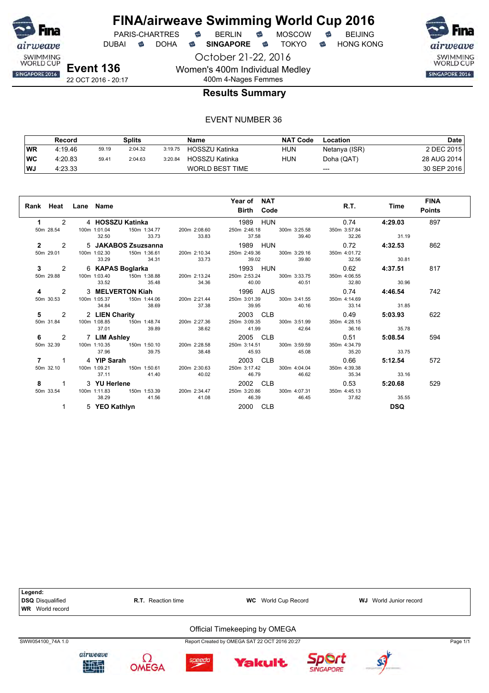

DUBAI **S** DOHA S SINGAPORE S TOKYO S HONG KONG

October 21-22, 2016

SWIMMING<br>WORLD CUP SINGAPORE 2016

22 OCT 2016 - 20:17

## 400m 4-Nages Femmes **Results Summary**

Women's 400m Individual Medley

|    | Record  |       | Splits  |         | Name                   | <b>NAT Code</b> | Location      | Date        |
|----|---------|-------|---------|---------|------------------------|-----------------|---------------|-------------|
| WR | 4:19.46 | 59.19 | 2:04.32 | 3:19.75 | HOSSZU Katinka         | <b>HUN</b>      | Netanya (ISR) | 2 DEC 2015  |
| WC | 4:20.83 | 59.41 | 2:04.63 | 3:20.84 | HOSSZU Katinka         | HUN             | Doha (QAT)    | 28 AUG 2014 |
| WJ | 4:23.33 |       |         |         | <b>WORLD BEST TIME</b> |                 | $---$         | 30 SEP 2016 |

|             | Rank Heat Lane Name     |                   |       | Year of NAT<br>Birth Code                                                                                                                                       |             | R.T. Time  | <b>FINA</b><br><b>Points</b> |
|-------------|-------------------------|-------------------|-------|-----------------------------------------------------------------------------------------------------------------------------------------------------------------|-------------|------------|------------------------------|
| $\mathbf 1$ | 2   4 HOSSZU Katinka    |                   |       | 1989 HUN                                                                                                                                                        | 0.74        | 4:29.03    | 897                          |
|             | 32.50                   | 33.73 33.83       |       | 50m 28.54    100m    1:01.04    150m    1:34.77    200m    2:08.60    250m    2:46.18    300m    3:25.58    350m    3:57.84<br>37.58 39.40 32.26                |             | 31.19      |                              |
|             | 2 2 5 JAKABOS Zsuzsanna |                   |       | 1989 HUN 0.72 4:32.53                                                                                                                                           |             |            | 862                          |
|             |                         | 33.29 34.31 33.73 |       | 50m 29.01    100m 1:02.30    150m 1:36.61    200m 2:10.34    250m 2:49.36    300m 3:29.16    350m 4:01.72<br>39.02 39.80                                        | 32.56       | 30.81      |                              |
|             |                         |                   |       |                                                                                                                                                                 |             |            | 817                          |
|             | 33.52                   | 35.48 34.36       |       | 3 2 6 KAPAS Boglarka 1993 HUN 0.62 4:37.51<br>50m 29.88 100m 1:03.40 150m 1:38.88 200m 2:13.24 250m 2:53.24 300m 3:33.75 350m 4:06.55<br>40.00 40.51 32.80      |             | 30.96      |                              |
|             |                         |                   |       |                                                                                                                                                                 |             |            | 742                          |
|             | 34.84                   | 38.69             | 37.38 | 4 2 3 MELVERTON Kiah 1996 AUS 0.74 4:46.54<br>50m 30.53 100m 1:05.37 150m 1:44.06 200m 2:21.44 250m 3:01.39 300m 3:41.55 350m 4:14.69<br>39.95 40.16            | 33.14 31.85 |            |                              |
|             |                         |                   |       |                                                                                                                                                                 |             |            | 622                          |
|             |                         | 37.01 39.89       | 38.62 | 5 2 2 LIEN Charity 20003 CLB 0.49 5:03.93<br>50m 31.84 100m 1:08.85 150m 1:48.74 200m 2:27.36 250m 3:09.35 300m 3:51.99 350m 4:28.15<br>41.99 42.64 36.16 35.78 |             |            |                              |
|             | 6 2 7 LIM Ashley        |                   |       |                                                                                                                                                                 |             | 5:08.54    | 594                          |
| 50m 32.39   | 37.96                   | 39.75             | 38.48 | 45.93 45.08                                                                                                                                                     | 35.20       | 33.75      |                              |
|             | 7 1 4 YIP Sarah         |                   |       |                                                                                                                                                                 |             | 5:12.54    | 572                          |
| 50m 32.10   | 37.11                   | 41.40             | 40.02 | 4 <b>YIP Sarah 0.66 100m</b> 1:09.21 <b>150m</b> 1:50.61 <b>200m</b> 2:30.63 <b>250m    3:17.42 300m    4:04.04 350m    4:39.38</b><br>46.79 46.62              | 35.34 33.16 |            |                              |
|             |                         |                   |       |                                                                                                                                                                 |             | 5:20.68    | 529                          |
|             | 38.29                   | 41.56             |       | 8 1 3 YU Herlene 2002 CLB 0.53<br>50m 33.54 100m 1:11.83 150m 1:53.39 200m 2:34.47 250m 3:20.86 300m 4:07.31 350m 4:45.13<br>41.08 46.39 46.45                  | 37.82       | 35.55      |                              |
| 1           | 5 YEO Kathlyn           |                   |       | 2000 CLB                                                                                                                                                        |             | <b>DSQ</b> |                              |

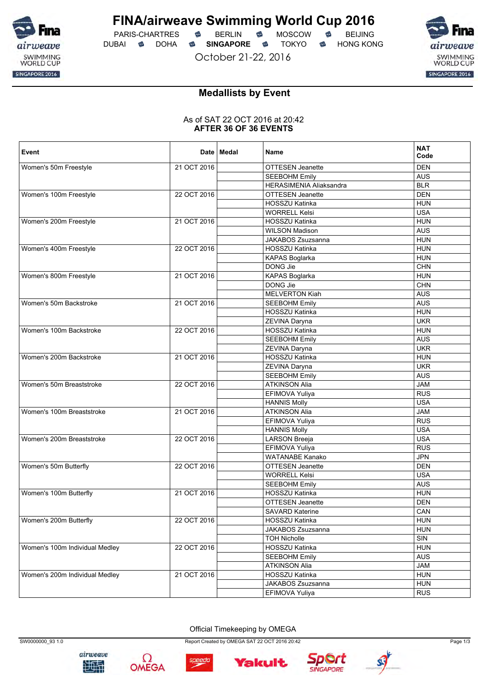

PARIS-CHARTRES **S** BERLIN S MOSCOW S DUBAI **S** DOHA S SINGAPORE S TOKYO S HONG KONG

October 21-22, 2016



# **Medallists by Event**

### As of SAT 22 OCT 2016 at 20:42 **AFTER 36 OF 36 EVENTS**

| Event                          |             | Date   Medal | <b>Name</b>                    | <b>NAT</b><br>Code |
|--------------------------------|-------------|--------------|--------------------------------|--------------------|
| Women's 50m Freestyle          | 21 OCT 2016 |              | <b>OTTESEN Jeanette</b>        | <b>DEN</b>         |
|                                |             |              | <b>SEEBOHM Emily</b>           | <b>AUS</b>         |
|                                |             |              | <b>HERASIMENIA Aliaksandra</b> | <b>BLR</b>         |
| Women's 100m Freestyle         | 22 OCT 2016 |              | OTTESEN Jeanette               | <b>DEN</b>         |
|                                |             |              | HOSSZU Katinka                 | <b>HUN</b>         |
|                                |             |              | <b>WORRELL Kelsi</b>           | <b>USA</b>         |
| Women's 200m Freestyle         | 21 OCT 2016 |              | HOSSZU Katinka                 | <b>HUN</b>         |
|                                |             |              | <b>WILSON Madison</b>          | <b>AUS</b>         |
|                                |             |              | <b>JAKABOS Zsuzsanna</b>       | <b>HUN</b>         |
| Women's 400m Freestyle         | 22 OCT 2016 |              | HOSSZU Katinka                 | <b>HUN</b>         |
|                                |             |              | KAPAS Boglarka                 | <b>HUN</b>         |
|                                |             |              | DONG Jie                       | CHN                |
| Women's 800m Freestyle         | 21 OCT 2016 |              | KAPAS Boglarka                 | <b>HUN</b>         |
|                                |             |              | DONG Jie                       | CHN                |
|                                |             |              | <b>MELVERTON Kiah</b>          | <b>AUS</b>         |
| Women's 50m Backstroke         | 21 OCT 2016 |              | <b>SEEBOHM Emily</b>           | <b>AUS</b>         |
|                                |             |              | <b>HOSSZU Katinka</b>          | <b>HUN</b>         |
|                                |             |              | ZEVINA Daryna                  | <b>UKR</b>         |
| Women's 100m Backstroke        | 22 OCT 2016 |              | HOSSZU Katinka                 | <b>HUN</b>         |
|                                |             |              | <b>SEEBOHM Emilv</b>           | <b>AUS</b>         |
|                                |             |              | ZEVINA Daryna                  | <b>UKR</b>         |
| Women's 200m Backstroke        | 21 OCT 2016 |              | HOSSZU Katinka                 | <b>HUN</b>         |
|                                |             |              | ZEVINA Daryna                  | <b>UKR</b>         |
|                                |             |              | <b>SEEBOHM Emily</b>           | <b>AUS</b>         |
| Women's 50m Breaststroke       | 22 OCT 2016 |              | <b>ATKINSON Alia</b>           | <b>JAM</b>         |
|                                |             |              | EFIMOVA Yuliya                 | <b>RUS</b>         |
|                                |             |              | <b>HANNIS Molly</b>            | <b>USA</b>         |
| Women's 100m Breaststroke      | 21 OCT 2016 |              | <b>ATKINSON Alia</b>           | <b>JAM</b>         |
|                                |             |              | EFIMOVA Yuliya                 | <b>RUS</b>         |
|                                |             |              | <b>HANNIS Molly</b>            | <b>USA</b>         |
| Women's 200m Breaststroke      | 22 OCT 2016 |              | <b>LARSON Breeja</b>           | <b>USA</b>         |
|                                |             |              | EFIMOVA Yuliya                 | <b>RUS</b>         |
|                                |             |              | <b>WATANABE Kanako</b>         | <b>JPN</b>         |
| Women's 50m Butterfly          | 22 OCT 2016 |              | <b>OTTESEN Jeanette</b>        | <b>DEN</b>         |
|                                |             |              | <b>WORRELL Kelsi</b>           | <b>USA</b>         |
|                                |             |              | <b>SEEBOHM Emily</b>           | <b>AUS</b>         |
| Women's 100m Butterfly         | 21 OCT 2016 |              | <b>HOSSZU Katinka</b>          | <b>HUN</b>         |
|                                |             |              | <b>OTTESEN Jeanette</b>        | <b>DEN</b>         |
|                                |             |              | <b>SAVARD Katerine</b>         | CAN                |
| Women's 200m Butterfly         | 22 OCT 2016 |              | HOSSZU Katinka                 | <b>HUN</b>         |
|                                |             |              | JAKABOS Zsuzsanna              | <b>HUN</b>         |
|                                |             |              | <b>TOH Nicholle</b>            | SIN                |
| Women's 100m Individual Medley | 22 OCT 2016 |              | HOSSZU Katinka                 | <b>HUN</b>         |
|                                |             |              | <b>SEEBOHM Emily</b>           | <b>AUS</b>         |
|                                |             |              | <b>ATKINSON Alia</b>           | <b>JAM</b>         |
| Women's 200m Individual Medley | 21 OCT 2016 |              | HOSSZU Katinka                 | <b>HUN</b>         |
|                                |             |              | JAKABOS Zsuzsanna              | <b>HUN</b>         |
|                                |             |              | EFIMOVA Yuliya                 | <b>RUS</b>         |

Official Timekeeping by OMEGA





speedo



Yakult



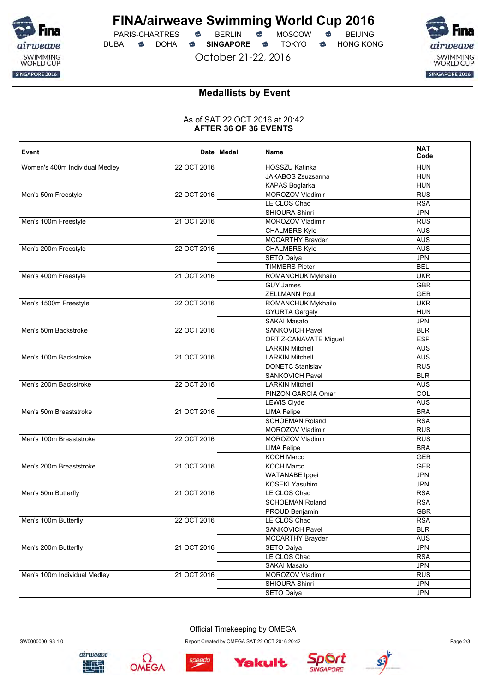

PARIS-CHARTRES **S** BERLIN S MOSCOW S DUBAI **S** DOHA S SINGAPORE S TOKYO S HONG KONG

October 21-22, 2016

airweave SWIMMING<br>WORLD CUP SINGAPORE 2016

# **Medallists by Event**

### As of SAT 22 OCT 2016 at 20:42 **AFTER 36 OF 36 EVENTS**

| Event                          |             | Date   Medal | <b>Name</b>              | <b>NAT</b><br>Code |
|--------------------------------|-------------|--------------|--------------------------|--------------------|
| Women's 400m Individual Medley | 22 OCT 2016 |              | HOSSZU Katinka           | <b>HUN</b>         |
|                                |             |              | <b>JAKABOS Zsuzsanna</b> | <b>HUN</b>         |
|                                |             |              | KAPAS Boglarka           | <b>HUN</b>         |
| Men's 50m Freestyle            | 22 OCT 2016 |              | MOROZOV Vladimir         | <b>RUS</b>         |
|                                |             |              | LE CLOS Chad             | <b>RSA</b>         |
|                                |             |              | SHIOURA Shinri           | <b>JPN</b>         |
| Men's 100m Freestyle           | 21 OCT 2016 |              | MOROZOV Vladimir         | <b>RUS</b>         |
|                                |             |              | <b>CHALMERS Kyle</b>     | <b>AUS</b>         |
|                                |             |              | MCCARTHY Brayden         | <b>AUS</b>         |
| Men's 200m Freestyle           | 22 OCT 2016 |              | <b>CHALMERS Kyle</b>     | <b>AUS</b>         |
|                                |             |              | SETO Daiya               | <b>JPN</b>         |
|                                |             |              | <b>TIMMERS Pieter</b>    | <b>BEL</b>         |
| Men's 400m Freestyle           | 21 OCT 2016 |              | ROMANCHUK Mykhailo       | <b>UKR</b>         |
|                                |             |              | <b>GUY James</b>         | <b>GBR</b>         |
|                                |             |              | <b>ZELLMANN Poul</b>     | <b>GER</b>         |
| Men's 1500m Freestyle          | 22 OCT 2016 |              | ROMANCHUK Mykhailo       | <b>UKR</b>         |
|                                |             |              | <b>GYURTA Gergely</b>    | <b>HUN</b>         |
|                                |             |              | SAKAI Masato             | <b>JPN</b>         |
| Men's 50m Backstroke           | 22 OCT 2016 |              | SANKOVICH Pavel          | <b>BLR</b>         |
|                                |             |              | ORTIZ-CANAVATE Miguel    | <b>ESP</b>         |
|                                |             |              | <b>LARKIN Mitchell</b>   | <b>AUS</b>         |
| Men's 100m Backstroke          | 21 OCT 2016 |              | <b>LARKIN Mitchell</b>   | <b>AUS</b>         |
|                                |             |              | <b>DONETC Stanislav</b>  | <b>RUS</b>         |
|                                |             |              | SANKOVICH Pavel          | <b>BLR</b>         |
| Men's 200m Backstroke          | 22 OCT 2016 |              | <b>LARKIN Mitchell</b>   | <b>AUS</b>         |
|                                |             |              | PINZON GARCIA Omar       | COL                |
|                                |             |              | <b>LEWIS Clyde</b>       | <b>AUS</b>         |
| Men's 50m Breaststroke         | 21 OCT 2016 |              | <b>LIMA Felipe</b>       | <b>BRA</b>         |
|                                |             |              | <b>SCHOEMAN Roland</b>   | <b>RSA</b>         |
|                                |             |              | MOROZOV Vladimir         | <b>RUS</b>         |
| Men's 100m Breaststroke        | 22 OCT 2016 |              | MOROZOV Vladimir         | <b>RUS</b>         |
|                                |             |              | <b>LIMA Felipe</b>       | <b>BRA</b>         |
|                                |             |              | KOCH Marco               | <b>GER</b>         |
| Men's 200m Breaststroke        | 21 OCT 2016 |              | KOCH Marco               | <b>GER</b>         |
|                                |             |              | <b>WATANABE</b> Ippei    | <b>JPN</b>         |
|                                |             |              | <b>KOSEKI Yasuhiro</b>   | <b>JPN</b>         |
| Men's 50m Butterfly            | 21 OCT 2016 |              | LE CLOS Chad             | <b>RSA</b>         |
|                                |             |              | <b>SCHOEMAN Roland</b>   | <b>RSA</b>         |
|                                |             |              | PROUD Benjamin           | <b>GBR</b>         |
|                                |             |              |                          |                    |
| Men's 100m Butterfly           | 22 OCT 2016 |              | LE CLOS Chad             | <b>RSA</b>         |
|                                |             |              | SANKOVICH Pavel          | <b>BLR</b>         |
|                                |             |              | MCCARTHY Brayden         | AUS                |
| Men's 200m Butterfly           | 21 OCT 2016 |              | SETO Daiya               | <b>JPN</b>         |
|                                |             |              | LE CLOS Chad             | <b>RSA</b>         |
|                                |             |              | SAKAI Masato             | <b>JPN</b>         |
| Men's 100m Individual Medley   | 21 OCT 2016 |              | MOROZOV Vladimir         | <b>RUS</b>         |
|                                |             |              | SHIOURA Shinri           | <b>JPN</b>         |
|                                |             |              | SETO Daiya               | <b>JPN</b>         |

Official Timekeeping by OMEGA





speedo

SW0000000\_93 1.0 Page 2/3



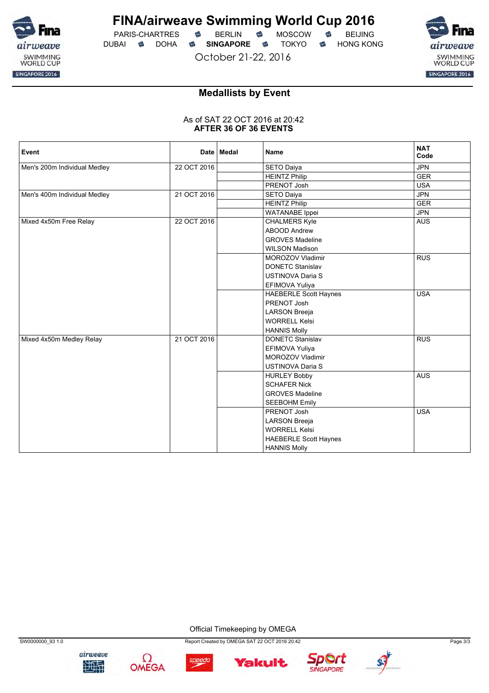

PARIS-CHARTRES **S** BERLIN S MOSCOW S DUBAI **S** DOHA S SINGAPORE S TOKYO S HONG KONG

October 21-22, 2016



# **Medallists by Event**

### As of SAT 22 OCT 2016 at 20:42 **AFTER 36 OF 36 EVENTS**

| Event                        |             | Date   Medal | <b>Name</b>                  | <b>NAT</b><br>Code |
|------------------------------|-------------|--------------|------------------------------|--------------------|
| Men's 200m Individual Medley | 22 OCT 2016 |              | SETO Daiya                   | <b>JPN</b>         |
|                              |             |              | <b>HEINTZ Philip</b>         | <b>GER</b>         |
|                              |             |              | PRENOT Josh                  | <b>USA</b>         |
| Men's 400m Individual Medley | 21 OCT 2016 |              | <b>SETO Daiya</b>            | <b>JPN</b>         |
|                              |             |              | <b>HEINTZ Philip</b>         | <b>GER</b>         |
|                              |             |              | <b>WATANABE</b> Ippei        | <b>JPN</b>         |
| Mixed 4x50m Free Relay       | 22 OCT 2016 |              | <b>CHALMERS Kyle</b>         | <b>AUS</b>         |
|                              |             |              | <b>ABOOD Andrew</b>          |                    |
|                              |             |              | <b>GROVES Madeline</b>       |                    |
|                              |             |              | <b>WILSON Madison</b>        |                    |
|                              |             |              | <b>MOROZOV Vladimir</b>      | <b>RUS</b>         |
|                              |             |              | <b>DONETC Stanislav</b>      |                    |
|                              |             |              | <b>USTINOVA Daria S</b>      |                    |
|                              |             |              | EFIMOVA Yuliya               |                    |
|                              |             |              | <b>HAEBERLE Scott Haynes</b> | <b>USA</b>         |
|                              |             |              | PRENOT Josh                  |                    |
|                              |             |              | <b>LARSON Breeja</b>         |                    |
|                              |             |              | <b>WORRELL Kelsi</b>         |                    |
|                              |             |              | <b>HANNIS Molly</b>          |                    |
| Mixed 4x50m Medley Relay     | 21 OCT 2016 |              | <b>DONETC Stanislav</b>      | RUS                |
|                              |             |              | EFIMOVA Yuliya               |                    |
|                              |             |              | MOROZOV Vladimir             |                    |
|                              |             |              | <b>USTINOVA Daria S</b>      |                    |
|                              |             |              | <b>HURLEY Bobby</b>          | <b>AUS</b>         |
|                              |             |              | <b>SCHAFER Nick</b>          |                    |
|                              |             |              | <b>GROVES Madeline</b>       |                    |
|                              |             |              | <b>SEEBOHM Emily</b>         |                    |
|                              |             |              | PRENOT Josh                  | <b>USA</b>         |
|                              |             |              | <b>LARSON Breeja</b>         |                    |
|                              |             |              | <b>WORRELL Kelsi</b>         |                    |
|                              |             |              | <b>HAEBERLE Scott Haynes</b> |                    |
|                              |             |              | <b>HANNIS Molly</b>          |                    |

Official Timekeeping by OMEGA









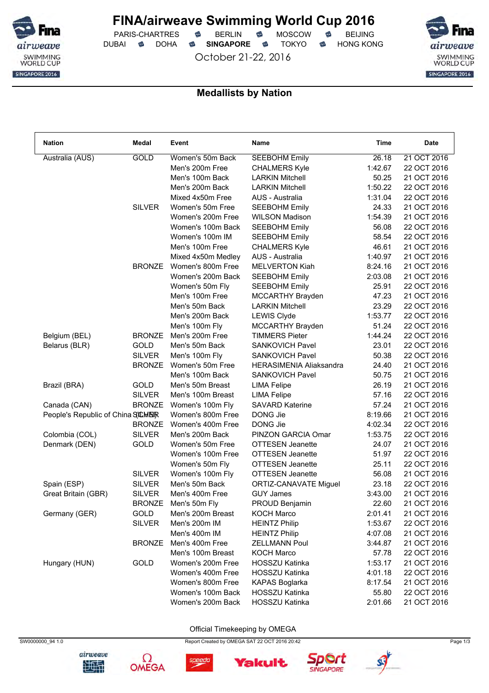

PARIS-CHARTRES **S** BERLIN S MOSCOW S DUBAI **S** DOHA S SINGAPORE S TOKYO S HONG KONG

October 21-22, 2016



### **Medallists by Nation**

| <b>Nation</b>                     | Medal                          | Event                              | <b>Name</b>                                             | Time    | <b>Date</b>                |
|-----------------------------------|--------------------------------|------------------------------------|---------------------------------------------------------|---------|----------------------------|
| Australia (AUS)                   | GOLD                           | Women's 50m Back                   | <b>SEEBOHM Emily</b>                                    | 26.18   | 21 OCT 2016                |
|                                   |                                | Men's 200m Free                    | <b>CHALMERS Kyle</b>                                    | 1:42.67 | 22 OCT 2016                |
|                                   |                                | Men's 100m Back                    | <b>LARKIN Mitchell</b>                                  | 50.25   | 21 OCT 2016                |
|                                   |                                | Men's 200m Back                    | <b>LARKIN Mitchell</b>                                  | 1:50.22 | 22 OCT 2016                |
|                                   |                                | Mixed 4x50m Free                   | AUS - Australia                                         | 1:31.04 | 22 OCT 2016                |
|                                   | <b>SILVER</b>                  | Women's 50m Free                   | <b>SEEBOHM Emily</b>                                    | 24.33   | 21 OCT 2016                |
|                                   |                                | Women's 200m Free                  | <b>WILSON Madison</b>                                   | 1:54.39 | 21 OCT 2016                |
|                                   |                                | Women's 100m Back                  | <b>SEEBOHM Emily</b>                                    | 56.08   | 22 OCT 2016                |
|                                   |                                | Women's 100m IM                    | <b>SEEBOHM Emily</b>                                    | 58.54   | 22 OCT 2016                |
|                                   |                                | Men's 100m Free                    | <b>CHALMERS Kyle</b>                                    | 46.61   | 21 OCT 2016                |
|                                   |                                | Mixed 4x50m Medley                 | AUS - Australia                                         | 1:40.97 | 21 OCT 2016                |
|                                   | <b>BRONZE</b>                  | Women's 800m Free                  | <b>MELVERTON Kiah</b>                                   | 8:24.16 | 21 OCT 2016                |
|                                   |                                | Women's 200m Back                  | <b>SEEBOHM Emily</b>                                    | 2:03.08 | 21 OCT 2016                |
|                                   |                                | Women's 50m Fly                    | <b>SEEBOHM Emily</b>                                    | 25.91   | 22 OCT 2016                |
|                                   |                                | Men's 100m Free                    | MCCARTHY Brayden                                        | 47.23   | 21 OCT 2016                |
|                                   |                                | Men's 50m Back                     | <b>LARKIN Mitchell</b>                                  | 23.29   | 22 OCT 2016                |
|                                   |                                | Men's 200m Back                    | <b>LEWIS Clyde</b>                                      | 1:53.77 | 22 OCT 2016                |
|                                   |                                | Men's 100m Fly                     | MCCARTHY Brayden                                        | 51.24   | 22 OCT 2016                |
| Belgium (BEL)                     | <b>BRONZE</b>                  | Men's 200m Free                    | <b>TIMMERS Pieter</b>                                   | 1:44.24 | 22 OCT 2016                |
| Belarus (BLR)                     | GOLD                           | Men's 50m Back                     | <b>SANKOVICH Pavel</b>                                  | 23.01   | 22 OCT 2016                |
|                                   | <b>SILVER</b>                  | Men's 100m Fly                     | <b>SANKOVICH Pavel</b>                                  | 50.38   | 22 OCT 2016                |
|                                   | <b>BRONZE</b>                  | Women's 50m Free                   | <b>HERASIMENIA Aliaksandra</b>                          | 24.40   | 21 OCT 2016                |
|                                   |                                | Men's 100m Back                    | <b>SANKOVICH Pavel</b>                                  | 50.75   | 21 OCT 2016                |
| Brazil (BRA)                      | GOLD                           | Men's 50m Breast                   | <b>LIMA Felipe</b>                                      | 26.19   | 21 OCT 2016                |
|                                   | <b>SILVER</b>                  | Men's 100m Breast                  | <b>LIMA Felipe</b>                                      | 57.16   | 22 OCT 2016                |
| Canada (CAN)                      | <b>BRONZE</b>                  | Women's 100m Fly                   | <b>SAVARD Katerine</b>                                  | 57.24   | 21 OCT 2016                |
| People's Republic of China SILMER |                                | Women's 800m Free                  | DONG Jie                                                | 8:19.66 | 21 OCT 2016                |
|                                   | <b>BRONZE</b>                  | Women's 400m Free                  | DONG Jie                                                | 4:02.34 | 22 OCT 2016                |
| Colombia (COL)                    | <b>SILVER</b>                  | Men's 200m Back                    | PINZON GARCIA Omar                                      | 1:53.75 | 22 OCT 2016                |
| Denmark (DEN)                     | GOLD                           | Women's 50m Free                   | <b>OTTESEN Jeanette</b>                                 | 24.07   | 21 OCT 2016                |
|                                   |                                | Women's 100m Free                  | <b>OTTESEN Jeanette</b>                                 | 51.97   | 22 OCT 2016                |
|                                   |                                | Women's 50m Fly                    | <b>OTTESEN Jeanette</b>                                 | 25.11   | 22 OCT 2016                |
|                                   |                                |                                    |                                                         | 56.08   | 21 OCT 2016                |
|                                   | <b>SILVER</b>                  | Women's 100m Fly<br>Men's 50m Back | <b>OTTESEN Jeanette</b><br><b>ORTIZ-CANAVATE Miguel</b> | 23.18   | 22 OCT 2016                |
| Spain (ESP)                       | <b>SILVER</b><br><b>SILVER</b> | Men's 400m Free                    | <b>GUY James</b>                                        | 3:43.00 | 21 OCT 2016                |
| Great Britain (GBR)               | <b>BRONZE</b>                  |                                    | PROUD Benjamin                                          | 22.60   | 21 OCT 2016                |
|                                   |                                | Men's 50m Fly                      |                                                         |         |                            |
| Germany (GER)                     | GOLD                           | Men's 200m Breast                  | <b>KOCH Marco</b>                                       | 2:01.41 | 21 OCT 2016<br>22 OCT 2016 |
|                                   | <b>SILVER</b>                  | Men's 200m IM                      | <b>HEINTZ Philip</b>                                    | 1:53.67 |                            |
|                                   |                                | Men's 400m IM                      | <b>HEINTZ Philip</b>                                    | 4:07.08 | 21 OCT 2016                |
|                                   | <b>BRONZE</b>                  | Men's 400m Free                    | <b>ZELLMANN Poul</b>                                    | 3:44.87 | 21 OCT 2016                |
|                                   |                                | Men's 100m Breast                  | <b>KOCH Marco</b>                                       | 57.78   | 22 OCT 2016                |
| Hungary (HUN)                     | GOLD                           | Women's 200m Free                  | HOSSZU Katinka                                          | 1:53.17 | 21 OCT 2016                |
|                                   |                                | Women's 400m Free                  | HOSSZU Katinka                                          | 4:01.18 | 22 OCT 2016                |
|                                   |                                | Women's 800m Free                  | <b>KAPAS Boglarka</b>                                   | 8:17.54 | 21 OCT 2016                |
|                                   |                                | Women's 100m Back                  | <b>HOSSZU Katinka</b>                                   | 55.80   | 22 OCT 2016                |
|                                   |                                | Women's 200m Back                  | <b>HOSSZU Katinka</b>                                   | 2:01.66 | 21 OCT 2016                |

Official Timekeeping by OMEGA

speedo





SW0000000\_94 1.0 Page 1/3





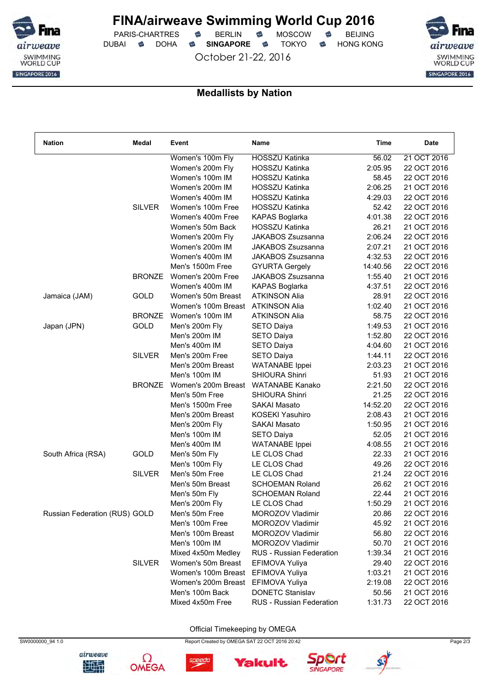

PARIS-CHARTRES **S** BERLIN S MOSCOW S DUBAI **S** DOHA S SINGAPORE S TOKYO S HONG KONG

October 21-22, 2016



### **Medallists by Nation**

| <b>Nation</b>                 | Medal         | Event               | Name                            | Time     | <b>Date</b> |
|-------------------------------|---------------|---------------------|---------------------------------|----------|-------------|
|                               |               | Women's 100m Fly    | <b>HOSSZU Katinka</b>           | 56.02    | 21 OCT 2016 |
|                               |               | Women's 200m Fly    | <b>HOSSZU Katinka</b>           | 2:05.95  | 22 OCT 2016 |
|                               |               | Women's 100m IM     | <b>HOSSZU Katinka</b>           | 58.45    | 22 OCT 2016 |
|                               |               | Women's 200m IM     | <b>HOSSZU Katinka</b>           | 2:06.25  | 21 OCT 2016 |
|                               |               | Women's 400m IM     | <b>HOSSZU Katinka</b>           | 4:29.03  | 22 OCT 2016 |
|                               | <b>SILVER</b> | Women's 100m Free   | <b>HOSSZU Katinka</b>           | 52.42    | 22 OCT 2016 |
|                               |               | Women's 400m Free   | <b>KAPAS Boglarka</b>           | 4:01.38  | 22 OCT 2016 |
|                               |               | Women's 50m Back    | <b>HOSSZU Katinka</b>           | 26.21    | 21 OCT 2016 |
|                               |               | Women's 200m Fly    | JAKABOS Zsuzsanna               | 2:06.24  | 22 OCT 2016 |
|                               |               | Women's 200m IM     | JAKABOS Zsuzsanna               | 2:07.21  | 21 OCT 2016 |
|                               |               | Women's 400m IM     | JAKABOS Zsuzsanna               | 4:32.53  | 22 OCT 2016 |
|                               |               | Men's 1500m Free    | <b>GYURTA Gergely</b>           | 14:40.56 | 22 OCT 2016 |
|                               | <b>BRONZE</b> | Women's 200m Free   | JAKABOS Zsuzsanna               | 1:55.40  | 21 OCT 2016 |
|                               |               | Women's 400m IM     | <b>KAPAS Boglarka</b>           | 4:37.51  | 22 OCT 2016 |
| Jamaica (JAM)                 | GOLD          | Women's 50m Breast  | <b>ATKINSON Alia</b>            | 28.91    | 22 OCT 2016 |
|                               |               | Women's 100m Breast | <b>ATKINSON Alia</b>            | 1:02.40  | 21 OCT 2016 |
|                               | <b>BRONZE</b> | Women's 100m IM     | <b>ATKINSON Alia</b>            | 58.75    | 22 OCT 2016 |
| Japan (JPN)                   | GOLD          | Men's 200m Fly      | <b>SETO Daiya</b>               | 1:49.53  | 21 OCT 2016 |
|                               |               | Men's 200m IM       | <b>SETO Daiya</b>               | 1:52.80  | 22 OCT 2016 |
|                               |               | Men's 400m IM       | <b>SETO Daiya</b>               | 4:04.60  | 21 OCT 2016 |
|                               | <b>SILVER</b> | Men's 200m Free     | SETO Daiya                      | 1:44.11  | 22 OCT 2016 |
|                               |               | Men's 200m Breast   | <b>WATANABE</b> Ippei           | 2:03.23  | 21 OCT 2016 |
|                               |               | Men's 100m IM       | <b>SHIOURA Shinri</b>           | 51.93    | 21 OCT 2016 |
|                               | <b>BRONZE</b> | Women's 200m Breast | <b>WATANABE Kanako</b>          | 2:21.50  | 22 OCT 2016 |
|                               |               | Men's 50m Free      | <b>SHIOURA Shinri</b>           | 21.25    | 22 OCT 2016 |
|                               |               | Men's 1500m Free    | <b>SAKAI Masato</b>             | 14:52.20 | 22 OCT 2016 |
|                               |               | Men's 200m Breast   | KOSEKI Yasuhiro                 | 2:08.43  | 21 OCT 2016 |
|                               |               | Men's 200m Fly      | <b>SAKAI Masato</b>             | 1:50.95  | 21 OCT 2016 |
|                               |               | Men's 100m IM       | <b>SETO Daiya</b>               | 52.05    | 21 OCT 2016 |
|                               |               | Men's 400m IM       | <b>WATANABE</b> Ippei           | 4:08.55  | 21 OCT 2016 |
| South Africa (RSA)            | GOLD          | Men's 50m Fly       | LE CLOS Chad                    | 22.33    | 21 OCT 2016 |
|                               |               | Men's 100m Fly      | LE CLOS Chad                    | 49.26    | 22 OCT 2016 |
|                               | <b>SILVER</b> | Men's 50m Free      | LE CLOS Chad                    | 21.24    | 22 OCT 2016 |
|                               |               | Men's 50m Breast    | <b>SCHOEMAN Roland</b>          | 26.62    | 21 OCT 2016 |
|                               |               | Men's 50m Fly       | <b>SCHOEMAN Roland</b>          | 22.44    | 21 OCT 2016 |
|                               |               | Men's 200m Fly      | LE CLOS Chad                    | 1:50.29  | 21 OCT 2016 |
| Russian Federation (RUS) GOLD |               | Men's 50m Free      | MOROZOV Vladimir                | 20.86    | 22 OCT 2016 |
|                               |               | Men's 100m Free     | MOROZOV Vladimir                | 45.92    | 21 OCT 2016 |
|                               |               | Men's 100m Breast   | MOROZOV Vladimir                | 56.80    | 22 OCT 2016 |
|                               |               | Men's 100m IM       | MOROZOV Vladimir                | 50.70    | 21 OCT 2016 |
|                               |               | Mixed 4x50m Medley  | <b>RUS</b> - Russian Federation | 1:39.34  | 21 OCT 2016 |
|                               | <b>SILVER</b> | Women's 50m Breast  | EFIMOVA Yuliya                  | 29.40    | 22 OCT 2016 |
|                               |               | Women's 100m Breast | EFIMOVA Yuliya                  | 1:03.21  | 21 OCT 2016 |
|                               |               | Women's 200m Breast | EFIMOVA Yuliya                  | 2:19.08  | 22 OCT 2016 |
|                               |               | Men's 100m Back     | <b>DONETC Stanislav</b>         | 50.56    | 21 OCT 2016 |
|                               |               | Mixed 4x50m Free    | RUS - Russian Federation        | 1:31.73  | 22 OCT 2016 |
|                               |               |                     |                                 |          |             |

Official Timekeeping by OMEGA

Yakult







speedo



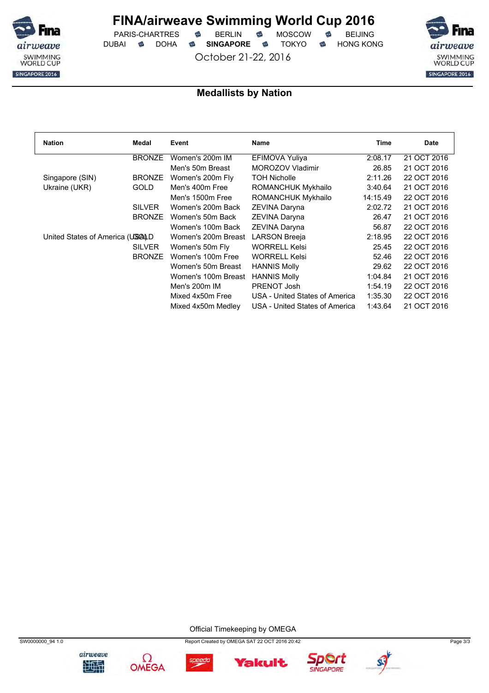

 $PARIS-CHARTRES$  **BERLIN B** MOSCOW **B** DUBAI **S** DOHA S SINGAPORE S TOKYO S HONG KONG

October 21-22, 2016



### **Medallists by Nation**

| <b>Nation</b>                   | Medal         | Event               | <b>Name</b>                    | Time     | <b>Date</b> |
|---------------------------------|---------------|---------------------|--------------------------------|----------|-------------|
|                                 | <b>BRONZE</b> | Women's 200m IM     | EFIMOVA Yuliya                 | 2:08.17  | 21 OCT 2016 |
|                                 |               | Men's 50m Breast    | <b>MOROZOV Vladimir</b>        | 26.85    | 21 OCT 2016 |
| Singapore (SIN)                 | <b>BRONZE</b> | Women's 200m Fly    | <b>TOH Nicholle</b>            | 2:11.26  | 22 OCT 2016 |
| Ukraine (UKR)                   | <b>GOLD</b>   | Men's 400m Free     | <b>ROMANCHUK Mykhailo</b>      | 3:40.64  | 21 OCT 2016 |
|                                 |               | Men's 1500m Free    | ROMANCHUK Mykhailo             | 14:15.49 | 22 OCT 2016 |
|                                 | <b>SILVER</b> | Women's 200m Back   | <b>ZEVINA Daryna</b>           | 2:02.72  | 21 OCT 2016 |
|                                 | <b>BRONZE</b> | Women's 50m Back    | ZEVINA Daryna                  | 26.47    | 21 OCT 2016 |
|                                 |               | Women's 100m Back   | <b>ZEVINA Daryna</b>           | 56.87    | 22 OCT 2016 |
| United States of America (USALD |               | Women's 200m Breast | <b>LARSON Breeja</b>           | 2:18.95  | 22 OCT 2016 |
|                                 | <b>SILVER</b> | Women's 50m Fly     | <b>WORRELL Kelsi</b>           | 25.45    | 22 OCT 2016 |
|                                 | <b>BRONZE</b> | Women's 100m Free   | <b>WORRELL Kelsi</b>           | 52.46    | 22 OCT 2016 |
|                                 |               | Women's 50m Breast  | <b>HANNIS Molly</b>            | 29.62    | 22 OCT 2016 |
|                                 |               | Women's 100m Breast | <b>HANNIS Molly</b>            | 1:04.84  | 21 OCT 2016 |
|                                 |               | Men's 200m IM       | PRENOT Josh                    | 1:54.19  | 22 OCT 2016 |
|                                 |               | Mixed 4x50m Free    | USA - United States of America | 1:35.30  | 22 OCT 2016 |
|                                 |               | Mixed 4x50m Medley  | USA - United States of America | 1:43.64  | 21 OCT 2016 |

Official Timekeeping by OMEGA









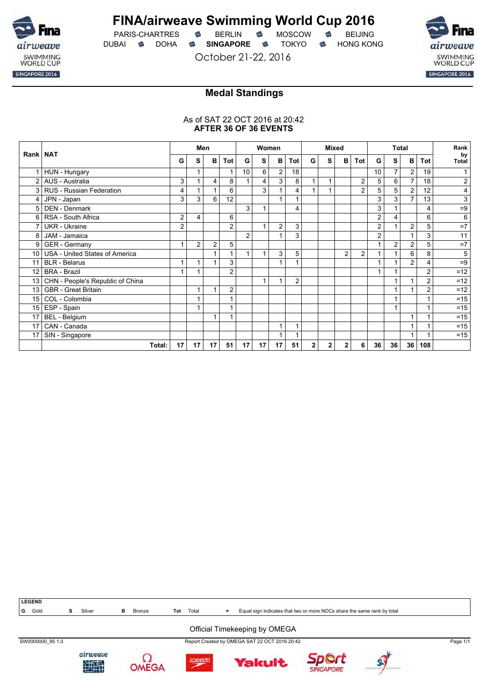

PARIS-CHARTRES **B** BERLIN **B** MOSCOW **B** BEIJING DUBAI **S** DOHA S SINGAPORE S TOKYO S HONG KONG

October 21-22, 2016



### **Medal Standings**

### As of SAT 22 OCT 2016 at 20:42 **AFTER 36 OF 36 EVENTS**

|                | Rank   NAT                          |                | Men            |                |                         | Women           |    |                | <b>Mixed</b>   |              |              |                | <b>Total</b>   |                |                | Rank           |     |                           |
|----------------|-------------------------------------|----------------|----------------|----------------|-------------------------|-----------------|----|----------------|----------------|--------------|--------------|----------------|----------------|----------------|----------------|----------------|-----|---------------------------|
|                |                                     |                | s              | B              | Tot                     | G               | s  | B              | Tot            | G            | S            | в              | Tot            | G              | s              | в              | Tot | by<br>Total               |
|                | HUN - Hungary                       |                |                |                | 1                       | 10 <sup>°</sup> | 6  | $\overline{2}$ | 18             |              |              |                |                | 10             | $\overline{7}$ | $\overline{2}$ | 19  |                           |
| $\overline{2}$ | AUS - Australia                     | 3              |                | 4              | 8                       | 1               | 4  | 3              | 8              |              | 1            |                | $\overline{2}$ | 5              | 6              | $\overline{7}$ | 18  | $\overline{\mathbf{c}}$   |
| 3              | <b>RUS - Russian Federation</b>     | 4              |                |                | 6                       |                 | 3  |                | 4              |              |              |                | $\overline{2}$ | 5              | 5              | $\overline{c}$ | 12  | 4                         |
| 4              | JPN - Japan                         | 3              | 3              | 6              | 12                      |                 |    |                |                |              |              |                |                | 3              | 3              | $\overline{7}$ | 13  | $\ensuremath{\mathsf{3}}$ |
| 5              | DEN - Denmark                       |                |                |                |                         | 3               |    |                | 4              |              |              |                |                | 3              |                |                | 4   | $=9$                      |
| 6              | RSA - South Africa                  | 2              | 4              |                | 6                       |                 |    |                |                |              |              |                |                | 2              | 4              |                | 6   | 6                         |
|                | <b>UKR</b> - Ukraine                | $\overline{2}$ |                |                | $\overline{2}$          |                 |    | $\overline{2}$ | 3              |              |              |                |                | 2              |                | 2              | 5   | $=7$                      |
|                | 8 JAM - Jamaica                     |                |                |                |                         | 2               |    |                | 3              |              |              |                |                | $\overline{2}$ |                | 1              | 3   | 11                        |
| 9              | <b>GER</b> - Germany                | 1              | $\overline{2}$ | $\overline{2}$ | 5                       |                 |    |                |                |              |              |                |                |                | $\overline{2}$ | $\overline{c}$ | 5   | $=7$                      |
|                | 10   USA - United States of America |                |                |                |                         | $\mathbf{1}$    |    | 3              | 5              |              |              | $\overline{2}$ | $\overline{2}$ |                |                | 6              | 8   | 5                         |
| 11             | <b>BLR</b> - Belarus                |                |                |                | 3                       |                 |    |                |                |              |              |                |                |                |                | $\overline{2}$ | 4   | $=9$                      |
| 12             | <b>BRA - Brazil</b>                 | 4              |                |                | $\overline{2}$          |                 |    |                |                |              |              |                |                |                |                |                | 2   | $=12$                     |
| 13             | CHN - People's Republic of China    |                |                |                |                         |                 | 1  | 1              | $\overline{c}$ |              |              |                |                |                |                | 1              | 2   | $=12$                     |
| 13             | <b>GBR</b> - Great Britain          |                |                | 1              | $\overline{c}$          |                 |    |                |                |              |              |                |                |                | 1              |                | 2   | $=12$                     |
| 15             | COL - Colombia                      |                |                |                |                         |                 |    |                |                |              |              |                |                |                |                |                |     | $=15$                     |
|                | 15 ESP - Spain                      |                |                |                |                         |                 |    |                |                |              |              |                |                |                |                |                |     | $=15$                     |
| 17             | BEL - Belgium                       |                |                | 1              | $\overline{\mathbf{A}}$ |                 |    |                |                |              |              |                |                |                |                | 1              |     | $=15$                     |
| 17             | CAN - Canada                        |                |                |                |                         |                 |    |                | 1              |              |              |                |                |                |                | 1              |     | $=15$                     |
| 17             | SIN - Singapore                     |                |                |                |                         |                 |    |                |                |              |              |                |                |                |                |                |     | $=15$                     |
|                | Total:                              | 17             | 17             | 17             | 51                      | 17              | 17 | 17             | 51             | $\mathbf{2}$ | $\mathbf{2}$ | $\mathbf{2}$   | 6              | 36             | 36             | 36             | 108 |                           |



### Official Timekeeping by OMEGA

SW0000000\_95 1.0 Report Created by OMEGA SAT 22 OCT 2016 20:42 Page 1/1









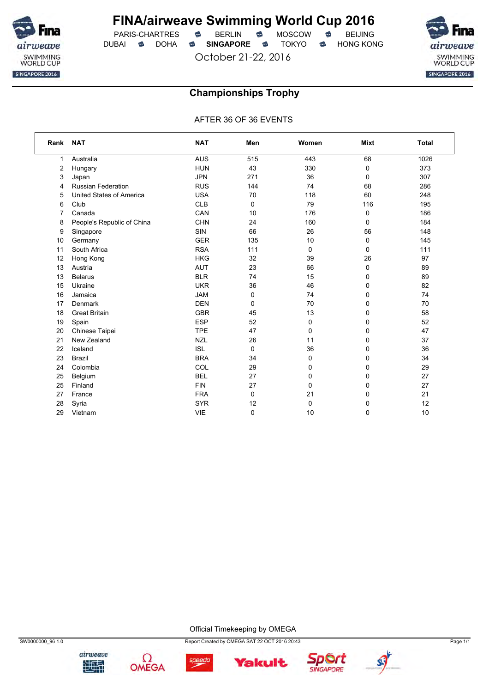

PARIS-CHARTRES **S** BERLIN S MOSCOW S DUBAI **S** DOHA S SINGAPORE S TOKYO S HONG KONG

October 21-22, 2016



## **Championships Trophy**

AFTER 36 OF 36 EVENTS

| Rank | <b>NAT</b>                 | <b>NAT</b> | Men | Women       | <b>Mixt</b> | <b>Total</b> |
|------|----------------------------|------------|-----|-------------|-------------|--------------|
| 1    | Australia                  | <b>AUS</b> | 515 | 443         | 68          | 1026         |
| 2    | Hungary                    | <b>HUN</b> | 43  | 330         | 0           | 373          |
| 3    | Japan                      | <b>JPN</b> | 271 | 36          | 0           | 307          |
| 4    | <b>Russian Federation</b>  | <b>RUS</b> | 144 | 74          | 68          | 286          |
| 5    | United States of America   | <b>USA</b> | 70  | 118         | 60          | 248          |
| 6    | Club                       | <b>CLB</b> | 0   | 79          | 116         | 195          |
| 7    | Canada                     | CAN        | 10  | 176         | 0           | 186          |
| 8    | People's Republic of China | CHN        | 24  | 160         | 0           | 184          |
| 9    | Singapore                  | <b>SIN</b> | 66  | 26          | 56          | 148          |
| 10   | Germany                    | <b>GER</b> | 135 | 10          | 0           | 145          |
| 11   | South Africa               | <b>RSA</b> | 111 | 0           | 0           | 111          |
| 12   | Hong Kong                  | <b>HKG</b> | 32  | 39          | 26          | 97           |
| 13   | Austria                    | <b>AUT</b> | 23  | 66          | 0           | 89           |
| 13   | <b>Belarus</b>             | <b>BLR</b> | 74  | 15          | 0           | 89           |
| 15   | Ukraine                    | <b>UKR</b> | 36  | 46          | 0           | 82           |
| 16   | Jamaica                    | <b>JAM</b> | 0   | 74          | 0           | 74           |
| 17   | Denmark                    | <b>DEN</b> | 0   | 70          | 0           | 70           |
| 18   | <b>Great Britain</b>       | <b>GBR</b> | 45  | 13          | 0           | 58           |
| 19   | Spain                      | <b>ESP</b> | 52  | 0           | 0           | 52           |
| 20   | Chinese Taipei             | <b>TPE</b> | 47  | $\mathbf 0$ | 0           | 47           |
| 21   | New Zealand                | <b>NZL</b> | 26  | 11          | 0           | 37           |
| 22   | Iceland                    | <b>ISL</b> | 0   | 36          | 0           | 36           |
| 23   | <b>Brazil</b>              | <b>BRA</b> | 34  | $\mathbf 0$ | 0           | 34           |
| 24   | Colombia                   | COL        | 29  | 0           | 0           | 29           |
| 25   | Belgium                    | <b>BEL</b> | 27  | $\mathbf 0$ | 0           | 27           |
| 25   | Finland                    | <b>FIN</b> | 27  | $\mathbf 0$ | 0           | 27           |
| 27   | France                     | <b>FRA</b> | 0   | 21          | 0           | 21           |
| 28   | Syria                      | <b>SYR</b> | 12  | $\mathbf 0$ | 0           | 12           |
| 29   | Vietnam                    | <b>VIE</b> | 0   | 10          | 0           | 10           |

Official Timekeeping by OMEGA

**Yakult**.







speedo



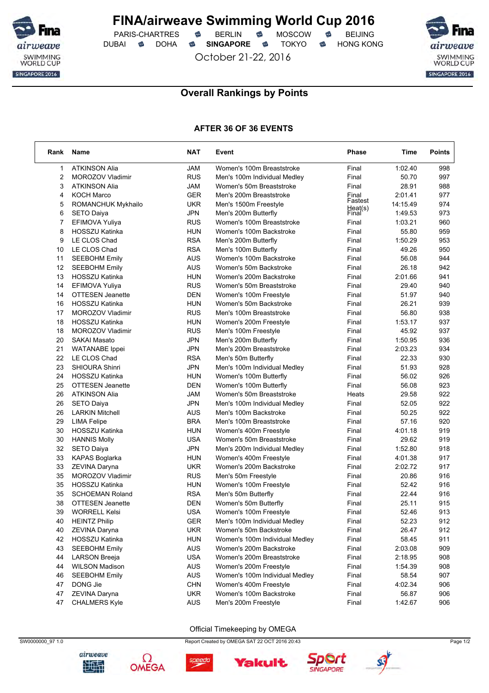

PARIS-CHARTRES **S** BERLIN S MOSCOW S DUBAI **SINGAPORE SINGAPORE SINGAPORE SING A** 

October 21-22, 2016



### **Overall Rankings by Points**

### **AFTER 36 OF 36 EVENTS**

| Rank | Name                    | <b>NAT</b> | Event                          | Phase            | Time     | <b>Points</b> |
|------|-------------------------|------------|--------------------------------|------------------|----------|---------------|
| 1    | <b>ATKINSON Alia</b>    | <b>JAM</b> | Women's 100m Breaststroke      | Final            | 1:02.40  | 998           |
| 2    | MOROZOV Vladimir        | <b>RUS</b> | Men's 100m Individual Medley   | Final            | 50.70    | 997           |
| 3    | <b>ATKINSON Alia</b>    | JAM        | Women's 50m Breaststroke       | Final            | 28.91    | 988           |
| 4    | <b>KOCH Marco</b>       | <b>GER</b> | Men's 200m Breaststroke        | Final            | 2:01.41  | 977           |
| 5    | ROMANCHUK Mykhailo      | UKR        | Men's 1500m Freestyle          | Fastest          | 14:15.49 | 974           |
| 6    | <b>SETO Daiya</b>       | JPN        | Men's 200m Butterfly           | Heat(s)<br>Final | 1:49.53  | 973           |
| 7    | EFIMOVA Yuliya          | <b>RUS</b> | Women's 100m Breaststroke      | Final            | 1:03.21  | 960           |
| 8    | HOSSZU Katinka          | <b>HUN</b> | Women's 100m Backstroke        | Final            | 55.80    | 959           |
| 9    | LE CLOS Chad            | <b>RSA</b> | Men's 200m Butterfly           | Final            | 1:50.29  | 953           |
| 10   | LE CLOS Chad            | <b>RSA</b> | Men's 100m Butterfly           | Final            | 49.26    | 950           |
| 11   | <b>SEEBOHM Emily</b>    | <b>AUS</b> | Women's 100m Backstroke        | Final            | 56.08    | 944           |
| 12   | <b>SEEBOHM Emily</b>    | <b>AUS</b> | Women's 50m Backstroke         | Final            | 26.18    | 942           |
| 13   | <b>HOSSZU Katinka</b>   | <b>HUN</b> | Women's 200m Backstroke        | Final            | 2:01.66  | 941           |
| 14   | EFIMOVA Yuliya          | <b>RUS</b> | Women's 50m Breaststroke       | Final            | 29.40    | 940           |
| 14   | <b>OTTESEN Jeanette</b> | <b>DEN</b> | Women's 100m Freestyle         | Final            | 51.97    | 940           |
| 16   | <b>HOSSZU Katinka</b>   | <b>HUN</b> | Women's 50m Backstroke         | Final            | 26.21    | 939           |
| 17   | MOROZOV Vladimir        | <b>RUS</b> | Men's 100m Breaststroke        | Final            | 56.80    | 938           |
| 18   | <b>HOSSZU Katinka</b>   | HUN        | Women's 200m Freestyle         | Final            | 1:53.17  | 937           |
| 18   | MOROZOV Vladimir        | <b>RUS</b> | Men's 100m Freestyle           | Final            | 45.92    | 937           |
| 20   | <b>SAKAI Masato</b>     | JPN        | Men's 200m Butterfly           | Final            | 1:50.95  | 936           |
| 21   | <b>WATANABE</b> Ippei   | JPN        | Men's 200m Breaststroke        | Final            | 2:03.23  | 934           |
| 22   | LE CLOS Chad            | <b>RSA</b> | Men's 50m Butterfly            | Final            | 22.33    | 930           |
| 23   | <b>SHIOURA Shinri</b>   | <b>JPN</b> | Men's 100m Individual Medley   | Final            | 51.93    | 928           |
| 24   | HOSSZU Katinka          | HUN        | Women's 100m Butterfly         | Final            | 56.02    | 926           |
| 25   | <b>OTTESEN Jeanette</b> | DEN        | Women's 100m Butterfly         | Final            | 56.08    | 923           |
| 26   | <b>ATKINSON Alia</b>    | JAM        | Women's 50m Breaststroke       | Heats            | 29.58    | 922           |
| 26   | <b>SETO Daiya</b>       | <b>JPN</b> | Men's 100m Individual Medley   | Final            | 52.05    | 922           |
| 26   | <b>LARKIN Mitchell</b>  | <b>AUS</b> | Men's 100m Backstroke          | Final            | 50.25    | 922           |
| 29   | LIMA Felipe             | <b>BRA</b> | Men's 100m Breaststroke        | Final            | 57.16    | 920           |
| 30   | HOSSZU Katinka          | HUN        | Women's 400m Freestyle         | Final            | 4:01.18  | 919           |
| 30   | <b>HANNIS Molly</b>     | <b>USA</b> | Women's 50m Breaststroke       | Final            | 29.62    | 919           |
| 32   | <b>SETO Daiya</b>       | <b>JPN</b> | Men's 200m Individual Medley   | Final            | 1:52.80  | 918           |
| 33   | <b>KAPAS Boglarka</b>   | HUN        | Women's 400m Freestyle         | Final            | 4:01.38  | 917           |
| 33   | ZEVINA Daryna           | <b>UKR</b> | Women's 200m Backstroke        | Final            | 2:02.72  | 917           |
| 35   | MOROZOV Vladimir        | <b>RUS</b> | Men's 50m Freestyle            | Final            | 20.86    | 916           |
| 35   | <b>HOSSZU Katinka</b>   | <b>HUN</b> | Women's 100m Freestyle         | Final            | 52.42    | 916           |
| 35   | <b>SCHOEMAN Roland</b>  | <b>RSA</b> | Men's 50m Butterfly            | Final            | 22.44    | 916           |
| 38   | <b>OTTESEN Jeanette</b> | DEN        | Women's 50m Butterfly          | Final            | 25.11    | 915           |
| 39   | <b>WORRELL Kelsi</b>    | <b>USA</b> | Women's 100m Freestyle         | Final            | 52.46    | 913           |
| 40   | <b>HEINTZ Philip</b>    | <b>GER</b> | Men's 100m Individual Medley   | Final            | 52.23    | 912           |
| 40   | ZEVINA Daryna           | <b>UKR</b> | Women's 50m Backstroke         | Final            | 26.47    | 912           |
| 42   | HOSSZU Katinka          | <b>HUN</b> | Women's 100m Individual Medley | Final            | 58.45    | 911           |
| 43   | <b>SEEBOHM Emily</b>    | <b>AUS</b> | Women's 200m Backstroke        | Final            | 2:03.08  | 909           |
| 44   | <b>LARSON Breeja</b>    | <b>USA</b> | Women's 200m Breaststroke      | Final            | 2:18.95  | 908           |
| 44   | <b>WILSON Madison</b>   | <b>AUS</b> | Women's 200m Freestyle         | Final            | 1:54.39  | 908           |
| 46   | <b>SEEBOHM Emily</b>    | AUS        | Women's 100m Individual Medley | Final            | 58.54    | 907           |
| 47   | DONG Jie                | <b>CHN</b> | Women's 400m Freestyle         | Final            | 4:02.34  | 906           |
| 47   | ZEVINA Daryna           | <b>UKR</b> | Women's 100m Backstroke        | Final            | 56.87    | 906           |
| 47   | <b>CHALMERS Kyle</b>    | AUS        | Men's 200m Freestyle           | Final            | 1:42.67  | 906           |

#### Official Timekeeping by OMEGA

SW0000000\_97 1.0 Page 1/2



Ω



**Yakult** 



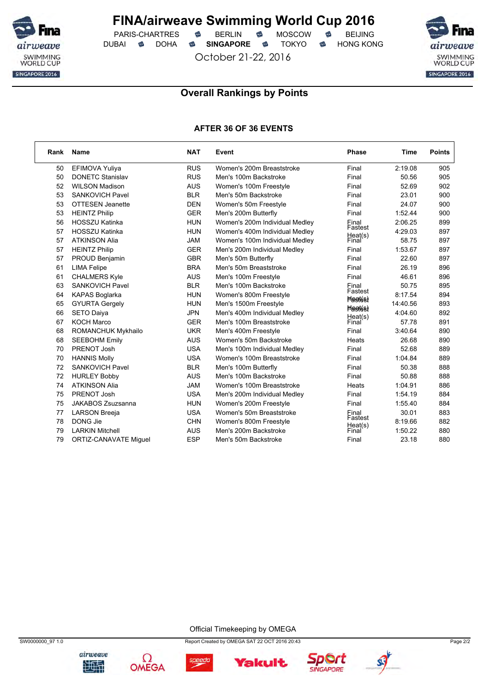

PARIS-CHARTRES **S** BERLIN S MOSCOW S DUBAI **SINGAPORE SINGAPORE SINGAPORE SING A** 

October 21-22, 2016

airweave SWIMMING<br>WORLD CUP SINGAPORE 2016

## **Overall Rankings by Points**

### **AFTER 36 OF 36 EVENTS**

| Rank | <b>Name</b>                  | <b>NAT</b> | Event                          | <b>Phase</b>                                   | Time     | <b>Points</b> |
|------|------------------------------|------------|--------------------------------|------------------------------------------------|----------|---------------|
| 50   | EFIMOVA Yuliya               | <b>RUS</b> | Women's 200m Breaststroke      | Final                                          | 2:19.08  | 905           |
| 50   | <b>DONETC Stanislav</b>      | <b>RUS</b> | Men's 100m Backstroke          | Final                                          | 50.56    | 905           |
| 52   | <b>WILSON Madison</b>        | <b>AUS</b> | Women's 100m Freestyle         | Final                                          | 52.69    | 902           |
| 53   | <b>SANKOVICH Pavel</b>       | <b>BLR</b> | Men's 50m Backstroke           | Final                                          | 23.01    | 900           |
| 53   | <b>OTTESEN Jeanette</b>      | <b>DEN</b> | Women's 50m Freestyle          | Final                                          | 24.07    | 900           |
| 53   | <b>HEINTZ Philip</b>         | <b>GER</b> | Men's 200m Butterfly           | Final                                          | 1:52.44  | 900           |
| 56   | <b>HOSSZU Katinka</b>        | <b>HUN</b> | Women's 200m Individual Medley | Final                                          | 2:06.25  | 899           |
| 57   | <b>HOSSZU Katinka</b>        | <b>HUN</b> | Women's 400m Individual Medley | Fastest                                        | 4:29.03  | 897           |
| 57   | <b>ATKINSON Alia</b>         | JAM        | Women's 100m Individual Medley | Heat(s)<br>Final                               | 58.75    | 897           |
| 57   | <b>HEINTZ Philip</b>         | <b>GER</b> | Men's 200m Individual Medley   | Final                                          | 1:53.67  | 897           |
| 57   | PROUD Benjamin               | <b>GBR</b> | Men's 50m Butterfly            | Final                                          | 22.60    | 897           |
| 61   | <b>LIMA Felipe</b>           | <b>BRA</b> | Men's 50m Breaststroke         | Final                                          | 26.19    | 896           |
| 61   | <b>CHALMERS Kyle</b>         | <b>AUS</b> | Men's 100m Freestyle           | Final                                          | 46.61    | 896           |
| 63   | SANKOVICH Pavel              | <b>BLR</b> | Men's 100m Backstroke          | Final                                          | 50.75    | 895           |
| 64   | <b>KAPAS Boglarka</b>        | <b>HUN</b> | Women's 800m Freestyle         | Fastest                                        | 8:17.54  | 894           |
| 65   | <b>GYURTA Gergely</b>        | <b>HUN</b> | Men's 1500m Freestyle          | <b>Flastés)</b><br>$H$ $R$ $R$ $t$ $t$ $s$ $t$ | 14:40.56 | 893           |
| 66   | <b>SETO Daiva</b>            | <b>JPN</b> | Men's 400m Individual Medley   |                                                | 4:04.60  | 892           |
| 67   | <b>KOCH Marco</b>            | <b>GER</b> | Men's 100m Breaststroke        | Heat(s)<br>Final                               | 57.78    | 891           |
| 68   | <b>ROMANCHUK Mykhailo</b>    | <b>UKR</b> | Men's 400m Freestyle           | Final                                          | 3:40.64  | 890           |
| 68   | <b>SEEBOHM Emily</b>         | <b>AUS</b> | Women's 50m Backstroke         | Heats                                          | 26.68    | 890           |
| 70   | PRENOT Josh                  | <b>USA</b> | Men's 100m Individual Medley   | Final                                          | 52.68    | 889           |
| 70   | <b>HANNIS Molly</b>          | <b>USA</b> | Women's 100m Breaststroke      | Final                                          | 1:04.84  | 889           |
| 72   | <b>SANKOVICH Pavel</b>       | <b>BLR</b> | Men's 100m Butterfly           | Final                                          | 50.38    | 888           |
| 72   | <b>HURLEY Bobby</b>          | <b>AUS</b> | Men's 100m Backstroke          | Final                                          | 50.88    | 888           |
| 74   | <b>ATKINSON Alia</b>         | <b>JAM</b> | Women's 100m Breaststroke      | Heats                                          | 1:04.91  | 886           |
| 75   | PRENOT Josh                  | <b>USA</b> | Men's 200m Individual Medley   | Final                                          | 1:54.19  | 884           |
| 75   | JAKABOS Zsuzsanna            | <b>HUN</b> | Women's 200m Freestyle         | Final                                          | 1:55.40  | 884           |
| 77   | <b>LARSON Breeja</b>         | <b>USA</b> | Women's 50m Breaststroke       | Final                                          | 30.01    | 883           |
| 78   | DONG Jie                     | <b>CHN</b> | Women's 800m Freestyle         | Fastest                                        | 8:19.66  | 882           |
| 79   | <b>LARKIN Mitchell</b>       | <b>AUS</b> | Men's 200m Backstroke          | Heat(s)<br>Final                               | 1:50.22  | 880           |
| 79   | <b>ORTIZ-CANAVATE Miquel</b> | <b>ESP</b> | Men's 50m Backstroke           | Final                                          | 23.18    | 880           |

Official Timekeeping by OMEGA





SW0000000\_97 1.0 Page 2/2

**Yakult**.



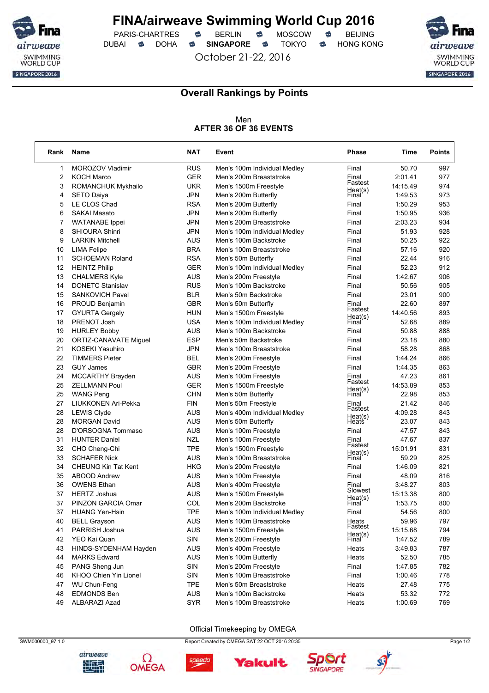

PARIS-CHARTRES **S** BERLIN S MOSCOW S

October 21-22, 2016

DUBAI **SINGAPORE SINGAPORE SINGAPORE SING A** 



### **Overall Rankings by Points**

Men **AFTER 36 OF 36 EVENTS**

| Rank | Name                         | <b>NAT</b> | Event                        | Phase              | Time     | <b>Points</b> |
|------|------------------------------|------------|------------------------------|--------------------|----------|---------------|
| 1    | MOROZOV Vladimir             | <b>RUS</b> | Men's 100m Individual Medley | Final              | 50.70    | 997           |
| 2    | <b>KOCH Marco</b>            | <b>GER</b> | Men's 200m Breaststroke      | Einal              | 2:01.41  | 977           |
| 3    | ROMANCHUK Mykhailo           | <b>UKR</b> | Men's 1500m Freestyle        | Fastest<br>Heat(s) | 14:15.49 | 974           |
| 4    | <b>SETO Daiya</b>            | <b>JPN</b> | Men's 200m Butterfly         | Final              | 1:49.53  | 973           |
| 5    | LE CLOS Chad                 | <b>RSA</b> | Men's 200m Butterfly         | Final              | 1:50.29  | 953           |
| 6    | <b>SAKAI Masato</b>          | <b>JPN</b> | Men's 200m Butterfly         | Final              | 1:50.95  | 936           |
| 7    | <b>WATANABE</b> Ippei        | <b>JPN</b> | Men's 200m Breaststroke      | Final              | 2:03.23  | 934           |
| 8    | <b>SHIOURA Shinri</b>        | <b>JPN</b> | Men's 100m Individual Medley | Final              | 51.93    | 928           |
| 9    | <b>LARKIN Mitchell</b>       | AUS        | Men's 100m Backstroke        | Final              | 50.25    | 922           |
| 10   | <b>LIMA Felipe</b>           | <b>BRA</b> | Men's 100m Breaststroke      | Final              | 57.16    | 920           |
| 11   | <b>SCHOEMAN Roland</b>       | <b>RSA</b> | Men's 50m Butterfly          | Final              | 22.44    | 916           |
| 12   | <b>HEINTZ Philip</b>         | <b>GER</b> | Men's 100m Individual Medley | Final              | 52.23    | 912           |
| 13   | <b>CHALMERS Kyle</b>         | <b>AUS</b> | Men's 200m Freestyle         | Final              | 1:42.67  | 906           |
| 14   | <b>DONETC Stanislav</b>      | <b>RUS</b> | Men's 100m Backstroke        | Final              | 50.56    | 905           |
| 15   | <b>SANKOVICH Pavel</b>       | <b>BLR</b> | Men's 50m Backstroke         | Final              | 23.01    | 900           |
| 16   | <b>PROUD Benjamin</b>        | <b>GBR</b> | Men's 50m Butterfly          | Final              | 22.60    | 897           |
| 17   | <b>GYURTA Gergely</b>        | <b>HUN</b> | Men's 1500m Freestyle        | Fastest            | 14:40.56 | 893           |
| 18   | PRENOT Josh                  | <b>USA</b> | Men's 100m Individual Medley | Heat(s)<br>Final   | 52.68    | 889           |
| 19   | <b>HURLEY Bobby</b>          | <b>AUS</b> | Men's 100m Backstroke        | Final              | 50.88    | 888           |
| 20   | <b>ORTIZ-CANAVATE Miguel</b> | <b>ESP</b> | Men's 50m Backstroke         | Final              | 23.18    | 880           |
| 21   | <b>KOSEKI Yasuhiro</b>       | <b>JPN</b> | Men's 100m Breaststroke      | Final              | 58.28    | 868           |
| 22   | <b>TIMMERS Pieter</b>        | <b>BEL</b> | Men's 200m Freestyle         | Final              | 1:44.24  | 866           |
| 23   | <b>GUY James</b>             | <b>GBR</b> | Men's 200m Freestyle         | Final              | 1:44.35  | 863           |
| 24   | MCCARTHY Brayden             | <b>AUS</b> | Men's 100m Freestyle         | Final              | 47.23    | 861           |
| 25   | <b>ZELLMANN Poul</b>         | GER        | Men's 1500m Freestyle        | Fastest            | 14:53.89 | 853           |
| 25   | <b>WANG Peng</b>             | <b>CHN</b> | Men's 50m Butterfly          | Heat(s)<br>Final   | 22.98    | 853           |
| 27   | LIUKKONEN Ari-Pekka          | <b>FIN</b> | Men's 50m Freestyle          | Einal              | 21.42    | 846           |
| 28   | <b>LEWIS Clyde</b>           | <b>AUS</b> | Men's 400m Individual Medley | Fastest            | 4:09.28  | 843           |
| 28   | <b>MORGAN David</b>          | <b>AUS</b> | Men's 50m Butterfly          | Heat(s)<br>Heats   | 23.07    | 843           |
| 28   | D'ORSOGNA Tommaso            | AUS        | Men's 100m Freestyle         | Final              | 47.57    | 843           |
| 31   | <b>HUNTER Daniel</b>         | <b>NZL</b> | Men's 100m Freestyle         | Final              | 47.67    | 837           |
| 32   | CHO Cheng-Chi                | TPE        | Men's 1500m Freestyle        | Fastest            | 15:01.91 | 831           |
| 33   | <b>SCHAFER Nick</b>          | AUS        | Men's 100m Breaststroke      | Heat(s)<br>Final   | 59.29    | 825           |
| 34   | <b>CHEUNG Kin Tat Kent</b>   | HKG        | Men's 200m Freestyle         | Final              | 1:46.09  | 821           |
| 35   | ABOOD Andrew                 | <b>AUS</b> | Men's 100m Freestyle         | Final              | 48.09    | 816           |
| 36   | <b>OWENS Ethan</b>           | <b>AUS</b> | Men's 400m Freestyle         | Final              | 3:48.27  | 803           |
| 37   | <b>HERTZ Joshua</b>          | <b>AUS</b> | Men's 1500m Freestyle        | Slowest            | 15:13.38 | 800           |
| 37   | PINZON GARCIA Omar           | COL        | Men's 200m Backstroke        | Heat(s)<br>Final   | 1:53.75  | 800           |
| 37   | <b>HUANG Yen-Hsin</b>        | <b>TPE</b> | Men's 100m Individual Medlev | Final              | 54.56    | 800           |
| 40   | <b>BELL Grayson</b>          | <b>AUS</b> | Men's 100m Breaststroke      | Heats<br>Fastest   | 59.96    | 797           |
| 41   | PARRISH Joshua               | <b>AUS</b> | Men's 1500m Freestyle        |                    | 15:15.68 | 794           |
| 42   | YEO Kai Quan                 | SIN        | Men's 200m Freestyle         | Heat(s)<br>Final   | 1:47.52  | 789           |
| 43   | HINDS-SYDENHAM Hayden        | AUS        | Men's 400m Freestyle         | Heats              | 3:49.83  | 787           |
| 44   | <b>MARKS Edward</b>          | <b>AUS</b> | Men's 100m Butterfly         | Heats              | 52.50    | 785           |
| 45   | PANG Sheng Jun               | SIN        | Men's 200m Freestyle         | Final              | 1:47.85  | 782           |
| 46   | KHOO Chien Yin Lionel        | SIN        | Men's 100m Breaststroke      | Final              | 1:00.46  | 778           |
| 47   | WU Chun-Feng                 | <b>TPE</b> | Men's 50m Breaststroke       | Heats              | 27.48    | 775           |
| 48   | <b>EDMONDS Ben</b>           | <b>AUS</b> | Men's 100m Backstroke        | Heats              | 53.32    | 772           |
| 49   | ALBARAZI Azad                | <b>SYR</b> | Men's 100m Breaststroke      | Heats              | 1:00.69  | 769           |

#### Official Timekeeping by OMEGA

SWM000000\_97 1.0 Page 1/2



Ω







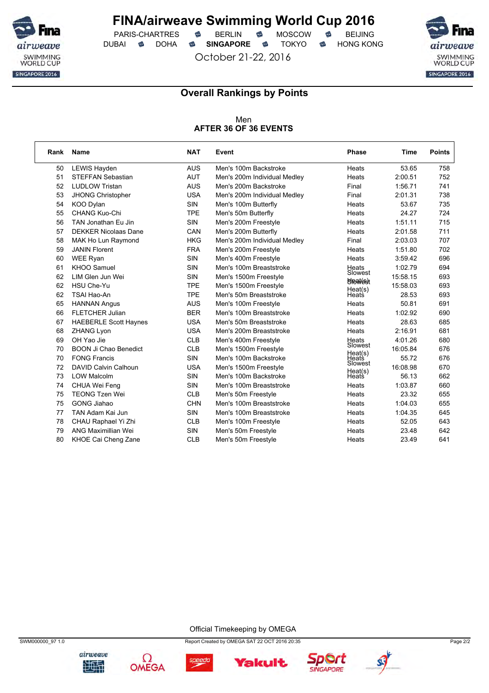

PARIS-CHARTRES **S** BERLIN S MOSCOW S

October 21-22, 2016

DUBAI **SINGAPORE SINGAPORE SINGAPORE SING A** 



٦

### **Overall Rankings by Points**

#### Men **AFTER 36 OF 36 EVENTS**

| Rank | <b>Name</b>                  | <b>NAT</b> | Event                        | <b>Phase</b>     | Time     | <b>Points</b> |
|------|------------------------------|------------|------------------------------|------------------|----------|---------------|
| 50   | LEWIS Hayden                 | <b>AUS</b> | Men's 100m Backstroke        | Heats            | 53.65    | 758           |
| 51   | <b>STEFFAN Sebastian</b>     | <b>AUT</b> | Men's 200m Individual Medley | Heats            | 2:00.51  | 752           |
| 52   | <b>LUDLOW Tristan</b>        | <b>AUS</b> | Men's 200m Backstroke        | Final            | 1:56.71  | 741           |
| 53   | JHONG Christopher            | <b>USA</b> | Men's 200m Individual Medley | Final            | 2:01.31  | 738           |
| 54   | KOO Dylan                    | <b>SIN</b> | Men's 100m Butterfly         | Heats            | 53.67    | 735           |
| 55   | CHANG Kuo-Chi                | <b>TPE</b> | Men's 50m Butterfly          | Heats            | 24.27    | 724           |
| 56   | TAN Jonathan Eu Jin          | <b>SIN</b> | Men's 200m Freestyle         | Heats            | 1:51.11  | 715           |
| 57   | <b>DEKKER Nicolaas Dane</b>  | <b>CAN</b> | Men's 200m Butterfly         | Heats            | 2:01.58  | 711           |
| 58   | MAK Ho Lun Raymond           | <b>HKG</b> | Men's 200m Individual Medley | Final            | 2:03.03  | 707           |
| 59   | <b>JANIN Florent</b>         | <b>FRA</b> | Men's 200m Freestyle         | Heats            | 1:51.80  | 702           |
| 60   | <b>WEE Ryan</b>              | <b>SIN</b> | Men's 400m Freestyle         | Heats            | 3:59.42  | 696           |
| 61   | KHOO Samuel                  | <b>SIN</b> | Men's 100m Breaststroke      | Heats            | 1:02.79  | 694           |
| 62   | LIM Glen Jun Wei             | <b>SIN</b> | Men's 1500m Freestyle        | Slowest          | 15:58.15 | 693           |
| 62   | HSU Che-Yu                   | <b>TPE</b> | Men's 1500m Freestyle        | <b>Sheat Est</b> | 15:58.03 | 693           |
| 62   | TSAI Hao-An                  | <b>TPE</b> | Men's 50m Breaststroke       | Heat(s)<br>Heats | 28.53    | 693           |
| 65   | <b>HANNAN Angus</b>          | <b>AUS</b> | Men's 100m Freestyle         | Heats            | 50.81    | 691           |
| 66   | <b>FLETCHER Julian</b>       | <b>BER</b> | Men's 100m Breaststroke      | Heats            | 1:02.92  | 690           |
| 67   | <b>HAEBERLE Scott Haynes</b> | <b>USA</b> | Men's 50m Breaststroke       | Heats            | 28.63    | 685           |
| 68   | <b>ZHANG Lyon</b>            | <b>USA</b> | Men's 200m Breaststroke      | Heats            | 2:16.91  | 681           |
| 69   | OH Yao Jie                   | <b>CLB</b> | Men's 400m Freestyle         | Heats            | 4:01.26  | 680           |
| 70   | <b>BOON Ji Chao Benedict</b> | <b>CLB</b> | Men's 1500m Freestyle        | Slowest          | 16:05.84 | 676           |
| 70   | <b>FONG Francis</b>          | <b>SIN</b> | Men's 100m Backstroke        | Heat(s)<br>Heats | 55.72    | 676           |
| 72   | DAVID Calvin Calhoun         | <b>USA</b> | Men's 1500m Freestyle        | Slowest          | 16:08.98 | 670           |
| 73   | <b>LOW Malcolm</b>           | <b>SIN</b> | Men's 100m Backstroke        | Heat(s)<br>Heats | 56.13    | 662           |
| 74   | CHUA Wei Feng                | <b>SIN</b> | Men's 100m Breaststroke      | Heats            | 1:03.87  | 660           |
| 75   | <b>TEONG Tzen Wei</b>        | <b>CLB</b> | Men's 50m Freestyle          | Heats            | 23.32    | 655           |
| 75   | <b>GONG Jiahao</b>           | <b>CHN</b> | Men's 100m Breaststroke      | Heats            | 1:04.03  | 655           |
| 77   | TAN Adam Kai Jun             | <b>SIN</b> | Men's 100m Breaststroke      | Heats            | 1:04.35  | 645           |
| 78   | CHAU Raphael Yi Zhi          | <b>CLB</b> | Men's 100m Freestyle         | Heats            | 52.05    | 643           |
| 79   | ANG Maximillian Wei          | <b>SIN</b> | Men's 50m Freestyle          | Heats            | 23.48    | 642           |
| 80   | KHOE Cai Cheng Zane          | <b>CLB</b> | Men's 50m Freestyle          | Heats            | 23.49    | 641           |

Official Timekeeping by OMEGA





speedo



**Yakult**.



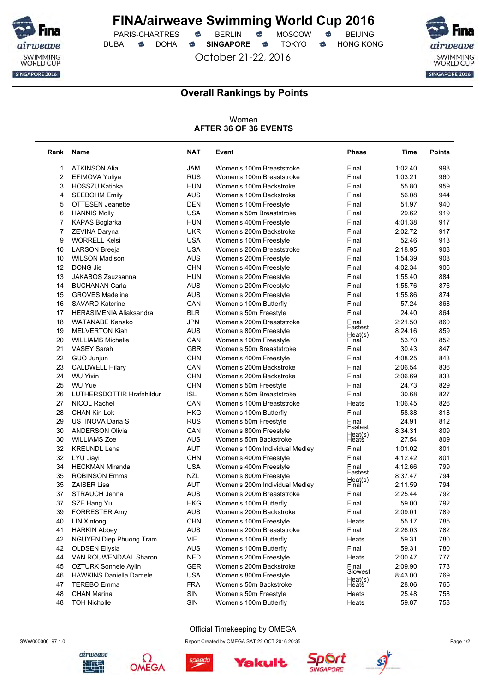

PARIS-CHARTRES **S** BERLIN S MOSCOW S DUBAI **SINGAPORE SINGAPORE SINGAPORE SING A** 

October 21-22, 2016



٦

### **Overall Rankings by Points**

#### Women **AFTER 36 OF 36 EVENTS**

| Rank           | Name                           | <b>NAT</b> | Event                          | <b>Phase</b>     | Time    | <b>Points</b> |
|----------------|--------------------------------|------------|--------------------------------|------------------|---------|---------------|
| 1              | <b>ATKINSON Alia</b>           | JAM        | Women's 100m Breaststroke      | Final            | 1:02.40 | 998           |
| $\overline{2}$ | EFIMOVA Yuliya                 | <b>RUS</b> | Women's 100m Breaststroke      | Final            | 1:03.21 | 960           |
| 3              | <b>HOSSZU Katinka</b>          | <b>HUN</b> | Women's 100m Backstroke        | Final            | 55.80   | 959           |
| 4              | <b>SEEBOHM Emily</b>           | <b>AUS</b> | Women's 100m Backstroke        | Final            | 56.08   | 944           |
| 5              | <b>OTTESEN Jeanette</b>        | <b>DEN</b> | Women's 100m Freestyle         | Final            | 51.97   | 940           |
| 6              | <b>HANNIS Molly</b>            | <b>USA</b> | Women's 50m Breaststroke       | Final            | 29.62   | 919           |
| 7              | <b>KAPAS Boglarka</b>          | <b>HUN</b> | Women's 400m Freestyle         | Final            | 4:01.38 | 917           |
| $\overline{7}$ | ZEVINA Daryna                  | <b>UKR</b> | Women's 200m Backstroke        | Final            | 2:02.72 | 917           |
| 9              | <b>WORRELL Kelsi</b>           | <b>USA</b> | Women's 100m Freestyle         | Final            | 52.46   | 913           |
| 10             | <b>LARSON Breeja</b>           | <b>USA</b> | Women's 200m Breaststroke      | Final            | 2:18.95 | 908           |
| 10             | <b>WILSON Madison</b>          | <b>AUS</b> | Women's 200m Freestyle         | Final            | 1:54.39 | 908           |
| 12             | DONG Jie                       | <b>CHN</b> | Women's 400m Freestyle         | Final            | 4:02.34 | 906           |
| 13             | JAKABOS Zsuzsanna              | <b>HUN</b> | Women's 200m Freestyle         | Final            | 1:55.40 | 884           |
| 14             | <b>BUCHANAN Carla</b>          | <b>AUS</b> | Women's 200m Freestyle         | Final            | 1:55.76 | 876           |
| 15             | <b>GROVES Madeline</b>         | <b>AUS</b> | Women's 200m Freestyle         | Final            | 1:55.86 | 874           |
| 16             | <b>SAVARD Katerine</b>         | CAN        | Women's 100m Butterfly         | Final            | 57.24   | 868           |
| 17             | <b>HERASIMENIA Aliaksandra</b> | <b>BLR</b> | Women's 50m Freestyle          | Final            | 24.40   | 864           |
| 18             | <b>WATANABE Kanako</b>         | <b>JPN</b> | Women's 200m Breaststroke      | Einal            | 2:21.50 | 860           |
| 19             | <b>MELVERTON Kiah</b>          | AUS        | Women's 800m Freestyle         | Fastest          | 8:24.16 | 859           |
| 20             | <b>WILLIAMS Michelle</b>       | CAN        | Women's 100m Freestyle         | Heat(s)<br>Final | 53.70   | 852           |
| 21             | <b>VASEY Sarah</b>             | <b>GBR</b> | Women's 50m Breaststroke       | Final            | 30.43   | 847           |
| 22             | GUO Junjun                     | <b>CHN</b> | Women's 400m Freestyle         | Final            | 4:08.25 | 843           |
| 23             | <b>CALDWELL Hilary</b>         | CAN        | Women's 200m Backstroke        | Final            | 2:06.54 | 836           |
| 24             | <b>WU Yixin</b>                | <b>CHN</b> | Women's 200m Backstroke        | Final            | 2:06.69 | 833           |
| 25             | <b>WU Yue</b>                  | <b>CHN</b> | Women's 50m Freestyle          | Final            | 24.73   | 829           |
| 26             | LUTHERSDOTTIR Hrafnhildur      | <b>ISL</b> | Women's 50m Breaststroke       | Final            | 30.68   | 827           |
| 27             | NICOL Rachel                   | CAN        | Women's 100m Breaststroke      | Heats            | 1:06.45 | 826           |
| 28             | <b>CHAN Kin Lok</b>            | <b>HKG</b> | Women's 100m Butterfly         | Final            | 58.38   | 818           |
| 29             | USTINOVA Daria S               | <b>RUS</b> | Women's 50m Freestyle          | Final            | 24.91   | 812           |
| 30             | <b>ANDERSON Olivia</b>         | CAN        | Women's 800m Freestyle         | Fastest          | 8:34.31 | 809           |
| 30             | <b>WILLIAMS Zoe</b>            | AUS        | Women's 50m Backstroke         | Heat(s)<br>Heats | 27.54   | 809           |
| 32             | <b>KREUNDL Lena</b>            | AUT        | Women's 100m Individual Medley | Final            | 1:01.02 | 801           |
| 32             | LYU Jiayi                      | <b>CHN</b> | Women's 400m Freestyle         | Final            | 4:12.42 | 801           |
| 34             | <b>HECKMAN Miranda</b>         | <b>USA</b> | Women's 400m Freestyle         | Final            | 4:12.66 | 799           |
| 35             | <b>ROBINSON Emma</b>           | <b>NZL</b> | Women's 800m Freestyle         | Fastest          | 8:37.47 | 794           |
| 35             | <b>ZAISER Lisa</b>             | <b>AUT</b> | Women's 200m Individual Medley | Heat(s)<br>Final | 2:11.59 | 794           |
| 37             | STRAUCH Jenna                  | AUS        | Women's 200m Breaststroke      | Final            | 2:25.44 | 792           |
| 37             | SZE Hang Yu                    | <b>HKG</b> | Women's 100m Butterfly         | Final            | 59.00   | 792           |
| 39             | <b>FORRESTER Amy</b>           | <b>AUS</b> | Women's 200m Backstroke        | Final            | 2:09.01 | 789           |
| 40             | <b>LIN Xintong</b>             | <b>CHN</b> | Women's 100m Freestyle         | Heats            | 55.17   | 785           |
| 41             | <b>HARKIN Abbey</b>            | <b>AUS</b> | Women's 200m Breaststroke      | Final            | 2:26.03 | 782           |
| 42             | NGUYEN Diep Phuong Tram        | VIE        | Women's 100m Butterfly         | Heats            | 59.31   | 780           |
| 42             | <b>OLDSEN Ellysia</b>          | <b>AUS</b> | Women's 100m Butterfly         | Final            | 59.31   | 780           |
| 44             | VAN ROUWENDAAL Sharon          | <b>NED</b> | Women's 200m Freestyle         | Heats            | 2:00.47 | 777           |
| 45             | OZTURK Sonnele Aylin           | <b>GER</b> | Women's 200m Backstroke        | Final            | 2:09.90 | 773           |
| 46             | <b>HAWKINS Daniella Damele</b> | <b>USA</b> | Women's 800m Freestyle         | Slowest          | 8:43.00 | 769           |
| 47             | <b>TEREBO</b> Emma             | <b>FRA</b> | Women's 50m Backstroke         | Heat(s)<br>Heats | 28.06   | 765           |
| 48             | <b>CHAN Marina</b>             | SIN        | Women's 50m Freestyle          | Heats            | 25.48   | 758           |
| 48             | <b>TOH Nicholle</b>            | SIN        | Women's 100m Butterfly         | Heats            | 59.87   | 758           |
|                |                                |            |                                |                  |         |               |

#### Official Timekeeping by OMEGA



Ω



**Yakult**.

speedo



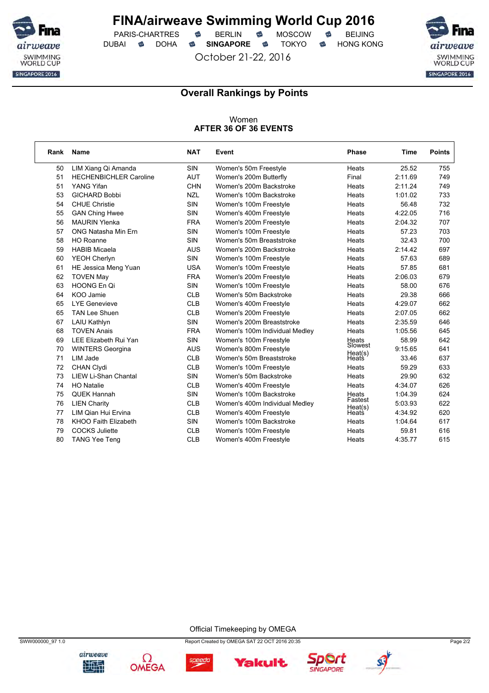

PARIS-CHARTRES **S** BERLIN S MOSCOW S DUBAI **SINGAPORE SINGAPORE SINGAPORE SING A** 

October 21-22, 2016



### **Overall Rankings by Points**

#### Women **AFTER 36 OF 36 EVENTS**

| Rank | <b>Name</b>                   | <b>NAT</b> | Event                          | Phase            | Time    | <b>Points</b> |
|------|-------------------------------|------------|--------------------------------|------------------|---------|---------------|
| 50   | LIM Xiang Qi Amanda           | <b>SIN</b> | Women's 50m Freestyle          | Heats            | 25.52   | 755           |
| 51   | <b>HECHENBICHLER Caroline</b> | <b>AUT</b> | Women's 200m Butterfly         | Final            | 2:11.69 | 749           |
| 51   | YANG Yifan                    | <b>CHN</b> | Women's 200m Backstroke        | Heats            | 2:11.24 | 749           |
| 53   | <b>GICHARD Bobbi</b>          | <b>NZL</b> | Women's 100m Backstroke        | Heats            | 1:01.02 | 733           |
| 54   | <b>CHUE Christie</b>          | <b>SIN</b> | Women's 100m Freestyle         | Heats            | 56.48   | 732           |
| 55   | <b>GAN Ching Hwee</b>         | SIN        | Women's 400m Freestyle         | Heats            | 4:22.05 | 716           |
| 56   | <b>MAURIN Ylenka</b>          | <b>FRA</b> | Women's 200m Freestyle         | Heats            | 2:04.32 | 707           |
| 57   | ONG Natasha Min Ern           | <b>SIN</b> | Women's 100m Freestyle         | Heats            | 57.23   | 703           |
| 58   | <b>HO Roanne</b>              | <b>SIN</b> | Women's 50m Breaststroke       | Heats            | 32.43   | 700           |
| 59   | <b>HABIB Micaela</b>          | <b>AUS</b> | Women's 200m Backstroke        | Heats            | 2:14.42 | 697           |
| 60   | YEOH Cherlyn                  | <b>SIN</b> | Women's 100m Freestyle         | Heats            | 57.63   | 689           |
| 61   | HE Jessica Meng Yuan          | <b>USA</b> | Women's 100m Freestyle         | Heats            | 57.85   | 681           |
| 62   | <b>TOVEN May</b>              | <b>FRA</b> | Women's 200m Freestyle         | Heats            | 2:06.03 | 679           |
| 63   | HOONG En Qi                   | <b>SIN</b> | Women's 100m Freestyle         | Heats            | 58.00   | 676           |
| 64   | KOO Jamie                     | <b>CLB</b> | Women's 50m Backstroke         | Heats            | 29.38   | 666           |
| 65   | <b>LYE Genevieve</b>          | <b>CLB</b> | Women's 400m Freestyle         | Heats            | 4:29.07 | 662           |
| 65   | <b>TAN Lee Shuen</b>          | <b>CLB</b> | Women's 200m Freestyle         | Heats            | 2:07.05 | 662           |
| 67   | <b>LAIU Kathlyn</b>           | SIN        | Women's 200m Breaststroke      | Heats            | 2:35.59 | 646           |
| 68   | <b>TOVEN Anais</b>            | <b>FRA</b> | Women's 100m Individual Medley | Heats            | 1:05.56 | 645           |
| 69   | LEE Elizabeth Rui Yan         | <b>SIN</b> | Women's 100m Freestyle         | Heats            | 58.99   | 642           |
| 70   | <b>WINTERS Georgina</b>       | <b>AUS</b> | Women's 800m Freestyle         | Slowest          | 9:15.65 | 641           |
| 71   | LIM Jade                      | <b>CLB</b> | Women's 50m Breaststroke       | Heat(s)<br>Heats | 33.46   | 637           |
| 72   | CHAN Clydi                    | <b>CLB</b> | Women's 100m Freestyle         | Heats            | 59.29   | 633           |
| 73   | LIEW Li-Shan Chantal          | <b>SIN</b> | Women's 50m Backstroke         | Heats            | 29.90   | 632           |
| 74   | <b>HO Natalie</b>             | <b>CLB</b> | Women's 400m Freestyle         | Heats            | 4:34.07 | 626           |
| 75   | <b>QUEK Hannah</b>            | <b>SIN</b> | Women's 100m Backstroke        | Heats            | 1:04.39 | 624           |
| 76   | <b>LIEN Charity</b>           | <b>CLB</b> | Women's 400m Individual Medley | Fastest          | 5:03.93 | 622           |
| 77   | LIM Qian Hui Ervina           | <b>CLB</b> | Women's 400m Freestyle         | Heat(s)<br>Heats | 4:34.92 | 620           |
| 78   | KHOO Faith Elizabeth          | <b>SIN</b> | Women's 100m Backstroke        | Heats            | 1:04.64 | 617           |
| 79   | <b>COCKS Juliette</b>         | <b>CLB</b> | Women's 100m Freestyle         | Heats            | 59.81   | 616           |
| 80   | <b>TANG Yee Teng</b>          | <b>CLB</b> | Women's 400m Freestyle         | Heats            | 4:35.77 | 615           |

Official Timekeeping by OMEGA

**Yakult**.







speedo



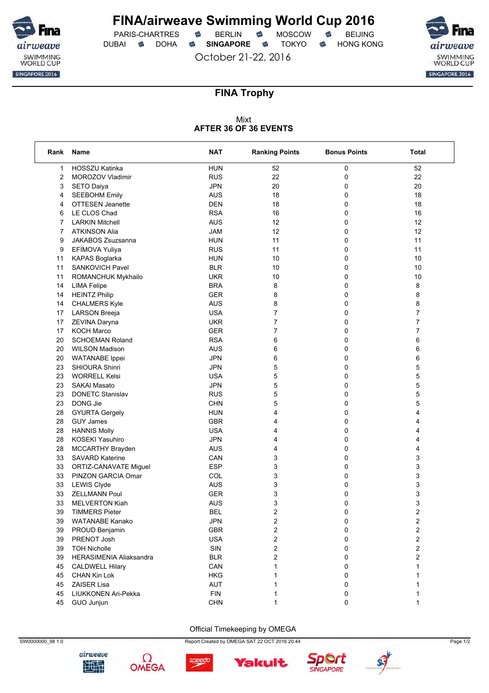

 $PARIS-CHARTRES$  **BERLIN B** MOSCOW **B** DUBAI **SINGAPORE SINGAPORE SINGAPORE SING A** 

October 21-22, 2016



### **FINA Trophy**

#### Mixt **AFTER 36 OF 36 EVENTS**

| Rank | Name                    | <b>NAT</b> | <b>Ranking Points</b>   | <b>Bonus Points</b> | <b>Total</b>            |
|------|-------------------------|------------|-------------------------|---------------------|-------------------------|
| 1    | HOSSZU Katinka          | <b>HUN</b> | 52                      | 0                   | 52                      |
| 2    | MOROZOV Vladimir        | <b>RUS</b> | 22                      | 0                   | 22                      |
| 3    | <b>SETO Daiya</b>       | <b>JPN</b> | 20                      | 0                   | 20                      |
| 4    | <b>SEEBOHM Emily</b>    | <b>AUS</b> | 18                      | 0                   | 18                      |
| 4    | <b>OTTESEN Jeanette</b> | <b>DEN</b> | 18                      | 0                   | 18                      |
| 6    | LE CLOS Chad            | <b>RSA</b> | 16                      | 0                   | 16                      |
| 7    | <b>LARKIN Mitchell</b>  | <b>AUS</b> | 12                      | 0                   | 12                      |
| 7    | <b>ATKINSON Alia</b>    | <b>JAM</b> | 12                      | 0                   | 12                      |
| 9    | JAKABOS Zsuzsanna       | <b>HUN</b> | 11                      | 0                   | 11                      |
| 9    | EFIMOVA Yuliya          | <b>RUS</b> | 11                      | 0                   | 11                      |
| 11   | <b>KAPAS Boglarka</b>   | <b>HUN</b> | 10                      | 0                   | 10                      |
| 11   | SANKOVICH Pavel         | <b>BLR</b> | 10                      | 0                   | 10                      |
| 11   | ROMANCHUK Mykhailo      | <b>UKR</b> | 10                      | 0                   | 10                      |
| 14   | <b>LIMA Felipe</b>      | <b>BRA</b> | 8                       | 0                   | 8                       |
| 14   | <b>HEINTZ Philip</b>    | <b>GER</b> | 8                       | 0                   | 8                       |
| 14   | <b>CHALMERS Kyle</b>    | <b>AUS</b> | 8                       | 0                   | 8                       |
| 17   | <b>LARSON Breeja</b>    | <b>USA</b> | 7                       | 0                   | 7                       |
| 17   | ZEVINA Daryna           | <b>UKR</b> | 7                       | 0                   | 7                       |
| 17   | <b>KOCH Marco</b>       | <b>GER</b> | 7                       | 0                   | 7                       |
| 20   | <b>SCHOEMAN Roland</b>  | <b>RSA</b> | 6                       | 0                   | 6                       |
| 20   | <b>WILSON Madison</b>   | <b>AUS</b> | 6                       | 0                   | 6                       |
| 20   | <b>WATANABE</b> Ippei   | <b>JPN</b> | 6                       | 0                   | 6                       |
| 23   | SHIOURA Shinri          | <b>JPN</b> | 5                       | 0                   | 5                       |
| 23   | <b>WORRELL Kelsi</b>    | <b>USA</b> | 5                       | 0                   | 5                       |
| 23   | <b>SAKAI Masato</b>     | <b>JPN</b> | 5                       | 0                   | 5                       |
| 23   | <b>DONETC Stanislav</b> | <b>RUS</b> | 5                       | 0                   | 5                       |
| 23   | DONG Jie                | <b>CHN</b> | 5                       | 0                   | 5                       |
| 28   | <b>GYURTA Gergely</b>   | <b>HUN</b> | 4                       | 0                   | 4                       |
| 28   | <b>GUY James</b>        | <b>GBR</b> | 4                       | 0                   | 4                       |
| 28   | <b>HANNIS Molly</b>     | <b>USA</b> | 4                       | 0                   | 4                       |
| 28   | KOSEKI Yasuhiro         | <b>JPN</b> | 4                       | 0                   | 4                       |
| 28   | MCCARTHY Brayden        | <b>AUS</b> | 4                       | 0                   | 4                       |
| 33   | <b>SAVARD Katerine</b>  | CAN        | 3                       | 0                   | 3                       |
| 33   | ORTIZ-CANAVATE Miguel   | <b>ESP</b> | 3                       | 0                   | 3                       |
| 33   | PINZON GARCIA Omar      | COL        | 3                       | 0                   | 3                       |
| 33   | <b>LEWIS Clyde</b>      | <b>AUS</b> | 3                       | 0                   | 3                       |
| 33   | <b>ZELLMANN Poul</b>    | <b>GER</b> | 3                       | 0                   | 3                       |
| 33   | <b>MELVERTON Kiah</b>   | <b>AUS</b> | 3                       | 0                   | 3                       |
| 39   | <b>TIMMERS Pieter</b>   | <b>BEL</b> | $\overline{2}$          | 0                   | $\overline{2}$          |
| 39   | <b>WATANABE Kanako</b>  | <b>JPN</b> | 2                       | 0                   | 2                       |
| 39   | PROUD Benjamin          | <b>GBR</b> | $\overline{\mathbf{c}}$ | 0                   | 2                       |
| 39   | PRENOT Josh             | <b>USA</b> | $\overline{\mathbf{c}}$ | 0                   | 2                       |
| 39   | <b>TOH Nicholle</b>     | SIN        | 2                       | 0                   | $\overline{\mathbf{c}}$ |
| 39   | HERASIMENIA Aliaksandra | <b>BLR</b> | $\overline{\mathbf{c}}$ | 0                   | 2                       |
| 45   | <b>CALDWELL Hilary</b>  | CAN        | 1                       | 0                   | 1                       |
| 45   | <b>CHAN Kin Lok</b>     | <b>HKG</b> |                         | 0                   | 1                       |
| 45   | ZAISER Lisa             | AUT        | 1                       | 0                   |                         |
| 45   | LIUKKONEN Ari-Pekka     | <b>FIN</b> | 1                       | 0                   | 1                       |
| 45   | GUO Junjun              | <b>CHN</b> | 1                       | 0                   | 1                       |
|      |                         |            |                         |                     |                         |

Official Timekeeping by OMEGA SW0000000\_98 1.0 Page 1/2









Ω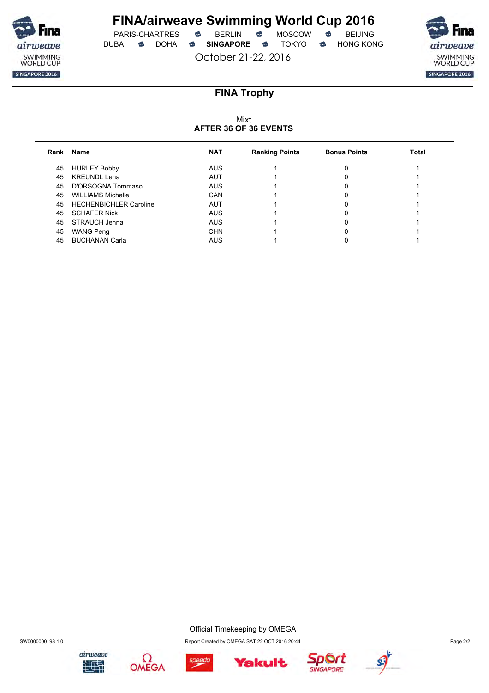

 $PARIS-CHARTRES$  **BERLIN B** MOSCOW **B** DUBAI **SINGAPORE SINGAPORE SINGAPORE SING A** 

October 21-22, 2016

airweave SWIMMING<br>WORLD CUP SINGAPORE 2016

## **FINA Trophy**

### Mixt **AFTER 36 OF 36 EVENTS**

| Rank | Name                          | <b>NAT</b> | <b>Ranking Points</b> | <b>Bonus Points</b> | <b>Total</b> |
|------|-------------------------------|------------|-----------------------|---------------------|--------------|
| 45   | <b>HURLEY Bobby</b>           | <b>AUS</b> |                       |                     |              |
| 45   | <b>KREUNDL Lena</b>           | AUT        |                       |                     |              |
| 45   | D'ORSOGNA Tommaso             | <b>AUS</b> |                       |                     |              |
| 45   | <b>WILLIAMS Michelle</b>      | CAN        |                       |                     |              |
| 45   | <b>HECHENBICHLER Caroline</b> | AUT        |                       |                     |              |
| 45   | <b>SCHAFER Nick</b>           | <b>AUS</b> |                       |                     |              |
| 45   | STRAUCH Jenna                 | <b>AUS</b> |                       |                     |              |
| 45   | <b>WANG Peng</b>              | <b>CHN</b> |                       |                     |              |
| 45   | <b>BUCHANAN Carla</b>         | AUS        |                       |                     |              |

Official Timekeeping by OMEGA









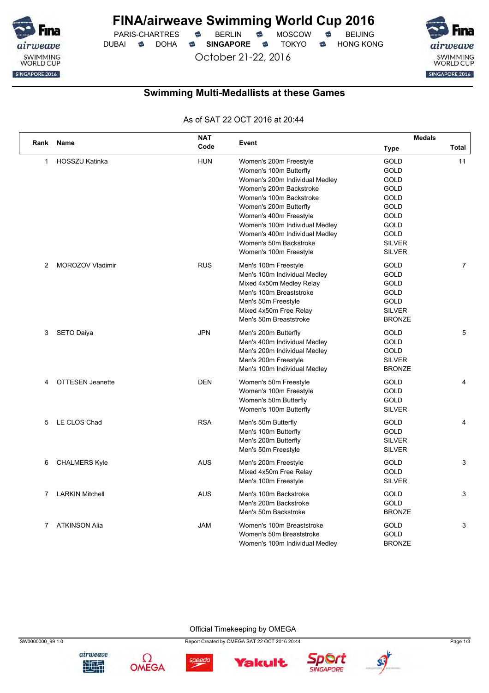

PARIS-CHARTRES **S** BERLIN S MOSCOW S DUBAI **S** DOHA S SINGAPORE S TOKYO S HONG KONG

October 21-22, 2016



### **Swimming Multi-Medallists at these Games**

As of SAT 22 OCT 2016 at 20:44

|                |                         | <b>NAT</b> |                                | <b>Medals</b> |                |  |
|----------------|-------------------------|------------|--------------------------------|---------------|----------------|--|
| Rank           | Name                    | Code       | Event                          | <b>Type</b>   | Total          |  |
| 1              | <b>HOSSZU Katinka</b>   | <b>HUN</b> | Women's 200m Freestyle         | GOLD          | 11             |  |
|                |                         |            | Women's 100m Butterfly         | GOLD          |                |  |
|                |                         |            | Women's 200m Individual Medley | GOLD          |                |  |
|                |                         |            | Women's 200m Backstroke        | GOLD          |                |  |
|                |                         |            | Women's 100m Backstroke        | GOLD          |                |  |
|                |                         |            | Women's 200m Butterfly         | GOLD          |                |  |
|                |                         |            | Women's 400m Freestyle         | GOLD          |                |  |
|                |                         |            | Women's 100m Individual Medley | GOLD          |                |  |
|                |                         |            | Women's 400m Individual Medley | GOLD          |                |  |
|                |                         |            | Women's 50m Backstroke         | <b>SILVER</b> |                |  |
|                |                         |            | Women's 100m Freestyle         | <b>SILVER</b> |                |  |
| 2              | MOROZOV Vladimir        | <b>RUS</b> | Men's 100m Freestyle           | GOLD          | $\overline{7}$ |  |
|                |                         |            | Men's 100m Individual Medley   | <b>GOLD</b>   |                |  |
|                |                         |            | Mixed 4x50m Medley Relay       | GOLD          |                |  |
|                |                         |            | Men's 100m Breaststroke        | GOLD          |                |  |
|                |                         |            | Men's 50m Freestyle            | GOLD          |                |  |
|                |                         |            | Mixed 4x50m Free Relay         | <b>SILVER</b> |                |  |
|                |                         |            | Men's 50m Breaststroke         | <b>BRONZE</b> |                |  |
| 3              | <b>SETO Daiya</b>       | <b>JPN</b> | Men's 200m Butterfly           | GOLD          | 5              |  |
|                |                         |            | Men's 400m Individual Medley   | GOLD          |                |  |
|                |                         |            | Men's 200m Individual Medley   | <b>GOLD</b>   |                |  |
|                |                         |            | Men's 200m Freestyle           | <b>SILVER</b> |                |  |
|                |                         |            | Men's 100m Individual Medley   | <b>BRONZE</b> |                |  |
| 4              | <b>OTTESEN Jeanette</b> | <b>DEN</b> | Women's 50m Freestyle          | GOLD          | 4              |  |
|                |                         |            | Women's 100m Freestyle         | GOLD          |                |  |
|                |                         |            | Women's 50m Butterfly          | <b>GOLD</b>   |                |  |
|                |                         |            | Women's 100m Butterfly         | <b>SILVER</b> |                |  |
| 5              | LE CLOS Chad            | <b>RSA</b> | Men's 50m Butterfly            | GOLD          | 4              |  |
|                |                         |            | Men's 100m Butterfly           | GOLD          |                |  |
|                |                         |            | Men's 200m Butterfly           | <b>SILVER</b> |                |  |
|                |                         |            | Men's 50m Freestyle            | <b>SILVER</b> |                |  |
| 6              | <b>CHALMERS Kyle</b>    | <b>AUS</b> | Men's 200m Freestyle           | <b>GOLD</b>   | 3              |  |
|                |                         |            | Mixed 4x50m Free Relay         | GOLD          |                |  |
|                |                         |            | Men's 100m Freestyle           | <b>SILVER</b> |                |  |
| 7              | <b>LARKIN Mitchell</b>  | <b>AUS</b> | Men's 100m Backstroke          | GOLD          | 3              |  |
|                |                         |            | Men's 200m Backstroke          | GOLD          |                |  |
|                |                         |            | Men's 50m Backstroke           | <b>BRONZE</b> |                |  |
| $\overline{7}$ | <b>ATKINSON Alia</b>    | <b>JAM</b> | Women's 100m Breaststroke      | <b>GOLD</b>   | 3              |  |
|                |                         |            | Women's 50m Breaststroke       | <b>GOLD</b>   |                |  |
|                |                         |            | Women's 100m Individual Medley | <b>BRONZE</b> |                |  |

Official Timekeeping by OMEGA





SW0000000\_99 1.0 Page 1/3



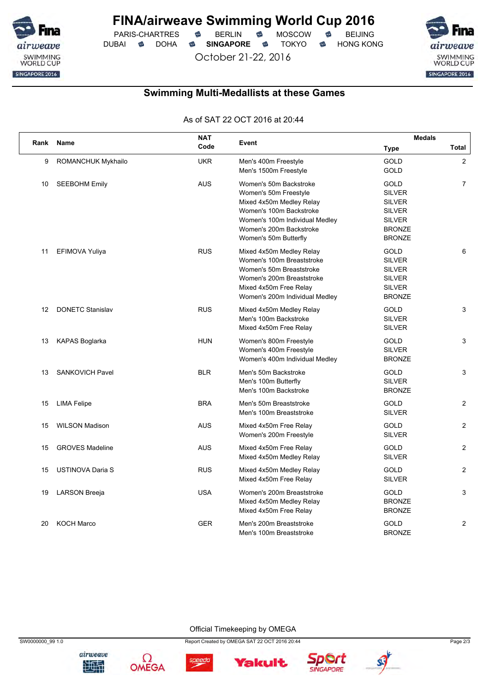

PARIS-CHARTRES **S** BERLIN S MOSCOW S DUBAI **SINGAPORE SINGAPORE SINGAPORE SING A** 

October 21-22, 2016

SWIMMING<br>WORLD CUP SINGAPORE 2016

## **Swimming Multi-Medallists at these Games**

As of SAT 22 OCT 2016 at 20:44

|      |                           | <b>NAT</b> |                                                                                                                                                                                              | <b>Medals</b>                                                                                                     |                |  |
|------|---------------------------|------------|----------------------------------------------------------------------------------------------------------------------------------------------------------------------------------------------|-------------------------------------------------------------------------------------------------------------------|----------------|--|
| Rank | Name                      | Code       | Event                                                                                                                                                                                        | <b>Type</b>                                                                                                       | Total          |  |
| 9    | <b>ROMANCHUK Mykhailo</b> | <b>UKR</b> | Men's 400m Freestyle<br>Men's 1500m Freestyle                                                                                                                                                | GOLD<br><b>GOLD</b>                                                                                               | $\overline{2}$ |  |
| 10   | <b>SEEBOHM Emily</b>      | <b>AUS</b> | Women's 50m Backstroke<br>Women's 50m Freestyle<br>Mixed 4x50m Medley Relay<br>Women's 100m Backstroke<br>Women's 100m Individual Medley<br>Women's 200m Backstroke<br>Women's 50m Butterfly | <b>GOLD</b><br><b>SILVER</b><br><b>SILVER</b><br><b>SILVER</b><br><b>SILVER</b><br><b>BRONZE</b><br><b>BRONZE</b> | $\overline{7}$ |  |
| 11   | EFIMOVA Yuliya            | <b>RUS</b> | Mixed 4x50m Medley Relay<br>Women's 100m Breaststroke<br>Women's 50m Breaststroke<br>Women's 200m Breaststroke<br>Mixed 4x50m Free Relay<br>Women's 200m Individual Medley                   | GOLD<br><b>SILVER</b><br><b>SILVER</b><br><b>SILVER</b><br><b>SILVER</b><br><b>BRONZE</b>                         | 6              |  |
| 12   | <b>DONETC Stanislav</b>   | <b>RUS</b> | Mixed 4x50m Medley Relay<br>Men's 100m Backstroke<br>Mixed 4x50m Free Relay                                                                                                                  | <b>GOLD</b><br><b>SILVER</b><br><b>SILVER</b>                                                                     | 3              |  |
| 13   | <b>KAPAS Boglarka</b>     | <b>HUN</b> | Women's 800m Freestyle<br>Women's 400m Freestyle<br>Women's 400m Individual Medley                                                                                                           | <b>GOLD</b><br><b>SILVER</b><br><b>BRONZE</b>                                                                     | 3              |  |
| 13   | <b>SANKOVICH Pavel</b>    | <b>BLR</b> | Men's 50m Backstroke<br>Men's 100m Butterfly<br>Men's 100m Backstroke                                                                                                                        | <b>GOLD</b><br><b>SILVER</b><br><b>BRONZE</b>                                                                     | 3              |  |
| 15   | <b>LIMA Felipe</b>        | <b>BRA</b> | Men's 50m Breaststroke<br>Men's 100m Breaststroke                                                                                                                                            | <b>GOLD</b><br><b>SILVER</b>                                                                                      | 2              |  |
| 15   | <b>WILSON Madison</b>     | <b>AUS</b> | Mixed 4x50m Free Relay<br>Women's 200m Freestyle                                                                                                                                             | <b>GOLD</b><br><b>SILVER</b>                                                                                      | $\overline{2}$ |  |
| 15   | <b>GROVES Madeline</b>    | <b>AUS</b> | Mixed 4x50m Free Relay<br>Mixed 4x50m Medley Relay                                                                                                                                           | <b>GOLD</b><br><b>SILVER</b>                                                                                      | $\overline{2}$ |  |
| 15   | <b>USTINOVA Daria S</b>   | <b>RUS</b> | Mixed 4x50m Medley Relay<br>Mixed 4x50m Free Relay                                                                                                                                           | <b>GOLD</b><br><b>SILVER</b>                                                                                      | 2              |  |
| 19   | LARSON Breeja             | <b>USA</b> | Women's 200m Breaststroke<br>Mixed 4x50m Medley Relay<br>Mixed 4x50m Free Relay                                                                                                              | GOLD<br><b>BRONZE</b><br><b>BRONZE</b>                                                                            | 3              |  |
| 20   | <b>KOCH Marco</b>         | <b>GER</b> | Men's 200m Breaststroke<br>Men's 100m Breaststroke                                                                                                                                           | GOLD<br><b>BRONZE</b>                                                                                             | $\overline{2}$ |  |

Official Timekeeping by OMEGA







**Yakult**